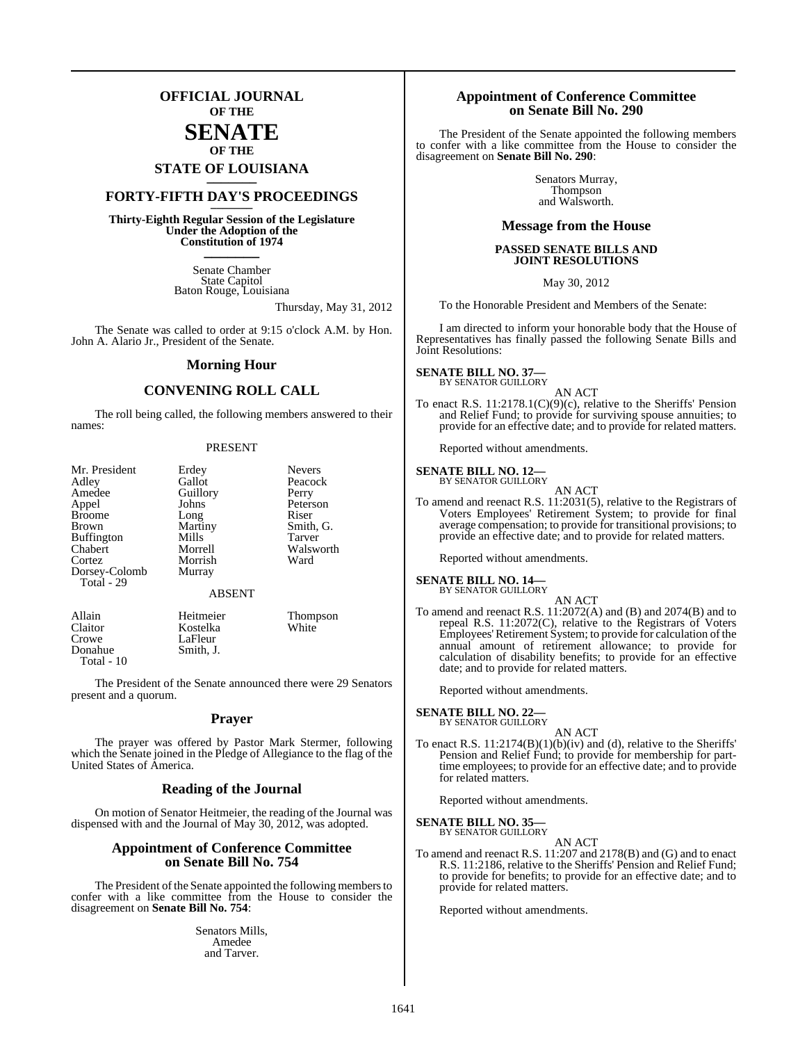## **OFFICIAL JOURNAL OF THE**

## **SENATE OF THE**

# **STATE OF LOUISIANA \_\_\_\_\_\_\_**

## **FORTY-FIFTH DAY'S PROCEEDINGS \_\_\_\_\_\_\_**

**Thirty-Eighth Regular Session of the Legislature Under the Adoption of the Constitution of 1974 \_\_\_\_\_\_\_**

> Senate Chamber State Capitol Baton Rouge, Louisiana

> > Thursday, May 31, 2012

The Senate was called to order at 9:15 o'clock A.M. by Hon. John A. Alario Jr., President of the Senate.

#### **Morning Hour**

#### **CONVENING ROLL CALL**

The roll being called, the following members answered to their names:

#### PRESENT

| Mr. President<br>Adley<br>Amedee<br>Appel<br><b>Broome</b><br><b>Brown</b><br><b>Buffington</b><br>Chabert<br>Cortez<br>Dorsey-Colomb | Erdey<br>Gallot<br>Guillory<br>Johns<br>Long<br>Martiny<br>Mills<br>Morrell<br>Morrish<br>Murray | <b>Nevers</b><br>Peacock<br>Perry<br>Peterson<br>Riser<br>Smith, G.<br>Tarver<br>Walsworth<br>Ward |
|---------------------------------------------------------------------------------------------------------------------------------------|--------------------------------------------------------------------------------------------------|----------------------------------------------------------------------------------------------------|
| Total - 29                                                                                                                            | <b>ABSENT</b>                                                                                    |                                                                                                    |
| Allain<br>Claitor<br>Crowe                                                                                                            | Heitmeier<br>Kostelka<br>LaFleur                                                                 | Thompson<br>White                                                                                  |

The President of the Senate announced there were 29 Senators present and a quorum.

LaFleur<br>Smith. J.

Donahue Total - 10

#### **Prayer**

The prayer was offered by Pastor Mark Stermer, following which the Senate joined in the Pledge of Allegiance to the flag of the United States of America.

#### **Reading of the Journal**

On motion of Senator Heitmeier, the reading of the Journal was dispensed with and the Journal of May 30, 2012, was adopted.

#### **Appointment of Conference Committee on Senate Bill No. 754**

The President of the Senate appointed the following members to confer with a like committee from the House to consider the disagreement on **Senate Bill No. 754**:

> Senators Mills, Amedee and Tarver.

#### **Appointment of Conference Committee on Senate Bill No. 290**

The President of the Senate appointed the following members to confer with a like committee from the House to consider the disagreement on **Senate Bill No. 290**:

> Senators Murray, Thompson and Walsworth.

#### **Message from the House**

#### **PASSED SENATE BILLS AND JOINT RESOLUTIONS**

May 30, 2012

To the Honorable President and Members of the Senate:

I am directed to inform your honorable body that the House of Representatives has finally passed the following Senate Bills and Joint Resolutions:

## **SENATE BILL NO. 37—**<br>BY SENATOR GUILLORY

AN ACT

To enact R.S. 11:2178.1(C)(9)(c), relative to the Sheriffs' Pension and Relief Fund; to provide for surviving spouse annuities; to provide for an effective date; and to provide for related matters.

Reported without amendments.

**SENATE BILL NO. 12—** BY SENATOR GUILLORY

- AN ACT
- To amend and reenact R.S. 11:2031(5), relative to the Registrars of Voters Employees' Retirement System; to provide for final average compensation; to provide for transitional provisions; to provide an effective date; and to provide for related matters.

Reported without amendments.

#### **SENATE BILL NO. 14—** BY SENATOR GUILLORY

AN ACT

To amend and reenact R.S. 11:2072(A) and (B) and 2074(B) and to repeal R.S. 11:2072(C), relative to the Registrars of Voters Employees' Retirement System; to provide for calculation of the annual amount of retirement allowance; to provide for calculation of disability benefits; to provide for an effective date; and to provide for related matters.

Reported without amendments.

**SENATE BILL NO. 22—** BY SENATOR GUILLORY

AN ACT

To enact R.S. 11:2174(B)(1)(b)(iv) and (d), relative to the Sheriffs' Pension and Relief Fund; to provide for membership for parttime employees; to provide for an effective date; and to provide for related matters.

Reported without amendments.

**SENATE BILL NO. 35—**<br>BY SENATOR GUILLORY

AN ACT

To amend and reenact R.S. 11:207 and 2178(B) and (G) and to enact R.S. 11:2186, relative to the Sheriffs' Pension and Relief Fund; to provide for benefits; to provide for an effective date; and to provide for related matters.

Reported without amendments.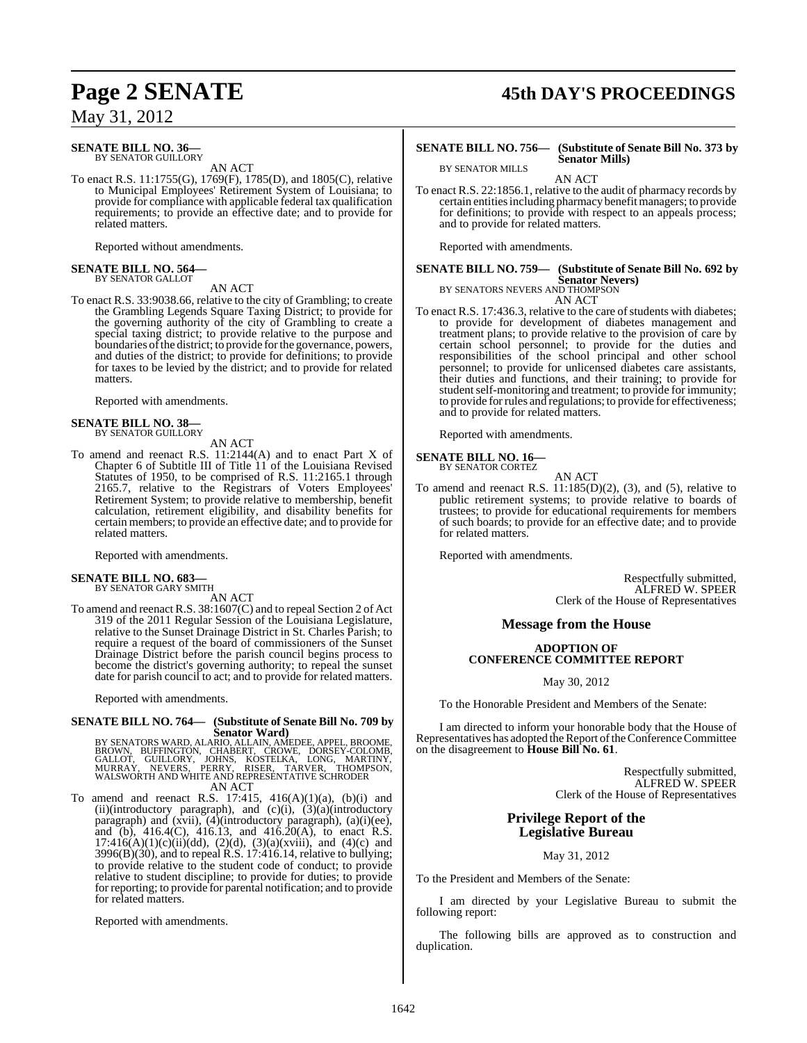## **SENATE BILL NO. 36—**<br>BY SENATOR GUILLORY

AN ACT

To enact R.S. 11:1755(G), 1769(F), 1785(D), and 1805(C), relative to Municipal Employees' Retirement System of Louisiana; to provide for compliance with applicable federal tax qualification requirements; to provide an effective date; and to provide for related matters.

Reported without amendments.

## **SENATE BILL NO. 564—** BY SENATOR GALLOT

AN ACT

To enact R.S. 33:9038.66, relative to the city of Grambling; to create the Grambling Legends Square Taxing District; to provide for the governing authority of the city of Grambling to create a special taxing district; to provide relative to the purpose and boundaries of the district; to provide for the governance, powers, and duties of the district; to provide for definitions; to provide for taxes to be levied by the district; and to provide for related matters.

Reported with amendments.

#### **SENATE BILL NO. 38—**

BY SENATOR GUILLORY AN ACT

To amend and reenact R.S. 11:2144(A) and to enact Part X of Chapter 6 of Subtitle III of Title 11 of the Louisiana Revised Statutes of 1950, to be comprised of R.S. 11:2165.1 through 2165.7, relative to the Registrars of Voters Employees' Retirement System; to provide relative to membership, benefit calculation, retirement eligibility, and disability benefits for certain members; to provide an effective date; and to provide for related matters.

Reported with amendments.

## **SENATE BILL NO. 683—** BY SENATOR GARY SMITH

AN ACT

To amend and reenact R.S. 38:1607(C) and to repeal Section 2 of Act 319 of the 2011 Regular Session of the Louisiana Legislature, relative to the Sunset Drainage District in St. Charles Parish; to require a request of the board of commissioners of the Sunset Drainage District before the parish council begins process to become the district's governing authority; to repeal the sunset date for parish council to act; and to provide for related matters.

Reported with amendments.

# **SENATE BILL NO. 764— (Substitute of Senate Bill No. 709 by**

Senator Ward)<br>BROWN, BUFFINGTON, CLLAIN, AMEDEE, APPEL, BROOME,<br>BROWN, BUFFINGTON, CHABERT, CROWE, DORSEY-COLOMB,<br>GALLOT, GUILLORY, JOHNS, KOSTELKA, LONG, MARTINY,<br>MURRAY, NEVERS, PERRY, RISER, TARVER, THOMPSON,<br>WALSWORTH AN ACT

To amend and reenact R.S.  $17:415$ ,  $416(A)(1)(a)$ ,  $(b)(i)$  and (ii)(introductory paragraph), and  $(c)(i)$ ,  $(3)(a)(introducing$ paragraph) and (xvii), (4)(introductory paragraph), (a)(i)(ee), and (b),  $416.4(C)$ ,  $416.13$ , and  $416.20(A)$ , to enact R.S.  $17:416(A)(1)(c)(ii)(dd), (2)(d), (3)(a)(xviii), and (4)(c) and$ 3996(B)(30), and to repeal R.S. 17:416.14, relative to bullying; to provide relative to the student code of conduct; to provide relative to student discipline; to provide for duties; to provide for reporting; to provide for parental notification; and to provide for related matters.

Reported with amendments.

# **Page 2 SENATE 45th DAY'S PROCEEDINGS**

#### **SENATE BILL NO. 756— (Substitute of Senate Bill No. 373 by Senator Mills)**

AN ACT

To enact R.S. 22:1856.1, relative to the audit of pharmacy records by certain entities including pharmacy benefit managers; to provide for definitions; to provide with respect to an appeals process; and to provide for related matters.

Reported with amendments.

BY SENATOR MILLS

#### **SENATE BILL NO. 759— (Substitute of Senate Bill No. 692 by Senator Nevers)** BY SENATORS NEVERS AND THOMPSON

AN ACT

To enact R.S. 17:436.3, relative to the care of students with diabetes; to provide for development of diabetes management and treatment plans; to provide relative to the provision of care by certain school personnel; to provide for the duties and responsibilities of the school principal and other school personnel; to provide for unlicensed diabetes care assistants, their duties and functions, and their training; to provide for student self-monitoring and treatment; to provide for immunity; to provide forrules and regulations; to provide for effectiveness; and to provide for related matters.

Reported with amendments.

#### **SENATE BILL NO. 16—** BY SENATOR CORTEZ

AN ACT

To amend and reenact R.S.  $11:185(D)(2)$ , (3), and (5), relative to public retirement systems; to provide relative to boards of trustees; to provide for educational requirements for members of such boards; to provide for an effective date; and to provide for related matters.

Reported with amendments.

Respectfully submitted, ALFRED W. SPEER Clerk of the House of Representatives

#### **Message from the House**

#### **ADOPTION OF CONFERENCE COMMITTEE REPORT**

May 30, 2012

To the Honorable President and Members of the Senate:

I am directed to inform your honorable body that the House of Representatives has adopted the Report of the Conference Committee on the disagreement to **House Bill No. 61**.

> Respectfully submitted, ALFRED W. SPEER Clerk of the House of Representatives

#### **Privilege Report of the Legislative Bureau**

May 31, 2012

To the President and Members of the Senate:

I am directed by your Legislative Bureau to submit the following report:

The following bills are approved as to construction and duplication.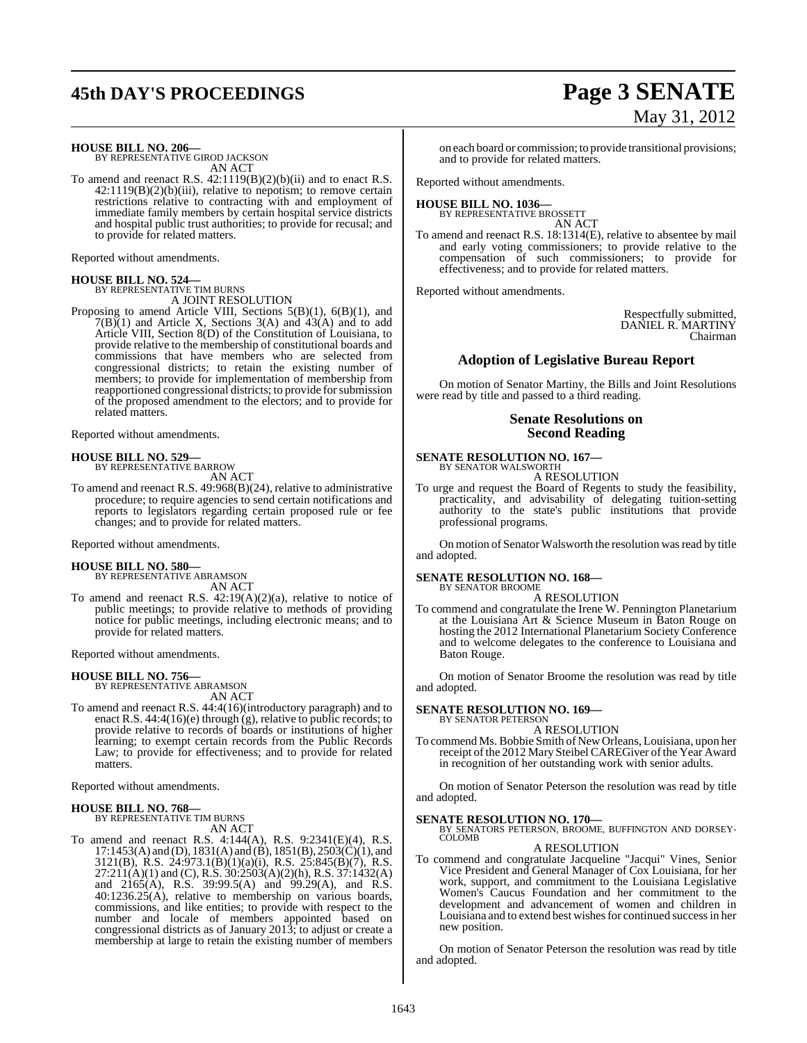# **45th DAY'S PROCEEDINGS Page 3 SENATE**

## **HOUSE BILL NO. 206—** BY REPRESENTATIVE GIROD JACKSON

AN ACT

To amend and reenact R.S. 42:1119(B)(2)(b)(ii) and to enact R.S.  $42:1119(B)(2)(b)(iii)$ , relative to nepotism; to remove certain restrictions relative to contracting with and employment of immediate family members by certain hospital service districts and hospital public trust authorities; to provide for recusal; and to provide for related matters.

Reported without amendments.

## **HOUSE BILL NO. 524—**

BY REPRESENTATIVE TIM BURNS A JOINT RESOLUTION

Proposing to amend Article VIII, Sections 5(B)(1), 6(B)(1), and  $7(B)(1)$  and Article X, Sections 3(A) and 43(A) and to add Article VIII, Section 8(D) of the Constitution of Louisiana, to provide relative to the membership of constitutional boards and commissions that have members who are selected from congressional districts; to retain the existing number of members; to provide for implementation of membership from reapportioned congressional districts; to provide for submission of the proposed amendment to the electors; and to provide for related matters.

Reported without amendments.

#### **HOUSE BILL NO. 529—**

BY REPRESENTATIVE BARROW

AN ACT

To amend and reenact R.S. 49:968(B)(24), relative to administrative procedure; to require agencies to send certain notifications and reports to legislators regarding certain proposed rule or fee changes; and to provide for related matters.

Reported without amendments.

#### **HOUSE BILL NO. 580—**

BY REPRESENTATIVE ABRAMSON AN ACT

To amend and reenact R.S. 42:19(A)(2)(a), relative to notice of public meetings; to provide relative to methods of providing notice for public meetings, including electronic means; and to provide for related matters.

Reported without amendments.

## **HOUSE BILL NO. 756—** BY REPRESENTATIVE ABRAMSON

AN ACT

To amend and reenact R.S. 44:4(16)(introductory paragraph) and to enact R.S. 44:4(16)(e) through (g), relative to public records; to provide relative to records of boards or institutions of higher learning; to exempt certain records from the Public Records Law; to provide for effectiveness; and to provide for related matters.

Reported without amendments.

**HOUSE BILL NO. 768—** BY REPRESENTATIVE TIM BURNS AN ACT

To amend and reenact R.S. 4:144(A), R.S. 9:2341(E)(4), R.S. 17:1453(A) and (D), 1831(A) and (B), 1851(B), 2503(C)(1), and 3121(B), R.S. 24:973.1(B)(1)(a)(i), R.S. 25:845(B)(7), R.S.  $27:211(A)(1)$  and (C), R.S.  $30:2503(A)(2)(h)$ , R.S.  $37:1432(A)$ and 2165(A), R.S. 39:99.5(A) and 99.29(A), and R.S. 40:1236.25(A), relative to membership on various boards, commissions, and like entities; to provide with respect to the number and locale of members appointed based on congressional districts as of January 2013; to adjust or create a membership at large to retain the existing number of members

# May 31, 2012

on each board or commission; to provide transitional provisions; and to provide for related matters.

Reported without amendments.

#### **HOUSE BILL NO. 1036—** BY REPRESENTATIVE BROSSETT

AN ACT

To amend and reenact R.S. 18:1314(E), relative to absentee by mail and early voting commissioners; to provide relative to the compensation of such commissioners; to provide for effectiveness; and to provide for related matters.

Reported without amendments.

Respectfully submitted, DANIEL R. MARTINY Chairman

#### **Adoption of Legislative Bureau Report**

On motion of Senator Martiny, the Bills and Joint Resolutions were read by title and passed to a third reading.

#### **Senate Resolutions on Second Reading**

**SENATE RESOLUTION NO. 167—** BY SENATOR WALSWORTH

A RESOLUTION

To urge and request the Board of Regents to study the feasibility, practicality, and advisability of delegating tuition-setting authority to the state's public institutions that provide professional programs.

On motion of Senator Walsworth the resolution was read by title and adopted.

## **SENATE RESOLUTION NO. 168—** BY SENATOR BROOME

A RESOLUTION

To commend and congratulate the Irene W. Pennington Planetarium at the Louisiana Art & Science Museum in Baton Rouge on hosting the 2012 International Planetarium Society Conference and to welcome delegates to the conference to Louisiana and Baton Rouge.

On motion of Senator Broome the resolution was read by title and adopted.

#### **SENATE RESOLUTION NO. 169—** BY SENATOR PETERSON

A RESOLUTION

To commend Ms. Bobbie Smith of New Orleans, Louisiana, upon her receipt of the 2012 Mary Steibel CAREGiver of the Year Award in recognition of her outstanding work with senior adults.

On motion of Senator Peterson the resolution was read by title and adopted.

**SENATE RESOLUTION NO. 170—**<br>BY SENATORS PETERSON, BROOME, BUFFINGTON AND DORSEY-COLOMB

#### A RESOLUTION

To commend and congratulate Jacqueline "Jacqui" Vines, Senior Vice President and General Manager of Cox Louisiana, for her work, support, and commitment to the Louisiana Legislative Women's Caucus Foundation and her commitment to the development and advancement of women and children in Louisiana and to extend best wishes for continued success in her new position.

On motion of Senator Peterson the resolution was read by title and adopted.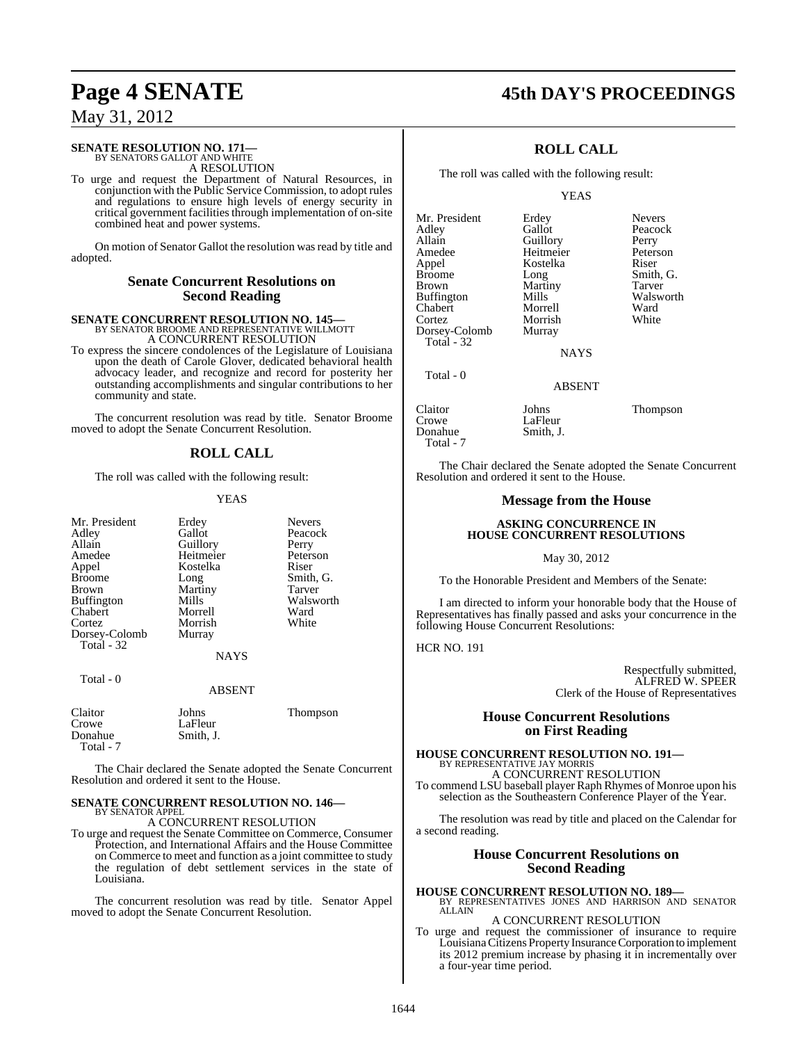## **Page 4 SENATE 45th DAY'S PROCEEDINGS**

## May 31, 2012

#### **SENATE RESOLUTION NO. 171** BY SENATORS GALLOT AND WHITE

A RESOLUTION

To urge and request the Department of Natural Resources, in conjunction with the Public Service Commission, to adopt rules and regulations to ensure high levels of energy security in critical government facilitiesthrough implementation of on-site combined heat and power systems.

On motion of Senator Gallot the resolution was read by title and adopted.

#### **Senate Concurrent Resolutions on Second Reading**

# **SENATE CONCURRENT RESOLUTION NO. 145—**<br>BY SENATOR BROOME AND REPRESENTATIVE WILLMOTT A CONCURRENT RESOLUTION

To express the sincere condolences of the Legislature of Louisiana upon the death of Carole Glover, dedicated behavioral health advocacy leader, and recognize and record for posterity her outstanding accomplishments and singular contributions to her community and state.

The concurrent resolution was read by title. Senator Broome moved to adopt the Senate Concurrent Resolution.

#### **ROLL CALL**

The roll was called with the following result:

Kostelka<br>Long

Martiny<br>Mills

#### YEAS

| Mr. President |
|---------------|
| Adley         |
| Allain        |
| Amedee        |
| Appel         |
| <b>Broome</b> |
| Brown         |
| Buffington    |
| Chabert       |
| Cortez        |
| Dorsey-Colomb |
| Total - 32    |

Total - 0

# Erdey Nevers<br>
Gallot Peacoc Guillory Perry<br>
Heitmeier Peterson Heitmeier Peters<br>Kostelka Riser

Peacock<br>Perry

Smith, G.<br>Tarver

Walsworth<br>Ward

Morrish **Murray** 

# Morrell Ward<br>
Morrish White

NAYS

#### ABSENT

| Claitor<br>Crowe<br>Donahue | Johns<br>LaFleur<br>Smith. J. | Thompson |
|-----------------------------|-------------------------------|----------|
| Total - 7                   |                               |          |

The Chair declared the Senate adopted the Senate Concurrent Resolution and ordered it sent to the House.

#### **SENATE CONCURRENT RESOLUTION NO. 146—** BY SENATOR APPEL

#### A CONCURRENT RESOLUTION

To urge and request the Senate Committee on Commerce, Consumer Protection, and International Affairs and the House Committee on Commerce to meet and function as a joint committee to study the regulation of debt settlement services in the state of Louisiana.

The concurrent resolution was read by title. Senator Appel moved to adopt the Senate Concurrent Resolution.

## **ROLL CALL**

The roll was called with the following result:

#### YEAS

Mr. President Erdey Nevers<br>
Adley Gallot Peacoc Allain Guillory Perry<br>
Amedee Heitmeier Peters Amedee Heitmeier Peterson<br>Appel Kostelka Riser Appel Kostelka<br>Broome Long Broome Long Smith, G.<br>Brown Martiny Tarver Buffington Mills Walsworth Mills<br>Chabert Morrell Ward Chabert Morrell Ward Dorsey-Colomb Total - 32

Morrish<br>Murray

Peacock Martiny Tarver<br>
Mills Walsworth

**NAYS** 

ABSENT

## Total - 0

Claitor Johns Thompson LaFleur<br>Smith, J. Donahue Total - 7

The Chair declared the Senate adopted the Senate Concurrent Resolution and ordered it sent to the House.

#### **Message from the House**

#### **ASKING CONCURRENCE IN HOUSE CONCURRENT RESOLUTIONS**

#### May 30, 2012

To the Honorable President and Members of the Senate:

I am directed to inform your honorable body that the House of Representatives has finally passed and asks your concurrence in the following House Concurrent Resolutions:

HCR NO. 191

Respectfully submitted, ALFRED W. SPEER Clerk of the House of Representatives

#### **House Concurrent Resolutions on First Reading**

#### **HOUSE CONCURRENT RESOLUTION NO. 191—** BY REPRESENTATIVE JAY MORRIS

A CONCURRENT RESOLUTION To commend LSU baseball player Raph Rhymes of Monroe upon his selection as the Southeastern Conference Player of the Year.

The resolution was read by title and placed on the Calendar for a second reading.

#### **House Concurrent Resolutions on Second Reading**

**HOUSE CONCURRENT RESOLUTION NO. 189—** BY REPRESENTATIVES JONES AND HARRISON AND SENATOR ALLAIN

#### A CONCURRENT RESOLUTION

To urge and request the commissioner of insurance to require LouisianaCitizens Property Insurance Corporation to implement its 2012 premium increase by phasing it in incrementally over a four-year time period.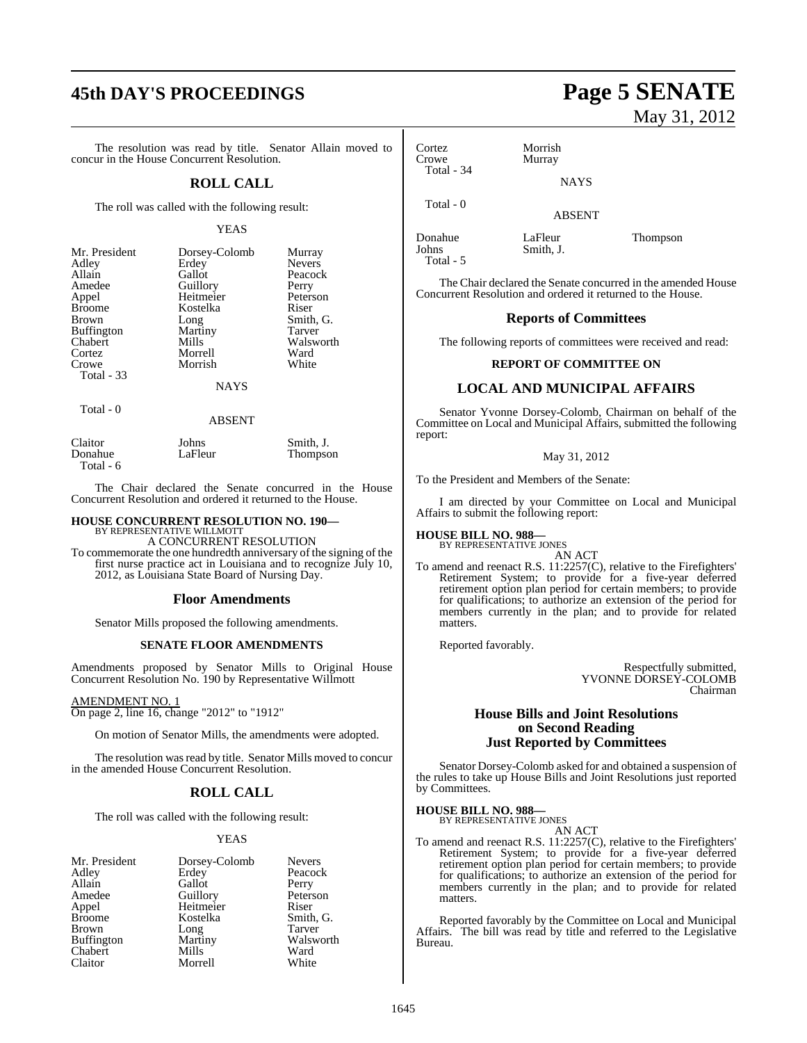## **45th DAY'S PROCEEDINGS Page 5 SENATE**

The resolution was read by title. Senator Allain moved to concur in the House Concurrent Resolution.

#### **ROLL CALL**

The roll was called with the following result:

#### YEAS

| Mr. President     | Dorsey-Colomb | Murray        |
|-------------------|---------------|---------------|
| Adley             | Erdey         | <b>Nevers</b> |
| Allain            | Gallot        | Peacock       |
| Amedee            | Guillory      | Perry         |
| Appel             | Heitmeier     | Peterson      |
| <b>Broome</b>     | Kostelka      | Riser         |
| <b>Brown</b>      | Long          | Smith, G.     |
| <b>Buffington</b> | Martiny       | Tarver        |
| Chabert           | Mills         | Walsworth     |
| Cortez            | Morrell       | Ward          |
| Crowe             | Morrish       | White         |
| Total - 33        |               |               |
|                   |               |               |

NAYS

#### Total - 0

#### ABSENT

| Claitor   | Johns   | Smith. J. |
|-----------|---------|-----------|
| Donahue   | LaFleur | Thompson  |
| Total - 6 |         |           |

The Chair declared the Senate concurred in the House Concurrent Resolution and ordered it returned to the House.

#### **HOUSE CONCURRENT RESOLUTION NO. 190—** BY REPRESENTATIVE WILLMOTT

A CONCURRENT RESOLUTION To commemorate the one hundredth anniversary of the signing of the first nurse practice act in Louisiana and to recognize July 10, 2012, as Louisiana State Board of Nursing Day.

#### **Floor Amendments**

Senator Mills proposed the following amendments.

#### **SENATE FLOOR AMENDMENTS**

Amendments proposed by Senator Mills to Original House Concurrent Resolution No. 190 by Representative Willmott

AMENDMENT NO. 1

On page 2, line 16, change "2012" to "1912"

On motion of Senator Mills, the amendments were adopted.

The resolution was read by title. Senator Mills moved to concur in the amended House Concurrent Resolution.

#### **ROLL CALL**

The roll was called with the following result:

#### YEAS

| Mr. President     | Dorsey-Colomb | <b>Nevers</b> |
|-------------------|---------------|---------------|
| Adley             | Erdey         | Peacock       |
| Allain            | Gallot        | Perry         |
| Amedee            | Guillory      | Peterson      |
| Appel             | Heitmeier     | Riser         |
| <b>Broome</b>     | Kostelka      | Smith, G.     |
| <b>Brown</b>      | Long          | Tarver        |
| <b>Buffington</b> | Martiny       | Walsworth     |
| Chabert           | Mills         | Ward          |
| Claitor           | Morrell       | White         |

# May 31, 2012

Cortez Morrish Total - 34

Murray

Total - 0

ABSENT

NAYS

Donahue LaFleur Thompson<br>Johns Smith, J. Smith, J. Total - 5

The Chair declared the Senate concurred in the amended House Concurrent Resolution and ordered it returned to the House.

#### **Reports of Committees**

The following reports of committees were received and read:

#### **REPORT OF COMMITTEE ON**

#### **LOCAL AND MUNICIPAL AFFAIRS**

Senator Yvonne Dorsey-Colomb, Chairman on behalf of the Committee on Local and Municipal Affairs, submitted the following report:

#### May 31, 2012

To the President and Members of the Senate:

I am directed by your Committee on Local and Municipal Affairs to submit the following report:

#### **HOUSE BILL NO. 988—**

BY REPRESENTATIVE JONES AN ACT

To amend and reenact R.S. 11:2257(C), relative to the Firefighters' Retirement System; to provide for a five-year deferred retirement option plan period for certain members; to provide for qualifications; to authorize an extension of the period for members currently in the plan; and to provide for related matters.

Reported favorably.

Respectfully submitted, YVONNE DORSEY-COLOMB Chairman

#### **House Bills and Joint Resolutions on Second Reading Just Reported by Committees**

Senator Dorsey-Colomb asked for and obtained a suspension of the rules to take up House Bills and Joint Resolutions just reported by Committees.

**HOUSE BILL NO. 988—** BY REPRESENTATIVE JONES

AN ACT

To amend and reenact R.S. 11:2257(C), relative to the Firefighters' Retirement System; to provide for a five-year deferred retirement option plan period for certain members; to provide for qualifications; to authorize an extension of the period for members currently in the plan; and to provide for related matters.

Reported favorably by the Committee on Local and Municipal Affairs. The bill was read by title and referred to the Legislative Bureau.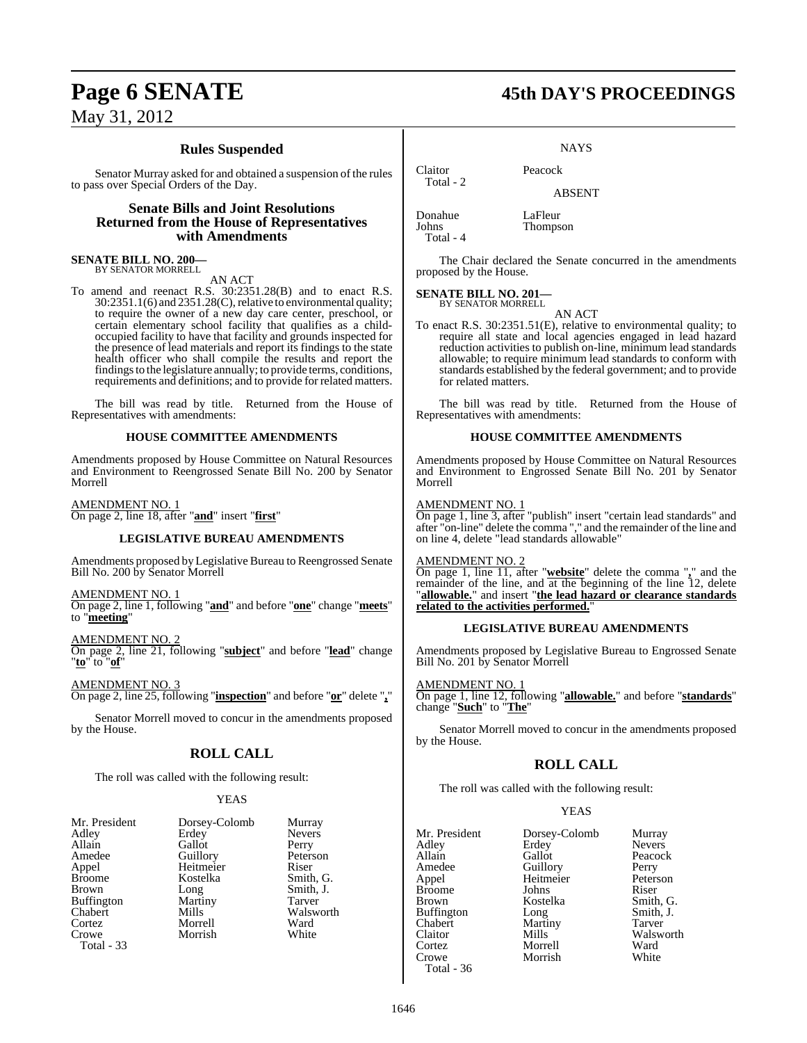### **Rules Suspended**

Senator Murray asked for and obtained a suspension of the rules to pass over Special Orders of the Day.

#### **Senate Bills and Joint Resolutions Returned from the House of Representatives with Amendments**

**SENATE BILL NO. 200—** BY SENATOR MORRELL

AN ACT

To amend and reenact R.S. 30:2351.28(B) and to enact R.S.  $30:2351.1(6)$  and  $2351.28(C)$ , relative to environmental quality; to require the owner of a new day care center, preschool, or certain elementary school facility that qualifies as a childoccupied facility to have that facility and grounds inspected for the presence of lead materials and report its findings to the state health officer who shall compile the results and report the findingsto the legislature annually; to provide terms, conditions, requirements and definitions; and to provide for related matters.

The bill was read by title. Returned from the House of Representatives with amendments:

#### **HOUSE COMMITTEE AMENDMENTS**

Amendments proposed by House Committee on Natural Resources and Environment to Reengrossed Senate Bill No. 200 by Senator Morrell

AMENDMENT NO. 1 On page 2, line 18, after "**and**" insert "**first**"

#### **LEGISLATIVE BUREAU AMENDMENTS**

Amendments proposed by Legislative Bureau to Reengrossed Senate Bill No. 200 by Senator Morrell

AMENDMENT NO. 1

On page 2, line 1, following "**and**" and before "**one**" change "**meets**" to "**meeting**"

AMENDMENT NO. 2

On page 2, line 21, following "**subject**" and before "**lead**" change "**to**" to "**of**"

AMENDMENT NO. 3 On page 2, line 25, following "**inspection**" and before "**or**" delete "**,**"

Senator Morrell moved to concur in the amendments proposed by the House.

#### **ROLL CALL**

The roll was called with the following result:

#### YEAS

| Mr. President     | Dorsey-Colomb | Murra             |
|-------------------|---------------|-------------------|
| Adley             | Erdey         | Neve <sub>1</sub> |
| Allain            | Gallot        | Perry             |
| Amedee            | Guillory      | Peters            |
| Appel             | Heitmeier     | Riser             |
| <b>Broome</b>     | Kostelka      | Smith             |
| <b>Brown</b>      | Long          | Smith             |
| <b>Buffington</b> | Martiny       | Tarve             |
| Chabert           | Mills         | Walsy             |
| Cortez            | Morrell       | Ward              |
| Crowe             | Morrish       | White             |
| Total - 33        |               |                   |
|                   |               |                   |

lomb Murray Nevers<br>Perry Peterson<br>Riser Smith, G. Smith, J. Tarver Walsworth<br>Ward White

## **Page 6 SENATE 45th DAY'S PROCEEDINGS**

**NAYS** 

Claitor Peacock

ABSENT

**Thompson** 

Donahue LaFleur<br>Johns Thomps Total - 4

Total - 2

The Chair declared the Senate concurred in the amendments proposed by the House.

#### **SENATE BILL NO. 201—**

BY SENATOR MORRELL AN ACT

To enact R.S. 30:2351.51(E), relative to environmental quality; to require all state and local agencies engaged in lead hazard reduction activities to publish on-line, minimum lead standards allowable; to require minimum lead standards to conform with standards established by the federal government; and to provide for related matters.

The bill was read by title. Returned from the House of Representatives with amendments:

#### **HOUSE COMMITTEE AMENDMENTS**

Amendments proposed by House Committee on Natural Resources and Environment to Engrossed Senate Bill No. 201 by Senator Morrell

#### AMENDMENT NO. 1

On page 1, line 3, after "publish" insert "certain lead standards" and after "on-line" delete the comma "," and the remainder of the line and on line 4, delete "lead standards allowable"

#### AMENDMENT NO. 2

On page 1, line 11, after "**website**" delete the comma "**,**" and the remainder of the line, and at the beginning of the line 12, delete "**allowable.**" and insert "**the lead hazard or clearance standards related to the activities performed.**"

#### **LEGISLATIVE BUREAU AMENDMENTS**

Amendments proposed by Legislative Bureau to Engrossed Senate Bill No. 201 by Senator Morrell

#### AMENDMENT NO. 1

On page 1, line 12, following "**allowable.**" and before "**standards**" change "**Such**" to "**The**"

Senator Morrell moved to concur in the amendments proposed by the House.

#### **ROLL CALL**

The roll was called with the following result:

| Mr. President | Dorsey-Colomb | Murray        |
|---------------|---------------|---------------|
| Adley         | Erdey         | <b>Nevers</b> |
| Allain        | Gallot        | Peacock       |
| Amedee        | Guillory      | Perry         |
| Appel         | Heitmeier     | Peterson      |
| Broome        | Johns         | Riser         |
| Brown         | Kostelka      | Smith, G.     |
| Buffington    | Long          | Smith, J.     |
| Chabert       | Martiny       | Tarver        |
| Claitor       | Mills         | Walsworth     |
| Cortez        | Morrell       | Ward          |
| Crowe         | Morrish       | White         |
| Total - 36    |               |               |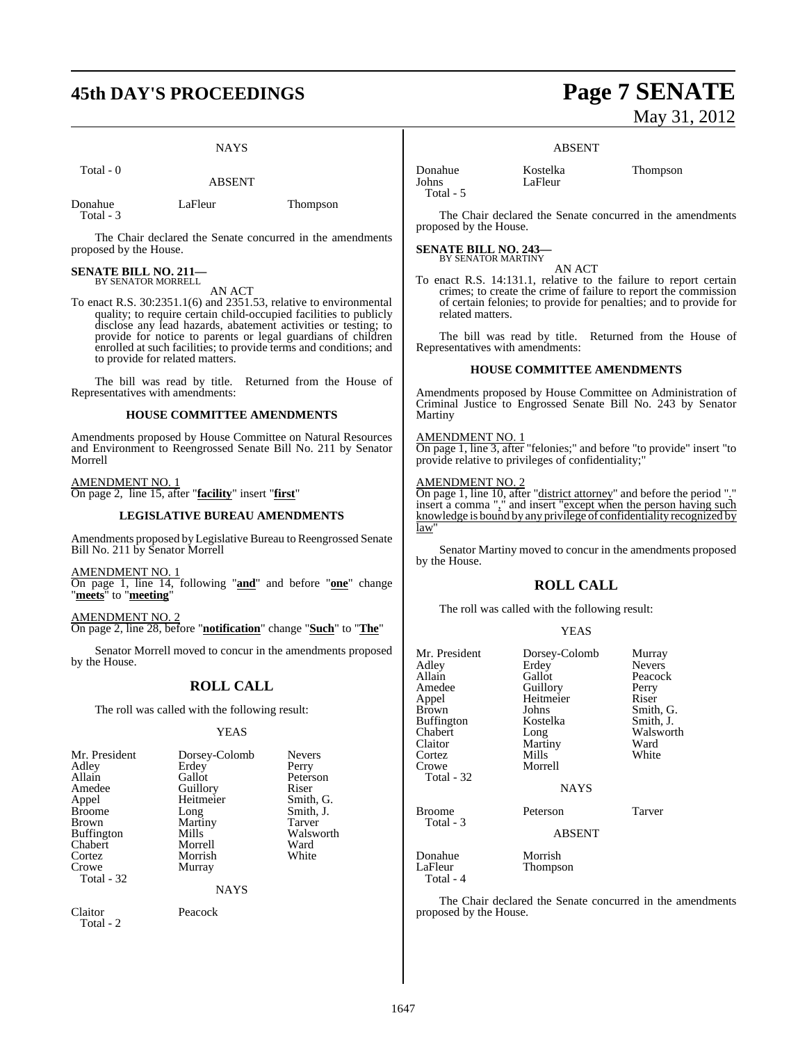## **45th DAY'S PROCEEDINGS Page 7 SENATE**

#### **NAYS**

Total - 0

ABSENT

Donahue LaFleur Thompson Total - 3

The Chair declared the Senate concurred in the amendments proposed by the House.

## **SENATE BILL NO. 211—** BY SENATOR MORRELL

AN ACT

To enact R.S. 30:2351.1(6) and 2351.53, relative to environmental quality; to require certain child-occupied facilities to publicly disclose any lead hazards, abatement activities or testing; to provide for notice to parents or legal guardians of children enrolled at such facilities; to provide terms and conditions; and to provide for related matters.

The bill was read by title. Returned from the House of Representatives with amendments:

#### **HOUSE COMMITTEE AMENDMENTS**

Amendments proposed by House Committee on Natural Resources and Environment to Reengrossed Senate Bill No. 211 by Senator Morrell

AMENDMENT NO. 1 On page 2, line 15, after "**facility**" insert "**first**"

#### **LEGISLATIVE BUREAU AMENDMENTS**

Amendments proposed by Legislative Bureau to Reengrossed Senate Bill No. 211 by Senator Morrell

AMENDMENT NO. 1

On page 1, line 14, following "**and**" and before "**one**" change "**meets**" to "**meeting**"

AMENDMENT NO. 2 On page 2, line 28, before "**notification**" change "**Such**" to "**The**"

Senator Morrell moved to concur in the amendments proposed by the House.

## **ROLL CALL**

The roll was called with the following result:

#### YEAS

| Mr. President     | Dorsey-Colomb | <b>Nevers</b> |
|-------------------|---------------|---------------|
| Adley             | Erdey         | Perry         |
| Allain            | Gallot        | Peterson      |
| Amedee            | Guillory      | Riser         |
| Appel             | Heitmeier     | Smith, G.     |
| <b>Broome</b>     | Long          | Smith, J.     |
| <b>Brown</b>      | Martiny       | <b>Tarver</b> |
| <b>Buffington</b> | Mills         | Walsworth     |
| Chabert           | Morrell       | Ward          |
| Cortez            | Morrish       | White         |
| Crowe             | Murray        |               |
| Total - 32        |               |               |
|                   | <b>NAYS</b>   |               |

Claitor Peacock Total - 2

# May 31, 2012

#### ABSENT

LaFleur

Donahue Kostelka Thompson Total - 5

The Chair declared the Senate concurred in the amendments proposed by the House.

#### **SENATE BILL NO. 243—** BY SENATOR MARTINY

AN ACT To enact R.S. 14:131.1, relative to the failure to report certain crimes; to create the crime of failure to report the commission of certain felonies; to provide for penalties; and to provide for related matters.

The bill was read by title. Returned from the House of Representatives with amendments:

#### **HOUSE COMMITTEE AMENDMENTS**

Amendments proposed by House Committee on Administration of Criminal Justice to Engrossed Senate Bill No. 243 by Senator Martiny

#### AMENDMENT NO. 1

On page 1, line 3, after "felonies;" and before "to provide" insert "to provide relative to privileges of confidentiality;"

#### AMENDMENT NO. 2

On page 1, line 10, after "district attorney" and before the period "." insert a comma "," and insert "except when the person having such knowledge is bound by any privilege of confidentiality recognized by law

Senator Martiny moved to concur in the amendments proposed by the House.

## **ROLL CALL**

The roll was called with the following result:

#### YEAS

| Mr. President<br>Adley<br>Allain<br>Amedee<br>Appel<br>Brown<br>Buffington<br>Chabert<br>Claitor<br>Cortez<br>Crowe<br>Total - 32 | Dorsey-Colomb<br>Erdey<br>Gallot<br>Guillory<br>Heitmeier<br>Johns<br>Kostelka<br>Long<br>Martiny<br>Mills<br>Morrell<br><b>NAYS</b> | Murray<br><b>Nevers</b><br>Peacock<br>Perry<br>Riser<br>Smith, G.<br>Smith, J.<br>Walsworth<br>Ward<br>White |
|-----------------------------------------------------------------------------------------------------------------------------------|--------------------------------------------------------------------------------------------------------------------------------------|--------------------------------------------------------------------------------------------------------------|
| Broome<br>Total - 3                                                                                                               | Peterson<br><b>ABSENT</b>                                                                                                            | Tarver                                                                                                       |
| Donahue<br>LaFleur<br>Total - 4                                                                                                   | Morrish<br>Thompson                                                                                                                  |                                                                                                              |

The Chair declared the Senate concurred in the amendments proposed by the House.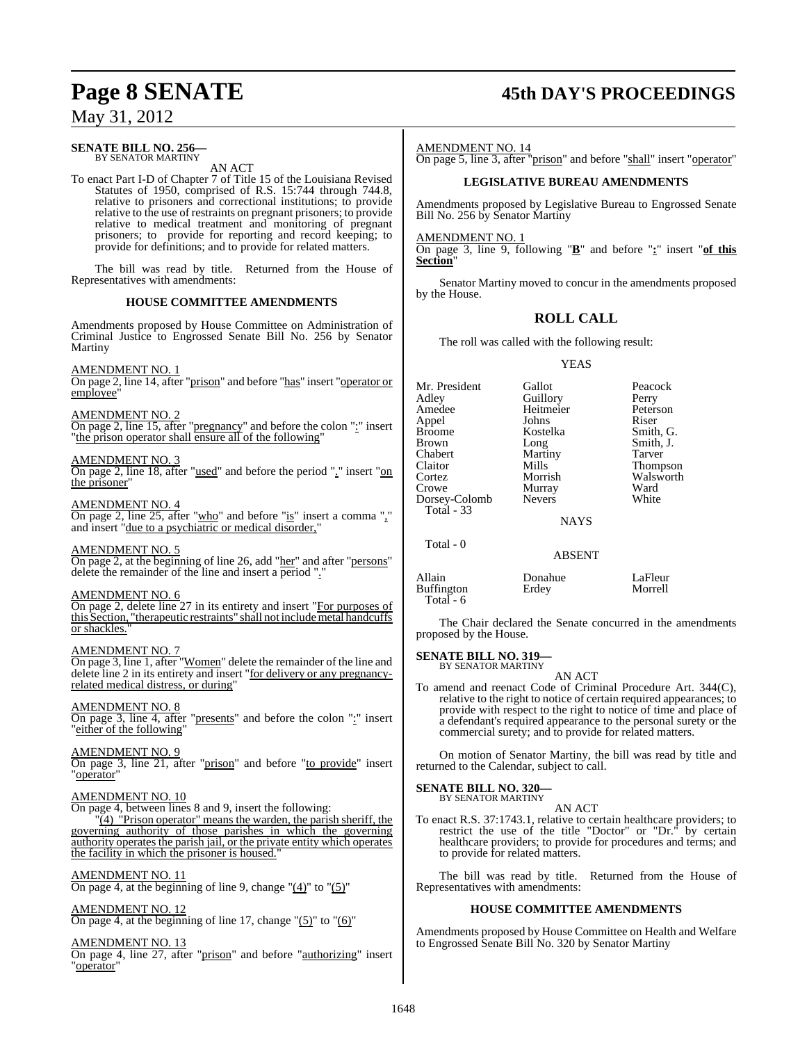#### **SENATE BILL NO. 256—** BY SENATOR MARTINY

AN ACT

To enact Part I-D of Chapter 7 of Title 15 of the Louisiana Revised Statutes of 1950, comprised of R.S. 15:744 through 744.8, relative to prisoners and correctional institutions; to provide relative to the use of restraints on pregnant prisoners; to provide relative to medical treatment and monitoring of pregnant prisoners; to provide for reporting and record keeping; to provide for definitions; and to provide for related matters.

The bill was read by title. Returned from the House of Representatives with amendments:

#### **HOUSE COMMITTEE AMENDMENTS**

Amendments proposed by House Committee on Administration of Criminal Justice to Engrossed Senate Bill No. 256 by Senator Martiny

## AMENDMENT NO. 1

On page 2, line 14, after "prison" and before "has" insert "operator or employee'

#### AMENDMENT NO. 2

On page 2, line 15, after "pregnancy" and before the colon ":" insert "the prison operator shall ensure all of the following"

#### AMENDMENT NO. 3

On page 2, line 18, after "used" and before the period "." insert "on the prisoner"

#### AMENDMENT NO. 4

On page 2, line 25, after "who" and before "is" insert a comma "," and insert "due to a psychiatric or medical disorder,"

#### AMENDMENT NO. 5

On page 2, at the beginning of line 26, add "her" and after "persons" delete the remainder of the line and insert a period "."

#### AMENDMENT NO. 6

On page 2, delete line 27 in its entirety and insert "For purposes of this Section, "therapeutic restraints" shall not includemetal handcuffs or shackles."

#### AMENDMENT NO. 7

On page 3, line 1, after "Women" delete the remainder of the line and delete line 2 in its entirety and insert "for delivery or any pregnancyrelated medical distress, or during"

#### AMENDMENT NO. 8

On page 3, line 4, after "presents" and before the colon ":" insert "either of the following"

#### AMENDMENT NO. 9

On page 3, line 21, after "prison" and before "to provide" insert "operator"

#### AMENDMENT NO. 10

On page 4, between lines 8 and 9, insert the following:

 $\sqrt{4}$   $\sqrt{7}$  Prison operator" means the warden, the parish sheriff, the governing authority of those parishes in which the governing authority operates the parish jail, or the private entity which operates the facility in which the prisoner is housed."

#### AMENDMENT NO. 11

On page 4, at the beginning of line 9, change  $"(\underline{4})"$  to  $"(\underline{5})"$ 

AMENDMENT NO. 12 On page 4, at the beginning of line 17, change " $(5)$ " to " $(6)$ "

#### AMENDMENT NO. 13

On page 4, line 27, after "prison" and before "authorizing" insert "operator"

## **Page 8 SENATE 45th DAY'S PROCEEDINGS**

#### AMENDMENT NO. 14

On page 5, line 3, after "prison" and before "shall" insert "operator"

#### **LEGISLATIVE BUREAU AMENDMENTS**

Amendments proposed by Legislative Bureau to Engrossed Senate Bill No. 256 by Senator Martiny

AMENDMENT NO. 1

On page 3, line 9, following "**B**" and before "**:**" insert "**of this Section**"

Senator Martiny moved to concur in the amendments proposed by the House.

#### **ROLL CALL**

The roll was called with the following result:

#### YEAS

| Guillory<br>Heitmeier<br>Johns<br>Kostelka<br>Long<br>Martiny<br>Mills<br>Morrish<br>Murray<br><b>Nevers</b> | Peacock<br>Perry<br>Peterson<br>Riser<br>Smith, G.<br>Smith, J.<br>Tarver<br>Thompson<br>Walsworth<br>Ward<br>White |
|--------------------------------------------------------------------------------------------------------------|---------------------------------------------------------------------------------------------------------------------|
|                                                                                                              |                                                                                                                     |
| <b>ABSENT</b>                                                                                                |                                                                                                                     |
|                                                                                                              | Gallot<br><b>NAYS</b>                                                                                               |

| Allain<br>Buffington<br>Total $-6$ | Donahue<br>Erdey | LaFleur<br>Morrell |
|------------------------------------|------------------|--------------------|
|                                    |                  |                    |

The Chair declared the Senate concurred in the amendments proposed by the House.

#### **SENATE BILL NO. 319** BY SENATOR MARTINY

AN ACT

To amend and reenact Code of Criminal Procedure Art. 344(C), relative to the right to notice of certain required appearances; to provide with respect to the right to notice of time and place of a defendant's required appearance to the personal surety or the commercial surety; and to provide for related matters.

On motion of Senator Martiny, the bill was read by title and returned to the Calendar, subject to call.

## **SENATE BILL NO. 320—**

BY SENATOR MARTINY AN ACT

To enact R.S. 37:1743.1, relative to certain healthcare providers; to restrict the use of the title "Doctor" or "Dr." by certain healthcare providers; to provide for procedures and terms; and to provide for related matters.

The bill was read by title. Returned from the House of Representatives with amendments:

#### **HOUSE COMMITTEE AMENDMENTS**

Amendments proposed by House Committee on Health and Welfare to Engrossed Senate Bill No. 320 by Senator Martiny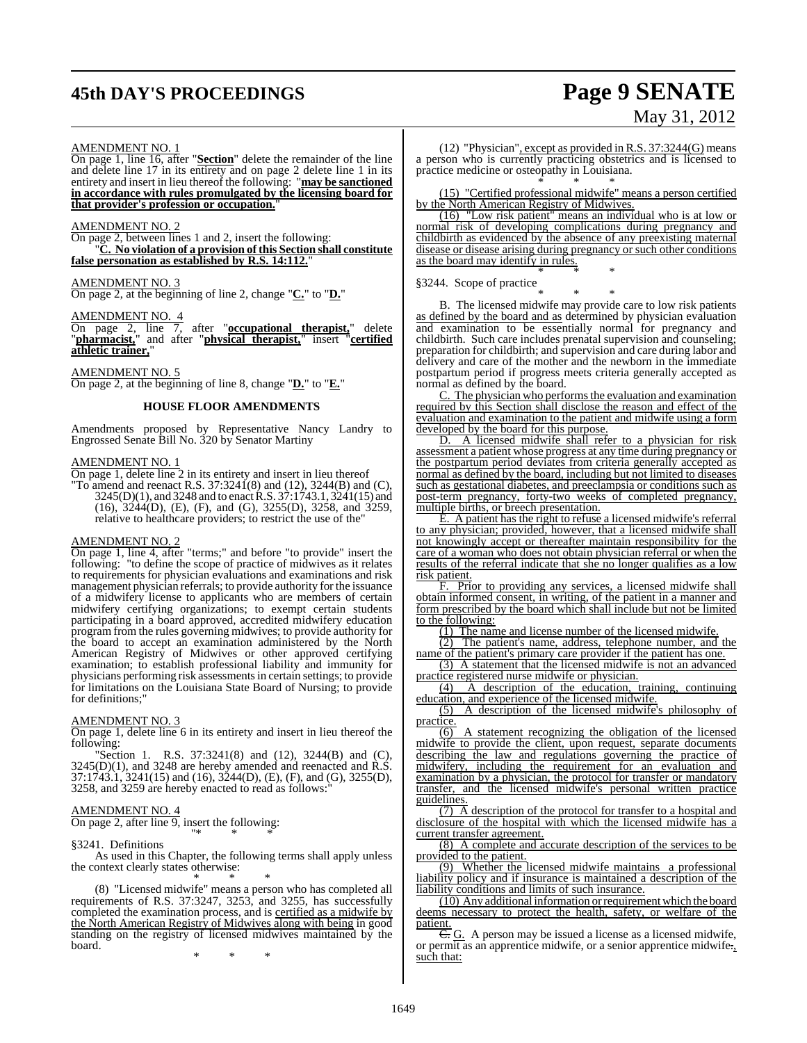## **45th DAY'S PROCEEDINGS Page 9 SENATE**

# May 31, 2012

#### AMENDMENT NO. 1

On page 1, line 16, after "**Section**" delete the remainder of the line and delete line 17 in its entirety and on page 2 delete line 1 in its entirety and insert in lieu thereof the following: "**may be sanctioned in accordance with rules promulgated by the licensing board for that provider's profession or occupation.**"

#### AMENDMENT NO. 2

On page 2, between lines 1 and 2, insert the following: "**C. No violation of a provision of this Section shall constitute** false personation as established by R.S. 14:112.

## AMENDMENT NO. 3

On page 2, at the beginning of line 2, change "**C.**" to "**D.**"

#### AMENDMENT NO. 4

On page 2, line 7, after "**occupational therapist,**" delete "**pharmacist,**" and after "**physical therapist,**" insert "**certified athletic trainer,**"

AMENDMENT NO. 5

On page 2, at the beginning of line 8, change "**D.**" to "**E.**"

#### **HOUSE FLOOR AMENDMENTS**

Amendments proposed by Representative Nancy Landry to Engrossed Senate Bill No. 320 by Senator Martiny

#### AMENDMENT NO. 1

On page 1, delete line 2 in its entirety and insert in lieu thereof

"To amend and reenact R.S.  $37:3241(8)$  and  $(12)$ ,  $3244(B)$  and  $(C)$ ,  $3245(D)(1)$ , and  $3248$  and to enact R.S.  $37:1743.1$ ,  $3241(15)$  and (16), 3244(D), (E), (F), and (G), 3255(D), 3258, and 3259, relative to healthcare providers; to restrict the use of the"

#### AMENDMENT NO. 2

On page 1, line 4, after "terms;" and before "to provide" insert the following: "to define the scope of practice of midwives as it relates to requirements for physician evaluations and examinations and risk management physician referrals; to provide authority for the issuance of a midwifery license to applicants who are members of certain midwifery certifying organizations; to exempt certain students participating in a board approved, accredited midwifery education program from the rules governing midwives; to provide authority for the board to accept an examination administered by the North American Registry of Midwives or other approved certifying examination; to establish professional liability and immunity for physicians performing risk assessmentsin certain settings; to provide for limitations on the Louisiana State Board of Nursing; to provide for definitions;"

#### AMENDMENT NO. 3

On page 1, delete line 6 in its entirety and insert in lieu thereof the following:

"Section 1. R.S. 37:3241(8) and (12), 3244(B) and (C),  $3245(D)(1)$ , and  $3248$  are hereby amended and reenacted and R.S. 37:1743.1, 3241(15) and (16), 3244(D), (E), (F), and (G), 3255(D), 3258, and 3259 are hereby enacted to read as follows:"

#### AMENDMENT NO. 4

On page 2, after line 9, insert the following: "\* \* \*

#### §3241. Definitions

As used in this Chapter, the following terms shall apply unless the context clearly states otherwise:

\* \* \* (8) "Licensed midwife" means a person who has completed all requirements of R.S. 37:3247, 3253, and 3255, has successfully completed the examination process, and is certified as a midwife by the North American Registry of Midwives along with being in good standing on the registry of licensed midwives maintained by the board.

\* \* \*

(12) "Physician", except as provided in R.S.  $37:3244(G)$  means a person who is currently practicing obstetrics and is licensed to practice medicine or osteopathy in Louisiana. \* \* \*

(15) "Certified professional midwife" means a person certified by the North American Registry of Midwives.

(16) "Low risk patient" means an individual who is at low or normal risk of developing complications during pregnancy and childbirth as evidenced by the absence of any preexisting maternal disease or disease arising during pregnancy or such other conditions as the board may identify in rules.

\* \* \* §3244. Scope of practice

\* \* \* B. The licensed midwife may provide care to low risk patients as defined by the board and as determined by physician evaluation and examination to be essentially normal for pregnancy and childbirth. Such care includes prenatal supervision and counseling; preparation for childbirth; and supervision and care during labor and delivery and care of the mother and the newborn in the immediate postpartum period if progress meets criteria generally accepted as normal as defined by the board.

The physician who performs the evaluation and examination required by this Section shall disclose the reason and effect of the evaluation and examination to the patient and midwife using a form developed by the board for this purpose.<br>D. A licensed midwife shall ref

A licensed midwife shall refer to a physician for risk assessment a patient whose progress at any time during pregnancy or the postpartum period deviates from criteria generally accepted as normal as defined by the board, including but not limited to diseases such as gestational diabetes, and preeclampsia or conditions such as post-term pregnancy, forty-two weeks of completed pregnancy, multiple births, or breech presentation.

E. A patient has the right to refuse a licensed midwife's referral to any physician; provided, however, that a licensed midwife shall not knowingly accept or thereafter maintain responsibility for the care of a woman who does not obtain physician referral or when the results of the referral indicate that she no longer qualifies as a low risk patient.

F. Prior to providing any services, a licensed midwife shall obtain informed consent, in writing, of the patient in a manner and form prescribed by the board which shall include but not be limited to the following:

(1) The name and license number of the licensed midwife.

(2) The patient's name, address, telephone number, and the name of the patient's primary care provider if the patient has one.

(3) A statement that the licensed midwife is not an advanced practice registered nurse midwife or physician.<br>(4) A description of the education, t

(4) A description of the education, training, continuing education, and experience of the licensed midwife.

(5) A description of the licensed midwife's philosophy of practice.

(6) A statement recognizing the obligation of the licensed midwife to provide the client, upon request, separate documents describing the law and regulations governing the practice of midwifery, including the requirement for an evaluation and examination by a physician, the protocol for transfer or mandatory transfer, and the licensed midwife's personal written practice guidelines.

(7) A description of the protocol for transfer to a hospital and disclosure of the hospital with which the licensed midwife has a current transfer agreement.

(8) A complete and accurate description of the services to be provided to the patient.

(9) Whether the licensed midwife maintains a professional liability policy and if insurance is maintained a description of the liability conditions and limits of such insurance.

(10) Any additional information or requirement which the board deems necessary to protect the health, safety, or welfare of the patient.

 $\overline{C}$ . G. A person may be issued a license as a licensed midwife, or permit as an apprentice midwife, or a senior apprentice midwife., such that: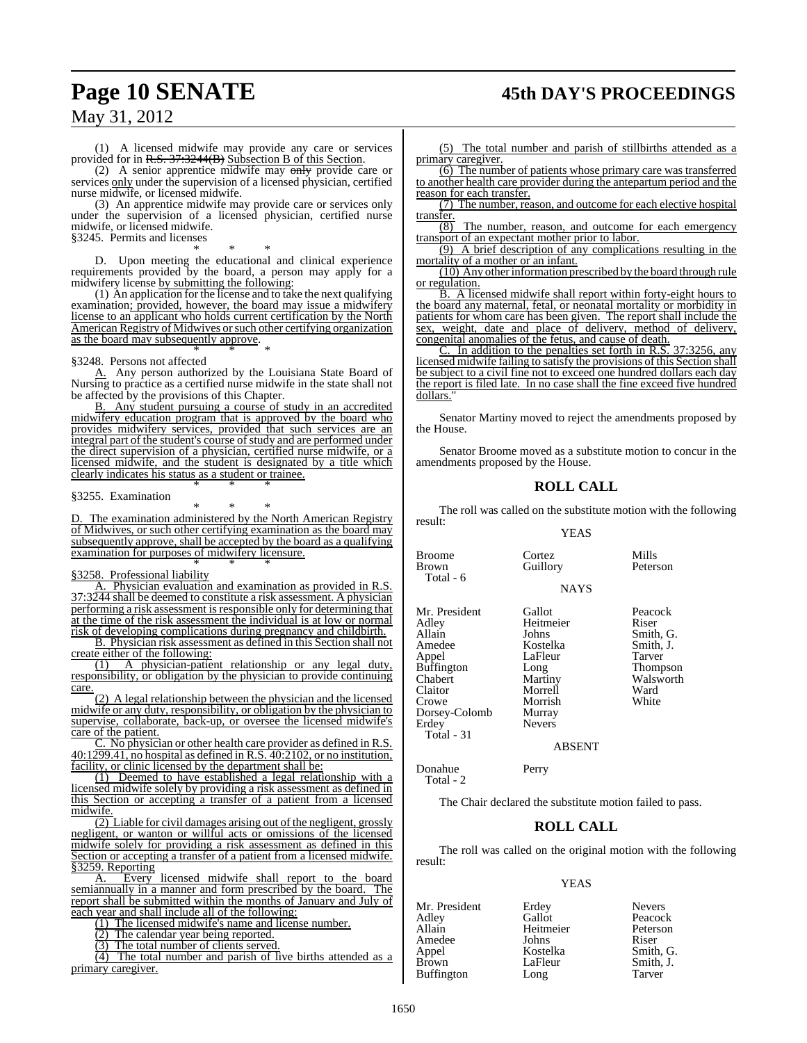## **Page 10 SENATE 45th DAY'S PROCEEDINGS**

May 31, 2012

(1) A licensed midwife may provide any care or services provided for in R.S. 37:3244(B) Subsection B of this Section.

(2) A senior apprentice midwife may only provide care or services only under the supervision of a licensed physician, certified nurse midwife, or licensed midwife.

(3) An apprentice midwife may provide care or services only under the supervision of a licensed physician, certified nurse midwife, or licensed midwife.

§3245. Permits and licenses

\* \* \* D. Upon meeting the educational and clinical experience requirements provided by the board, a person may apply for a midwifery license by submitting the following:

(1) An application for the license and to take the next qualifying examination; provided, however, the board may issue a midwifery license to an applicant who holds current certification by the North American Registry of Midwives or such other certifying organization as the board may subsequently approve. \* \* \*

#### §3248. Persons not affected

A. Any person authorized by the Louisiana State Board of Nursing to practice as a certified nurse midwife in the state shall not be affected by the provisions of this Chapter.

B. Any student pursuing a course of study in an accredited midwifery education program that is approved by the board who provides midwifery services, provided that such services are an integral part of the student's course of study and are performed under the direct supervision of a physician, certified nurse midwife, or a licensed midwife, and the student is designated by a title which clearly indicates his status as a student or trainee. \* \* \*

#### §3255. Examination

\* \* \* D. The examination administered by the North American Registry of Midwives, or such other certifying examination as the board may subsequently approve, shall be accepted by the board as a qualifying examination for purposes of midwifery licensure. \* \* \*

#### §3258. Professional liability

A. Physician evaluation and examination as provided in R.S. 37:3244 shall be deemed to constitute a risk assessment. A physician performing a risk assessment is responsible only for determining that at the time of the risk assessment the individual is at low or normal risk of developing complications during pregnancy and childbirth.

B. Physician risk assessment as defined in this Section shall not create either of the following:

(1) A physician-patient relationship or any legal duty, responsibility, or obligation by the physician to provide continuing care.

(2) A legal relationship between the physician and the licensed midwife or any duty, responsibility, or obligation by the physician to supervise, collaborate, back-up, or oversee the licensed midwife's care of the patient.

C. No physician or other health care provider as defined in R.S. 40:1299.41, no hospital as defined in R.S. 40:2102, or no institution, facility, or clinic licensed by the department shall be:

(1) Deemed to have established a legal relationship with a licensed midwife solely by providing a risk assessment as defined in this Section or accepting a transfer of a patient from a licensed midwife.

(2) Liable for civil damages arising out of the negligent, grossly negligent, or wanton or willful acts or omissions of the licensed midwife solely for providing a risk assessment as defined in this Section or accepting a transfer of a patient from a licensed midwife. §3259. Reporting

A. Every licensed midwife shall report to the board semiannually in a manner and form prescribed by the board. The report shall be submitted within the months of January and July of each year and shall include all of the following:

(1) The licensed midwife's name and license number.

(2) The calendar year being reported.

(3) The total number of clients served.

(4) The total number and parish of live births attended as a primary caregiver.

(5) The total number and parish of stillbirths attended as a primary caregiver.

(6) The number of patients whose primary care was transferred to another health care provider during the antepartum period and the reason for each transfer.

(7) The number, reason, and outcome for each elective hospital transfer.

 $\overline{(8)}$  The number, reason, and outcome for each emergency transport of an expectant mother prior to labor.

(9) A brief description of any complications resulting in the mortality of a mother or an infant.

(10) Any other information prescribed by the board through rule or regulation.

B. A licensed midwife shall report within forty-eight hours to the board any maternal, fetal, or neonatal mortality or morbidity in patients for whom care has been given. The report shall include the sex, weight, date and place of delivery, method of delivery, congenital anomalies of the fetus, and cause of death.

C. In addition to the penalties set forth in R.S. 37:3256, any licensed midwife failing to satisfy the provisions of this Section shall be subject to a civil fine not to exceed one hundred dollars each day the report is filed late. In no case shall the fine exceed five hundred dollars.

Senator Martiny moved to reject the amendments proposed by the House.

Senator Broome moved as a substitute motion to concur in the amendments proposed by the House.

#### **ROLL CALL**

The roll was called on the substitute motion with the following result: YEAS

NAYS

Broome Cortez Mills<br>Brown Guillory Peterson Total - 6 Mr. President Gallot Peacock<br>Adley Heitmeier Riser Adley Heitmeier<br>Allain Iohns Allain Johns Smith, G.<br>Amedee Kostelka Smith, J. Amedee Kostelka Smith, J. Buffington

Chabert Martiny Walsworth<br>Claitor Morrell Ward Claitor Morrell Ward<br>Crowe Morrish White Morrish<br>Murray Dorsey-Colomb Murray

Guillory

LaFleur Tarver<br>
Long Thompson

ABSENT

| Donahue   | Perry |
|-----------|-------|
| Total - 2 |       |

Erdey Total - 31

The Chair declared the substitute motion failed to pass.

#### **ROLL CALL**

The roll was called on the original motion with the following result:

#### YEAS

Heitmeier<br>Johns

Amedee Johns Riser<br>Appel Kostelka Smith Buffington Long

Mr. President Erdey Nevers<br>Adley Gallot Peacoc Adley Gallot Peacock Appel Kostelka Smith, G. Smith, J.<br>Tarver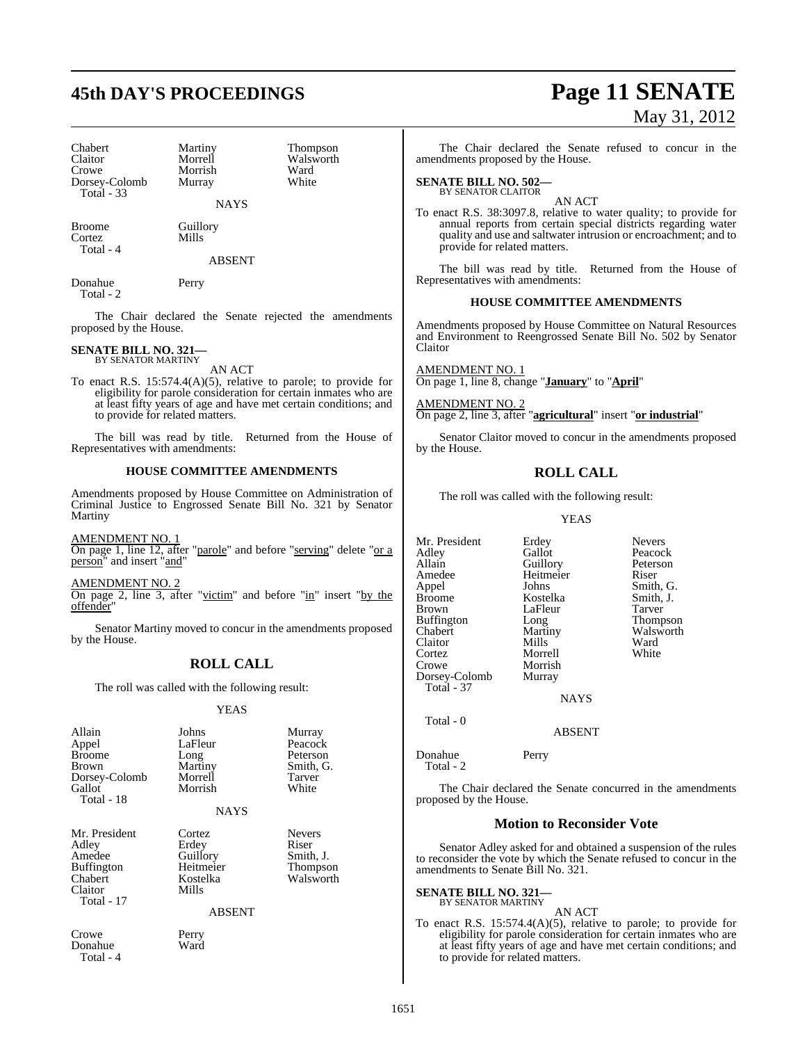## **45th DAY'S PROCEEDINGS Page 11 SENATE**

| <b>Chabert</b> | Martiny |
|----------------|---------|
| Claitor        | Morrell |
| Crowe          | Morrish |
| Dorsey-Colomb  | Murray  |
| Total - 33     |         |

Martiny Thompson<br>Morrell Walsworth Morrish Ward<br>Murray White

Walsworth<br>Ward

Broome Guillory Cortez Mills Total - 4

ABSENT

NAYS

Donahue Perry Total - 2

The Chair declared the Senate rejected the amendments proposed by the House.

#### **SENATE BILL NO. 321—** BY SENATOR MARTINY

AN ACT

To enact R.S. 15:574.4(A)(5), relative to parole; to provide for eligibility for parole consideration for certain inmates who are at least fifty years of age and have met certain conditions; and to provide for related matters.

The bill was read by title. Returned from the House of Representatives with amendments:

#### **HOUSE COMMITTEE AMENDMENTS**

Amendments proposed by House Committee on Administration of Criminal Justice to Engrossed Senate Bill No. 321 by Senator Martiny

AMENDMENT NO. 1 On page 1, line 12, after "parole" and before "serving" delete "or a person" and insert "and"

AMENDMENT NO. 2 On page 2, line 3, after "victim" and before " $\text{in}$ " insert "by the offender"

Senator Martiny moved to concur in the amendments proposed by the House.

## **ROLL CALL**

The roll was called with the following result:

#### YEAS

| Allain<br>Appel<br><b>Broome</b><br><b>Brown</b><br>Dorsey-Colomb<br>Gallot<br>Total - 18 | Johns<br>LaFleur<br>Long<br>Martiny<br>Morrell<br>Morrish<br><b>NAYS</b>       | Murray<br>Peacock<br>Peterson<br>Smith, G.<br>Tarver<br>White |
|-------------------------------------------------------------------------------------------|--------------------------------------------------------------------------------|---------------------------------------------------------------|
| Mr. President<br>Adley<br>Amedee<br><b>Buffington</b><br>Chabert<br>Claitor<br>Total - 17 | Cortez<br>Erdey<br>Guillory<br>Heitmeier<br>Kostelka<br>Mills<br><b>ABSENT</b> | <b>Nevers</b><br>Riser<br>Smith, J.<br>Thompson<br>Walsworth  |
| Crowe<br>Donahue<br>Total - 4                                                             | Perry<br>Ward                                                                  |                                                               |

May 31, 2012

The Chair declared the Senate refused to concur in the amendments proposed by the House.

#### **SENATE BILL NO. 502—** BY SENATOR CLAITOR

AN ACT To enact R.S. 38:3097.8, relative to water quality; to provide for annual reports from certain special districts regarding water quality and use and saltwater intrusion or encroachment; and to provide for related matters.

The bill was read by title. Returned from the House of Representatives with amendments:

#### **HOUSE COMMITTEE AMENDMENTS**

Amendments proposed by House Committee on Natural Resources and Environment to Reengrossed Senate Bill No. 502 by Senator Claitor

AMENDMENT NO. 1 On page 1, line 8, change "**January**" to "**April**"

AMENDMENT NO. 2 On page 2, line 3, after "**agricultural**" insert "**or industrial**"

Senator Claitor moved to concur in the amendments proposed by the House.

## **ROLL CALL**

The roll was called with the following result:

Morrell

YEAS

Mr. President Erdey Nevers<br>
Adley Gallot Peacoc Adley Gallot Peacock Amedee Heitmeier Riser<br>Appel Johns Smith Appel Johns Smith, G.<br>Broome Kostelka Smith, J. Broome Kostelka Smith,<br>Brown LaFleur Tarver Buffington Long<br>Chabert Martiny Claitor Mills Ward<br>Cortez Morrell White Crowe Morrish Dorsey-Colomb Murray Total - 37

Peterson LaFleur Tarver<br>
Long Thompson Martiny Walsworth<br>
Mills Ward

NAYS

ABSENT

Donahue Perry Total - 2

 $Total - 0$ 

The Chair declared the Senate concurred in the amendments proposed by the House.

#### **Motion to Reconsider Vote**

Senator Adley asked for and obtained a suspension of the rules to reconsider the vote by which the Senate refused to concur in the amendments to Senate Bill No. 321.

**SENATE BILL NO. 321—** BY SENATOR MARTINY

AN ACT

To enact R.S. 15:574.4(A)(5), relative to parole; to provide for eligibility for parole consideration for certain inmates who are at least fifty years of age and have met certain conditions; and to provide for related matters.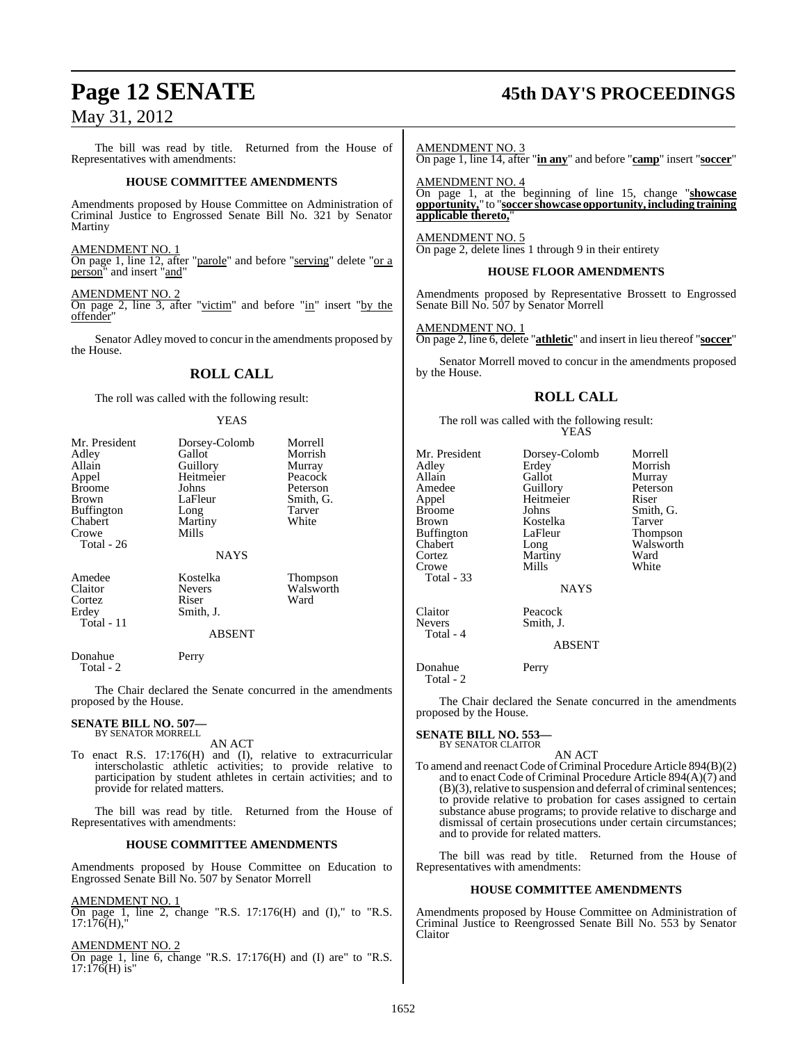The bill was read by title. Returned from the House of Representatives with amendments:

#### **HOUSE COMMITTEE AMENDMENTS**

Amendments proposed by House Committee on Administration of Criminal Justice to Engrossed Senate Bill No. 321 by Senator Martiny

#### AMENDMENT NO. 1

On page 1, line 12, after "parole" and before "serving" delete "or a person" and insert "and"

#### AMENDMENT NO. 2

On page 2, line 3, after "victim" and before " $\text{in}$ " insert "by the offender"

Senator Adley moved to concur in the amendments proposed by the House.

#### **ROLL CALL**

The roll was called with the following result:

#### YEAS

| Mr. President<br>Adley<br>Allain<br>Appel<br><b>Broome</b><br>Brown<br><b>Buffington</b><br>Chabert<br>Crowe<br>Total - 26 | Dorsey-Colomb<br>Gallot<br>Guillory<br>Heitmeier<br>Johns<br>LaFleur<br>Long<br>Martiny<br>Mills<br><b>NAYS</b> | Morrell<br>Morrish<br>Murray<br>Peacock<br>Peterson<br>Smith, G.<br>Tarver<br>White |
|----------------------------------------------------------------------------------------------------------------------------|-----------------------------------------------------------------------------------------------------------------|-------------------------------------------------------------------------------------|
| Amedee<br>Claitor<br>Cortez<br>Erdey<br>Total - 11                                                                         | Kostelka<br><b>Nevers</b><br>Riser<br>Smith, J.<br><b>ABSENT</b>                                                | <b>Thompson</b><br>Walsworth<br>Ward                                                |
| Donahue                                                                                                                    | Perry                                                                                                           |                                                                                     |

Total - 2

The Chair declared the Senate concurred in the amendments proposed by the House.

#### **SENATE BILL NO. 507—** BY SENATOR MORRELL

AN ACT

To enact R.S. 17:176(H) and (I), relative to extracurricular interscholastic athletic activities; to provide relative to participation by student athletes in certain activities; and to provide for related matters.

The bill was read by title. Returned from the House of Representatives with amendments:

#### **HOUSE COMMITTEE AMENDMENTS**

Amendments proposed by House Committee on Education to Engrossed Senate Bill No. 507 by Senator Morrell

#### AMENDMENT NO. 1

On page 1, line  $2,$  change "R.S. 17:176(H) and (I)," to "R.S.  $17:176(H)$ ,

#### AMENDMENT NO. 2

On page 1, line 6, change "R.S. 17:176(H) and (I) are" to "R.S.  $17:176(H)$  is"

## **Page 12 SENATE 45th DAY'S PROCEEDINGS**

AMENDMENT NO. 3

On page 1, line 14, after "**in any**" and before "**camp**" insert "**soccer**"

AMENDMENT NO. 4 On page 1, at the beginning of line 15, change "**showcase opportunity,**" to "**soccer showcase opportunity, including training applicable thereto,**"

AMENDMENT NO. 5 On page 2, delete lines 1 through 9 in their entirety

#### **HOUSE FLOOR AMENDMENTS**

Amendments proposed by Representative Brossett to Engrossed Senate Bill No. 507 by Senator Morrell

#### AMENDMENT NO. 1

On page 2, line 6, delete "**athletic**" and insert in lieu thereof "**soccer**"

Senator Morrell moved to concur in the amendments proposed by the House.

#### **ROLL CALL**

The roll was called with the following result: YEAS

| Mr. President     | Dorsey-Colomb | Morrell         |
|-------------------|---------------|-----------------|
| Adley             | Erdey         | Morrish         |
| Allain            | Gallot        | Murray          |
| Amedee            | Guillory      | Peterson        |
| Appel             | Heitmeier     | Riser           |
| <b>Broome</b>     | Johns         | Smith, G.       |
| Brown             | Kostelka      | Tarver          |
| <b>Buffington</b> | LaFleur       | <b>Thompson</b> |
| Chabert           | Long          | Walswort        |
| Cortez            | Martiny       | Ward            |
| Crowe             | Mills         | White           |
| <b>Total - 33</b> |               |                 |
|                   | <b>NAYS</b>   |                 |
| Claitor           | Peacock       |                 |
| <b>Nevers</b>     | Smith, J.     |                 |
| Total - 4         |               |                 |
|                   | <b>ABSENT</b> |                 |
|                   |               |                 |

y Peterson<br>ier Riser a Tarver Thompson Walsworth Ward<br>White

Donahue Perry Total - 2

The Chair declared the Senate concurred in the amendments proposed by the House.

#### **SENATE BILL NO. 553—** BY SENATOR CLAITOR

AN ACT

To amend and reenact Code of Criminal Procedure Article 894(B)(2) and to enact Code of Criminal Procedure Article 894(A)(7) and  $(B)(3)$ , relative to suspension and deferral of criminal sentences; to provide relative to probation for cases assigned to certain substance abuse programs; to provide relative to discharge and dismissal of certain prosecutions under certain circumstances; and to provide for related matters.

The bill was read by title. Returned from the House of Representatives with amendments:

#### **HOUSE COMMITTEE AMENDMENTS**

Amendments proposed by House Committee on Administration of Criminal Justice to Reengrossed Senate Bill No. 553 by Senator Claitor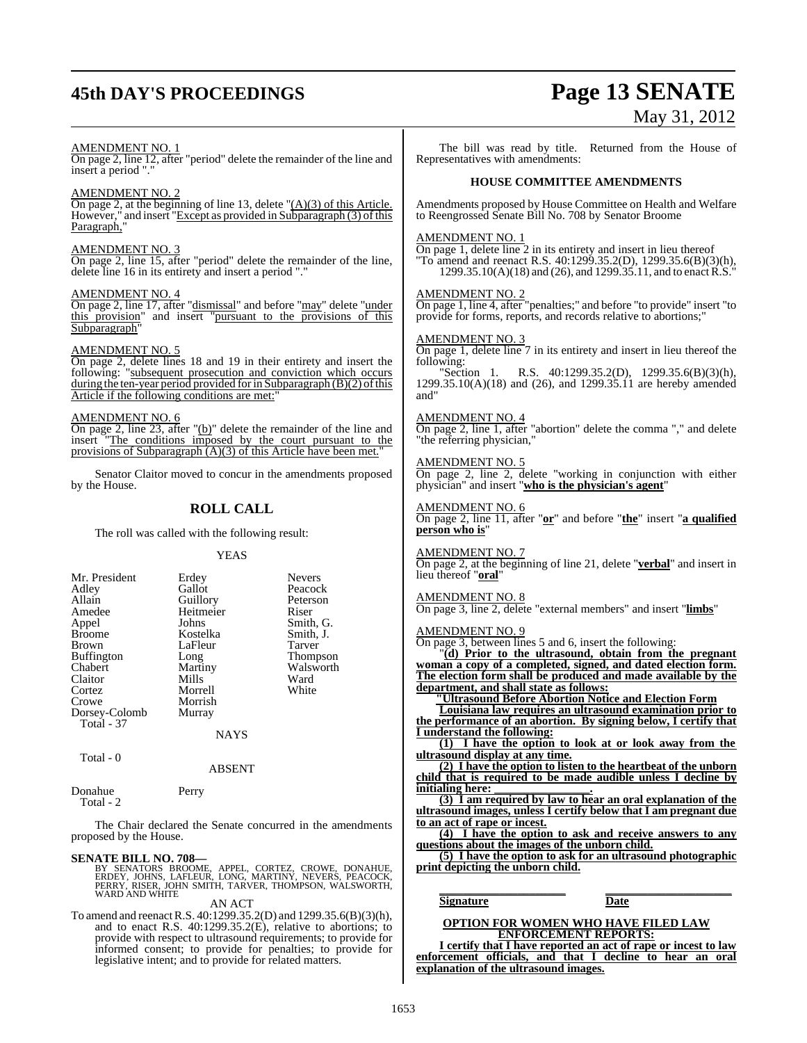# **45th DAY'S PROCEEDINGS Page 13 SENATE**

# May 31, 2012

#### AMENDMENT NO. 1

On page 2, line 12, after "period" delete the remainder of the line and insert a period "."

#### AMENDMENT NO. 2

On page 2, at the beginning of line 13, delete  $"({\bf A})(3)$  of this Article. However," and insert "Except as provided in Subparagraph (3) of this Paragraph,"

#### AMENDMENT NO. 3

On page 2, line 15, after "period" delete the remainder of the line, delete line 16 in its entirety and insert a period "."

#### AMENDMENT NO. 4

On page 2, line 17, after "dismissal" and before "may" delete "under this provision" and insert "pursuant to the provisions of this Subparagraph

#### AMENDMENT NO. 5

On page 2, delete lines 18 and 19 in their entirety and insert the following: "subsequent prosecution and conviction which occurs during the ten-year period provided for in Subparagraph  $(B)(2)$  of this Article if the following conditions are met:

#### AMENDMENT NO. 6

On page 2, line 23, after "(b)" delete the remainder of the line and insert "The conditions imposed by the court pursuant to the provisions of Subparagraph  $(A)(3)$  of this Article have been met.

Senator Claitor moved to concur in the amendments proposed by the House.

## **ROLL CALL**

The roll was called with the following result:

#### YEAS

| Mr. President     | Erdey         | <b>Nevers</b> |
|-------------------|---------------|---------------|
| Adley             | Gallot        | Peacock       |
| Allain            | Guillory      | Peterson      |
| Amedee            | Heitmeier     | Riser         |
| Appel             | Johns         | Smith, G.     |
| <b>Broome</b>     | Kostelka      | Smith, J.     |
| <b>Brown</b>      | LaFleur       | Tarver        |
| <b>Buffington</b> | Long          | Thompson      |
| Chabert           | Martiny       | Walsworth     |
| Claitor           | Mills         | Ward          |
| Cortez            | Morrell       | White         |
| Crowe             | Morrish       |               |
| Dorsey-Colomb     | Murray        |               |
| Total - 37        |               |               |
|                   | <b>BTATTO</b> |               |

NAYS

#### Total - 0

ABSENT

#### Donahue Perry Total - 2

The Chair declared the Senate concurred in the amendments proposed by the House.

#### **SENATE BILL NO. 708—**

BY SENATORS BROOME, APPEL, CORTEZ, CROWE, DONAHUE,<br>ERDEY, JOHNS, LAFLEUR, LONG, MARTINY, NEVERS, PEACOCK,<br>PERRY, RISER, JOHN SMITH, TARVER, THOMPSON, WALSWORTH,<br>WARD AND WHITE AN ACT

To amend and reenactR.S. 40:1299.35.2(D) and 1299.35.6(B)(3)(h), and to enact R.S. 40:1299.35.2(E), relative to abortions; to provide with respect to ultrasound requirements; to provide for informed consent; to provide for penalties; to provide for legislative intent; and to provide for related matters.

The bill was read by title. Returned from the House of Representatives with amendments:

#### **HOUSE COMMITTEE AMENDMENTS**

Amendments proposed by House Committee on Health and Welfare to Reengrossed Senate Bill No. 708 by Senator Broome

#### AMENDMENT NO. 1

On page 1, delete line 2 in its entirety and insert in lieu thereof "To amend and reenact R.S. 40:1299.35.2(D), 1299.35.6(B)(3)(h), 1299.35.10(A)(18) and (26), and 1299.35.11, and to enact R.S.

#### AMENDMENT NO. 2

On page 1, line 4, after "penalties;" and before "to provide" insert "to provide for forms, reports, and records relative to abortions;"

#### AMENDMENT NO. 3

On page 1, delete line 7 in its entirety and insert in lieu thereof the following:<br>"Section 1.

R.S.  $40:1299.35.2(D)$ ,  $1299.35.6(B)(3)(h)$ , 1299.35.10(A)(18) and (26), and 1299.35.11 are hereby amended and"

#### AMENDMENT NO. 4

On page 2, line 1, after "abortion" delete the comma "," and delete "the referring physician,"

#### AMENDMENT NO. 5

On page 2, line 2, delete "working in conjunction with either physician" and insert "**who is the physician's agent**"

#### AMENDMENT NO. 6

On page 2, line 11, after "**or**" and before "**the**" insert "**a qualified person who is**"

#### AMENDMENT NO. 7

On page 2, at the beginning of line 21, delete "**verbal**" and insert in lieu thereof "**oral**"

#### AMENDMENT NO. 8

On page 3, line 2, delete "external members" and insert "**limbs**"

#### AMENDMENT NO. 9

On page 3, between lines 5 and 6, insert the following:

"**(d) Prior to the ultrasound, obtain from the pregnant woman a copy of a completed, signed, and dated election form. The election form shall be produced and made available by the department, and shall state as follows:**

**"Ultrasound Before Abortion Notice and Election Form**

**Louisiana law requires an ultrasound examination prior to the performance of an abortion. By signing below, I certify that I understand the following:**

**(1) I have the option to look at or look away from the ultrasound display at any time.**

**(2) I have the option to listen to the heartbeat of the unborn child that is required to be made audible unless I decline by**  $i$ **nitialing** here:

**(3) I am required by law to hear an oral explanation of the ultrasound images, unless I certify below that I am pregnant due to an act of rape or incest.**

**(4) I have the option to ask and receive answers to any questions about the images of the unborn child.**

**(5) I have the option to ask for an ultrasound photographic print depicting the unborn child.**

**\_\_\_\_\_\_\_\_\_\_\_\_\_\_\_\_\_\_\_\_\_ \_\_\_\_\_\_\_\_\_\_\_\_\_\_\_\_\_\_\_\_\_ Signature Date**

#### **OPTION FOR WOMEN WHO HAVE FILED LAW ENFORCEMENT REPORTS:**

**I certify that I have reported an act of rape or incest to law enforcement officials, and that I decline to hear an oral explanation of the ultrasound images.**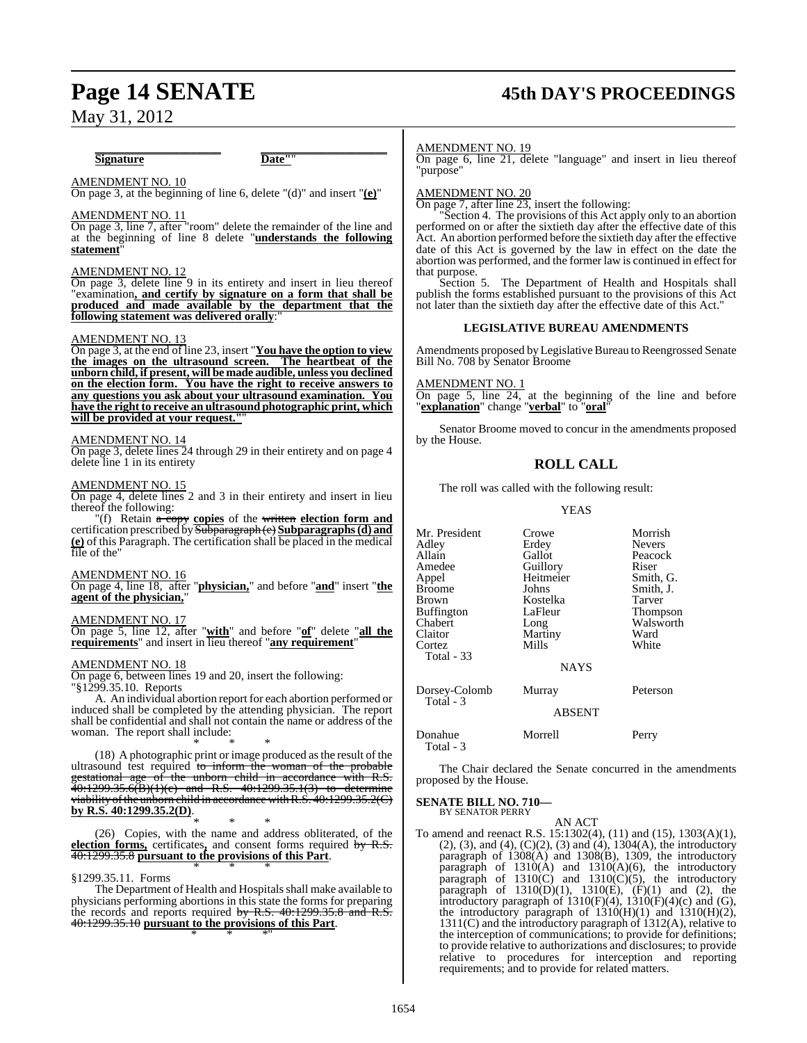# **Page 14 SENATE 45th DAY'S PROCEEDINGS**

May 31, 2012

#### **\_\_\_\_\_\_\_\_\_\_\_\_\_\_\_\_\_\_\_\_\_ \_\_\_\_\_\_\_\_\_\_\_\_\_\_\_\_\_\_\_\_\_ Signature Date"**"

## AMENDMENT NO. 10

On page 3, at the beginning of line 6, delete "(d)" and insert "**(e)**"

#### AMENDMENT NO. 11

On page 3, line 7, after "room" delete the remainder of the line and at the beginning of line 8 delete "**understands the following statement**"

#### AMENDMENT NO. 12

On page 3, delete line 9 in its entirety and insert in lieu thereof "examination**, and certify by signature on a form that shall be produced and made available by the department that the** following statement was delivered orally:

#### AMENDMENT NO. 13

On page 3, at the end of line 23, insert "**You have the option to view the images on the ultrasound screen. The heartbeat of the unborn child, if present, will be made audible, unless you declined on the election form. You have the right to receive answers to any questions you ask about your ultrasound examination. You have the right to receive an ultrasound photographic print, which will be provided at your request."**"

#### AMENDMENT NO. 14

On page 3, delete lines 24 through 29 in their entirety and on page 4 delete line 1 in its entirety

#### AMENDMENT NO. 15

On page 4, delete lines 2 and 3 in their entirety and insert in lieu thereof the following:

"(f) Retain a copy **copies** of the written **election form and** certification prescribed bySubparagraph (e) **Subparagraphs(d) and (e)** of this Paragraph. The certification shall be placed in the medical file of the"

#### AMENDMENT NO. 16

On page 4, line 18, after "**physician,**" and before "**and**" insert "**the agent of the physician,**"

#### AMENDMENT NO. 17

On page 5, line 12, after "**with**" and before "**of**" delete "**all the requirements**" and insert in lieu thereof "**any requirement**"

#### AMENDMENT NO. 18

On page 6, between lines 19 and 20, insert the following: "§1299.35.10. Reports

A. An individual abortion report for each abortion performed or induced shall be completed by the attending physician. The report shall be confidential and shall not contain the name or address of the woman. The report shall include:

\* \* \* (18) A photographic print or image produced as the result of the ultrasound test required to inform the woman of the probable<br>gestational age of the unborn child in accordance with R.S.  $\sigma$  of the unborn child in accordance with R.S.  $40:1299.35.6(B)(1)(c)$  and R.S.  $40:1299.35.1(3)$  to determine viability of the unborn child in accordance with  $R.S.$  40:1299.35.2(C) **by R.S. 40:1299.35.2(D)**.

\* \* \* (26) Copies, with the name and address obliterated, of the **election forms,** certificates**,** and consent forms required by R.S. 40:1299.35.8 **pursuant to the provisions of this Part**. \* \* \*

#### §1299.35.11. Forms

The Department of Health and Hospitals shall make available to physicians performing abortions in this state the forms for preparing the records and reports required by R.S. 40:1299.35.8 and R.S. 40:1299.35.10 **pursuant to the provisions of this Part**. \* \* \*"

#### AMENDMENT NO. 19

On page 6, line 21, delete "language" and insert in lieu thereof "purpose"

#### AMENDMENT NO. 20

On page 7, after line 23, insert the following:

"Section 4. The provisions of this Act apply only to an abortion performed on or after the sixtieth day after the effective date of this Act. An abortion performed before the sixtieth day after the effective date of this Act is governed by the law in effect on the date the abortion was performed, and the former law is continued in effect for that purpose.

Section 5. The Department of Health and Hospitals shall publish the forms established pursuant to the provisions of this Act not later than the sixtieth day after the effective date of this Act."

#### **LEGISLATIVE BUREAU AMENDMENTS**

Amendments proposed by Legislative Bureau to Reengrossed Senate Bill No. 708 by Senator Broome

#### AMENDMENT NO. 1

On page 5, line 24, at the beginning of the line and before "**explanation**" change "**verbal**" to "**oral**"

Senator Broome moved to concur in the amendments proposed by the House.

#### **ROLL CALL**

The roll was called with the following result:

#### YEAS

| Mr. President<br>Adley<br>Allain<br>Amedee<br>Appel<br><b>Broome</b><br>Brown<br>Buffington<br>Chabert<br>Claitor<br>Cortez<br>Total - 33 | Crowe<br>Erdey<br>Gallot<br>Guillory<br>Heitmeier<br>Johns<br>Kostelka<br>LaFleur<br>Long<br>Martiny<br>Mills | Morrish<br><b>Nevers</b><br>Peacock<br>Riser<br>Smith, G.<br>Smith, J.<br>Tarver<br>Thompson<br>Walsworth<br>Ward<br>White |
|-------------------------------------------------------------------------------------------------------------------------------------------|---------------------------------------------------------------------------------------------------------------|----------------------------------------------------------------------------------------------------------------------------|
|                                                                                                                                           | <b>NAYS</b>                                                                                                   |                                                                                                                            |
| Dorsey-Colomb<br>Total - 3                                                                                                                | Murray                                                                                                        | Peterson                                                                                                                   |
|                                                                                                                                           | <b>ABSENT</b>                                                                                                 |                                                                                                                            |
| Donahue<br>Total - 3                                                                                                                      | Morrell                                                                                                       | Perry                                                                                                                      |

The Chair declared the Senate concurred in the amendments proposed by the House.

#### **SENATE BILL NO. 710—** BY SENATOR PERRY

AN ACT

To amend and reenact R.S. 15:1302(4), (11) and (15), 1303(A)(1), (2), (3), and (4), (C)(2), (3) and  $(4)$ , 1304(A), the introductory paragraph of 1308(A) and 1308(B), 1309, the introductory paragraph of  $1310(A)$  and  $1310(A)(6)$ , the introductory paragraph of 1310(C) and 1310(C)(5), the introductory paragraph of  $1310(D)(1)$ ,  $1310(E)$ ,  $(F)(1)$  and  $(2)$ , the introductory paragraph of  $1310(F)(4)$ ,  $1310(F)(4)(c)$  and  $(G)$ , the introductory paragraph of  $1310(H)(1)$  and  $1310(H)(2)$ , 1311(C) and the introductory paragraph of 1312(A), relative to the interception of communications; to provide for definitions; to provide relative to authorizations and disclosures; to provide relative to procedures for interception and reporting requirements; and to provide for related matters.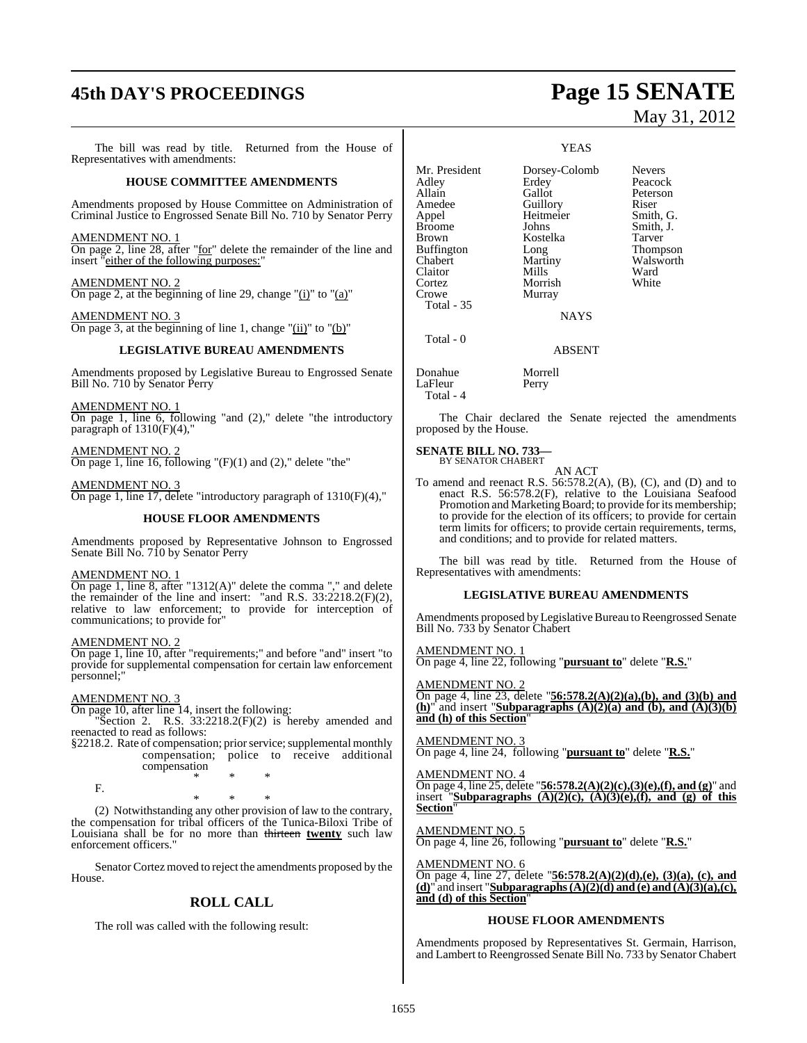## **45th DAY'S PROCEEDINGS Page 15 SENATE**

The bill was read by title. Returned from the House of Representatives with amendments:

#### **HOUSE COMMITTEE AMENDMENTS**

Amendments proposed by House Committee on Administration of Criminal Justice to Engrossed Senate Bill No. 710 by Senator Perry

AMENDMENT NO. 1 On page 2, line 28, after "for" delete the remainder of the line and insert "either of the following purposes:"

AMENDMENT NO. 2 On page 2, at the beginning of line 29, change "(i)" to "(a)"

AMENDMENT NO. 3 On page 3, at the beginning of line 1, change " $(ii)$ " to " $(b)$ "

#### **LEGISLATIVE BUREAU AMENDMENTS**

Amendments proposed by Legislative Bureau to Engrossed Senate Bill No. 710 by Senator Perry

AMENDMENT NO. 1 On page 1, line 6, following "and (2)," delete "the introductory paragraph of  $1310(F)(4)$ ,

AMENDMENT NO. 2 On page 1, line 16, following " $(F)(1)$  and  $(2)$ ," delete "the"

AMENDMENT NO. 3 On page 1, line 17, delete "introductory paragraph of 1310(F)(4),"

#### **HOUSE FLOOR AMENDMENTS**

Amendments proposed by Representative Johnson to Engrossed Senate Bill No. 710 by Senator Perry

#### AMENDMENT NO. 1

On page 1, line 8, after "1312(A)" delete the comma "," and delete the remainder of the line and insert: "and R.S. 33:2218.2(F)(2), relative to law enforcement; to provide for interception of communications; to provide for"

#### AMENDMENT NO. 2

On page 1, line 10, after "requirements;" and before "and" insert "to provide for supplemental compensation for certain law enforcement personnel;"

#### AMENDMENT NO. 3

F.

On page 10, after line 14, insert the following:

"Section 2. R.S.  $33:2218.2(F)(2)$  is hereby amended and reenacted to read as follows:

§2218.2. Rate of compensation; prior service; supplemental monthly compensation; police to receive additional

compensation \* \* \*

\* \* \*

(2) Notwithstanding any other provision of law to the contrary, the compensation for tribal officers of the Tunica-Biloxi Tribe of Louisiana shall be for no more than thirteen **twenty** such law enforcement officers.'

Senator Cortez moved to reject the amendments proposed by the House.

## **ROLL CALL**

The roll was called with the following result:

# May 31, 2012

#### YEAS

Mr. President Dorsey-Colomb Nevers<br>Adley Erdey Peacocl Buffington Long<br>
Chabert Martiny Claitor Mills Ward<br>Cortez Morrish White Cortez Morrish<br>Crowe Murray Murray

Adley Erdey Peacock<br>
Allain Gallot Peterson Peterson Amedee Guillory Riser<br>
Appel Heitmeier Smith, G. Heitmeier Smith, G.<br>Johns Smith, J. Brown Kostelka Tarver<br>Buffington Long Thompson Martiny Walsworth<br>
Mills Ward

ABSENT

NAYS

Donahue Morrell LaFleur Perry Total - 4

Broome

Total - 35

Total - 0

The Chair declared the Senate rejected the amendments proposed by the House.

#### **SENATE BILL NO. 733—** BY SENATOR CHABERT

AN ACT

To amend and reenact R.S.  $56:578.2(A)$ ,  $(B)$ ,  $(C)$ , and  $(D)$  and to enact R.S. 56:578.2(F), relative to the Louisiana Seafood Promotion and Marketing Board; to provide for its membership; to provide for the election of its officers; to provide for certain term limits for officers; to provide certain requirements, terms, and conditions; and to provide for related matters.

The bill was read by title. Returned from the House of Representatives with amendments:

#### **LEGISLATIVE BUREAU AMENDMENTS**

Amendments proposed by Legislative Bureau to Reengrossed Senate Bill No. 733 by Senator Chabert

#### AMENDMENT NO. 1

On page 4, line 22, following "**pursuant to**" delete "**R.S.**"

AMENDMENT NO. 2 On page 4, line 23, delete "**56:578.2(A)(2)(a),(b), and (3)(b) and (h)**" and insert "**Subparagraphs (A)(2)(a) and (b), and (A)(3)(b) and (h) of this Section**"

#### AMENDMENT NO. 3

On page 4, line 24, following "**pursuant to**" delete "**R.S.**"

AMENDMENT NO. 4

On page 4, line 25, delete "**56:578.2(A)(2)(c),(3)(e),(f), and (g)**" and insert "**Subparagraphs (A)(2)(c), (A)(3)(e),(f), and (g) of this Section**"

AMENDMENT NO. 5 On page 4, line 26, following "**pursuant to**" delete "**R.S.**"

AMENDMENT NO. 6 On page 4, line 27, delete "**56:578.2(A)(2)(d),(e), (3)(a), (c), and (d)**" and insert "**Subparagraphs(A)(2)(d) and (e) and (A)(3)(a),(c), and (d) of this Section**"

#### **HOUSE FLOOR AMENDMENTS**

Amendments proposed by Representatives St. Germain, Harrison, and Lambert to Reengrossed Senate Bill No. 733 by Senator Chabert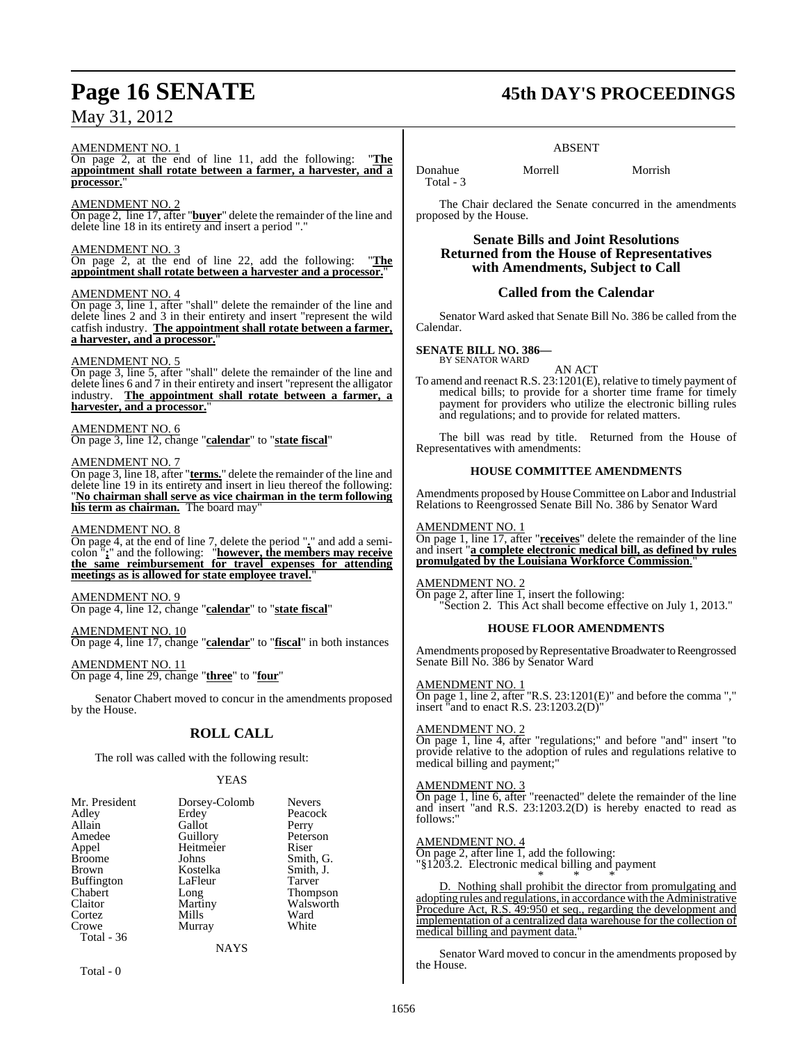#### AMENDMENT NO. 1

On page 2, at the end of line 11, add the following: "**The appointment shall rotate between a farmer, a harvester, and a** processor.

#### AMENDMENT NO. 2

On page 2, line 17, after "**buyer**" delete the remainder of the line and delete line 18 in its entirety and insert a period "."

#### AMENDMENT NO. 3

On page 2, at the end of line 22, add the following: "**The appointment shall rotate between a harvester and a processor.**"

#### AMENDMENT NO. 4

On page 3, line 1, after "shall" delete the remainder of the line and delete lines 2 and 3 in their entirety and insert "represent the wild catfish industry. **The appointment shall rotate between a farmer, a harvester, and a processor.**"

#### AMENDMENT NO. 5

On page 3, line 5, after "shall" delete the remainder of the line and delete lines 6 and 7 in their entirety and insert "represent the alligator industry. **The appointment shall rotate between a farmer, a harvester, and a processor.**"

#### AMENDMENT NO. 6

On page 3, line 12, change "**calendar**" to "**state fiscal**"

#### AMENDMENT NO. 7

On page 3, line 18, after "**terms.**" delete the remainder of the line and delete line 19 in its entirety and insert in lieu thereof the following: "**No chairman shall serve as vice chairman in the term following** his term as chairman. The board may

#### AMENDMENT NO. 8

On page 4, at the end of line 7, delete the period "**.**" and add a semicolon "**;**" and the following: "**however, the members may receive the same reimbursement for travel expenses for attending** meetings as is allowed for state employee travel.

#### AMENDMENT NO. 9

On page 4, line 12, change "**calendar**" to "**state fiscal**"

#### AMENDMENT NO. 10

On page 4, line 17, change "**calendar**" to "**fiscal**" in both instances

AMENDMENT NO. 11 On page 4, line 29, change "**three**" to "**four**"

Senator Chabert moved to concur in the amendments proposed by the House.

## **ROLL CALL**

The roll was called with the following result:

#### YEAS

| Mr. President     | Dorsey-Colomb  | <b>Nevers</b>   |
|-------------------|----------------|-----------------|
| Adley             | Erdey          | Peacock         |
| Allain            | Gallot         | Perry           |
| Amedee            | Guillory       | Peterson        |
| Appel             | Heitmeier      | Riser           |
| <b>Broome</b>     | Johns          | Smith, G.       |
| <b>Brown</b>      | Kostelka       | Smith, J.       |
| <b>Buffington</b> | LaFleur        | Tarver          |
| Chabert           | Long           | <b>Thompson</b> |
| Claitor           | Martiny        | Walsworth       |
| Cortez            | Mills          | Ward            |
| Crowe             | Murray         | White           |
| Total - 36        |                |                 |
|                   | <b>ATA 370</b> |                 |

NAYS

Total - 0

## **Page 16 SENATE 45th DAY'S PROCEEDINGS**

#### ABSENT

Donahue Morrell Morrish Total - 3

The Chair declared the Senate concurred in the amendments proposed by the House.

#### **Senate Bills and Joint Resolutions Returned from the House of Representatives with Amendments, Subject to Call**

#### **Called from the Calendar**

Senator Ward asked that Senate Bill No. 386 be called from the Calendar.

#### **SENATE BILL NO. 386—** BY SENATOR WARD

AN ACT

To amend and reenact R.S. 23:1201(E), relative to timely payment of medical bills; to provide for a shorter time frame for timely payment for providers who utilize the electronic billing rules and regulations; and to provide for related matters.

The bill was read by title. Returned from the House of Representatives with amendments:

#### **HOUSE COMMITTEE AMENDMENTS**

Amendments proposed by House Committee on Labor and Industrial Relations to Reengrossed Senate Bill No. 386 by Senator Ward

#### AMENDMENT NO. 1

On page 1, line 17, after "**receives**" delete the remainder of the line and insert "**a complete electronic medical bill, as defined by rules promulgated by the Louisiana Workforce Commission**."

#### AMENDMENT NO. 2

On page 2, after line 1, insert the following: Section 2. This Act shall become effective on July 1, 2013."

#### **HOUSE FLOOR AMENDMENTS**

Amendments proposed by Representative Broadwater to Reengrossed Senate Bill No. 386 by Senator Ward

#### AMENDMENT NO. 1

On page 1, line 2, after "R.S. 23:1201(E)" and before the comma "," insert "and to enact R.S. 23:1203.2(D)"

#### AMENDMENT NO. 2

On page 1, line 4, after "regulations;" and before "and" insert "to provide relative to the adoption of rules and regulations relative to medical billing and payment;"

#### AMENDMENT NO. 3

On page 1, line 6, after "reenacted" delete the remainder of the line and insert "and R.S. 23:1203.2(D) is hereby enacted to read as follows:"

#### AMENDMENT NO. 4

On page 2, after line 1, add the following: "§1203.2. Electronic medical billing and payment

\* \* \* D. Nothing shall prohibit the director from promulgating and adopting rules and regulations, in accordance with the Administrative Procedure Act, R.S. 49:950 et seq., regarding the development and implementation of a centralized data warehouse for the collection of medical billing and payment data.

Senator Ward moved to concur in the amendments proposed by the House.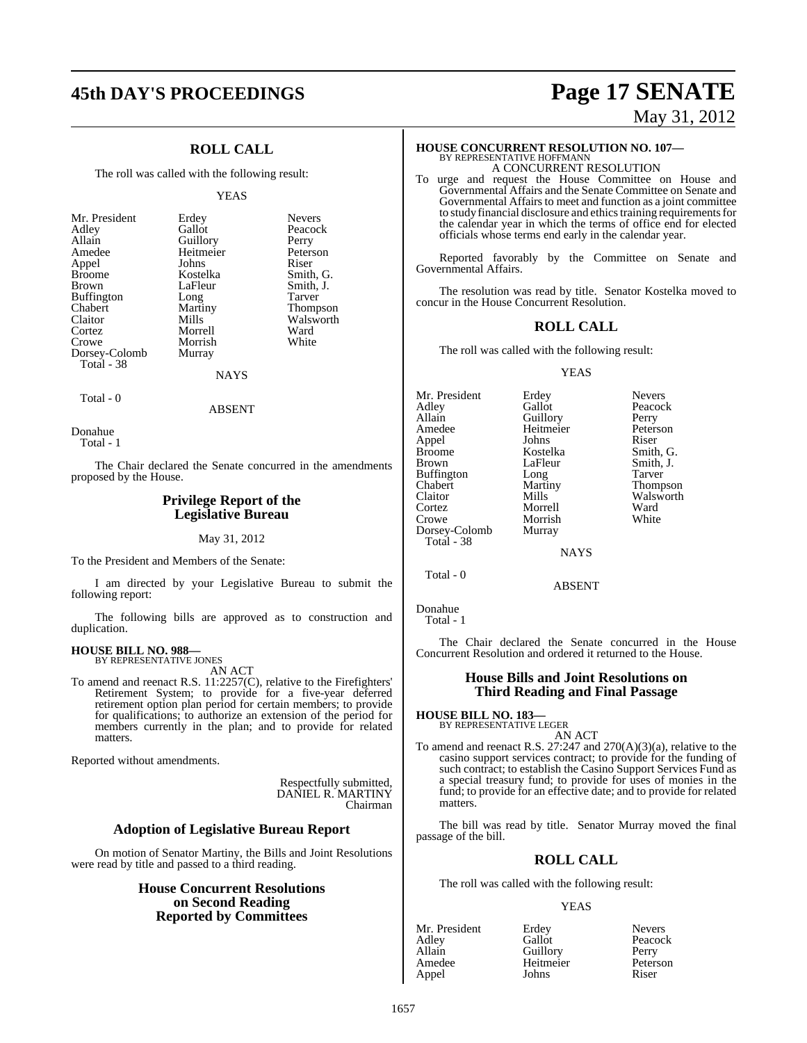## **ROLL CALL**

The roll was called with the following result:

#### YEAS

| Mr. President     | Erdey     | <b>Nevers</b> |
|-------------------|-----------|---------------|
| Adley             | Gallot    | Peacock       |
| Allain            | Guillory  | Perry         |
| Amedee            | Heitmeier | Peterson      |
| Appel             | Johns     | Riser         |
| <b>Broome</b>     | Kostelka  | Smith, G.     |
| <b>Brown</b>      | LaFleur   | Smith, J.     |
| <b>Buffington</b> | Long      | Tarver        |
| Chabert           | Martiny   | Thompson      |
| Claitor           | Mills     | Walsworth     |
| Cortez            | Morrell   | Ward          |
| Crowe             | Morrish   | White         |
| Dorsey-Colomb     | Murray    |               |
| Total - 38        |           |               |
|                   | NAYS      |               |

Donahue Total - 1

Total - 0

The Chair declared the Senate concurred in the amendments proposed by the House.

ABSENT

#### **Privilege Report of the Legislative Bureau**

May 31, 2012

To the President and Members of the Senate:

I am directed by your Legislative Bureau to submit the following report:

The following bills are approved as to construction and duplication.

#### **HOUSE BILL NO. 988—** BY REPRESENTATIVE JONES

AN ACT

To amend and reenact R.S. 11:2257(C), relative to the Firefighters' Retirement System; to provide for a five-year deferred retirement option plan period for certain members; to provide for qualifications; to authorize an extension of the period for members currently in the plan; and to provide for related matters.

Reported without amendments.

Respectfully submitted, DANIEL R. MARTINY Chairman

#### **Adoption of Legislative Bureau Report**

On motion of Senator Martiny, the Bills and Joint Resolutions were read by title and passed to a third reading.

#### **House Concurrent Resolutions on Second Reading Reported by Committees**

## **45th DAY'S PROCEEDINGS Page 17 SENATE** May 31, 2012

## **HOUSE CONCURRENT RESOLUTION NO. 107—** BY REPRESENTATIVE HOFFMANN

A CONCURRENT RESOLUTION

To urge and request the House Committee on House and Governmental Affairs and the Senate Committee on Senate and Governmental Affairs to meet and function as a joint committee to study financial disclosure and ethics training requirements for the calendar year in which the terms of office end for elected officials whose terms end early in the calendar year.

Reported favorably by the Committee on Senate and Governmental Affairs.

The resolution was read by title. Senator Kostelka moved to concur in the House Concurrent Resolution.

#### **ROLL CALL**

The roll was called with the following result:

#### YEAS

Mr. President Erdey Nevers<br>Adley Gallot Peacoc Adley Gallot Peacock<br>Allain Guillory Perry Allain Cuillory Perry<br>Amedee Heitmeier Peterson Heitmeier Peters<br>Johns Riser Appel Johns<br>Broome Kostelka Broome Kostelka Smith, G.<br>Brown LaFleur Smith, J. LaFleur Smith, J.<br>Long Tarver Buffington Chabert Martiny Thompson Claitor Mills Walsworth<br>
Cortez Morrell Ward Cortez Morrell Ward Morrish<br>Murray Dorsey-Colomb Total - 38 **NAYS** 

Total - 0

ABSENT

The Chair declared the Senate concurred in the House Concurrent Resolution and ordered it returned to the House.

#### **House Bills and Joint Resolutions on Third Reading and Final Passage**

**HOUSE BILL NO. 183—** BY REPRESENTATIVE LEGER

AN ACT

To amend and reenact R.S. 27:247 and 270(A)(3)(a), relative to the casino support services contract; to provide for the funding of such contract; to establish the Casino Support Services Fund as a special treasury fund; to provide for uses of monies in the fund; to provide for an effective date; and to provide for related matters.

The bill was read by title. Senator Murray moved the final passage of the bill.

#### **ROLL CALL**

The roll was called with the following result:

| Mr. President | Erdey     | <b>Nevers</b> |
|---------------|-----------|---------------|
| Adley         | Gallot    | Peacock       |
| Allain        | Guillory  | Perry         |
| Amedee        | Heitmeier | Peterson      |
| Appel         | Johns     | Riser         |

Donahue Total - 1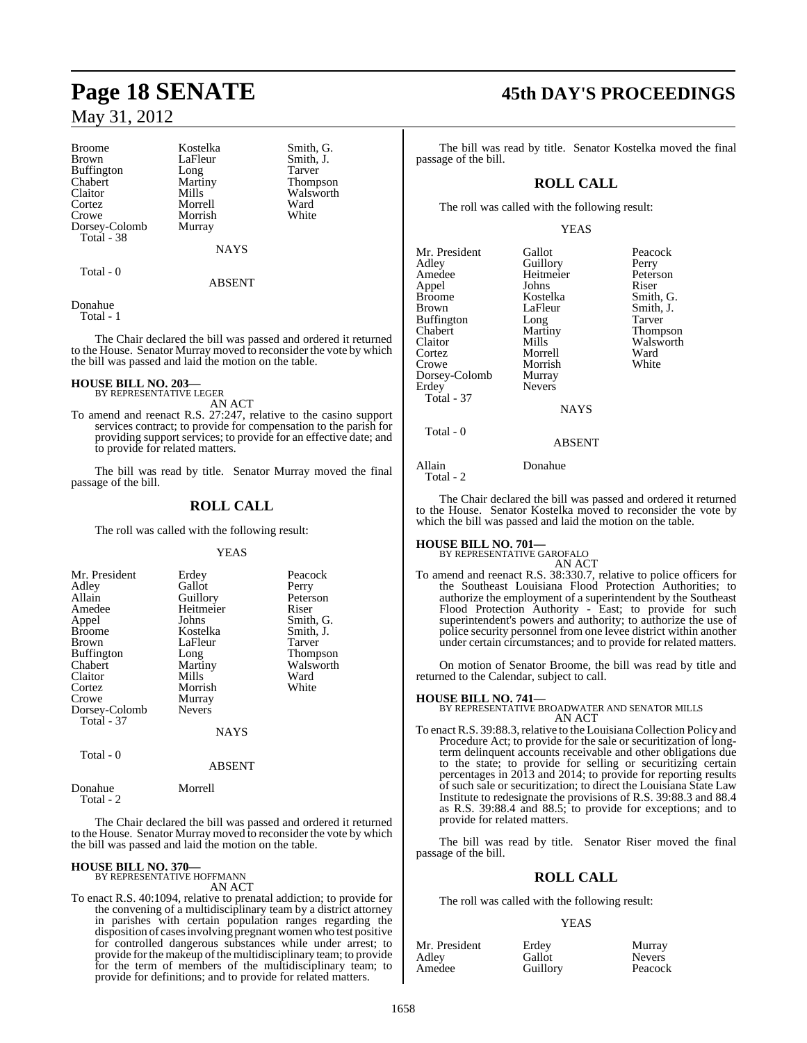Broome Kostelka Smith, G.<br>Brown LaFleur Smith, J. Buffington Long<br>Chabert Martiny Chabert Martiny Thompson Cortez Morrell Ward<br>Crowe Morrish White Dorsey-Colomb Total - 38

LaFleur Smith, J.<br>Long Tarver Morrish<br>Murray

**NAYS** 

Walsworth<br>Ward

Total - 0

ABSENT

#### Donahue Total - 1

The Chair declared the bill was passed and ordered it returned to the House. Senator Murray moved to reconsider the vote by which the bill was passed and laid the motion on the table.

#### **HOUSE BILL NO. 203—**

- BY REPRESENTATIVE LEGER AN ACT
- To amend and reenact R.S. 27:247, relative to the casino support services contract; to provide for compensation to the parish for providing support services; to provide for an effective date; and to provide for related matters.

The bill was read by title. Senator Murray moved the final passage of the bill.

## **ROLL CALL**

The roll was called with the following result:

#### YEAS

| Mr. President<br>Adley<br>Allain<br>Amedee<br>Appel<br><b>Broome</b><br><b>Brown</b><br>Buffington<br>Chabert<br>Claitor | Erdey<br>Gallot<br>Guillory<br>Heitmeier<br>Johns<br>Kostelka<br>LaFleur<br>Long<br>Martiny<br>Mills | Peacock<br>Perry<br>Peterson<br>Riser<br>Smith, G.<br>Smith, J.<br>Tarver<br>Thompson<br>Walsworth<br>Ward |
|--------------------------------------------------------------------------------------------------------------------------|------------------------------------------------------------------------------------------------------|------------------------------------------------------------------------------------------------------------|
|                                                                                                                          |                                                                                                      |                                                                                                            |
| Cortez<br>Crowe                                                                                                          | Morrish<br>Murray                                                                                    | White                                                                                                      |
| Dorsey-Colomb<br>Total - 37                                                                                              | <b>Nevers</b>                                                                                        |                                                                                                            |
|                                                                                                                          | NAYS                                                                                                 |                                                                                                            |

Total - 0

#### ABSENT

Donahue Morrell Total - 2

The Chair declared the bill was passed and ordered it returned to the House. Senator Murray moved to reconsider the vote by which the bill was passed and laid the motion on the table.

## **HOUSE BILL NO. 370—** BY REPRESENTATIVE HOFFMANN

AN ACT

To enact R.S. 40:1094, relative to prenatal addiction; to provide for the convening of a multidisciplinary team by a district attorney in parishes with certain population ranges regarding the disposition of casesinvolving pregnant women who test positive for controlled dangerous substances while under arrest; to provide for the makeup of the multidisciplinary team; to provide for the term of members of the multidisciplinary team; to provide for definitions; and to provide for related matters.

# **Page 18 SENATE 45th DAY'S PROCEEDINGS**

The bill was read by title. Senator Kostelka moved the final passage of the bill.

## **ROLL CALL**

The roll was called with the following result:

#### YEAS

| Mr. President<br>Adley<br>Amedee<br>Appel<br><b>Broome</b><br><b>Brown</b> | Gallot<br>Guillory<br>Heitmeier<br>Johns<br>Kostelka<br>LaFleur | Peacock<br>Perry<br>Peterson<br>Riser<br>Smith, G.<br>Smith, J. |
|----------------------------------------------------------------------------|-----------------------------------------------------------------|-----------------------------------------------------------------|
|                                                                            |                                                                 | Tarver                                                          |
| <b>Buffington</b>                                                          | Long                                                            |                                                                 |
| Chabert                                                                    | Martiny                                                         | Thompson                                                        |
| Claitor                                                                    | Mills                                                           | Walsworth                                                       |
| Cortez                                                                     | Morrell                                                         | Ward                                                            |
| Crowe                                                                      | Morrish                                                         | White                                                           |
| Dorsey-Colomb                                                              | Murray                                                          |                                                                 |
| Erdey                                                                      | <b>Nevers</b>                                                   |                                                                 |
| Total - 37                                                                 |                                                                 |                                                                 |
|                                                                            | <b>NAYS</b>                                                     |                                                                 |
| Total - 0                                                                  |                                                                 |                                                                 |
|                                                                            | ABSENT                                                          |                                                                 |

Allain Donahue Total - 2

The Chair declared the bill was passed and ordered it returned to the House. Senator Kostelka moved to reconsider the vote by which the bill was passed and laid the motion on the table.

# **HOUSE BILL NO. 701—** BY REPRESENTATIVE GAROFALO

AN ACT

To amend and reenact R.S. 38:330.7, relative to police officers for the Southeast Louisiana Flood Protection Authorities; to authorize the employment of a superintendent by the Southeast Flood Protection Authority - East; to provide for such superintendent's powers and authority; to authorize the use of police security personnel from one levee district within another under certain circumstances; and to provide for related matters.

On motion of Senator Broome, the bill was read by title and returned to the Calendar, subject to call.

#### **HOUSE BILL NO. 741—**

BY REPRESENTATIVE BROADWATER AND SENATOR MILLS AN ACT

To enact R.S. 39:88.3, relative to the Louisiana Collection Policy and Procedure Act; to provide for the sale or securitization of longterm delinquent accounts receivable and other obligations due to the state; to provide for selling or securitizing certain percentages in 2013 and 2014; to provide for reporting results of such sale or securitization; to direct the Louisiana State Law Institute to redesignate the provisions of R.S. 39:88.3 and 88.4 as R.S. 39:88.4 and 88.5; to provide for exceptions; and to provide for related matters.

The bill was read by title. Senator Riser moved the final passage of the bill.

## **ROLL CALL**

The roll was called with the following result:

| Mr. President | Erdev    | Murray        |
|---------------|----------|---------------|
| Adley         | Gallot   | <b>Nevers</b> |
| Amedee        | Guillory | Peacock       |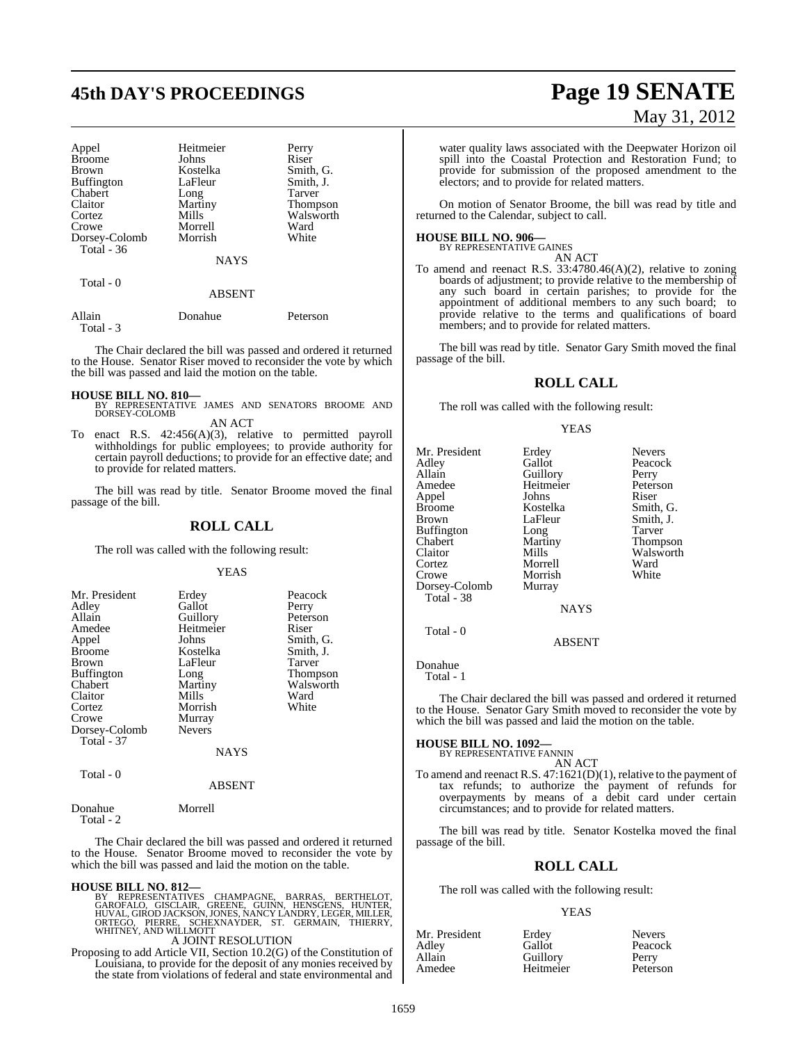# **45th DAY'S PROCEEDINGS Page 19 SENATE**

| Appel         | Heitmeier     | Perry           |
|---------------|---------------|-----------------|
| <b>Broome</b> | Johns         | Riser           |
| <b>Brown</b>  | Kostelka      | Smith, G.       |
| Buffington    | LaFleur       | Smith, J.       |
| Chabert       | Long          | Tarver          |
| Claitor       | Martiny       | <b>Thompson</b> |
| Cortez        | Mills         | Walsworth       |
| Crowe         | Morrell       | Ward            |
| Dorsey-Colomb | Morrish       | White           |
| Total $-36$   |               |                 |
|               | <b>NAYS</b>   |                 |
| Total - 0     |               |                 |
|               | <b>ABSENT</b> |                 |

| Allain    | Donahue | Peterson |
|-----------|---------|----------|
| Total - 3 |         |          |

The Chair declared the bill was passed and ordered it returned to the House. Senator Riser moved to reconsider the vote by which the bill was passed and laid the motion on the table.

**HOUSE BILL NO. 810—** BY REPRESENTATIVE JAMES AND SENATORS BROOME AND DORSEY-COLOMB AN ACT

To enact R.S. 42:456(A)(3), relative to permitted payroll withholdings for public employees; to provide authority for certain payroll deductions; to provide for an effective date; and to provide for related matters.

The bill was read by title. Senator Broome moved the final passage of the bill.

#### **ROLL CALL**

The roll was called with the following result:

#### YEAS

| Mr. President<br>Adley<br>Allain<br>Amedee<br>Appel<br><b>Broome</b><br><b>Brown</b><br><b>Buffington</b><br>Chabert<br>Claitor<br>Cortez<br>Crowe | Erdey<br>Gallot<br>Guillory<br>Heitmeier<br>Johns<br>Kostelka<br>LaFleur<br>Long<br>Martiny<br>Mills<br>Morrish<br>Murray | Peacock<br>Perry<br>Peterson<br>Riser<br>Smith, G.<br>Smith, J.<br>Tarver<br>Thompson<br>Walsworth<br>Ward<br>White |
|----------------------------------------------------------------------------------------------------------------------------------------------------|---------------------------------------------------------------------------------------------------------------------------|---------------------------------------------------------------------------------------------------------------------|
| Dorsey-Colomb<br><b>Total - 37</b><br>Total - 0                                                                                                    | <b>Nevers</b><br><b>NAYS</b>                                                                                              |                                                                                                                     |

#### ABSENT

Donahue Morrell Total - 2

The Chair declared the bill was passed and ordered it returned to the House. Senator Broome moved to reconsider the vote by which the bill was passed and laid the motion on the table.

#### **HOUSE BILL NO. 812—**

BY REPRESENTATIVES CHAMPAGNE, BARRAS, BERTHELOT,<br>GAROFALO, GISCLAIR, GREENE, GUINN, HENSGENS, HUNTER,<br>HUVAL,GIRODJACKSON,JONES,NANCYLANDRY,LEGER,MILLER,<br>ORTEGO, PIERRE, SCHEXNAYDER, ST. GERMAIN, THIERRY,<br>WHITNEY,ANDWILLMOT

## A JOINT RESOLUTION

Proposing to add Article VII, Section 10.2(G) of the Constitution of Louisiana, to provide for the deposit of any monies received by the state from violations of federal and state environmental and

# May 31, 2012

water quality laws associated with the Deepwater Horizon oil spill into the Coastal Protection and Restoration Fund; to provide for submission of the proposed amendment to the electors; and to provide for related matters.

On motion of Senator Broome, the bill was read by title and returned to the Calendar, subject to call.

**HOUSE BILL NO. 906—** BY REPRESENTATIVE GAINES

AN ACT To amend and reenact R.S. 33:4780.46(A)(2), relative to zoning boards of adjustment; to provide relative to the membership of any such board in certain parishes; to provide for the appointment of additional members to any such board; to provide relative to the terms and qualifications of board members; and to provide for related matters.

The bill was read by title. Senator Gary Smith moved the final passage of the bill.

#### **ROLL CALL**

The roll was called with the following result:

#### YEAS

Mr. President Erdey Nevers<br>Adley Gallot Peacoc Adley Gallot Peacock Guillory Amedee Heitmeier Peterson<br>
Appel Johns Riser Appel Johns<br>Broome Kostelka Broome Kostelka Smith, G.<br>Brown I.aFleur Smith, J. Buffington Long<br>Chabert Martiny Chabert Martiny Thompson Claitor Mills Walsworth<br>
Cortez Morrell Ward Crowe Morrish<br>Dorsey-Colomb Murray Dorsey-Colomb Total - 38

LaFleur Smith,<br>
Long Tarver Morrell Ward<br>
Morrish White

**NAYS** 

ABSENT

Donahue

Total - 0

Total - 1

The Chair declared the bill was passed and ordered it returned to the House. Senator Gary Smith moved to reconsider the vote by which the bill was passed and laid the motion on the table.

## **HOUSE BILL NO. 1092—** BY REPRESENTATIVE FANNIN

AN ACT To amend and reenact R.S. 47:1621(D)(1), relative to the payment of tax refunds; to authorize the payment of refunds for overpayments by means of a debit card under certain circumstances; and to provide for related matters.

The bill was read by title. Senator Kostelka moved the final passage of the bill.

## **ROLL CALL**

The roll was called with the following result:

| Mr. President | Erdey     | <b>Nevers</b> |
|---------------|-----------|---------------|
| Adley         | Gallot    | Peacock       |
| Allain        | Guillory  | Perry         |
| Amedee        | Heitmeier | Peterson      |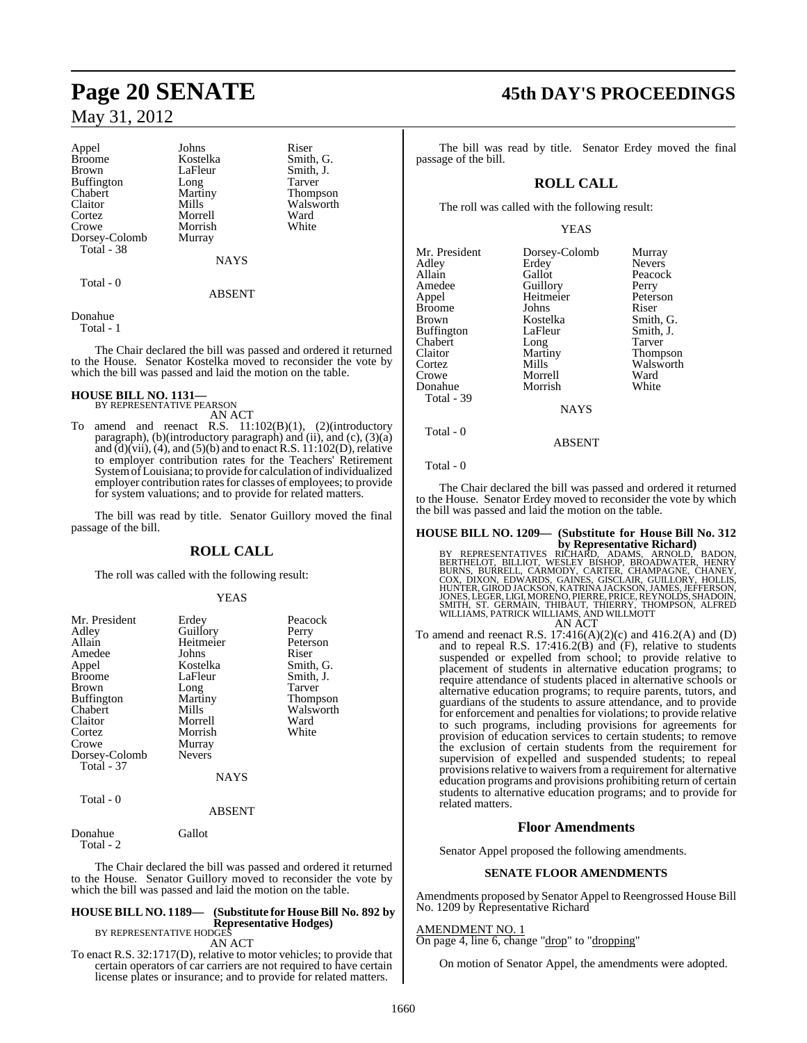Appel Johns Riser<br>Broome Kostelka Smith Broome Kostelka Smith, G.<br>Brown LaFleur Smith, J. Buffington Long<br>Chabert Martiny Claitor Mills Walsworth<br>
Cortez Morrell Ward Cortez Morrell Ward Dorsey-Colomb Murray Total - 38

Morrish

Smith, J.<br>Tarver Martiny Thompson<br>Mills Walsworth

Total - 0

NAYS ABSENT

#### Donahue

Total - 1

The Chair declared the bill was passed and ordered it returned to the House. Senator Kostelka moved to reconsider the vote by which the bill was passed and laid the motion on the table.

## **HOUSE BILL NO. 1131—** BY REPRESENTATIVE PEARSON

AN ACT

To amend and reenact R.S. 11:102(B)(1), (2)(introductory paragraph), (b)(introductory paragraph) and (ii), and (c),  $(3)(a)$ and  $\overline{d}$ ) $\overline{v}$  (vii),  $\overline{u}$ ), and  $\overline{u}$  (5) $\overline{u}$ ) and to enact R.S. 11:102 $\overline{u}$ ), relative to employer contribution rates for the Teachers' Retirement SystemofLouisiana; to provide for calculation of individualized employer contribution rates for classes of employees; to provide for system valuations; and to provide for related matters.

The bill was read by title. Senator Guillory moved the final passage of the bill.

#### **ROLL CALL**

The roll was called with the following result:

#### YEAS

| Mr. President     | Erdey         | Peacock   |
|-------------------|---------------|-----------|
| Adley             | Guillory      | Perry     |
| Allain            | Heitmeier     | Peterson  |
| Amedee            | Johns         | Riser     |
| Appel             | Kostelka      | Smith, G. |
| <b>Broome</b>     | LaFleur       | Smith, J. |
| Brown             | Long          | Tarver    |
| <b>Buffington</b> | Martiny       | Thompson  |
| Chabert           | Mills         | Walsworth |
| Claitor           | Morrell       | Ward      |
| Cortez            | Morrish       | White     |
| Crowe             | Murray        |           |
| Dorsey-Colomb     | <b>Nevers</b> |           |
| <b>Total - 37</b> |               |           |
|                   | <b>NAYS</b>   |           |
| Total - 0         |               |           |
|                   | <b>ABSENT</b> |           |

Donahue Gallot Total - 2

The Chair declared the bill was passed and ordered it returned to the House. Senator Guillory moved to reconsider the vote by which the bill was passed and laid the motion on the table.

#### **HOUSE BILL NO. 1189— (Substitute for HouseBill No. 892 by Representative Hodges)** BY REPRESENTATIVE HODGES

AN ACT

To enact R.S. 32:1717(D), relative to motor vehicles; to provide that certain operators of car carriers are not required to have certain license plates or insurance; and to provide for related matters.

## **Page 20 SENATE 45th DAY'S PROCEEDINGS**

The bill was read by title. Senator Erdey moved the final passage of the bill.

## **ROLL CALL**

The roll was called with the following result:

#### YEAS

| Mr. President<br>Adley<br>Allain<br>Amedee<br>Appel<br><b>Broome</b><br><b>Brown</b><br><b>Buffington</b><br>Chabert<br>Claitor<br>Cortez | Dorsey-Colomb<br>Erdey<br>Gallot<br>Guillory<br>Heitmeier<br>Johns<br>Kostelka<br>LaFleur<br>Long<br>Martiny<br>Mills | Murray<br><b>Nevers</b><br>Peacock<br>Perry<br>Peterson<br>Riser<br>Smith, G.<br>Smith, J.<br>Tarver<br><b>Thompson</b><br>Walsworth |
|-------------------------------------------------------------------------------------------------------------------------------------------|-----------------------------------------------------------------------------------------------------------------------|--------------------------------------------------------------------------------------------------------------------------------------|
| Crowe                                                                                                                                     | Morrell                                                                                                               | Ward                                                                                                                                 |
| Donahue<br>Total - 39                                                                                                                     | Morrish                                                                                                               | White                                                                                                                                |
|                                                                                                                                           | NAYS                                                                                                                  |                                                                                                                                      |

ABSENT

#### Total - 0

Total - 0

The Chair declared the bill was passed and ordered it returned to the House. Senator Erdey moved to reconsider the vote by which the bill was passed and laid the motion on the table.

# **HOUSE BILL NO. 1209— (Substitute for House Bill No. 312**

**by Representative Richard)**<br>BERTHELOT, BILLIOT, WESLEY BISHOP, BROADD, BADON, BERTHELOT, BILLIOT, WESLEY BISHOP, BROADWATER, HENRY<br>BURNS, BURRELL, CARMODY, CARTER, CHAMPAGNE, CHANEY,<br>COX, DIXON, EDWARDS, GAINES, GISCLAIR, AN ACT

To amend and reenact R.S. 17:416(A)(2)(c) and 416.2(A) and (D) and to repeal R.S. 17:416.2(B) and (F), relative to students suspended or expelled from school; to provide relative to placement of students in alternative education programs; to require attendance of students placed in alternative schools or alternative education programs; to require parents, tutors, and guardians of the students to assure attendance, and to provide for enforcement and penalties for violations; to provide relative to such programs, including provisions for agreements for provision of education services to certain students; to remove the exclusion of certain students from the requirement for supervision of expelled and suspended students; to repeal provisions relative to waivers from a requirement for alternative education programs and provisions prohibiting return of certain students to alternative education programs; and to provide for related matters.

#### **Floor Amendments**

Senator Appel proposed the following amendments.

#### **SENATE FLOOR AMENDMENTS**

Amendments proposed by Senator Appel to Reengrossed House Bill No. 1209 by Representative Richard

#### AMENDMENT NO. 1

On page 4, line 6, change "drop" to "dropping"

On motion of Senator Appel, the amendments were adopted.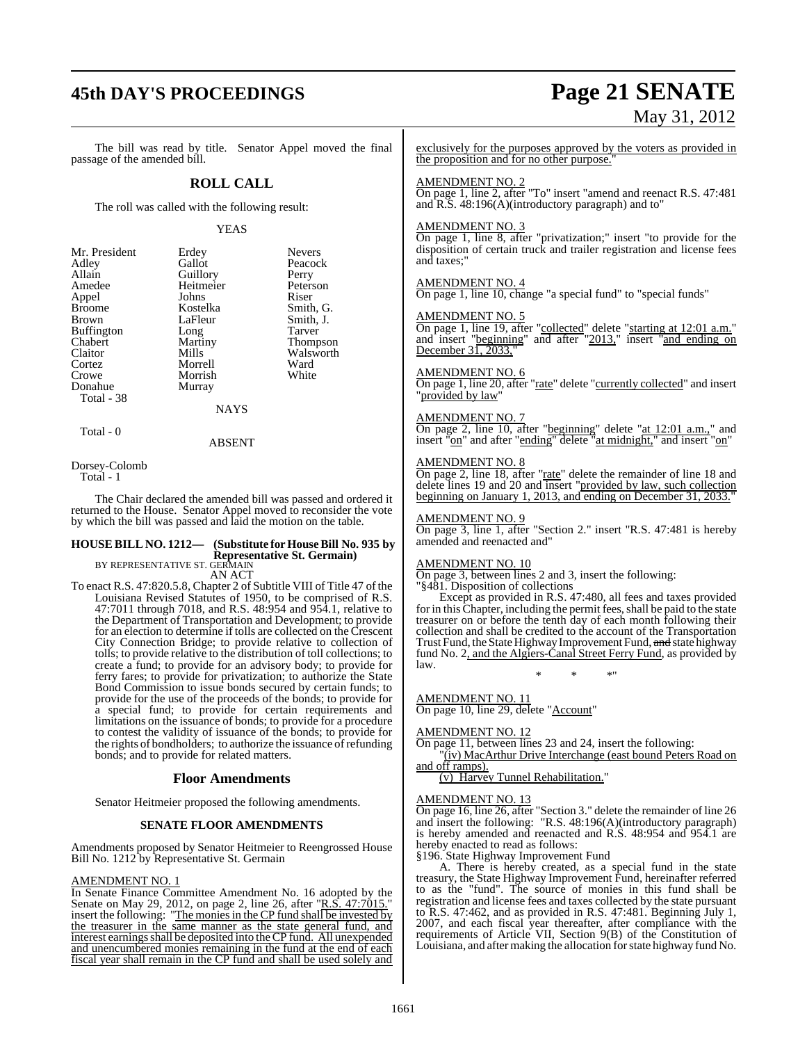## **45th DAY'S PROCEEDINGS Page 21 SENATE**

# May 31, 2012

The bill was read by title. Senator Appel moved the final passage of the amended bill.

### **ROLL CALL**

The roll was called with the following result:

#### YEAS

Peacock Perry Peterson

Smith, G. Smith, J. Tarver Thompson Walsworth Ward White

| Mr. President     | Erdey     | <b>Nevers</b> |
|-------------------|-----------|---------------|
| Adley             | Gallot    | Peacoc        |
| Allain            | Guillory  | Perry         |
| Amedee            | Heitmeier | Peterso       |
| Appel             | Johns     | Riser         |
| <b>Broome</b>     | Kostelka  | Smith,        |
| Brown             | LaFleur   | Smith,        |
| <b>Buffington</b> | Long      | Tarver        |
| Chabert           | Martiny   | Thomp         |
| Claitor           | Mills     | Walsw         |
| Cortez            | Morrell   | Ward          |
| Crowe             | Morrish   | White         |
| Donahue           | Murray    |               |
| Total - 38        |           |               |
|                   | NAYS      |               |

Total - 0

#### ABSENT

Dorsey-Colomb Total - 1

The Chair declared the amended bill was passed and ordered it returned to the House. Senator Appel moved to reconsider the vote by which the bill was passed and laid the motion on the table.

#### **HOUSE BILL NO. 1212— (Substitute for HouseBill No. 935 by Representative St. Germain)** BY REPRESENTATIVE ST. GERMAIN

AN ACT

To enact R.S. 47:820.5.8, Chapter 2 of Subtitle VIII of Title 47 of the Louisiana Revised Statutes of 1950, to be comprised of R.S. 47:7011 through 7018, and R.S. 48:954 and 954.1, relative to the Department of Transportation and Development; to provide for an election to determine if tolls are collected on the Crescent City Connection Bridge; to provide relative to collection of tolls; to provide relative to the distribution of toll collections; to create a fund; to provide for an advisory body; to provide for ferry fares; to provide for privatization; to authorize the State Bond Commission to issue bonds secured by certain funds; to provide for the use of the proceeds of the bonds; to provide for a special fund; to provide for certain requirements and limitations on the issuance of bonds; to provide for a procedure to contest the validity of issuance of the bonds; to provide for the rights of bondholders; to authorize the issuance of refunding bonds; and to provide for related matters.

#### **Floor Amendments**

Senator Heitmeier proposed the following amendments.

#### **SENATE FLOOR AMENDMENTS**

Amendments proposed by Senator Heitmeier to Reengrossed House Bill No. 1212 by Representative St. Germain

#### AMENDMENT NO. 1

In Senate Finance Committee Amendment No. 16 adopted by the Senate on May 29, 2012, on page 2, line 26, after "R.S. 47:7015." insert the following: "The monies in the CP fund shall be invested by the treasurer in the same manner as the state general fund, and interest earnings shall be deposited into the CP fund. All unexpended and unencumbered monies remaining in the fund at the end of each fiscal year shall remain in the CP fund and shall be used solely and

exclusively for the purposes approved by the voters as provided in the proposition and for no other purpose.

#### AMENDMENT NO. 2

On page 1, line 2, after "To" insert "amend and reenact R.S. 47:481 and R.S. 48:196(A)(introductory paragraph) and to"

#### AMENDMENT NO. 3

On page 1, line 8, after "privatization;" insert "to provide for the disposition of certain truck and trailer registration and license fees and taxes;"

#### AMENDMENT NO. 4

On page 1, line 10, change "a special fund" to "special funds"

#### AMENDMENT NO. 5

On page 1, line 19, after "collected" delete "starting at 12:01 a.m." and insert "beginning" and after "2013," insert "and ending on December 31, 2033,

#### AMENDMENT NO. 6

On page 1, line 20, after "rate" delete "currently collected" and insert "provided by law"

#### AMENDMENT NO. 7

On page 2, line 10, after "beginning" delete "at 12:01 a.m.," and insert "on" and after "ending" delete "at midnight," and insert "on"

#### AMENDMENT NO. 8

On page 2, line 18, after "rate" delete the remainder of line 18 and delete lines 19 and 20 and insert "provided by law, such collection beginning on January 1, 2013, and ending on December 31, 2033."

#### AMENDMENT NO. 9

On page 3, line 1, after "Section 2." insert "R.S. 47:481 is hereby amended and reenacted and"

#### AMENDMENT NO. 10

On page 3, between lines 2 and 3, insert the following:

#### "§481. Disposition of collections

Except as provided in R.S. 47:480, all fees and taxes provided for in this Chapter, including the permit fees, shall be paid to the state treasurer on or before the tenth day of each month following their collection and shall be credited to the account of the Transportation Trust Fund, the State Highway Improvement Fund, and state highway fund No. 2, and the Algiers-Canal Street Ferry Fund, as provided by law.

\* \* \*"

## AMENDMENT NO. 11

On page 10, line 29, delete "Account"

#### AMENDMENT NO. 12

On page 11, between lines 23 and 24, insert the following: "(iv) MacArthur Drive Interchange (east bound Peters Road on

and off ramps). (v) Harvey Tunnel Rehabilitation."

## AMENDMENT NO. 13

On page 16, line 26, after "Section 3." delete the remainder of line 26 and insert the following: "R.S. 48:196(A)(introductory paragraph) is hereby amended and reenacted and R.S. 48:954 and 954.1 are hereby enacted to read as follows:

§196. State Highway Improvement Fund

A. There is hereby created, as a special fund in the state treasury, the State Highway Improvement Fund, hereinafter referred to as the "fund". The source of monies in this fund shall be registration and license fees and taxes collected by the state pursuant to R.S. 47:462, and as provided in R.S. 47:481. Beginning July 1, 2007, and each fiscal year thereafter, after compliance with the requirements of Article VII, Section 9(B) of the Constitution of Louisiana, and after making the allocation for state highway fund No.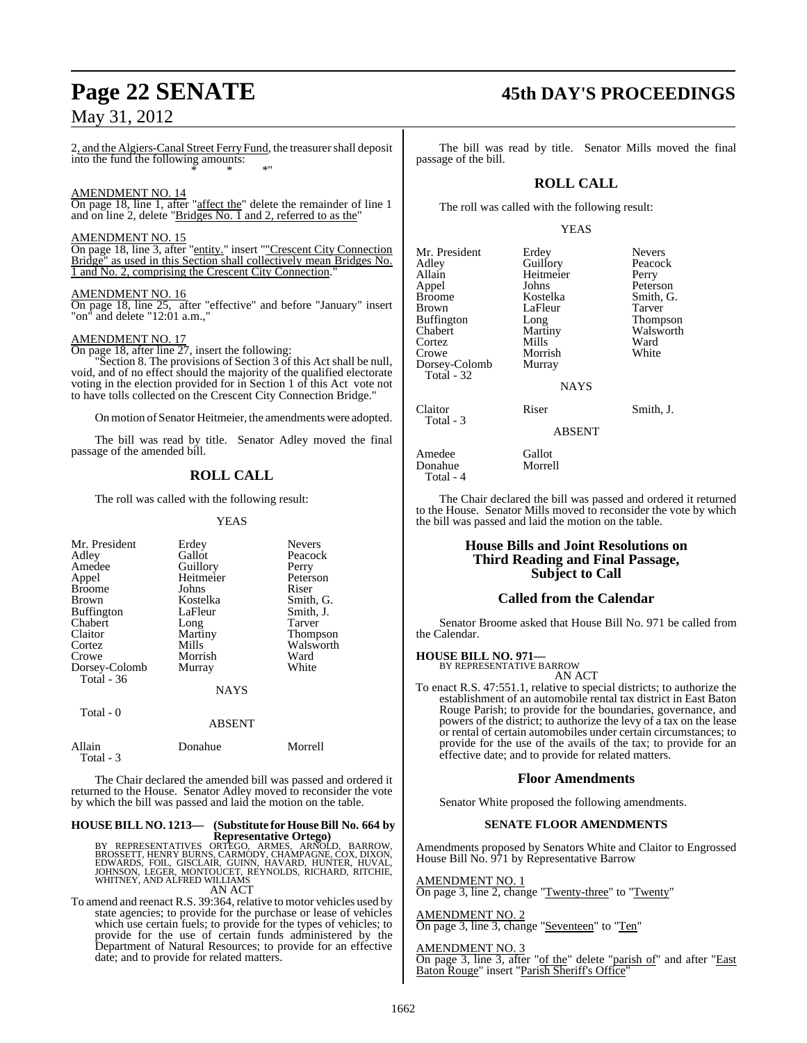2, and the Algiers-Canal Street Ferry Fund, the treasurer shall deposit into the fund the following amounts: \* \* \*"

#### AMENDMENT NO. 14

On page 18, line 1, after "affect the" delete the remainder of line 1 and on line 2, delete "Bridges No. 1 and 2, referred to as the"

#### AMENDMENT NO. 15

On page 18, line 3, after "entity." insert ""Crescent City Connection Bridge" as used in this Section shall collectively mean Bridges No. 1 and No. 2, comprising the Crescent City Connection.

#### AMENDMENT NO. 16

On page 18, line 25, after "effective" and before "January" insert "on" and delete "12:01 a.m.,"

#### AMENDMENT NO. 17

On page 18, after line 27, insert the following:

Section 8. The provisions of Section 3 of this Act shall be null, void, and of no effect should the majority of the qualified electorate voting in the election provided for in Section 1 of this Act vote not to have tolls collected on the Crescent City Connection Bridge."

On motion of Senator Heitmeier, the amendments were adopted.

The bill was read by title. Senator Adley moved the final passage of the amended bill.

#### **ROLL CALL**

The roll was called with the following result:

YEAS

| Mr. President     | Erdey       | <b>Nevers</b> |
|-------------------|-------------|---------------|
| Adley             | Gallot      | Peacock       |
| Amedee            | Guillory    | Perry         |
| Appel             | Heitmeier   | Peterson      |
| <b>Broome</b>     | Johns       | Riser         |
| Brown             | Kostelka    | Smith, G.     |
| <b>Buffington</b> | LaFleur     | Smith, J.     |
| Chabert           | Long        | Tarver        |
| Claitor           | Martiny     | Thompson      |
| Cortez            | Mills       | Walsworth     |
| Crowe             | Morrish     | Ward          |
| Dorsey-Colomb     | Murray      | White         |
| Total $-36$       |             |               |
|                   | <b>NAYS</b> |               |
|                   |             |               |

| Total $-0$          | <b>ABSENT</b> |         |
|---------------------|---------------|---------|
| Allain<br>Total - 3 | Donahue       | Morrell |

The Chair declared the amended bill was passed and ordered it returned to the House. Senator Adley moved to reconsider the vote by which the bill was passed and laid the motion on the table.

## **HOUSE BILL NO. 1213— (Substitute for HouseBill No. 664 by**

**Representative Ortego)**<br>BROSSETT, HENRY BURNS, CARMODY, CHAMPAGNE, ARNOLD, BARROW,<br>EDWARDS, FOIL, GISCLAIR, GUINN, HAVARD, HUNTER, HUVAL,<br>JOHNSON, LEGER, MONTOUCET, REYNOLDS, RICHARD, RITCHIE,<br>WHITNEY, AND ALFRED WILLIAMS AN ACT

To amend and reenact R.S. 39:364, relative to motor vehicles used by state agencies; to provide for the purchase or lease of vehicles which use certain fuels; to provide for the types of vehicles; to provide for the use of certain funds administered by the Department of Natural Resources; to provide for an effective date; and to provide for related matters.

## **Page 22 SENATE 45th DAY'S PROCEEDINGS**

The bill was read by title. Senator Mills moved the final passage of the bill.

#### **ROLL CALL**

The roll was called with the following result:

#### YEAS

| Mr. President<br>Erdey<br>Adley<br>Allain<br>Appel<br>Broome<br>Brown<br>Buffington<br>Chabert<br>Cortez<br>Crowe | Guillory<br>Heitmeier<br>Johns<br>Kostelka<br>LaFleur<br>Long<br>Martiny<br>Mills<br>Morrish | Peacock<br>Perry<br>Peterson<br>Smith, G<br>Tarver<br><b>Thompso</b><br>Walswor<br>Ward<br>White |
|-------------------------------------------------------------------------------------------------------------------|----------------------------------------------------------------------------------------------|--------------------------------------------------------------------------------------------------|
| Dorsey-Colomb<br>Total - 32                                                                                       | Murray                                                                                       |                                                                                                  |
| Claitor                                                                                                           | <b>NAYS</b><br>Riser                                                                         | Smith, J.                                                                                        |

Total - 3

Donahue Total - 4

Peacock Perry Peterson Smith, G. Tarver Thompson Walsworth<br>Ward

ABSENT

Amedee Gallot<br>Donahue Morrell

The Chair declared the bill was passed and ordered it returned to the House. Senator Mills moved to reconsider the vote by which the bill was passed and laid the motion on the table.

#### **House Bills and Joint Resolutions on Third Reading and Final Passage, Subject to Call**

#### **Called from the Calendar**

Senator Broome asked that House Bill No. 971 be called from the Calendar.

#### **HOUSE BILL NO. 971—**

BY REPRESENTATIVE BARROW AN ACT

To enact R.S. 47:551.1, relative to special districts; to authorize the establishment of an automobile rental tax district in East Baton Rouge Parish; to provide for the boundaries, governance, and powers of the district; to authorize the levy of a tax on the lease or rental of certain automobiles under certain circumstances; to provide for the use of the avails of the tax; to provide for an effective date; and to provide for related matters.

#### **Floor Amendments**

Senator White proposed the following amendments.

#### **SENATE FLOOR AMENDMENTS**

Amendments proposed by Senators White and Claitor to Engrossed House Bill No. 971 by Representative Barrow

AMENDMENT NO. 1 On page 3, line 2, change "Twenty-three" to "Twenty"

## AMENDMENT NO. 2

On page 3, line 3, change "Seventeen" to "Ten"

## AMENDMENT NO. 3

On page 3, line 3, after "of the" delete "parish of" and after "East Baton Rouge" insert "Parish Sheriff's Office"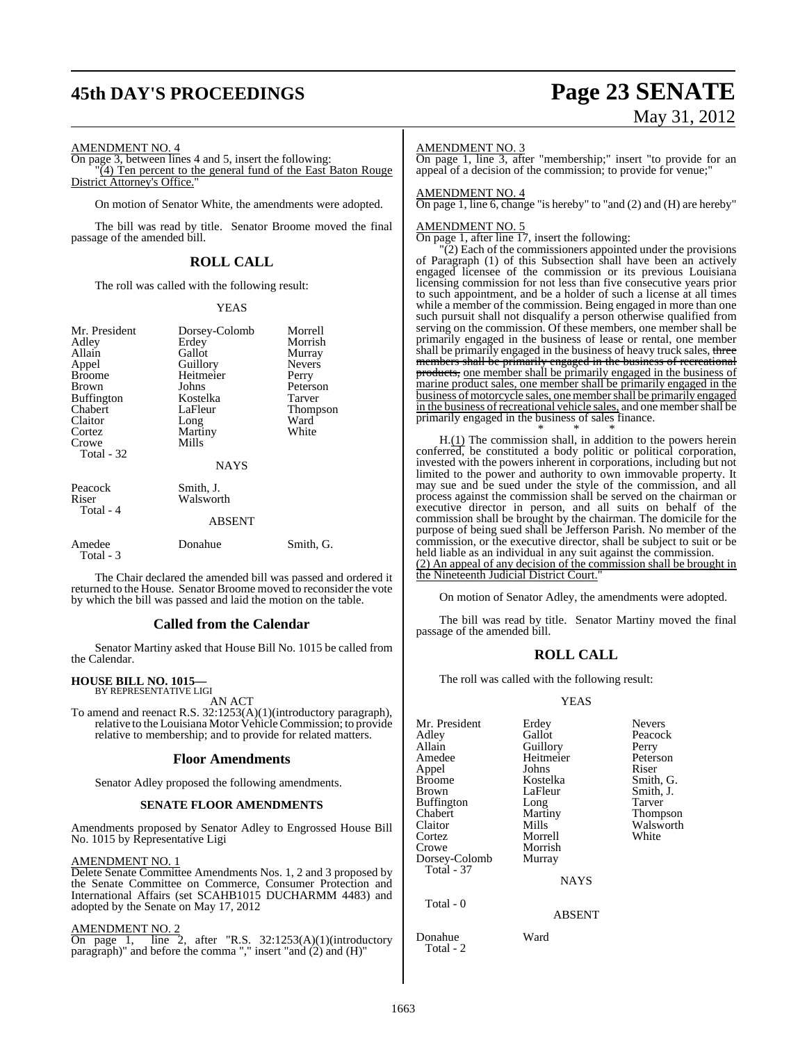## **45th DAY'S PROCEEDINGS Page 23 SENATE**

# May 31, 2012

#### AMENDMENT NO. 4

On page 3, between lines 4 and 5, insert the following:  $\overline{(4)}$  Ten percent to the general fund of the East Baton Rouge District Attorney's Office.

On motion of Senator White, the amendments were adopted.

The bill was read by title. Senator Broome moved the final passage of the amended bill.

#### **ROLL CALL**

The roll was called with the following result:

#### YEAS

| Mr. President<br>Adley<br>Allain<br>Appel<br><b>Broome</b><br>Brown<br><b>Buffington</b><br>Chabert<br>Claitor<br>Cortez<br>Crowe<br>Total - 32 | Dorsey-Colomb<br>Erdey<br>Gallot<br>Guillory<br>Heitmeier<br>Johns<br>Kostelka<br>LaFleur<br>Long<br>Martiny<br>Mills<br><b>NAYS</b> | Morrell<br>Morrish<br>Murray<br><b>Nevers</b><br>Perry<br>Peterson<br>Tarver<br>Thompson<br>Ward<br>White |
|-------------------------------------------------------------------------------------------------------------------------------------------------|--------------------------------------------------------------------------------------------------------------------------------------|-----------------------------------------------------------------------------------------------------------|
| Peacock<br>Riser<br>Total - 4                                                                                                                   | Smith, J.<br>Walsworth<br><b>ABSENT</b>                                                                                              |                                                                                                           |
| Amedee<br>Total - 3                                                                                                                             | Donahue                                                                                                                              | Smith, G.                                                                                                 |

The Chair declared the amended bill was passed and ordered it returned to the House. Senator Broome moved to reconsider the vote by which the bill was passed and laid the motion on the table.

#### **Called from the Calendar**

Senator Martiny asked that House Bill No. 1015 be called from the Calendar.

#### **HOUSE BILL NO. 1015—**

BY REPRESENTATIVE LIGI AN ACT

To amend and reenact R.S. 32:1253(A)(1)(introductory paragraph), relative to the Louisiana Motor Vehicle Commission; to provide relative to membership; and to provide for related matters.

#### **Floor Amendments**

Senator Adley proposed the following amendments.

#### **SENATE FLOOR AMENDMENTS**

Amendments proposed by Senator Adley to Engrossed House Bill No. 1015 by Representative Ligi

#### AMENDMENT NO. 1

Delete Senate Committee Amendments Nos. 1, 2 and 3 proposed by the Senate Committee on Commerce, Consumer Protection and International Affairs (set SCAHB1015 DUCHARMM 4483) and adopted by the Senate on May 17, 2012

AMENDMENT NO. 2

On page 1, line 2, after "R.S. 32:1253(A)(1)(introductory paragraph)" and before the comma "," insert "and (2) and (H)"

#### AMENDMENT NO. 3

On page 1, line 3, after "membership;" insert "to provide for an appeal of a decision of the commission; to provide for venue:"

#### AMENDMENT NO. 4

On page 1, line 6, change "is hereby" to "and (2) and (H) are hereby"

#### AMENDMENT NO. 5

On page 1, after line 17, insert the following:

 $(2)$  Each of the commissioners appointed under the provisions of Paragraph (1) of this Subsection shall have been an actively engaged licensee of the commission or its previous Louisiana licensing commission for not less than five consecutive years prior to such appointment, and be a holder of such a license at all times while a member of the commission. Being engaged in more than one such pursuit shall not disqualify a person otherwise qualified from serving on the commission. Of these members, one member shall be primarily engaged in the business of lease or rental, one member shall be primarily engaged in the business of heavy truck sales, three members shall be primarily engaged in the business of recreational products, one member shall be primarily engaged in the business of marine product sales, one member shall be primarily engaged in the business of motorcycle sales, one membershall be primarily engaged in the business of recreational vehicle sales, and one member shall be primarily engaged in the business of sales finance.

\* \* \* H.(1) The commission shall, in addition to the powers herein conferred, be constituted a body politic or political corporation, invested with the powers inherent in corporations, including but not limited to the power and authority to own immovable property. It may sue and be sued under the style of the commission, and all process against the commission shall be served on the chairman or executive director in person, and all suits on behalf of the commission shall be brought by the chairman. The domicile for the purpose of being sued shall be Jefferson Parish. No member of the commission, or the executive director, shall be subject to suit or be held liable as an individual in any suit against the commission. (2) An appeal of any decision of the commission shall be brought in the Nineteenth Judicial District Court.

On motion of Senator Adley, the amendments were adopted.

The bill was read by title. Senator Martiny moved the final passage of the amended bill.

#### **ROLL CALL**

The roll was called with the following result:

#### YEAS

| Mr. President<br>Adley<br>Allain<br>Amedee<br>Appel<br><b>Broome</b><br>Brown<br>Buffington<br>Chabert<br>Claitor<br>Cortez<br>Crowe<br>Dorsey-Colomb<br><b>Total - 37</b> | Erdey<br>Gallot<br>Guillory<br>Heitmeier<br>Johns<br>Kostelka<br>LaFleur<br>Long<br>Martiny<br>Mills<br>Morrell<br>Morrish<br>Murray<br><b>NAYS</b> | <b>Nevers</b><br>Peacock<br>Perry<br>Peterson<br>Riser<br>Smith, G.<br>Smith, J.<br>Tarver<br><b>Thompson</b><br>Walsworth<br>White |
|----------------------------------------------------------------------------------------------------------------------------------------------------------------------------|-----------------------------------------------------------------------------------------------------------------------------------------------------|-------------------------------------------------------------------------------------------------------------------------------------|
| Total - 0                                                                                                                                                                  | <b>ABSENT</b>                                                                                                                                       |                                                                                                                                     |

Donahue Ward Total - 2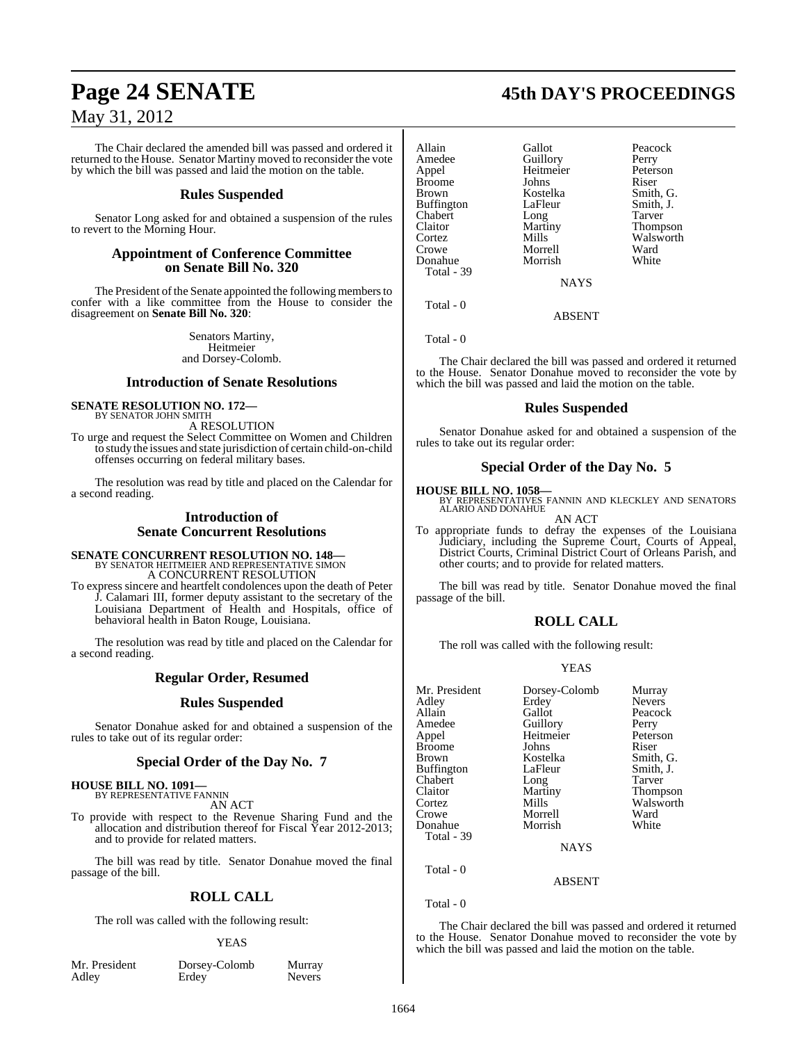The Chair declared the amended bill was passed and ordered it returned to the House. Senator Martiny moved to reconsider the vote by which the bill was passed and laid the motion on the table.

#### **Rules Suspended**

Senator Long asked for and obtained a suspension of the rules to revert to the Morning Hour.

#### **Appointment of Conference Committee on Senate Bill No. 320**

The President of the Senate appointed the following members to confer with a like committee from the House to consider the disagreement on **Senate Bill No. 320**:

> Senators Martiny, Heitmeier and Dorsey-Colomb.

#### **Introduction of Senate Resolutions**

#### **SENATE RESOLUTION NO. 172—** BY SENATOR JOHN SMITH

A RESOLUTION

To urge and request the Select Committee on Women and Children to study the issues and state jurisdiction of certain child-on-child offenses occurring on federal military bases.

The resolution was read by title and placed on the Calendar for a second reading.

#### **Introduction of Senate Concurrent Resolutions**

#### **SENATE CONCURRENT RESOLUTION NO. 148—** BY SENATOR HEITMEIER AND REPRESENTATIVE SIMON

A CONCURRENT RESOLUTION

To express sincere and heartfelt condolences upon the death of Peter J. Calamari III, former deputy assistant to the secretary of the Louisiana Department of Health and Hospitals, office of behavioral health in Baton Rouge, Louisiana.

The resolution was read by title and placed on the Calendar for a second reading.

#### **Regular Order, Resumed**

#### **Rules Suspended**

Senator Donahue asked for and obtained a suspension of the rules to take out of its regular order:

#### **Special Order of the Day No. 7**

#### **HOUSE BILL NO. 1091—** BY REPRESENTATIVE FANNIN

AN ACT

To provide with respect to the Revenue Sharing Fund and the allocation and distribution thereof for Fiscal Year 2012-2013; and to provide for related matters.

The bill was read by title. Senator Donahue moved the final passage of the bill.

#### **ROLL CALL**

The roll was called with the following result:

#### YEAS

| Mr. President |  |
|---------------|--|
| Adley         |  |

Dorsey-Colomb Murray<br>Erdey Nevers Nevers

## **Page 24 SENATE 45th DAY'S PROCEEDINGS**

Allain Gallot Peacock<br>Amedee Guillory Perry Amedee Guillory<br>Appel Heitmeier Broome Johns<br>Brown Kostelka Buffington LaFleur Smith, J.<br>Chabert Long Tarver Chabert Long<br>Claitor Martiny Cortez Mills Walsworth Donahue Total - 39

Morrell Ward<br>
Morrish White

Heitmeier Peterson<br>
Iohns Riser Kostelka Smith, G.<br>LaFleur Smith, J. Thompson

**NAYS** 

ABSENT

Total - 0

Total - 0

The Chair declared the bill was passed and ordered it returned to the House. Senator Donahue moved to reconsider the vote by which the bill was passed and laid the motion on the table.

#### **Rules Suspended**

Senator Donahue asked for and obtained a suspension of the rules to take out its regular order:

#### **Special Order of the Day No. 5**

**HOUSE BILL NO. 1058—** BY REPRESENTATIVES FANNIN AND KLECKLEY AND SENATORS ALARIO AND DONAHUE

AN ACT

To appropriate funds to defray the expenses of the Louisiana Judiciary, including the Supreme Court, Courts of Appeal, District Courts, Criminal District Court of Orleans Parish, and other courts; and to provide for related matters.

The bill was read by title. Senator Donahue moved the final passage of the bill.

## **ROLL CALL**

The roll was called with the following result:

#### YEAS

| Mr. President     | Dorsey-Colomb | Murray        |
|-------------------|---------------|---------------|
| Adley             | Erdey         | <b>Nevers</b> |
| Allain            | Gallot        | Peacock       |
| Amedee            | Guillory      | Perry         |
| Appel             | Heitmeier     | Peterson      |
| <b>Broome</b>     | Johns         | Riser         |
| <b>Brown</b>      | Kostelka      | Smith, G.     |
| <b>Buffington</b> | LaFleur       | Smith, J.     |
| Chabert           | Long          | <b>Tarver</b> |
| Claitor           | Martiny       | Thompson      |
| Cortez            | Mills         | Walsworth     |
| Crowe             | Morrell       | Ward          |
| Donahue           | Morrish       | White         |
| Total - 39        |               |               |
|                   | <b>NAYS</b>   |               |
| Total - 0         |               |               |
|                   | <b>ARSENT</b> |               |

Total - 0

The Chair declared the bill was passed and ordered it returned to the House. Senator Donahue moved to reconsider the vote by which the bill was passed and laid the motion on the table.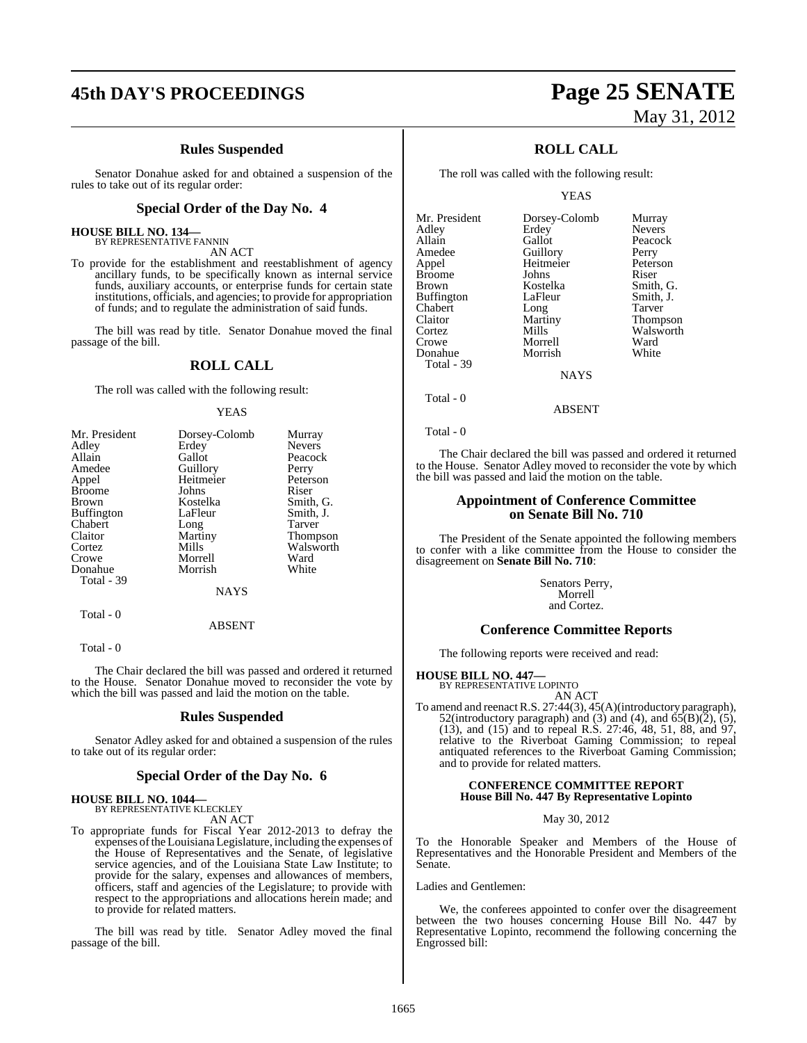## **45th DAY'S PROCEEDINGS Page 25 SENATE**

#### **Rules Suspended**

Senator Donahue asked for and obtained a suspension of the rules to take out of its regular order:

#### **Special Order of the Day No. 4**

#### **HOUSE BILL NO. 134—** BY REPRESENTATIVE FANNIN

AN ACT

To provide for the establishment and reestablishment of agency ancillary funds, to be specifically known as internal service funds, auxiliary accounts, or enterprise funds for certain state institutions, officials, and agencies; to provide for appropriation of funds; and to regulate the administration of said funds.

The bill was read by title. Senator Donahue moved the final passage of the bill.

#### **ROLL CALL**

The roll was called with the following result:

#### YEAS

| Mr. President     | Dorsey-Colomb | Murray          |
|-------------------|---------------|-----------------|
| Adley             | Erdey         | <b>Nevers</b>   |
| Allain            | Gallot        | Peacock         |
| Amedee            | Guillory      | Perry           |
| Appel             | Heitmeier     | Peterson        |
| <b>Broome</b>     | Johns         | Riser           |
| <b>Brown</b>      | Kostelka      | Smith, G.       |
| <b>Buffington</b> | LaFleur       | Smith, J.       |
| Chabert           | Long          | Tarver          |
| Claitor           | Martiny       | <b>Thompson</b> |
| Cortez            | Mills         | Walsworth       |
| Crowe             | Morrell       | Ward            |
| Donahue           | Morrish       | White           |
| Total - 39        |               |                 |
|                   | <b>NAYS</b>   |                 |

ABSENT

Total - 0

Total - 0

The Chair declared the bill was passed and ordered it returned to the House. Senator Donahue moved to reconsider the vote by which the bill was passed and laid the motion on the table.

#### **Rules Suspended**

Senator Adley asked for and obtained a suspension of the rules to take out of its regular order:

#### **Special Order of the Day No. 6**

#### **HOUSE BILL NO. 1044—** BY REPRESENTATIVE KLECKLEY

AN ACT

To appropriate funds for Fiscal Year 2012-2013 to defray the expenses ofthe Louisiana Legislature, including the expenses of the House of Representatives and the Senate, of legislative service agencies, and of the Louisiana State Law Institute; to provide for the salary, expenses and allowances of members, officers, staff and agencies of the Legislature; to provide with respect to the appropriations and allocations herein made; and to provide for related matters.

The bill was read by title. Senator Adley moved the final passage of the bill.

# May 31, 2012

### **ROLL CALL**

The roll was called with the following result:

YEAS

| Mr. President     | Dorsey-Colomb   | Murray        |
|-------------------|-----------------|---------------|
| Adley             | Erdey           | <b>Nevers</b> |
| Allain            | Gallot          | Peacock       |
| Amedee            | Guillory        | Perry         |
| Appel             | Heitmeier       | Peterson      |
| <b>Broome</b>     | Johns           | Riser         |
| <b>Brown</b>      | Kostelka        | Smith, C      |
| <b>Buffington</b> | LaFleur         | Smith, J.     |
| Chabert           | Long            | Tarver        |
| Claitor           | Martiny         | <b>Thomps</b> |
| Cortez            | Mills           | <b>Walswo</b> |
| Crowe             | Morrell         | Ward          |
| Donahue           | Morrish         | White         |
| Total - 39        |                 |               |
|                   | <b>ATA SZCI</b> |               |

Perry<br>Peters Peterson<br>Riser Smith, G. Smith, J. Tarver Thompson Walsworth<br>Ward

**NAYS** 

Total - 0

Total - 0

The Chair declared the bill was passed and ordered it returned to the House. Senator Adley moved to reconsider the vote by which the bill was passed and laid the motion on the table.

ABSENT

#### **Appointment of Conference Committee on Senate Bill No. 710**

The President of the Senate appointed the following members to confer with a like committee from the House to consider the disagreement on **Senate Bill No. 710**:

> Senators Perry, Morrell and Cortez.

#### **Conference Committee Reports**

The following reports were received and read:

## **HOUSE BILL NO. 447—** BY REPRESENTATIVE LOPINTO

AN ACT

To amend and reenact R.S. 27:44(3), 45(A)(introductory paragraph), 52(introductory paragraph) and (3) and (4), and  $\overline{65(B)(2)}$ , (5), (13), and (15) and to repeal R.S. 27:46, 48, 51, 88, and 97, relative to the Riverboat Gaming Commission; to repeal antiquated references to the Riverboat Gaming Commission; and to provide for related matters.

#### **CONFERENCE COMMITTEE REPORT House Bill No. 447 By Representative Lopinto**

#### May 30, 2012

To the Honorable Speaker and Members of the House of Representatives and the Honorable President and Members of the Senate.

Ladies and Gentlemen:

We, the conferees appointed to confer over the disagreement between the two houses concerning House Bill No. 447 by Representative Lopinto, recommend the following concerning the Engrossed bill: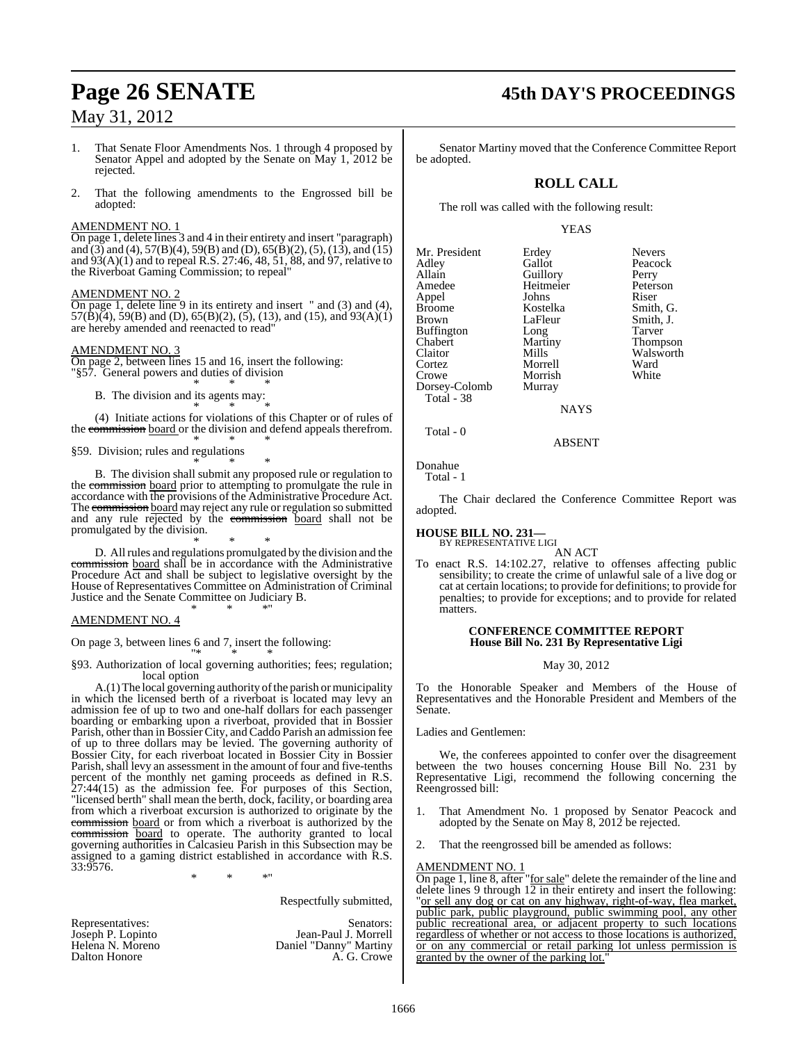- 1. That Senate Floor Amendments Nos. 1 through 4 proposed by Senator Appel and adopted by the Senate on May 1, 2012 be rejected.
- 2. That the following amendments to the Engrossed bill be adopted:

#### AMENDMENT NO. 1

On page 1, delete lines 3 and 4 in their entirety and insert "paragraph) and (3) and (4), 57(B)(4), 59(B) and (D), 65(B)(2), (5), (13), and (15) and 93(A)(1) and to repeal R.S. 27:46, 48, 51, 88, and 97, relative to the Riverboat Gaming Commission; to repeal"

#### AMENDMENT NO. 2

On page 1, delete line 9 in its entirety and insert " and (3) and (4),  $57(\hat{B})(4)$ ,  $59(B)$  and (D),  $65(B)(2)$ , (5), (13), and (15), and  $93(A)(1)$ are hereby amended and reenacted to read"

#### AMENDMENT NO. 3

On page 2, between lines 15 and 16, insert the following: "§57. General powers and duties of division \* \* \*

B. The division and its agents may:

\* \* \* (4) Initiate actions for violations of this Chapter or of rules of the commission board or the division and defend appeals therefrom. \* \* \*

§59. Division; rules and regulations

\* \* \* B. The division shall submit any proposed rule or regulation to the commission board prior to attempting to promulgate the rule in accordance with the provisions of the Administrative Procedure Act. The commission board may reject any rule or regulation so submitted and any rule rejected by the commission board shall not be promulgated by the division.

\* \* \* D. All rules and regulations promulgated by the division and the commission board shall be in accordance with the Administrative Procedure Act and shall be subject to legislative oversight by the House of Representatives Committee on Administration of Criminal Justice and the Senate Committee on Judiciary B. \* \* \*"

#### AMENDMENT NO. 4

On page 3, between lines 6 and 7, insert the following:

"\* \* \* §93. Authorization of local governing authorities; fees; regulation; local option

A.(1) The local governing authority of the parish or municipality in which the licensed berth of a riverboat is located may levy an admission fee of up to two and one-half dollars for each passenger boarding or embarking upon a riverboat, provided that in Bossier Parish, other than in Bossier City, and Caddo Parish an admission fee of up to three dollars may be levied. The governing authority of Bossier City, for each riverboat located in Bossier City in Bossier Parish, shall levy an assessment in the amount of four and five-tenths percent of the monthly net gaming proceeds as defined in R.S. 27:44(15) as the admission fee. For purposes of this Section, "licensed berth" shall mean the berth, dock, facility, or boarding area from which a riverboat excursion is authorized to originate by the commission board or from which a riverboat is authorized by the commission board to operate. The authority granted to local governing authorities in Calcasieu Parish in this Subsection may be assigned to a gaming district established in accordance with R.S. 33:9576.

\* \* \*"

Respectfully submitted,

| Representatives:  |
|-------------------|
| Joseph P. Lopinto |
| Helena N. Moreno  |
| Dalton Honore     |

Senators: Jean-Paul J. Morrell Daniel "Danny" Martiny A. G. Crowe

## **Page 26 SENATE 45th DAY'S PROCEEDINGS**

Senator Martiny moved that the Conference Committee Report be adopted.

#### **ROLL CALL**

The roll was called with the following result:

#### YEAS

Mr. President Erdey Nevers<br>Adley Gallot Peacoc Adley Gallot Peacock<br>Allain Guillory Perry Allain Guillory Perry Heitmeier Appel Johns Riser Broome Kostelka<br>Brown LaFleur Buffington Long<br>Chabert Martiny Chabert Martiny Thompson Claitor Mills Walsworth<br>
Cortez Morrell Ward Cortez Morrell Ward Morrish<br>Murray Dorsey-Colomb Total - 38

LaFleur Smith, J.<br>Long Tarver

**NAYS** 

#### ABSENT

Donahue

Total - 0

Total - 1

The Chair declared the Conference Committee Report was adopted.

#### **HOUSE BILL NO. 231—** BY REPRESENTATIVE LIGI

AN ACT

To enact R.S. 14:102.27, relative to offenses affecting public sensibility; to create the crime of unlawful sale of a live dog or cat at certain locations; to provide for definitions; to provide for penalties; to provide for exceptions; and to provide for related matters.

#### **CONFERENCE COMMITTEE REPORT House Bill No. 231 By Representative Ligi**

#### May 30, 2012

To the Honorable Speaker and Members of the House of Representatives and the Honorable President and Members of the Senate.

Ladies and Gentlemen:

We, the conferees appointed to confer over the disagreement between the two houses concerning House Bill No. 231 by Representative Ligi, recommend the following concerning the Reengrossed bill:

- 1. That Amendment No. 1 proposed by Senator Peacock and adopted by the Senate on May 8, 2012 be rejected.
- That the reengrossed bill be amended as follows:

#### AMENDMENT NO. 1

On page 1, line 8, after "for sale" delete the remainder of the line and delete lines 9 through  $12$  in their entirety and insert the following: "or sell any dog or cat on any highway, right-of-way, flea market, public park, public playground, public swimming pool, any other public recreational area, or adjacent property to such locations regardless of whether or not access to those locations is authorized, or on any commercial or retail parking lot unless permission is granted by the owner of the parking lot.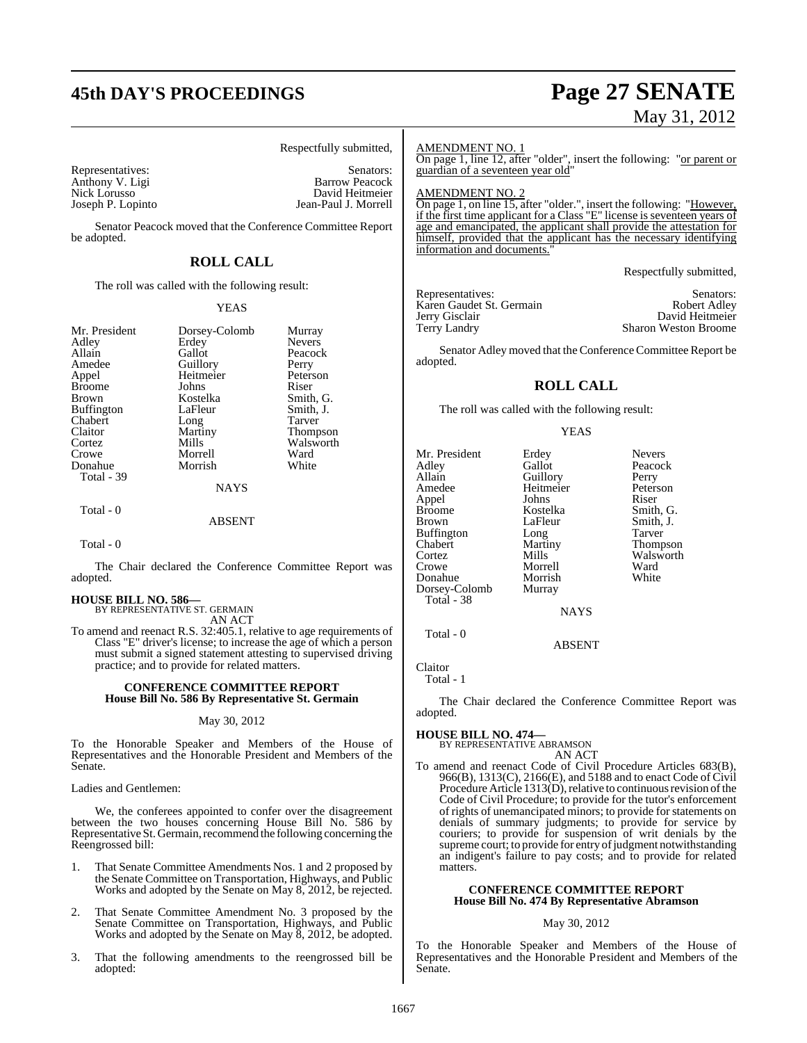## **45th DAY'S PROCEEDINGS Page 27 SENATE**

# May 31, 2012

Respectfully submitted,

Nick Lorusso<br>Joseph P. Lopinto

Representatives: Senators: Senators: Senators: Senators: Senators: Senators: Senators: Senators: Senators: Senators: Senators: Senators: Senators: Senators: Senators: Senators: Senators: Senators: Senators: Senators: Senat Anthony V. Ligi Barrow Peacock Jean-Paul J. Morrell

Senator Peacock moved that the Conference Committee Report be adopted.

## **ROLL CALL**

The roll was called with the following result:

#### YEAS

| Mr. President           | Dorsey-Colomb | Murray        |
|-------------------------|---------------|---------------|
| Adley                   | Erdey         | <b>Nevers</b> |
| Allain                  | Gallot        | Peacock       |
| Amedee                  | Guillory      | Perry         |
| Appel                   | Heitmeier     | Peterson      |
| <b>Broome</b>           | Johns         | Riser         |
| <b>Brown</b>            | Kostelka      | Smith, G.     |
| <b>Buffington</b>       | LaFleur       | Smith, J.     |
| Chabert                 | Long          | <b>Tarver</b> |
| Claitor                 | Martiny       | Thompson      |
| Cortez                  | Mills         | Walsworth     |
| Crowe                   | Morrell       | Ward          |
| Donahue                 | Morrish       | White         |
| Total - 39<br>Total - 0 | <b>NAYS</b>   |               |

ABSENT

Total - 0

The Chair declared the Conference Committee Report was adopted.

## **HOUSE BILL NO. 586—** BY REPRESENTATIVE ST. GERMAIN

AN ACT

To amend and reenact R.S. 32:405.1, relative to age requirements of Class "E" driver's license; to increase the age of which a person must submit a signed statement attesting to supervised driving practice; and to provide for related matters.

#### **CONFERENCE COMMITTEE REPORT House Bill No. 586 By Representative St. Germain**

#### May 30, 2012

To the Honorable Speaker and Members of the House of Representatives and the Honorable President and Members of the Senate.

Ladies and Gentlemen:

We, the conferees appointed to confer over the disagreement between the two houses concerning House Bill No. 586 by Representative St. Germain, recommend the following concerning the Reengrossed bill:

- 1. That Senate Committee Amendments Nos. 1 and 2 proposed by the Senate Committee on Transportation, Highways, and Public Works and adopted by the Senate on May 8, 2012, be rejected.
- 2. That Senate Committee Amendment No. 3 proposed by the Senate Committee on Transportation, Highways, and Public Works and adopted by the Senate on May 8, 2012, be adopted.
- 3. That the following amendments to the reengrossed bill be adopted:

#### AMENDMENT NO. 1

On page 1, line 12, after "older", insert the following: "or parent or guardian of a seventeen year old"

AMENDMENT NO. 2

On page 1, on line 15, after "older.", insert the following: "However, if the first time applicant for a Class "E" license is seventeen years of age and emancipated, the applicant shall provide the attestation for himself, provided that the applicant has the necessary identifying information and documents."

Respectfully submitted,

Representatives: Senators: Senators: Senators: Senators: Senators: Senators: Senators: Senators: Senators: Senators: Senators: Senators: Senators: Senators: Senators: Senators: Senators: Senators: Senators: Senators: Senat Karen Gaudet St. Germain<br>Jerry Gisclair Jerry Gisclair David Heitmeier

Sharon Weston Broome

Senator Adley moved that the Conference Committee Report be adopted.

## **ROLL CALL**

The roll was called with the following result:

#### YEAS

Mr. President Erdey Nevers<br>Adley Gallot Peacoc Adley Gallot Peacock Allain Guillory<br>
Amedee Heitmei Appel Johns<br>Broome Kostelka Broome Kostelka Smith, G. Buffington Long<br>Chabert Martiny Chabert Martiny Thompson Cortez Mills Walsworth<br>Crowe Morrell Ward Morrell Ward<br>
Morrish White Donahue Dorsey-Colomb Murray Total - 38

Heitmeier Peterson<br>
Johns Riser LaFleur Smith, J.<br>Long Tarver

ABSENT

Claitor

Total - 1

Total - 0

The Chair declared the Conference Committee Report was adopted.

NAYS

## **HOUSE BILL NO. 474—** BY REPRESENTATIVE ABRAMSON

AN ACT

To amend and reenact Code of Civil Procedure Articles 683(B), 966(B), 1313(C), 2166(E), and 5188 and to enact Code of Civil Procedure Article 1313(D), relative to continuous revision of the Code of Civil Procedure; to provide for the tutor's enforcement of rights of unemancipated minors; to provide for statements on denials of summary judgments; to provide for service by couriers; to provide for suspension of writ denials by the supreme court; to provide for entry of judgment notwithstanding an indigent's failure to pay costs; and to provide for related matters.

#### **CONFERENCE COMMITTEE REPORT House Bill No. 474 By Representative Abramson**

#### May 30, 2012

To the Honorable Speaker and Members of the House of Representatives and the Honorable President and Members of the Senate.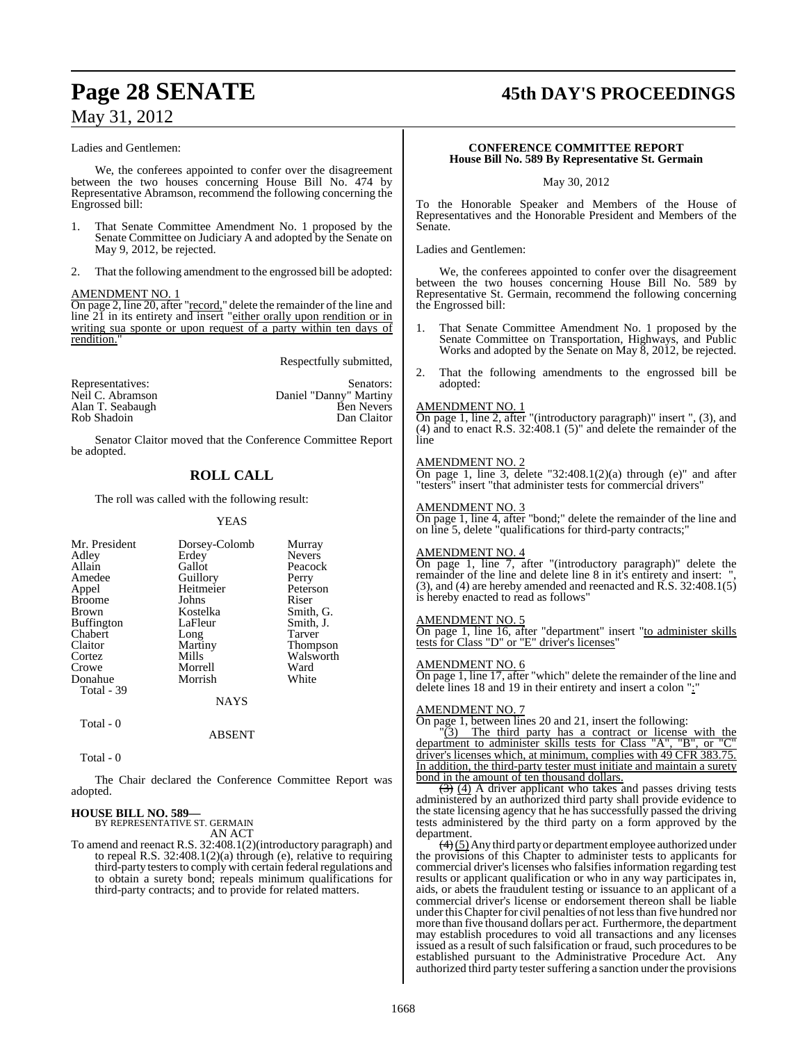## **Page 28 SENATE 45th DAY'S PROCEEDINGS**

## May 31, 2012

#### Ladies and Gentlemen:

We, the conferees appointed to confer over the disagreement between the two houses concerning House Bill No. 474 by Representative Abramson, recommend the following concerning the Engrossed bill:

- 1. That Senate Committee Amendment No. 1 proposed by the Senate Committee on Judiciary A and adopted by the Senate on May 9, 2012, be rejected.
- 2. That the following amendment to the engrossed bill be adopted:

#### AMENDMENT NO. 1

On page 2, line 20, after "record," delete the remainder of the line and line 21 in its entirety and insert "either orally upon rendition or in writing sua sponte or upon request of a party within ten days of rendition.

Respectfully submitted,

| Representatives: | Senators:              |
|------------------|------------------------|
| Neil C. Abramson | Daniel "Danny" Martiny |
| Alan T. Seabaugh | <b>Ben Nevers</b>      |
| Rob Shadoin      | Dan Claitor            |

Senator Claitor moved that the Conference Committee Report be adopted.

## **ROLL CALL**

#### The roll was called with the following result:

#### YEAS

| Mr. President<br>Adley<br>Allain<br>Amedee<br>Appel<br><b>Broome</b><br><b>Brown</b><br><b>Buffington</b><br>Chabert<br>Claitor<br>Cortez<br>Crowe<br>Donahue<br>Total $-39$ | Dorsey-Colomb<br>Erdey<br>Gallot<br>Guillory<br>Heitmeier<br>Johns<br>Kostelka<br>LaFleur<br>Long<br>Martiny<br>Mills<br>Morrell<br>Morrish | Murray<br><b>Nevers</b><br>Peacock<br>Perry<br>Peterson<br>Riser<br>Smith, G.<br>Smith, J.<br><b>Tarver</b><br><b>Thompson</b><br>Walsworth<br>Ward<br>White |
|------------------------------------------------------------------------------------------------------------------------------------------------------------------------------|---------------------------------------------------------------------------------------------------------------------------------------------|--------------------------------------------------------------------------------------------------------------------------------------------------------------|
|                                                                                                                                                                              | NAYS                                                                                                                                        |                                                                                                                                                              |

Total - 0

Total - 0

The Chair declared the Conference Committee Report was adopted.

ABSENT

#### **HOUSE BILL NO. 589—**

BY REPRESENTATIVE ST. GERMAIN AN ACT

To amend and reenact R.S. 32:408.1(2)(introductory paragraph) and to repeal R.S. 32:408.1(2)(a) through (e), relative to requiring third-party testers to comply with certain federal regulations and to obtain a surety bond; repeals minimum qualifications for third-party contracts; and to provide for related matters.

#### **CONFERENCE COMMITTEE REPORT House Bill No. 589 By Representative St. Germain**

May 30, 2012

To the Honorable Speaker and Members of the House of Representatives and the Honorable President and Members of the Senate.

Ladies and Gentlemen:

We, the conferees appointed to confer over the disagreement between the two houses concerning House Bill No. 589 by Representative St. Germain, recommend the following concerning the Engrossed bill:

- 1. That Senate Committee Amendment No. 1 proposed by the Senate Committee on Transportation, Highways, and Public Works and adopted by the Senate on May 8, 2012, be rejected.
- 2. That the following amendments to the engrossed bill be adopted:

#### AMENDMENT NO. 1

 $\overline{On}$  page 1, line 2, after "(introductory paragraph)" insert ", (3), and (4) and to enact R.S. 32:408.1 (5)" and delete the remainder of the line

#### AMENDMENT NO. 2

On page 1, line 3, delete "32:408.1(2)(a) through (e)" and after "testers" insert "that administer tests for commercial drivers"

#### AMENDMENT NO. 3

On page 1, line 4, after "bond;" delete the remainder of the line and on line 5, delete "qualifications for third-party contracts;"

#### AMENDMENT NO. 4

On page 1, line 7, after "(introductory paragraph)" delete the remainder of the line and delete line 8 in it's entirety and insert: ", (3), and (4) are hereby amended and reenacted and R.S. 32:408.1(5) is hereby enacted to read as follows"

#### <u>AMENDMENT NO. 5</u>

On page 1, line 16, after "department" insert "to administer skills tests for Class "D" or "E" driver's licenses"

#### AMENDMENT NO. 6

On page 1, line 17, after "which" delete the remainder of the line and delete lines 18 and 19 in their entirety and insert a colon ":"

#### AMENDMENT NO. 7

On page 1, between lines 20 and 21, insert the following:

 $\frac{100}{3}$ . The third party has a contract or license with the riment to administer skills tests for Class "A", "B", or "C" department to administer skills tests for Class "A", "B", or "C" driver's licenses which, at minimum, complies with 49 CFR 383.75. In addition, the third-party tester must initiate and maintain a surety bond in the amount of ten thousand dollars.

 $(3)$  (4) A driver applicant who takes and passes driving tests administered by an authorized third party shall provide evidence to the state licensing agency that he has successfully passed the driving tests administered by the third party on a form approved by the department.

 $(4)(5)$  Any third party or department employee authorized under the provisions of this Chapter to administer tests to applicants for commercial driver's licenses who falsifies information regarding test results or applicant qualification or who in any way participates in, aids, or abets the fraudulent testing or issuance to an applicant of a commercial driver's license or endorsement thereon shall be liable under this Chapter for civil penalties of not less than five hundred nor more than five thousand dollars per act. Furthermore, the department may establish procedures to void all transactions and any licenses issued as a result of such falsification or fraud, such procedures to be established pursuant to the Administrative Procedure Act. Any authorized third party tester suffering a sanction under the provisions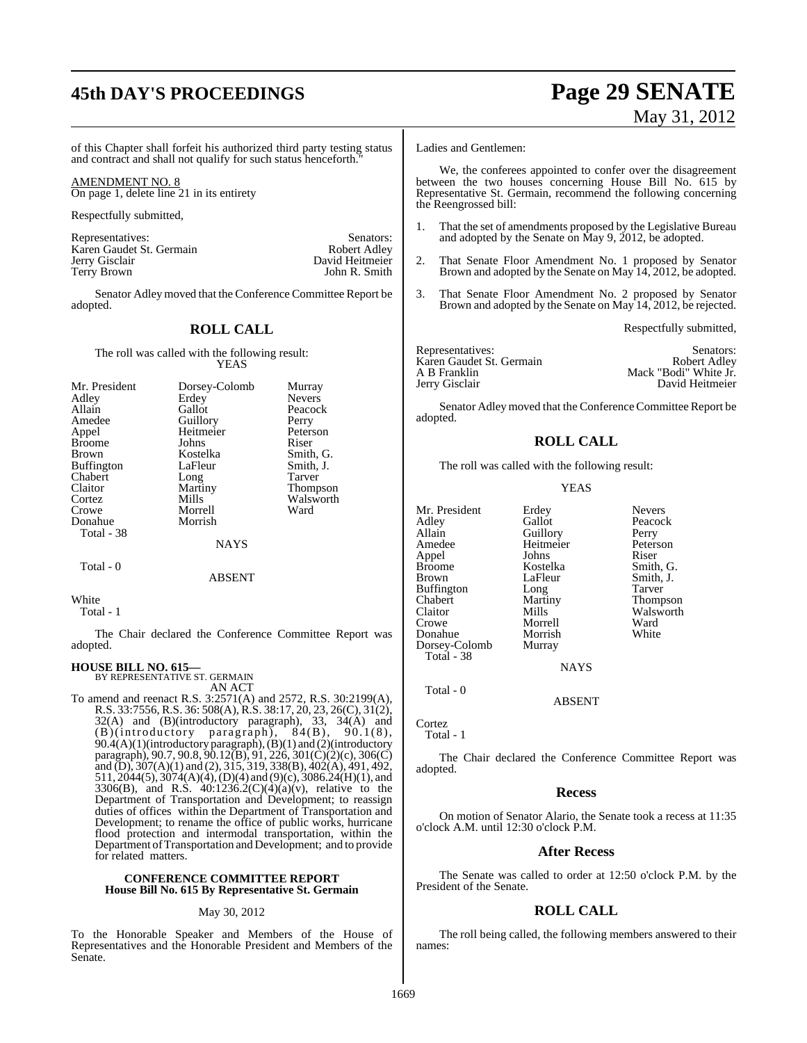# **45th DAY'S PROCEEDINGS Page 29 SENATE**

# May 31, 2012

of this Chapter shall forfeit his authorized third party testing status and contract and shall not qualify for such status henceforth."

AMENDMENT NO. 8 On page 1, delete line 21 in its entirety

Respectfully submitted,

Representatives: Senators: Senators: Senators: Senators: Senators: Senators: Senators: Senators: Senators: Senators: Senators: Senators: Senators: Senators: Senators: Senators: Senators: Senators: Senators: Senators: Senat Karen Gaudet St. Germain<br>Jerry Gisclair Jerry Gisclair David Heitmeier

Senator Adley moved that the Conference Committee Report be adopted.

John R. Smith

#### **ROLL CALL**

The roll was called with the following result: YEAS

| Mr. President     | Dorsey-Colomb | Murray          |
|-------------------|---------------|-----------------|
| Adley             | Erdey         | <b>Nevers</b>   |
| Allain            | Gallot        | Peacock         |
| Amedee            | Guillory      | Perry           |
| Appel             | Heitmeier     | Peterson        |
| <b>Broome</b>     | Johns         | Riser           |
| <b>Brown</b>      | Kostelka      | Smith, G.       |
| <b>Buffington</b> | LaFleur       | Smith, J.       |
| Chabert           | Long          | Tarver          |
| Claitor           | Martiny       | <b>Thompson</b> |
| Cortez            | Mills         | Walsworth       |
| Crowe             | Morrell       | Ward            |
| Donahue           | Morrish       |                 |
| Total - 38        |               |                 |
|                   | NAYS          |                 |

## ABSENT

White

Total - 1

Total - 0

The Chair declared the Conference Committee Report was adopted.

#### **HOUSE BILL NO. 615—**

BY REPRESENTATIVE ST. GERMAIN AN ACT

To amend and reenact R.S. 3:2571(A) and 2572, R.S. 30:2199(A), R.S. 33:7556, R.S. 36: 508(A), R.S. 38:17, 20, 23, 26(C), 31(2), 32(A) and (B)(introductory paragraph), 33, 34(A) and (B)(introductory paragraph), 84(B), 90.1(8),  $90.4(A)(1)$ (introductory paragraph),  $(B)(1)$  and  $(2)$ (introductory paragraph), 90.7, 90.8, 90.12(B), 91, 226, 301(C)(2)(c), 306(C) and (D),  $307(A)(1)$  and (2),  $315$ ,  $319$ ,  $338(B)$ ,  $402(A)$ ,  $491$ ,  $492$ , 511, 2044(5), 3074(A)(4), (D)(4) and (9)(c), 3086.24(H)(1), and 3306(B), and R.S.  $40:1236.2(C)(4)(a)(v)$ , relative to the Department of Transportation and Development; to reassign duties of offices within the Department of Transportation and Development; to rename the office of public works, hurricane flood protection and intermodal transportation, within the Department ofTransportation and Development; and to provide for related matters.

#### **CONFERENCE COMMITTEE REPORT House Bill No. 615 By Representative St. Germain**

#### May 30, 2012

To the Honorable Speaker and Members of the House of Representatives and the Honorable President and Members of the Senate.

Ladies and Gentlemen:

We, the conferees appointed to confer over the disagreement between the two houses concerning House Bill No. 615 by Representative St. Germain, recommend the following concerning the Reengrossed bill:

- 1. That the set of amendments proposed by the Legislative Bureau and adopted by the Senate on May 9, 2012, be adopted.
- 2. That Senate Floor Amendment No. 1 proposed by Senator Brown and adopted by the Senate on May 14, 2012, be adopted.
- 3. That Senate Floor Amendment No. 2 proposed by Senator Brown and adopted by the Senate on May 14, 2012, be rejected.

Respectfully submitted,

| Representatives:         | Senators:             |
|--------------------------|-----------------------|
| Karen Gaudet St. Germain | Robert Adley          |
| A B Franklin             | Mack "Bodi" White Jr. |
| Jerry Gisclair           | David Heitmeier       |

Senator Adleymoved that the Conference Committee Report be adopted.

#### **ROLL CALL**

The roll was called with the following result:

#### YEAS

Heitmeier Peters<br>
Johns Riser

Morrell Ward<br>
Morrish White

Smith, J.

Mr. President Erdey Nevers<br>Adley Gallot Peacoc Adley Gallot Peacock<br>
Allain Guillory Perry Allain Guillory Perry Appel Johns<br>Broome Kostelka Broome Kostelka Smith, G. Buffington Long Tarver<br>
Chabert Martiny Thomp Chabert Martiny Thompson Claitor Mills Walsworth<br>Crowe Morrell Ward Donahue Morrish<br>Dorsey-Colomb Murray Dorsey-Colomb Total - 38

Total - 0

Cortez Total - 1

The Chair declared the Conference Committee Report was adopted.

**NAYS** 

ABSENT

#### **Recess**

On motion of Senator Alario, the Senate took a recess at 11:35 o'clock A.M. until 12:30 o'clock P.M.

#### **After Recess**

The Senate was called to order at 12:50 o'clock P.M. by the President of the Senate.

#### **ROLL CALL**

The roll being called, the following members answered to their names: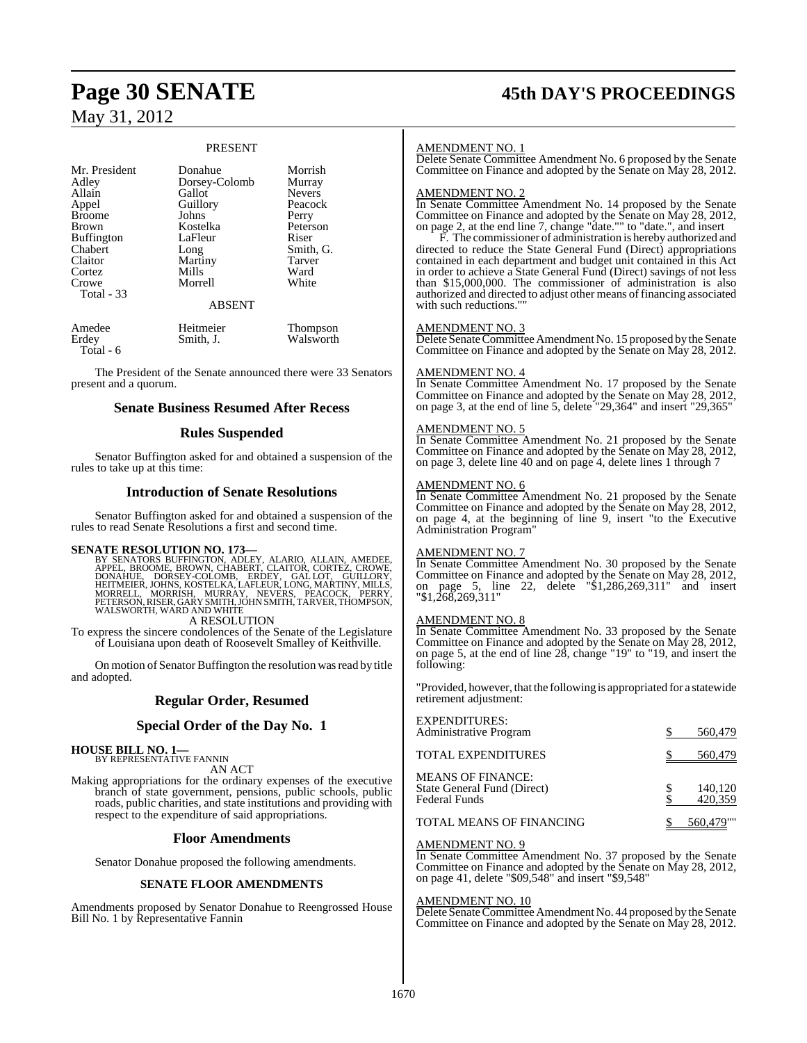#### PRESENT

| Mr. President<br>Adley<br>Allain<br>Appel<br><b>Broome</b><br><b>Brown</b><br><b>Buffington</b><br>Chabert<br>Claitor<br>Cortez<br>Crowe<br>Total $-33$ | Donahue<br>Dorsey-Colomb<br>Gallot<br>Guillory<br>Johns<br>Kostelka<br>LaFleur<br>Long<br>Martiny<br>Mills<br>Morrell<br><b>ABSENT</b> | Morrish<br>Murray<br><b>Nevers</b><br>Peacock<br>Perry<br>Peterson<br>Riser<br>Smith, G.<br>Tarver<br>Ward<br>White |
|---------------------------------------------------------------------------------------------------------------------------------------------------------|----------------------------------------------------------------------------------------------------------------------------------------|---------------------------------------------------------------------------------------------------------------------|
| Amedee<br>Erdey<br>Total - 6                                                                                                                            | Heitmeier<br>Smith, J.                                                                                                                 | <b>Thompson</b><br>Walsworth                                                                                        |

The President of the Senate announced there were 33 Senators present and a quorum.

#### **Senate Business Resumed After Recess**

#### **Rules Suspended**

Senator Buffington asked for and obtained a suspension of the rules to take up at this time:

#### **Introduction of Senate Resolutions**

Senator Buffington asked for and obtained a suspension of the rules to read Senate Resolutions a first and second time.

#### **SENATE RESOLUTION NO. 173—**

BY SENATORS BUFFINGTON, ADLEY, ALARIO, ALLAIN, AMEDEE,<br>APPEL, BROOME, BROWN, CHABERT, CLAITOR, CORTEZ, CROWE,<br>DONAHUE, DORSEY-COLOMB, ERDEY, GAL LOT, GUILLORY,<br>HEITMEIER, JOHNS, KOSTELKA, LAFLEUR, LONG, MARTINY, MILLS,<br>MOR WALSWORTH, WARD AND WHITE A RESOLUTION

To express the sincere condolences of the Senate of the Legislature of Louisiana upon death of Roosevelt Smalley of Keithville.

On motion of Senator Buffington the resolution was read by title and adopted.

## **Regular Order, Resumed**

#### **Special Order of the Day No. 1**

#### **HOUSE BILL NO. 1—**

BY REPRESENTATIVE FANNIN AN ACT

Making appropriations for the ordinary expenses of the executive branch of state government, pensions, public schools, public roads, public charities, and state institutions and providing with respect to the expenditure of said appropriations.

#### **Floor Amendments**

Senator Donahue proposed the following amendments.

#### **SENATE FLOOR AMENDMENTS**

Amendments proposed by Senator Donahue to Reengrossed House Bill No. 1 by Representative Fannin

# **Page 30 SENATE 45th DAY'S PROCEEDINGS**

#### AMENDMENT NO. 1

Delete Senate Committee Amendment No. 6 proposed by the Senate Committee on Finance and adopted by the Senate on May 28, 2012.

#### AMENDMENT NO. 2

In Senate Committee Amendment No. 14 proposed by the Senate Committee on Finance and adopted by the Senate on May 28, 2012, on page 2, at the end line 7, change "date."" to "date.", and insert

F. The commissioner of administration is hereby authorized and directed to reduce the State General Fund (Direct) appropriations contained in each department and budget unit contained in this Act in order to achieve a State General Fund (Direct) savings of not less than \$15,000,000. The commissioner of administration is also authorized and directed to adjust other means of financing associated with such reductions."

#### AMENDMENT NO. 3

Delete Senate Committee Amendment No. 15 proposed by the Senate Committee on Finance and adopted by the Senate on May 28, 2012.

#### AMENDMENT NO. 4

In Senate Committee Amendment No. 17 proposed by the Senate Committee on Finance and adopted by the Senate on May 28, 2012, on page 3, at the end of line 5, delete "29,364" and insert "29,365"

#### AMENDMENT NO. 5

In Senate Committee Amendment No. 21 proposed by the Senate Committee on Finance and adopted by the Senate on May 28, 2012, on page 3, delete line 40 and on page 4, delete lines 1 through 7

#### AMENDMENT NO. 6

In Senate Committee Amendment No. 21 proposed by the Senate Committee on Finance and adopted by the Senate on May 28, 2012, on page 4, at the beginning of line 9, insert "to the Executive Administration Program"

#### AMENDMENT NO. 7

In Senate Committee Amendment No. 30 proposed by the Senate Committee on Finance and adopted by the Senate on May 28, 2012, on page 5, line 22, delete "\$1,286,269,311" and insert "\$1,268,269,311"

#### <u>AMENDMENT NO. 8</u>

In Senate Committee Amendment No. 33 proposed by the Senate Committee on Finance and adopted by the Senate on May 28, 2012, on page 5, at the end of line 28, change "19" to "19, and insert the following:

"Provided, however, that the following is appropriated for a statewide retirement adjustment:

| <b>EXPENDITURES:</b><br><b>Administrative Program</b>                           | 560,479            |
|---------------------------------------------------------------------------------|--------------------|
| TOTAL EXPENDITURES                                                              | 560,479            |
| <b>MEANS OF FINANCE:</b><br>State General Fund (Direct)<br><b>Federal Funds</b> | 140,120<br>420,359 |
| <b>TOTAL MEANS OF FINANCING</b>                                                 | 560,479""          |

#### AMENDMENT NO. 9

In Senate Committee Amendment No. 37 proposed by the Senate Committee on Finance and adopted by the Senate on May 28, 2012, on page 41, delete "\$09,548" and insert "\$9,548"

#### AMENDMENT NO. 10

Delete Senate Committee Amendment No. 44 proposed by the Senate Committee on Finance and adopted by the Senate on May 28, 2012.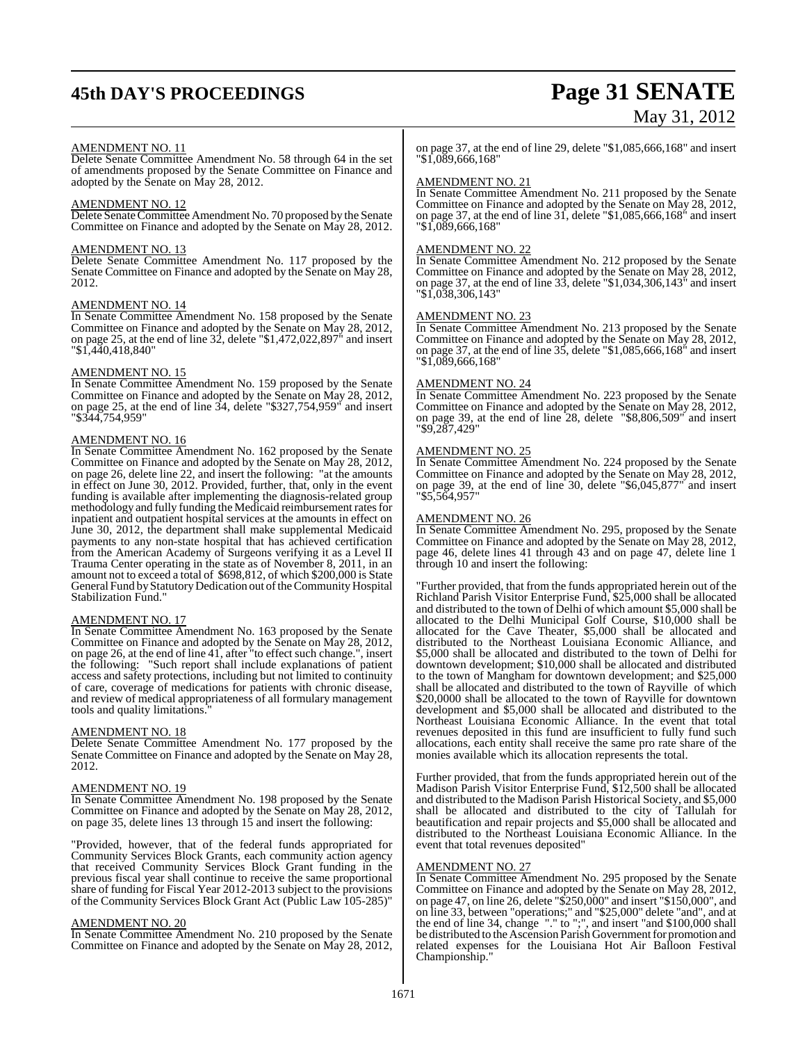# **45th DAY'S PROCEEDINGS Page 31 SENATE**

# May 31, 2012

#### AMENDMENT NO. 11

Delete Senate Committee Amendment No. 58 through 64 in the set of amendments proposed by the Senate Committee on Finance and adopted by the Senate on May 28, 2012.

#### AMENDMENT NO. 12

Delete Senate Committee Amendment No. 70 proposed by the Senate Committee on Finance and adopted by the Senate on May 28, 2012.

#### AMENDMENT NO. 13

Delete Senate Committee Amendment No. 117 proposed by the Senate Committee on Finance and adopted by the Senate on May 28, 2012.

#### AMENDMENT NO. 14

In Senate Committee Amendment No. 158 proposed by the Senate Committee on Finance and adopted by the Senate on May 28, 2012, on page 25, at the end of line 32, delete "\$1,472,022,897" and insert "\$1,440,418,840"

#### AMENDMENT NO. 15

In Senate Committee Amendment No. 159 proposed by the Senate Committee on Finance and adopted by the Senate on May 28, 2012, on page 25, at the end of line 34, delete "\$327,754,959" and insert "\$344,754,959"

#### AMENDMENT NO. 16

In Senate Committee Amendment No. 162 proposed by the Senate Committee on Finance and adopted by the Senate on May 28, 2012, on page 26, delete line 22, and insert the following: "at the amounts in effect on June 30, 2012. Provided, further, that, only in the event funding is available after implementing the diagnosis-related group methodology and fully funding the Medicaid reimbursement rates for inpatient and outpatient hospital services at the amounts in effect on June 30, 2012, the department shall make supplemental Medicaid payments to any non-state hospital that has achieved certification from the American Academy of Surgeons verifying it as a Level II Trauma Center operating in the state as of November 8, 2011, in an amount not to exceed a total of \$698,812, of which \$200,000 is State General Fund byStatutory Dedication out of the Community Hospital Stabilization Fund."

## AMENDMENT NO. 17

In Senate Committee Amendment No. 163 proposed by the Senate Committee on Finance and adopted by the Senate on May 28, 2012, on page 26, at the end of line 41, after "to effect such change.", insert the following: "Such report shall include explanations of patient access and safety protections, including but not limited to continuity of care, coverage of medications for patients with chronic disease, and review of medical appropriateness of all formulary management tools and quality limitations.

#### AMENDMENT NO. 18

Delete Senate Committee Amendment No. 177 proposed by the Senate Committee on Finance and adopted by the Senate on May 28, 2012.

#### AMENDMENT NO. 19

In Senate Committee Amendment No. 198 proposed by the Senate Committee on Finance and adopted by the Senate on May 28, 2012, on page 35, delete lines 13 through 15 and insert the following:

"Provided, however, that of the federal funds appropriated for Community Services Block Grants, each community action agency that received Community Services Block Grant funding in the previous fiscal year shall continue to receive the same proportional share of funding for Fiscal Year 2012-2013 subject to the provisions of the Community Services Block Grant Act (Public Law 105-285)"

#### AMENDMENT NO. 20

In Senate Committee Amendment No. 210 proposed by the Senate Committee on Finance and adopted by the Senate on May 28, 2012,

on page 37, at the end of line 29, delete "\$1,085,666,168" and insert "\$1,089,666,168"

#### AMENDMENT NO. 21

In Senate Committee Amendment No. 211 proposed by the Senate Committee on Finance and adopted by the Senate on May 28, 2012, on page 37, at the end of line 31, delete "\$1,085,666,168" and insert "\$1,089,666,168"

#### AMENDMENT NO. 22

In Senate Committee Amendment No. 212 proposed by the Senate Committee on Finance and adopted by the Senate on May 28, 2012, on page 37, at the end of line 33, delete "\$1,034,306,143" and insert "\$1,038,306,143"

#### AMENDMENT NO. 23

In Senate Committee Amendment No. 213 proposed by the Senate Committee on Finance and adopted by the Senate on May 28, 2012, on page 37, at the end of line 35, delete "\$1,085,666,168" and insert "\$1,089,666,168"

## AMENDMENT NO. 24

In Senate Committee Amendment No. 223 proposed by the Senate Committee on Finance and adopted by the Senate on May 28, 2012, on page 39, at the end of line 28, delete "\$8,806,509" and insert "\$9,287,429"

#### AMENDMENT NO. 25

In Senate Committee Amendment No. 224 proposed by the Senate Committee on Finance and adopted by the Senate on May 28, 2012, on page 39, at the end of line 30, delete "\$6,045,877" and insert "\$5,564,957"

#### AMENDMENT NO. 26

In Senate Committee Amendment No. 295, proposed by the Senate Committee on Finance and adopted by the Senate on May 28, 2012, page 46, delete lines 41 through 43 and on page 47, delete line 1 through 10 and insert the following:

"Further provided, that from the funds appropriated herein out of the Richland Parish Visitor Enterprise Fund, \$25,000 shall be allocated and distributed to the town of Delhi of which amount \$5,000 shall be allocated to the Delhi Municipal Golf Course, \$10,000 shall be allocated for the Cave Theater, \$5,000 shall be allocated and distributed to the Northeast Louisiana Economic Alliance, and \$5,000 shall be allocated and distributed to the town of Delhi for downtown development; \$10,000 shall be allocated and distributed to the town of Mangham for downtown development; and \$25,000 shall be allocated and distributed to the town of Rayville of which \$20,0000 shall be allocated to the town of Rayville for downtown development and \$5,000 shall be allocated and distributed to the Northeast Louisiana Economic Alliance. In the event that total revenues deposited in this fund are insufficient to fully fund such allocations, each entity shall receive the same pro rate share of the monies available which its allocation represents the total.

Further provided, that from the funds appropriated herein out of the Madison Parish Visitor Enterprise Fund, \$12,500 shall be allocated and distributed to the Madison Parish Historical Society, and \$5,000 shall be allocated and distributed to the city of Tallulah for beautification and repair projects and \$5,000 shall be allocated and distributed to the Northeast Louisiana Economic Alliance. In the event that total revenues deposited"

#### AMENDMENT NO. 27

In Senate Committee Amendment No. 295 proposed by the Senate Committee on Finance and adopted by the Senate on May 28, 2012, on page 47, on line 26, delete "\$250,000" and insert "\$150,000", and on line 33, between "operations;" and "\$25,000" delete "and", and at the end of line 34, change "." to ";", and insert "and \$100,000 shall be distributed to the Ascension Parish Government for promotion and related expenses for the Louisiana Hot Air Balloon Festival Championship."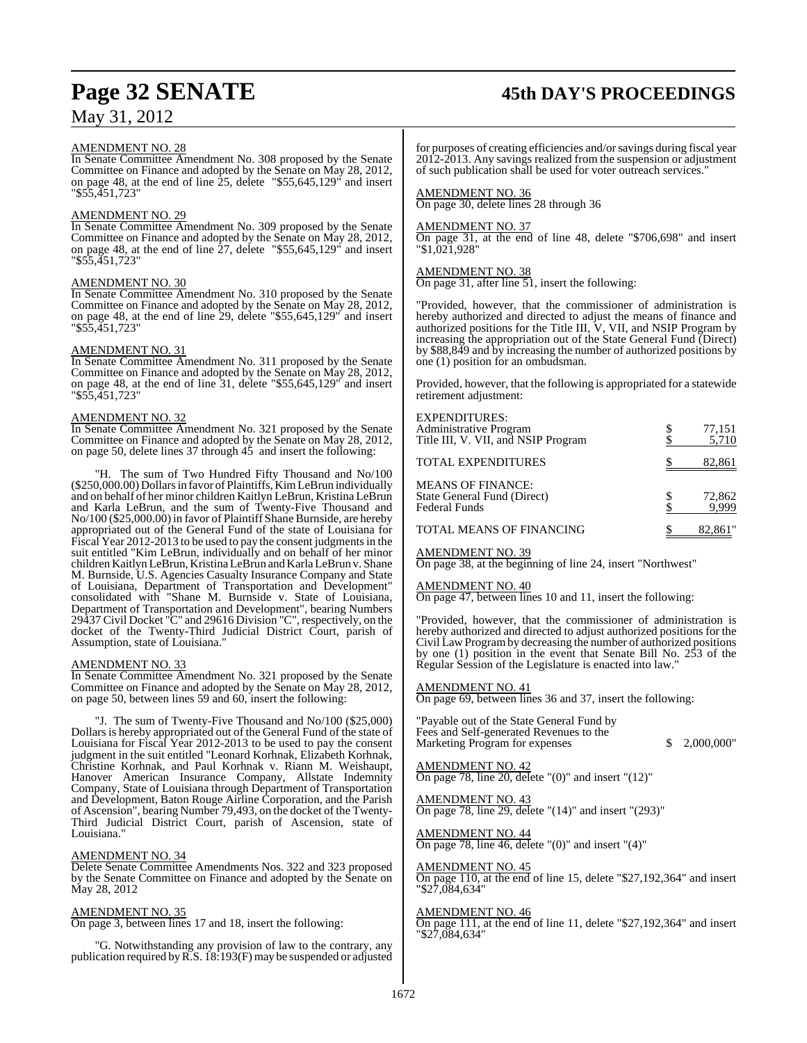#### AMENDMENT NO. 28

In Senate Committee Amendment No. 308 proposed by the Senate Committee on Finance and adopted by the Senate on May 28, 2012, on page 48, at the end of line 25, delete "\$55,645,129" and insert "\$55,451,723"

#### AMENDMENT NO. 29

In Senate Committee Amendment No. 309 proposed by the Senate Committee on Finance and adopted by the Senate on May 28, 2012, on page 48, at the end of line 27, delete "\$55,645,129" and insert "\$55,451,723"

#### AMENDMENT NO. 30

In Senate Committee Amendment No. 310 proposed by the Senate Committee on Finance and adopted by the Senate on May 28, 2012, on page 48, at the end of line 29, delete "\$55,645,129" and insert "\$55,451,723"

#### AMENDMENT NO. 31

In Senate Committee Amendment No. 311 proposed by the Senate Committee on Finance and adopted by the Senate on May 28, 2012, on page 48, at the end of line 31, delete "\$55,645,129" and insert "\$55,451,723"

#### AMENDMENT NO. 32

In Senate Committee Amendment No. 321 proposed by the Senate Committee on Finance and adopted by the Senate on May 28, 2012, on page 50, delete lines 37 through 45 and insert the following:

"H. The sum of Two Hundred Fifty Thousand and No/100 (\$250,000.00) Dollarsin favor of Plaintiffs, Kim LeBrun individually and on behalf of her minor children Kaitlyn LeBrun, Kristina LeBrun and Karla LeBrun, and the sum of Twenty-Five Thousand and No/100 (\$25,000.00) in favor of Plaintiff Shane Burnside, are hereby appropriated out of the General Fund of the state of Louisiana for Fiscal Year 2012-2013 to be used to pay the consent judgments in the suit entitled "Kim LeBrun, individually and on behalf of her minor children Kaitlyn LeBrun, Kristina LeBrun and Karla LeBrun v. Shane M. Burnside, U.S. Agencies Casualty Insurance Company and State of Louisiana, Department of Transportation and Development" consolidated with "Shane M. Burnside v. State of Louisiana, Department of Transportation and Development", bearing Numbers 29437 Civil Docket "C" and 29616 Division "C", respectively, on the docket of the Twenty-Third Judicial District Court, parish of Assumption, state of Louisiana."

#### AMENDMENT NO. 33

In Senate Committee Amendment No. 321 proposed by the Senate Committee on Finance and adopted by the Senate on May 28, 2012, on page 50, between lines 59 and 60, insert the following:

"J. The sum of Twenty-Five Thousand and No/100 (\$25,000) Dollars is hereby appropriated out of the General Fund of the state of Louisiana for Fiscal Year 2012-2013 to be used to pay the consent judgment in the suit entitled "Leonard Korhnak, Elizabeth Korhnak, Christine Korhnak, and Paul Korhnak v. Riann M. Weishaupt, Hanover American Insurance Company, Allstate Indemnity Company, State of Louisiana through Department of Transportation and Development, Baton Rouge Airline Corporation, and the Parish of Ascension", bearing Number 79,493, on the docket of the Twenty-Third Judicial District Court, parish of Ascension, state of Louisiana.'

#### AMENDMENT NO. 34

Delete Senate Committee Amendments Nos. 322 and 323 proposed by the Senate Committee on Finance and adopted by the Senate on May 28, 2012

#### AMENDMENT NO. 35

On page 3, between lines 17 and 18, insert the following:

"G. Notwithstanding any provision of law to the contrary, any publication required by R.S. 18:193(F) may be suspended or adjusted

## **Page 32 SENATE 45th DAY'S PROCEEDINGS**

for purposes of creating efficiencies and/orsavings during fiscal year 2012-2013. Any savings realized from the suspension or adjustment of such publication shall be used for voter outreach services."

#### AMENDMENT NO. 36

On page 30, delete lines 28 through 36

#### AMENDMENT NO. 37

On page 31, at the end of line 48, delete "\$706,698" and insert "\$1,021,928"

#### AMENDMENT NO. 38

On page 31, after line 51, insert the following:

"Provided, however, that the commissioner of administration is hereby authorized and directed to adjust the means of finance and authorized positions for the Title III, V, VII, and NSIP Program by increasing the appropriation out of the State General Fund (Direct) by \$88,849 and by increasing the number of authorized positions by one (1) position for an ombudsman.

Provided, however, that the following is appropriated for a statewide retirement adjustment:

| <b>EXPENDITURES:</b><br>Administrative Program<br>Title III, V. VII, and NSIP Program | 77,151<br>5,710 |
|---------------------------------------------------------------------------------------|-----------------|
| <b>TOTAL EXPENDITURES</b>                                                             | 82,861          |
| <b>MEANS OF FINANCE:</b><br>State General Fund (Direct)<br>Federal Funds              | 72,862<br>9.999 |
| TOTAL MEANS OF FINANCING                                                              | 82,861"         |

#### AMENDMENT NO. 39

On page 38, at the beginning of line 24, insert "Northwest"

#### AMENDMENT NO. 40

On page 47, between lines 10 and 11, insert the following:

"Provided, however, that the commissioner of administration is hereby authorized and directed to adjust authorized positions for the Civil Law Program by decreasing the number of authorized positions by one (1) position in the event that Senate Bill No. 253 of the Regular Session of the Legislature is enacted into law."

#### AMENDMENT NO. 41

On page 69, between lines 36 and 37, insert the following:

"Payable out of the State General Fund by Fees and Self-generated Revenues to the Marketing Program for expenses  $\qquad$  \$ 2,000,000"

AMENDMENT NO. 42 On page 78, line 20, delete "(0)" and insert "(12)"

AMENDMENT NO. 43 On page 78, line 29, delete "(14)" and insert "(293)"

AMENDMENT NO. 44 On page 78, line 46, delete " $(0)$ " and insert " $(4)$ "

## AMENDMENT NO. 45

On page 110, at the end of line 15, delete "\$27,192,364" and insert "\$27,084,634"

#### AMENDMENT NO. 46

On page 111, at the end of line 11, delete "\$27,192,364" and insert "\$27,084,634"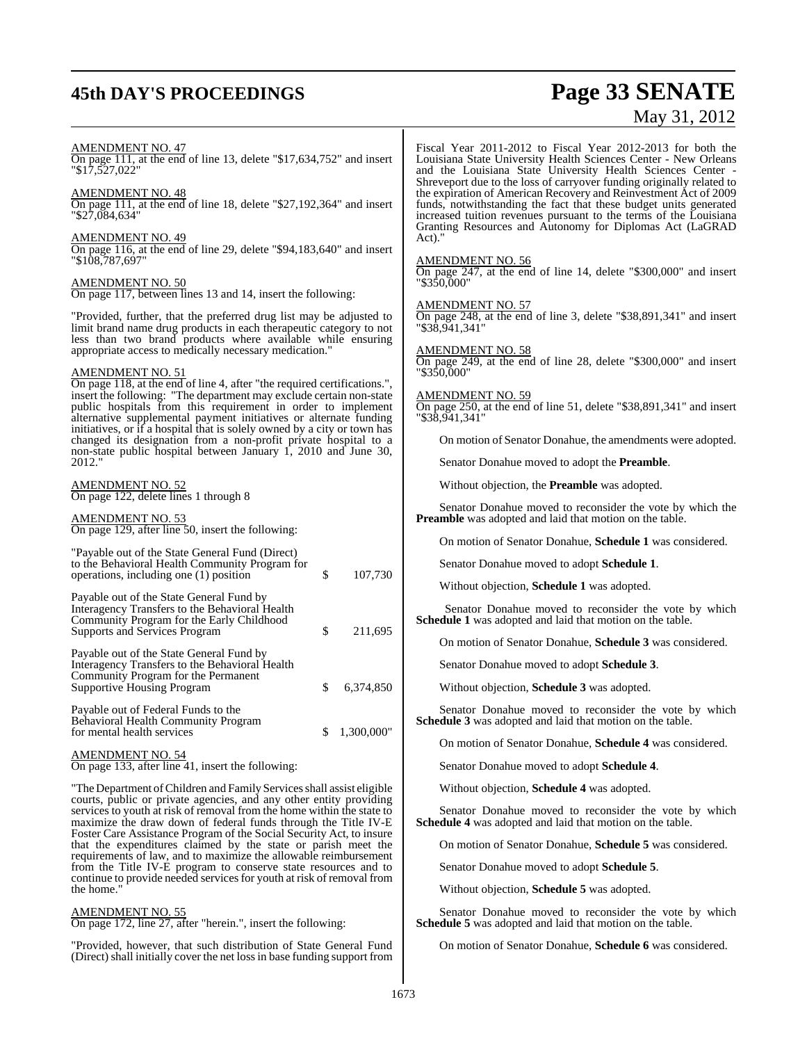# **45th DAY'S PROCEEDINGS Page 33 SENATE**

# May 31, 2012

| <b>AMENDMENT NO. 47</b><br>On page 111, at the end of line 13, delete "\$17,634,752" and insert<br>"\$17,527,022"                                                                                                                                                                    | Fiscal Year 2<br>Louisiana Stat<br>and the Loui                                               |
|--------------------------------------------------------------------------------------------------------------------------------------------------------------------------------------------------------------------------------------------------------------------------------------|-----------------------------------------------------------------------------------------------|
| AMENDMENT NO. 48<br>On page 111, at the end of line 18, delete "\$27,192,364" and insert<br>"\$27,084,634"                                                                                                                                                                           | Shreveport due<br>the expiration<br>funds, notwith<br>increased tuiti<br><b>Granting Resc</b> |
| AMENDMENT NO. 49<br>On page 116, at the end of line 29, delete " $$94,183,640"$ and insert<br>"\$108,787,697"                                                                                                                                                                        | Act)."<br><b>AMENDMEN</b><br>On page 247,                                                     |
| AMENDMENT NO. 50<br>On page 117, between lines 13 and 14, insert the following:                                                                                                                                                                                                      | "\$350,000"                                                                                   |
| "Provided, further, that the preferred drug list may be adjusted to<br>limit brand name drug products in each therapeutic category to not<br>less than two brand products where available while ensuring                                                                             | <b>AMENDMEN</b><br>On page 248,<br>"\$38,941,341"                                             |
| appropriate access to medically necessary medication."<br><b>AMENDMENT NO. 51</b>                                                                                                                                                                                                    | <u>AMENDMEN</u><br>On page 249,<br>"\$350,000"                                                |
| On page 118, at the end of line 4, after "the required certifications.",<br>insert the following: "The department may exclude certain non-state<br>public hospitals from this requirement in order to implement<br>alternative supplemental payment initiatives or alternate funding | <u>AMENDMEN</u><br>On page 250, a<br>"\$38,941,341"                                           |
| initiatives, or if a hospital that is solely owned by a city or town has<br>changed its designation from a non-profit private hospital to a                                                                                                                                          | On motion                                                                                     |
| non-state public hospital between January 1, 2010 and June 30,<br>2012."                                                                                                                                                                                                             | Senator D                                                                                     |
| <b>AMENDMENT NO. 52</b><br>On page 122, delete lines 1 through 8                                                                                                                                                                                                                     | Without c                                                                                     |
| <u>AMENDMENT NO. 53</u><br>On page 129, after line 50, insert the following:                                                                                                                                                                                                         | Senator L<br><b>Preamble</b> was                                                              |
|                                                                                                                                                                                                                                                                                      | On motio                                                                                      |
| "Payable out of the State General Fund (Direct)<br>to the Behavioral Health Community Program for<br>\$<br>107,730<br>operations, including one (1) position                                                                                                                         | Senator D                                                                                     |
| Payable out of the State General Fund by<br>Interagency Transfers to the Behavioral Health<br>Community Program for the Early Childhood<br>\$                                                                                                                                        | Without c<br>Senator<br><b>Schedule 1 wa</b>                                                  |
| Supports and Services Program<br>211,695                                                                                                                                                                                                                                             | On motio                                                                                      |
| Payable out of the State General Fund by<br>Interagency Transfers to the Behavioral Health                                                                                                                                                                                           | Senator D                                                                                     |
| Community Program for the Permanent<br>\$<br><b>Supportive Housing Program</b><br>6,374,850                                                                                                                                                                                          | Without c                                                                                     |
| Payable out of Federal Funds to the<br><b>Behavioral Health Community Program</b><br>\$1,300,000"<br>for mental health services                                                                                                                                                      | Senator I<br><b>Schedule 3 wa</b>                                                             |
| <b>AMENDMENT NO. 54</b>                                                                                                                                                                                                                                                              | On motio                                                                                      |
| On page 133, after line 41, insert the following:                                                                                                                                                                                                                                    | Senator D                                                                                     |
| "The Department of Children and Family Services shall assist eligible<br>courts, public or private agencies, and any other entity providing                                                                                                                                          | Without c                                                                                     |
| services to youth at risk of removal from the home within the state to<br>maximize the draw down of federal funds through the Title IV-E                                                                                                                                             | Senator I<br><b>Schedule 4 wa</b>                                                             |
| Foster Care Assistance Program of the Social Security Act, to insure<br>that the expenditures claimed by the state or parish meet the                                                                                                                                                | On motio                                                                                      |
| requirements of law, and to maximize the allowable reimbursement<br>from the Title IV-E program to conserve state resources and to                                                                                                                                                   | Senator D                                                                                     |

#### AMENDMENT NO. 55

the home."

On page 172, line 27, after "herein.", insert the following:

"Provided, however, that such distribution of State General Fund (Direct) shall initially cover the net loss in base funding support from

continue to provide needed services for youth at risk of removal from

2011-2012 to Fiscal Year 2012-2013 for both the tte University Health Sciences Center - New Orleans isiana State University Health Sciences Center le to the loss of carryover funding originally related to of American Recovery and Reinvestment Act of 2009 funds, notwithstanding the fact that these budget units generated increased tuition revenues pursuant to the terms of the Louisiana Granting Resources and Autonomy for Diplomas Act (LaGRAD

#### **NT NO. 56**

at the end of line 14, delete "\$300,000" and insert

NT NO. 57 at the end of line 3, delete "\$38,891,341" and insert

## **NT NO. 58** at the end of line 28, delete "\$300,000" and insert

#### **NT NO. 59**

at the end of line 51, delete "\$38,891,341" and insert "\$38,941,341"

on of Senator Donahue, the amendments were adopted.

Donahue moved to adopt the **Preamble**.

objection, the **Preamble** was adopted.

Donahue moved to reconsider the vote by which the s adopted and laid that motion on the table.

on of Senator Donahue, Schedule 1 was considered.

Donahue moved to adopt **Schedule 1**.

objection, **Schedule 1** was adopted.

Donahue moved to reconsider the vote by which as adopted and laid that motion on the table.

on of Senator Donahue, Schedule 3 was considered.

Donahue moved to adopt **Schedule 3**.

objection, **Schedule 3** was adopted.

Donahue moved to reconsider the vote by which **Schedule 3 Schedule 3 Schedule 3 Constraint 3 Constraint 3 Constraint 3 Constraint 3 Constraint 3 Constraint 3 Constraint 3 Constraint 3 Constraint 3 Constraint 3 Constraint**

on of Senator Donahue, Schedule 4 was considered.

Donahue moved to adopt **Schedule 4**.

objection, Schedule 4 was adopted.

Donahue moved to reconsider the vote by which as adopted and laid that motion on the table.

on of Senator Donahue, Schedule 5 was considered.

Senator Donahue moved to adopt **Schedule 5**.

Without objection, **Schedule 5** was adopted.

Senator Donahue moved to reconsider the vote by which **Schedule 5** was adopted and laid that motion on the table.

On motion of Senator Donahue, **Schedule 6** was considered.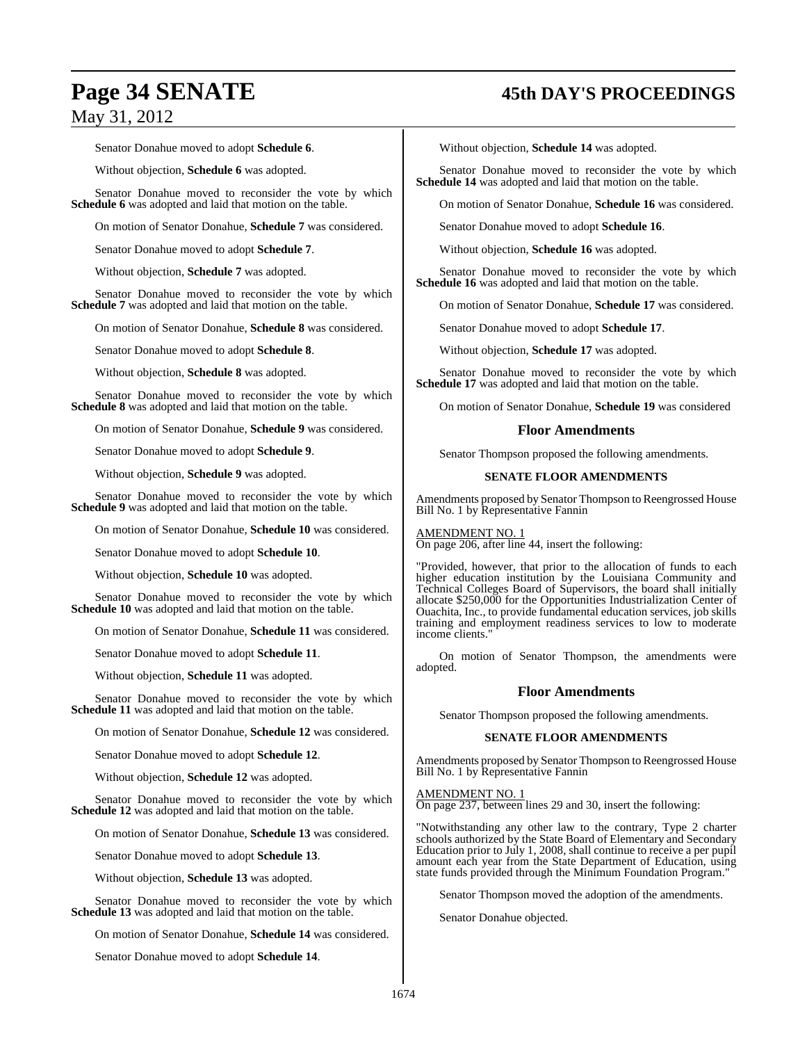Senator Donahue moved to adopt **Schedule 6**.

Without objection, **Schedule 6** was adopted.

Senator Donahue moved to reconsider the vote by which **Schedule 6** was adopted and laid that motion on the table.

On motion of Senator Donahue, **Schedule 7** was considered.

Senator Donahue moved to adopt **Schedule 7**.

Without objection, **Schedule 7** was adopted.

Senator Donahue moved to reconsider the vote by which **Schedule 7** was adopted and laid that motion on the table.

On motion of Senator Donahue, **Schedule 8** was considered.

Senator Donahue moved to adopt **Schedule 8**.

Without objection, **Schedule 8** was adopted.

Senator Donahue moved to reconsider the vote by which **Schedule 8** was adopted and laid that motion on the table.

On motion of Senator Donahue, **Schedule 9** was considered.

Senator Donahue moved to adopt **Schedule 9**.

Without objection, **Schedule 9** was adopted.

Senator Donahue moved to reconsider the vote by which **Schedule 9** was adopted and laid that motion on the table.

On motion of Senator Donahue, **Schedule 10** was considered.

Senator Donahue moved to adopt **Schedule 10**.

Without objection, **Schedule 10** was adopted.

Senator Donahue moved to reconsider the vote by which **Schedule 10** was adopted and laid that motion on the table.

On motion of Senator Donahue, **Schedule 11** was considered.

Senator Donahue moved to adopt **Schedule 11**.

Without objection, **Schedule 11** was adopted.

Senator Donahue moved to reconsider the vote by which **Schedule 11** was adopted and laid that motion on the table.

On motion of Senator Donahue, **Schedule 12** was considered.

Senator Donahue moved to adopt **Schedule 12**.

Without objection, **Schedule 12** was adopted.

Senator Donahue moved to reconsider the vote by which **Schedule 12** was adopted and laid that motion on the table.

On motion of Senator Donahue, **Schedule 13** was considered.

Senator Donahue moved to adopt **Schedule 13**.

Without objection, **Schedule 13** was adopted.

Senator Donahue moved to reconsider the vote by which **Schedule 13** was adopted and laid that motion on the table.

On motion of Senator Donahue, **Schedule 14** was considered.

Senator Donahue moved to adopt **Schedule 14**.

## **Page 34 SENATE 45th DAY'S PROCEEDINGS**

Without objection, **Schedule 14** was adopted.

Senator Donahue moved to reconsider the vote by which **Schedule 14** was adopted and laid that motion on the table.

On motion of Senator Donahue, **Schedule 16** was considered.

Senator Donahue moved to adopt **Schedule 16**.

Without objection, **Schedule 16** was adopted.

Senator Donahue moved to reconsider the vote by which **Schedule 16** was adopted and laid that motion on the table.

On motion of Senator Donahue, **Schedule 17** was considered.

Senator Donahue moved to adopt **Schedule 17**.

Without objection, **Schedule 17** was adopted.

Senator Donahue moved to reconsider the vote by which **Schedule 17** was adopted and laid that motion on the table.

On motion of Senator Donahue, **Schedule 19** was considered

#### **Floor Amendments**

Senator Thompson proposed the following amendments.

#### **SENATE FLOOR AMENDMENTS**

Amendments proposed by Senator Thompson to Reengrossed House Bill No. 1 by Representative Fannin

AMENDMENT NO. 1

On page 206, after line 44, insert the following:

"Provided, however, that prior to the allocation of funds to each higher education institution by the Louisiana Community and Technical Colleges Board of Supervisors, the board shall initially allocate \$250,000 for the Opportunities Industrialization Center of Ouachita, Inc., to provide fundamental education services, job skills training and employment readiness services to low to moderate income clients."

On motion of Senator Thompson, the amendments were adopted.

#### **Floor Amendments**

Senator Thompson proposed the following amendments.

#### **SENATE FLOOR AMENDMENTS**

Amendments proposed by Senator Thompson to Reengrossed House Bill No. 1 by Representative Fannin

AMENDMENT NO. 1 On page 237, between lines 29 and 30, insert the following:

"Notwithstanding any other law to the contrary, Type 2 charter schools authorized by the State Board of Elementary and Secondary Education prior to July 1, 2008, shall continue to receive a per pupil amount each year from the State Department of Education, using state funds provided through the Minimum Foundation Program."

Senator Thompson moved the adoption of the amendments.

Senator Donahue objected.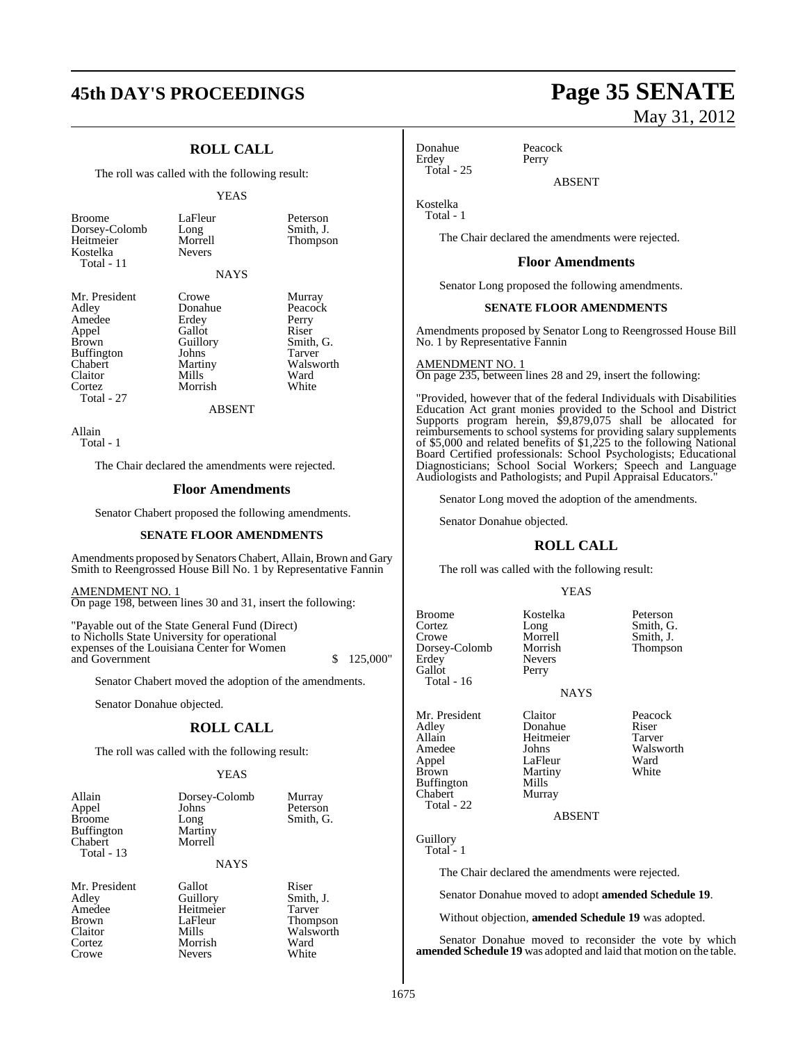## **45th DAY'S PROCEEDINGS Page 35 SENATE**

## **ROLL CALL**

The roll was called with the following result:

#### YEAS

LaFleur Peterson<br>Long Smith, J. Long Smith, J.<br>Morrell Thompso

**Thompson** 

| <b>Broome</b> |  |
|---------------|--|
| Dorsey-Colomb |  |
| Heitmeier     |  |
| Kostelka      |  |
| Total - 11    |  |

NAYS

| Mr. President | Crowe         | Murray    |
|---------------|---------------|-----------|
| Adley         | Donahue       | Peacock   |
| Amedee        | Erdey         | Perry     |
| Appel         | Gallot        | Riser     |
| Brown         | Guillory      | Smith, G. |
| Buffington    | Johns         | Tarver    |
| Chabert       | Martiny       | Walsworth |
| Claitor       | Mills         | Ward      |
| Cortez        | Morrish       | White     |
| Total - 27    |               |           |
|               | <b>ABSENT</b> |           |
|               |               |           |

Nevers

Allain Total - 1

The Chair declared the amendments were rejected.

#### **Floor Amendments**

Senator Chabert proposed the following amendments.

#### **SENATE FLOOR AMENDMENTS**

Amendments proposed by Senators Chabert, Allain, Brown and Gary Smith to Reengrossed House Bill No. 1 by Representative Fannin

AMENDMENT NO. 1 On page 198, between lines 30 and 31, insert the following:

"Payable out of the State General Fund (Direct) to Nicholls State University for operational expenses of the Louisiana Center for Women and Government \$ 125,000"

Senator Chabert moved the adoption of the amendments.

Senator Donahue objected.

## **ROLL CALL**

The roll was called with the following result:

#### **YEAS**

Murray Peterson Smith, G.

Smith, J.

Walsworth<br>Ward

| Allain            | Dorsey-Colomb |
|-------------------|---------------|
| Appel             | Johns         |
| <b>Broome</b>     | Long          |
| Buffington        | Martiny       |
| Chabert           | Morrell       |
| <b>Total - 13</b> |               |

**NAYS** 

Mr. President Gallot Riser<br>Adlev Guillory Smith Amedee Heitmeier Tarver<br>Brown LaFleur Thomp Brown LaFleur Thompson<br>Claitor Mills Walsworth Cortez Morrish Ward<br>
Crowe Nevers White<br>
Nevers White Crowe Nevers White

May 31, 2012

Donahue Peacock<br>Erdey Perry Erdey Total - 25

ABSENT

Kostelka Total - 1

The Chair declared the amendments were rejected.

#### **Floor Amendments**

Senator Long proposed the following amendments.

#### **SENATE FLOOR AMENDMENTS**

Amendments proposed by Senator Long to Reengrossed House Bill No. 1 by Representative Fannin

AMENDMENT NO. 1

On page 235, between lines 28 and 29, insert the following:

"Provided, however that of the federal Individuals with Disabilities Education Act grant monies provided to the School and District Supports program herein, \$9,879,075 shall be allocated for reimbursements to school systems for providing salary supplements of \$5,000 and related benefits of \$1,225 to the following National Board Certified professionals: School Psychologists; Educational Diagnosticians; School Social Workers; Speech and Language Audiologists and Pathologists; and Pupil Appraisal Educators."

Senator Long moved the adoption of the amendments.

Senator Donahue objected.

#### **ROLL CALL**

The roll was called with the following result:

#### YEAS

Broome Kostelka Peterson<br>Cortez Long Smith, G Cortez Long Smith, G. Long Smith, G.<br>
Morrell Smith, J.<br>
Morrish Thompson Dorsey-Colomb<br>Erdey Nevers<br>Perry Gallot Total - 16

NAYS

Heitmeier

Martiny<br>Mills

Mr. President Claitor Peacock<br>Adley Donahue Riser Adley Donahue Riser Appel LaFleur Ward<br>Brown Martiny White Buffington Chabert Murray Total - 22

Amedee Johns Walsworth<br>
Appel LaFleur Ward

ABSENT

Guillory Total - 1

The Chair declared the amendments were rejected.

Senator Donahue moved to adopt **amended Schedule 19**.

Without objection, **amended Schedule 19** was adopted.

Senator Donahue moved to reconsider the vote by which **amended Schedule 19** was adopted and laid that motion on the table.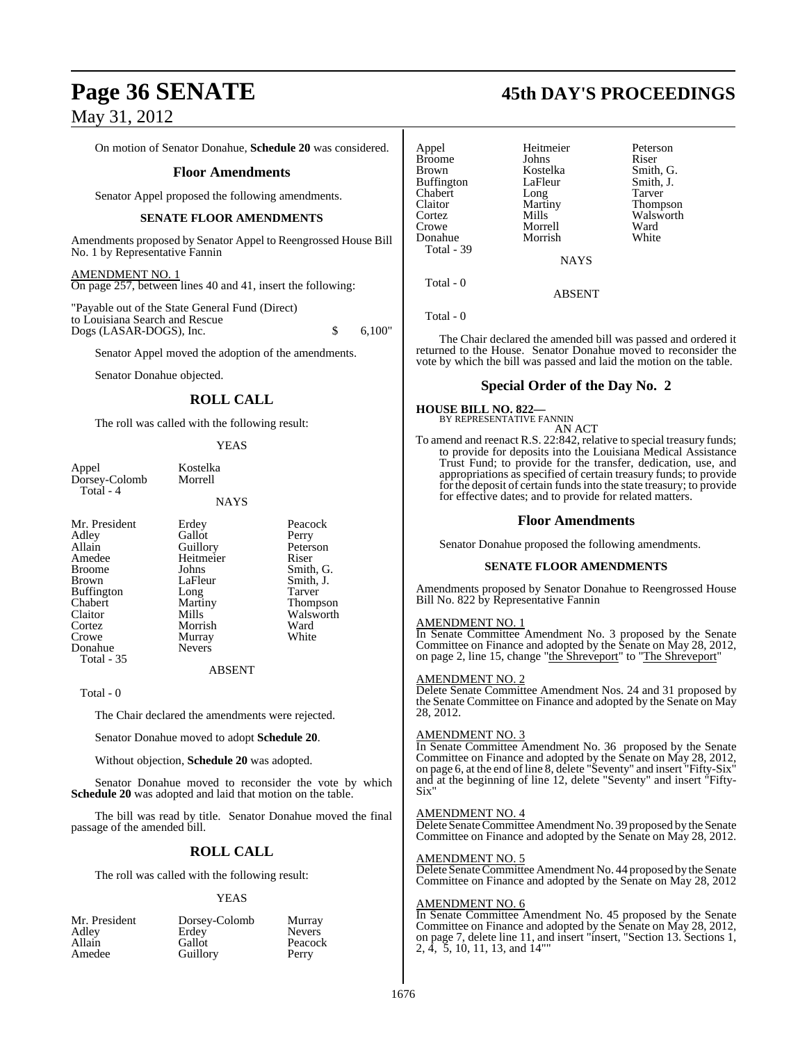On motion of Senator Donahue, **Schedule 20** was considered.

#### **Floor Amendments**

Senator Appel proposed the following amendments.

#### **SENATE FLOOR AMENDMENTS**

Amendments proposed by Senator Appel to Reengrossed House Bill No. 1 by Representative Fannin

AMENDMENT NO. 1 On page 257, between lines 40 and 41, insert the following:

"Payable out of the State General Fund (Direct) to Louisiana Search and Rescue Dogs (LASAR-DOGS), Inc. \$ 6,100"

Senator Appel moved the adoption of the amendments.

Senator Donahue objected.

#### **ROLL CALL**

The roll was called with the following result:

#### YEAS

**NAYS** 

Appel Kostelka<br>Dorsey-Colomb Morrell Dorsey-Colomb Total - 4

Mr. President Erdey Peacock<br>Adley Gallot Perry Adley Gallot Perry<br>
Allain Guillory Peterson Allain Guillory Peters<br>
Amedee Heitmeier Riser Amedee Heitmeier<br>Broome Johns Broome Johns Smith, G.<br>Brown LaFleur Smith, J. Buffington Long Tarver<br>
Chabert Martiny Thomp Chabert Martiny Thompson Claitor Mills Walsworth<br>
Cortez Morrish Ward Cortez Morrish Ward<br>Crowe Murray White Crowe Murray<br>Donahue Nevers

Total - 35

LaFleur Smith, J.<br>Long Tarver

Total - 0

The Chair declared the amendments were rejected.

Senator Donahue moved to adopt **Schedule 20**.

Nevers

Without objection, **Schedule 20** was adopted.

Senator Donahue moved to reconsider the vote by which **Schedule 20** was adopted and laid that motion on the table.

ABSENT

The bill was read by title. Senator Donahue moved the final passage of the amended bill.

#### **ROLL CALL**

The roll was called with the following result:

#### YEAS

| Mr. President | Dorsey-Colomb | Murray        |
|---------------|---------------|---------------|
| Adley         | Erdey         | <b>Nevers</b> |
| Allain        | Gallot        | Peacock       |
| Amedee        | Guillory      | Perry         |

## **Page 36 SENATE 45th DAY'S PROCEEDINGS**

| Appel         | Heitmeier   | Peterson        |
|---------------|-------------|-----------------|
| <b>Broome</b> | Johns       | Riser           |
| <b>Brown</b>  | Kostelka    | Smith, G.       |
| Buffington    | LaFleur     | Smith, J.       |
| Chabert       | Long        | Tarver          |
| Claitor       | Martiny     | <b>Thompson</b> |
| Cortez        | Mills       | Walswort        |
| Crowe         | Morrell     | Ward            |
| Donahue       | Morrish     | White           |
| Total - 39    |             |                 |
|               | <b>NAYS</b> |                 |

Smith, J.<br>Tarver Thompson Walsworth<br>Ward

ABSENT

Total - 0

Total - 0

The Chair declared the amended bill was passed and ordered it returned to the House. Senator Donahue moved to reconsider the vote by which the bill was passed and laid the motion on the table.

#### **Special Order of the Day No. 2**

## **HOUSE BILL NO. 822—** BY REPRESENTATIVE FANNIN AN ACT

To amend and reenact R.S. 22:842, relative to special treasury funds; to provide for deposits into the Louisiana Medical Assistance Trust Fund; to provide for the transfer, dedication, use, and appropriations as specified of certain treasury funds; to provide for the deposit of certain fundsinto the state treasury; to provide for effective dates; and to provide for related matters.

#### **Floor Amendments**

Senator Donahue proposed the following amendments.

#### **SENATE FLOOR AMENDMENTS**

Amendments proposed by Senator Donahue to Reengrossed House Bill No. 822 by Representative Fannin

#### AMENDMENT NO. 1

In Senate Committee Amendment No. 3 proposed by the Senate Committee on Finance and adopted by the Senate on May 28, 2012, on page 2, line 15, change "the Shreveport" to "The Shreveport"

#### AMENDMENT NO. 2

Delete Senate Committee Amendment Nos. 24 and 31 proposed by the Senate Committee on Finance and adopted by the Senate on May 28, 2012.

#### AMENDMENT NO. 3

In Senate Committee Amendment No. 36 proposed by the Senate Committee on Finance and adopted by the Senate on May 28, 2012, on page 6, at the end ofline 8, delete "Seventy" and insert "Fifty-Six" and at the beginning of line 12, delete "Seventy" and insert "Fifty-Six"

#### AMENDMENT NO. 4

Delete Senate Committee Amendment No. 39 proposed by the Senate Committee on Finance and adopted by the Senate on May 28, 2012.

#### AMENDMENT NO. 5

Delete Senate Committee Amendment No. 44 proposed by the Senate Committee on Finance and adopted by the Senate on May 28, 2012

#### AMENDMENT NO. 6

In Senate Committee Amendment No. 45 proposed by the Senate Committee on Finance and adopted by the Senate on May 28, 2012, on page 7, delete line 11, and insert "insert, "Section 13. Sections 1, 2,  $\dot{4}$ , 5, 10, 11, 13, and 14"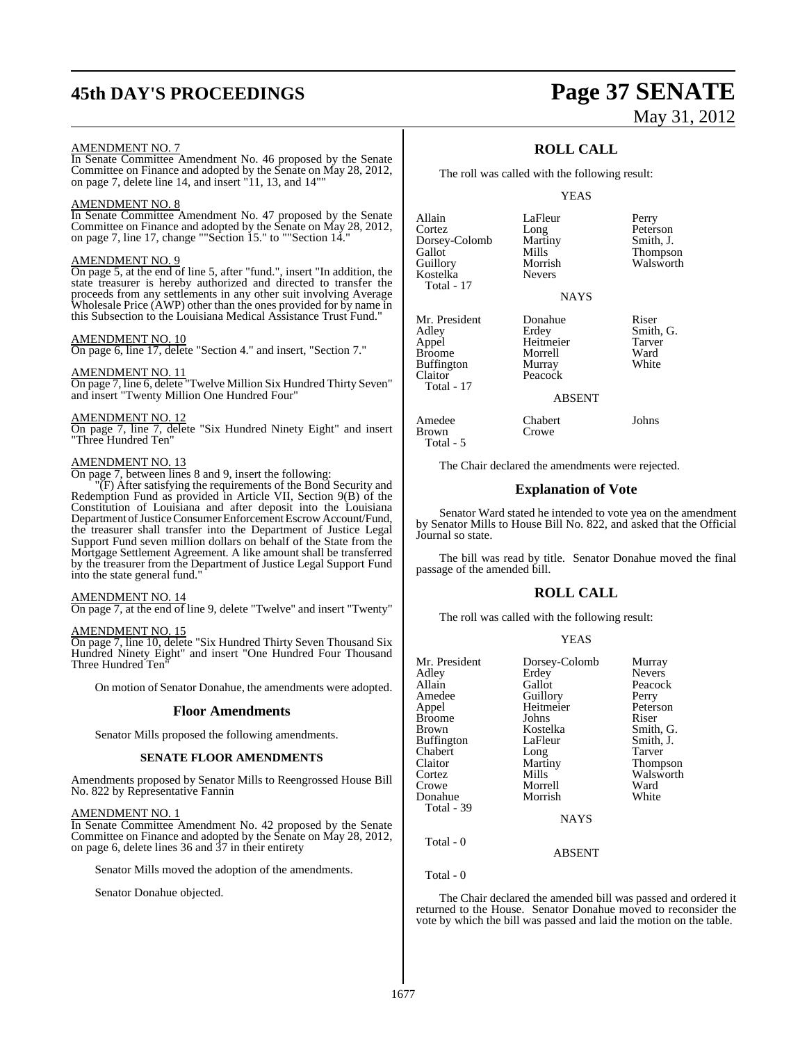## **45th DAY'S PROCEEDINGS Page 37 SENATE**

# May 31, 2012

#### AMENDMENT NO. 7

In Senate Committee Amendment No. 46 proposed by the Senate Committee on Finance and adopted by the Senate on May 28, 2012, on page 7, delete line 14, and insert "11, 13, and 14""

#### AMENDMENT NO. 8

In Senate Committee Amendment No. 47 proposed by the Senate Committee on Finance and adopted by the Senate on May 28, 2012, on page 7, line 17, change ""Section 15." to ""Section 14."

#### AMENDMENT NO. 9

On page 5, at the end of line 5, after "fund.", insert "In addition, the state treasurer is hereby authorized and directed to transfer the proceeds from any settlements in any other suit involving Average Wholesale Price (AWP) other than the ones provided for by name in this Subsection to the Louisiana Medical Assistance Trust Fund."

#### AMENDMENT NO. 10

On page 6, line 17, delete "Section 4." and insert, "Section 7."

#### AMENDMENT NO. 11

On page 7, line 6, delete "Twelve Million Six Hundred Thirty Seven" and insert "Twenty Million One Hundred Four"

#### AMENDMENT NO. 12

On page 7, line 7, delete "Six Hundred Ninety Eight" and insert "Three Hundred Ten"

#### AMENDMENT NO. 13

On page 7, between lines 8 and 9, insert the following:

"(F) After satisfying the requirements of the Bond Security and Redemption Fund as provided in Article VII, Section 9(B) of the Constitution of Louisiana and after deposit into the Louisiana Department of Justice Consumer Enforcement Escrow Account/Fund, the treasurer shall transfer into the Department of Justice Legal Support Fund seven million dollars on behalf of the State from the Mortgage Settlement Agreement. A like amount shall be transferred by the treasurer from the Department of Justice Legal Support Fund into the state general fund."

#### AMENDMENT NO. 14

On page 7, at the end of line 9, delete "Twelve" and insert "Twenty"

#### AMENDMENT NO. 15

On page 7, line 10, delete "Six Hundred Thirty Seven Thousand Six Hundred Ninety Eight" and insert "One Hundred Four Thousand Three Hundred Ten

On motion of Senator Donahue, the amendments were adopted.

#### **Floor Amendments**

Senator Mills proposed the following amendments.

#### **SENATE FLOOR AMENDMENTS**

Amendments proposed by Senator Mills to Reengrossed House Bill No. 822 by Representative Fannin

#### AMENDMENT NO. 1

In Senate Committee Amendment No. 42 proposed by the Senate Committee on Finance and adopted by the Senate on May 28, 2012, on page 6, delete lines 36 and 37 in their entirety

Senator Mills moved the adoption of the amendments.

Senator Donahue objected.

#### **ROLL CALL**

The roll was called with the following result:

#### YEAS

| Allain<br>Cortez<br>Dorsey-Colomb<br>Gallot<br>Guillory<br>Kostelka<br>Total - 17 | LaFleur<br>Long<br>Martiny<br>Mills<br>Morrish<br><b>Nevers</b> | Perry<br>Peterson<br>Smith, J.<br>Thompson<br>Walsworth |
|-----------------------------------------------------------------------------------|-----------------------------------------------------------------|---------------------------------------------------------|
|                                                                                   | <b>NAYS</b>                                                     |                                                         |
| Mr. President<br>Adley<br>Appel<br><b>Broome</b><br><b>Buffington</b><br>Claitor  | Donahue<br>Erdey<br>Heitmeier<br>Morrell<br>Murray<br>Peacock   | Riser<br>Smith, G.<br>Tarver<br>Ward<br>White           |

ent Donahue Riser<br>President Riser<br>Smith leitmeier Tarve<br>1011 Tarve<br>1012 Ward Morrell Ward<br>Aurray White Peacock

#### ABSENT

Amedee Chabert Johns Brown Crowe Total - 5

Total - 17

The Chair declared the amendments were rejected.

#### **Explanation of Vote**

Senator Ward stated he intended to vote yea on the amendment by Senator Mills to House Bill No. 822, and asked that the Official Journal so state.

The bill was read by title. Senator Donahue moved the final passage of the amended bill.

#### **ROLL CALL**

The roll was called with the following result:

#### YEAS

| Mr. President<br>Adley | Dorsey-Colomb<br>Erdey | Murray<br><b>Nevers</b> |
|------------------------|------------------------|-------------------------|
| Allain                 | Gallot                 | Peacock                 |
| Amedee                 | Guillory               | Perry                   |
| Appel                  | Heitmeier              | Peterson                |
| <b>Broome</b>          | Johns                  | Riser                   |
| <b>Brown</b>           | Kostelka               | Smith, G.               |
| <b>Buffington</b>      | LaFleur                | Smith, J.               |
| Chabert                | Long                   | Tarver                  |
| Claitor                | Martiny                | <b>Thompson</b>         |
| Cortez                 | Mills                  | Walsworth               |
| Crowe                  | Morrell                | Ward                    |
| Donahue                | Morrish                | White                   |
| Total - 39             |                        |                         |
|                        | <b>NAYS</b>            |                         |
| Total - 0              |                        |                         |
|                        | ARSENT                 |                         |

Total - 0

The Chair declared the amended bill was passed and ordered it returned to the House. Senator Donahue moved to reconsider the vote by which the bill was passed and laid the motion on the table.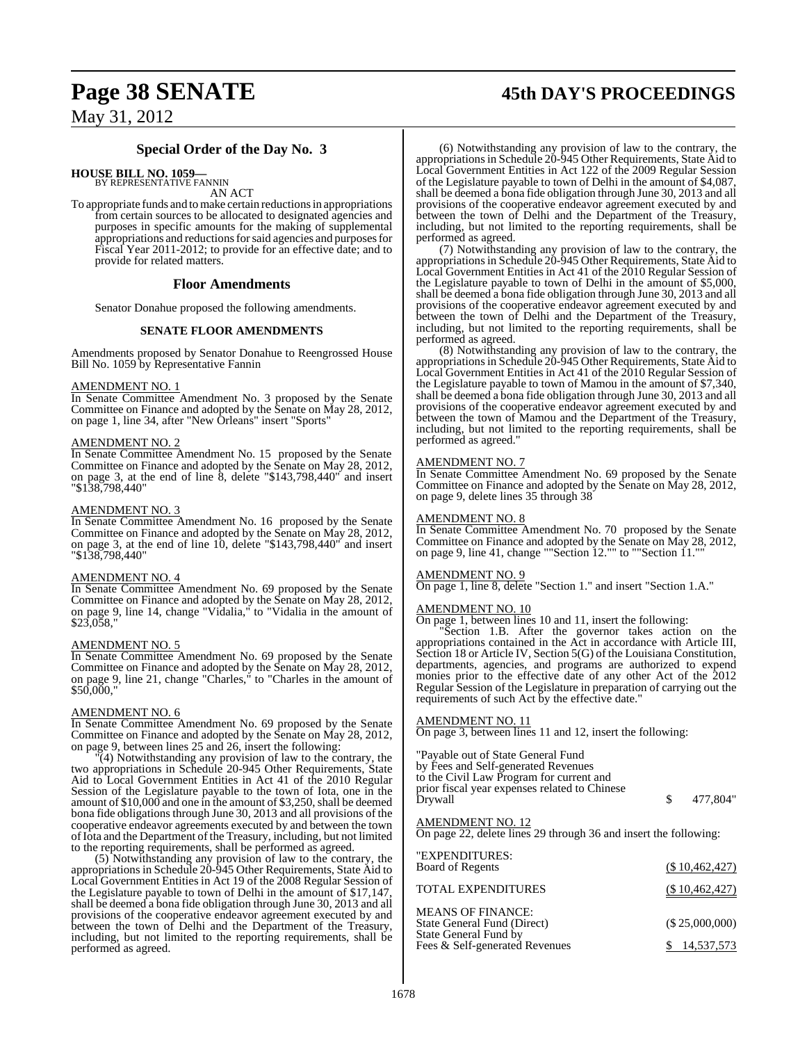# **Page 38 SENATE 45th DAY'S PROCEEDINGS**

May 31, 2012

#### **Special Order of the Day No. 3**

**HOUSE BILL NO. 1059—**

BY REPRESENTATIVE FANNIN AN ACT

To appropriate funds and tomake certain reductions in appropriations from certain sources to be allocated to designated agencies and purposes in specific amounts for the making of supplemental appropriations and reductions for said agencies and purposes for Fiscal Year 2011-2012; to provide for an effective date; and to provide for related matters.

#### **Floor Amendments**

Senator Donahue proposed the following amendments.

#### **SENATE FLOOR AMENDMENTS**

Amendments proposed by Senator Donahue to Reengrossed House Bill No. 1059 by Representative Fannin

#### AMENDMENT NO. 1

In Senate Committee Amendment No. 3 proposed by the Senate Committee on Finance and adopted by the Senate on May 28, 2012, on page 1, line 34, after "New Orleans" insert "Sports"

#### AMENDMENT NO. 2

In Senate Committee Amendment No. 15 proposed by the Senate Committee on Finance and adopted by the Senate on May 28, 2012, on page 3, at the end of line 8, delete "\$143,798,440" and insert "\$138,798,440"

#### AMENDMENT NO. 3

In Senate Committee Amendment No. 16 proposed by the Senate Committee on Finance and adopted by the Senate on May 28, 2012, on page 3, at the end of line 10, delete "\$143,798,440" and insert "\$138,798,440"

#### AMENDMENT NO. 4

In Senate Committee Amendment No. 69 proposed by the Senate Committee on Finance and adopted by the Senate on May 28, 2012, on page 9, line 14, change "Vidalia," to "Vidalia in the amount of \$23,058,"

#### AMENDMENT NO. 5

In Senate Committee Amendment No. 69 proposed by the Senate Committee on Finance and adopted by the Senate on May 28, 2012, on page 9, line 21, change "Charles," to "Charles in the amount of \$50,000,"

#### AMENDMENT NO. 6

In Senate Committee Amendment No. 69 proposed by the Senate Committee on Finance and adopted by the Senate on May 28, 2012, on page 9, between lines 25 and 26, insert the following:

"(4) Notwithstanding any provision of law to the contrary, the two appropriations in Schedule 20-945 Other Requirements, State Aid to Local Government Entities in Act 41 of the 2010 Regular Session of the Legislature payable to the town of Iota, one in the amount of  $$10,000$  and one in the amount of  $$3,250$ , shall be deemed bona fide obligations through June 30, 2013 and all provisions of the cooperative endeavor agreements executed by and between the town ofIota and the Department of the Treasury, including, but not limited to the reporting requirements, shall be performed as agreed.

(5) Notwithstanding any provision of law to the contrary, the appropriations in Schedule 20-945 Other Requirements, State Aid to Local Government Entities in Act 19 of the 2008 Regular Session of the Legislature payable to town of Delhi in the amount of \$17,147, shall be deemed a bona fide obligation through June 30, 2013 and all provisions of the cooperative endeavor agreement executed by and between the town of Delhi and the Department of the Treasury, including, but not limited to the reporting requirements, shall be performed as agreed.

(6) Notwithstanding any provision of law to the contrary, the appropriations in Schedule 20-945 Other Requirements, State Aid to Local Government Entities in Act 122 of the 2009 Regular Session of the Legislature payable to town of Delhi in the amount of \$4,087, shall be deemed a bona fide obligation through June 30, 2013 and all provisions of the cooperative endeavor agreement executed by and between the town of Delhi and the Department of the Treasury, including, but not limited to the reporting requirements, shall be performed as agreed.

(7) Notwithstanding any provision of law to the contrary, the appropriations in Schedule 20-945 Other Requirements, State Aid to Local Government Entities in Act 41 of the 2010 Regular Session of the Legislature payable to town of Delhi in the amount of \$5,000, shall be deemed a bona fide obligation through June 30, 2013 and all provisions of the cooperative endeavor agreement executed by and between the town of Delhi and the Department of the Treasury, including, but not limited to the reporting requirements, shall be performed as agreed.

(8) Notwithstanding any provision of law to the contrary, the appropriationsin Schedule 20-945 Other Requirements, State Aid to Local Government Entities in Act 41 of the 2010 Regular Session of the Legislature payable to town of Mamou in the amount of \$7,340, shall be deemed a bona fide obligation through June 30, 2013 and all provisions of the cooperative endeavor agreement executed by and between the town of Mamou and the Department of the Treasury, including, but not limited to the reporting requirements, shall be performed as agreed."

#### AMENDMENT NO. 7

In Senate Committee Amendment No. 69 proposed by the Senate Committee on Finance and adopted by the Senate on May 28, 2012, on page 9, delete lines 35 through 38

#### AMENDMENT NO. 8

In Senate Committee Amendment No. 70 proposed by the Senate Committee on Finance and adopted by the Senate on May 28, 2012, on page 9, line 41, change ""Section 12."" to ""Section 11.""

#### AMENDMENT NO. 9

On page 1, line 8, delete "Section 1." and insert "Section 1.A."

#### AMENDMENT NO. 10

On page 1, between lines 10 and 11, insert the following:

"Section 1.B. After the governor takes action on the appropriations contained in the Act in accordance with Article III, Section 18 or Article IV, Section 5(G) of the Louisiana Constitution, departments, agencies, and programs are authorized to expend monies prior to the effective date of any other Act of the 2012 Regular Session of the Legislature in preparation of carrying out the requirements of such Act by the effective date."

#### AMENDMENT NO. 11

On page 3, between lines 11 and 12, insert the following:

"Payable out of State General Fund by Fees and Self-generated Revenues to the Civil Law Program for current and prior fiscal year expenses related to Chinese

 $$ 477,804"$ 

#### <u>AMENDMENT NO. 12</u>

On page 22, delete lines 29 through 36 and insert the following:

| "EXPENDITURES:<br>Board of Regents                                                                                 | (\$10,462,427)               |
|--------------------------------------------------------------------------------------------------------------------|------------------------------|
| <b>TOTAL EXPENDITURES</b>                                                                                          | (\$10,462,427)               |
| <b>MEANS OF FINANCE:</b><br>State General Fund (Direct)<br>State General Fund by<br>Fees & Self-generated Revenues | (\$25,000,000)<br>14,537,573 |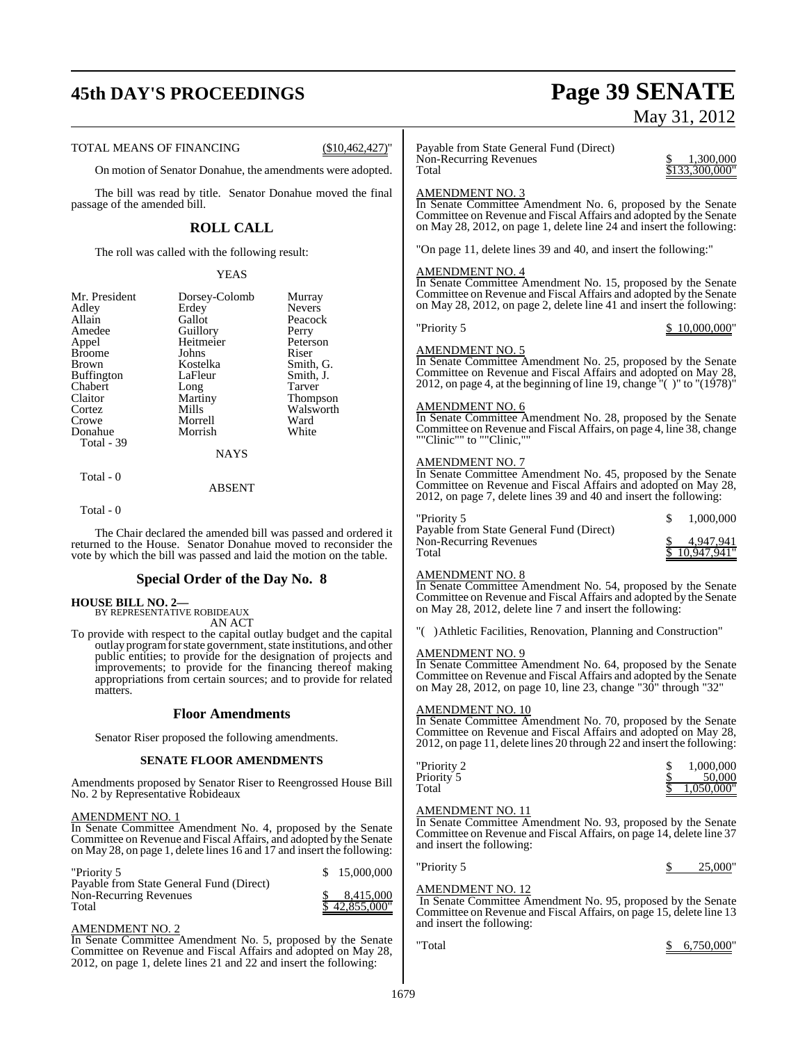# **45th DAY'S PROCEEDINGS Page 39 SENATE**

TOTAL MEANS OF FINANCING (\$10,462,427)'

On motion of Senator Donahue, the amendments were adopted.

The bill was read by title. Senator Donahue moved the final passage of the amended bill.

### **ROLL CALL**

The roll was called with the following result:

#### YEAS

|             | Murray                    |
|-------------|---------------------------|
| Erdey       | <b>Nevers</b>             |
| Gallot      | Peacock                   |
|             | Perry                     |
| Heitmeier   | Peterson                  |
| Johns       | Riser                     |
| Kostelka    | Smith, G.                 |
| LaFleur     | Smith, J.                 |
| Long        | Tarver                    |
| Martiny     | Thompson                  |
| Mills       | Walsworth                 |
| Morrell     | Ward                      |
| Morrish     | White                     |
|             |                           |
| <b>NAYS</b> |                           |
|             | Dorsey-Colomb<br>Guillory |

ABSENT

Total - 0

Total - 0

The Chair declared the amended bill was passed and ordered it returned to the House. Senator Donahue moved to reconsider the vote by which the bill was passed and laid the motion on the table.

#### **Special Order of the Day No. 8**

**HOUSE BILL NO. 2—** BY REPRESENTATIVE ROBIDEAUX AN ACT

To provide with respect to the capital outlay budget and the capital outlay programforstate government, state institutions, and other public entities; to provide for the designation of projects and improvements; to provide for the financing thereof making appropriations from certain sources; and to provide for related matters.

#### **Floor Amendments**

Senator Riser proposed the following amendments.

#### **SENATE FLOOR AMENDMENTS**

Amendments proposed by Senator Riser to Reengrossed House Bill No. 2 by Representative Robideaux

#### AMENDMENT NO. 1

In Senate Committee Amendment No. 4, proposed by the Senate Committee on Revenue and Fiscal Affairs, and adopted by the Senate on May 28, on page 1, delete lines 16 and 17 and insert the following:

| "Priority 5                              | \$15,000,000  |
|------------------------------------------|---------------|
| Payable from State General Fund (Direct) |               |
| Non-Recurring Revenues                   | 8.415.000     |
| Total                                    | \$42.855.000" |

#### AMENDMENT NO. 2

In Senate Committee Amendment No. 5, proposed by the Senate Committee on Revenue and Fiscal Affairs and adopted on May 28, 2012, on page 1, delete lines 21 and 22 and insert the following:

# May 31, 2012

Payable from State General Fund (Direct) Non-Recurring Revenues<br>
Total 3133 300,000<br>
Total

#### AMENDMENT NO. 3

In Senate Committee Amendment No. 6, proposed by the Senate Committee on Revenue and Fiscal Affairs and adopted by the Senate on May 28, 2012, on page 1, delete line 24 and insert the following:

"On page 11, delete lines 39 and 40, and insert the following:"

#### AMENDMENT NO. 4

In Senate Committee Amendment No. 15, proposed by the Senate Committee on Revenue and Fiscal Affairs and adopted by the Senate on May 28, 2012, on page 2, delete line 41 and insert the following:

#### "Priority 5 \$ 10,000,000"

 $$133,300,000"$ 

#### AMENDMENT NO. 5

In Senate Committee Amendment No. 25, proposed by the Senate Committee on Revenue and Fiscal Affairs and adopted on May 28, 2012, on page 4, at the beginning of line 19, change  $\degree$  () to  $\degree$  (1978) $\degree$ 

#### AMENDMENT NO. 6

In Senate Committee Amendment No. 28, proposed by the Senate Committee on Revenue and Fiscal Affairs, on page 4, line 38, change ""Clinic"" to ""Clinic,""

#### AMENDMENT NO. 7

In Senate Committee Amendment No. 45, proposed by the Senate Committee on Revenue and Fiscal Affairs and adopted on May 28, 2012, on page 7, delete lines 39 and 40 and insert the following:

| "Priority 5                              | 1.000.000     |
|------------------------------------------|---------------|
| Payable from State General Fund (Direct) |               |
| Non-Recurring Revenues                   | 4.947.941     |
| Total                                    | \$10,947,941" |

#### AMENDMENT NO. 8

In Senate Committee Amendment No. 54, proposed by the Senate Committee on Revenue and Fiscal Affairs and adopted by the Senate on May 28, 2012, delete line 7 and insert the following:

"( )Athletic Facilities, Renovation, Planning and Construction"

#### AMENDMENT NO. 9

In Senate Committee Amendment No. 64, proposed by the Senate Committee on Revenue and Fiscal Affairs and adopted by the Senate on May 28, 2012, on page 10, line 23, change "30" through "32"

#### AMENDMENT NO. 10

In Senate Committee Amendment No. 70, proposed by the Senate Committee on Revenue and Fiscal Affairs and adopted on May 28, 2012, on page 11, delete lines 20 through 22 and insert the following:

| "Priority 2 | 1,000,000  |
|-------------|------------|
| Priority 5  | 50,000     |
| Total       | 1.050.000" |

#### AMENDMENT NO. 11

In Senate Committee Amendment No. 93, proposed by the Senate Committee on Revenue and Fiscal Affairs, on page 14, delete line 37 and insert the following:

| "Priority 5 |  | 25,000" |
|-------------|--|---------|
|-------------|--|---------|

## AMENDMENT NO. 12

In Senate Committee Amendment No. 95, proposed by the Senate Committee on Revenue and Fiscal Affairs, on page 15, delete line 13 and insert the following: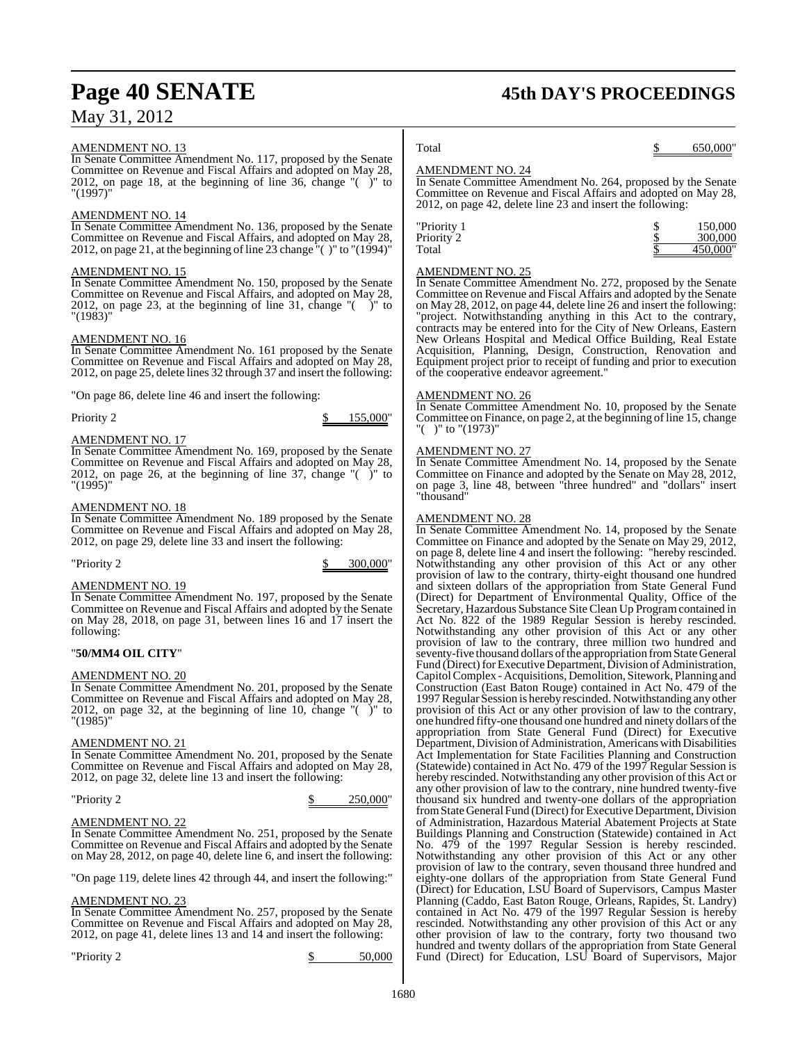#### AMENDMENT NO. 13

In Senate Committee Amendment No. 117, proposed by the Senate Committee on Revenue and Fiscal Affairs and adopted on May 28, 2012, on page 18, at the beginning of line 36, change "( )" to "(1997)"

#### AMENDMENT NO. 14

In Senate Committee Amendment No. 136, proposed by the Senate Committee on Revenue and Fiscal Affairs, and adopted on May 28, 2012, on page 21, at the beginning of line 23 change  $\degree$  ( )" to  $\degree$  (1994) $\degree$ 

#### AMENDMENT NO. 15

In Senate Committee Amendment No. 150, proposed by the Senate Committee on Revenue and Fiscal Affairs, and adopted on May 28, 2012, on page 23, at the beginning of line 31, change "( )" to "(1983)"

#### AMENDMENT NO. 16

In Senate Committee Amendment No. 161 proposed by the Senate Committee on Revenue and Fiscal Affairs and adopted on May 28, 2012, on page 25, delete lines 32 through 37 and insert the following:

"On page 86, delete line 46 and insert the following:

Priority 2 \$ 155,000"

#### AMENDMENT NO. 17

In Senate Committee Amendment No. 169, proposed by the Senate Committee on Revenue and Fiscal Affairs and adopted on May 28, 2012, on page 26, at the beginning of line 37, change "( )" to "(1995)"

#### AMENDMENT NO. 18

In Senate Committee Amendment No. 189 proposed by the Senate Committee on Revenue and Fiscal Affairs and adopted on May 28, 2012, on page 29, delete line 33 and insert the following:

"Priority 2 \$ 300,000"

#### AMENDMENT NO. 19

In Senate Committee Amendment No. 197, proposed by the Senate Committee on Revenue and Fiscal Affairs and adopted by the Senate on May 28, 2018, on page 31, between lines 16 and 17 insert the following:

#### "**50/MM4 OIL CITY**"

#### AMENDMENT NO. 20

In Senate Committee Amendment No. 201, proposed by the Senate Committee on Revenue and Fiscal Affairs and adopted on May 28, 2012, on page 32, at the beginning of line 10, change " $($  )" to "(1985)"

#### AMENDMENT NO. 21

In Senate Committee Amendment No. 201, proposed by the Senate Committee on Revenue and Fiscal Affairs and adopted on May 28, 2012, on page 32, delete line 13 and insert the following:

| "Priority 2 | 250,000" |
|-------------|----------|
|             |          |

#### AMENDMENT NO. 22

In Senate Committee Amendment No. 251, proposed by the Senate Committee on Revenue and Fiscal Affairs and adopted by the Senate on May 28, 2012, on page 40, delete line 6, and insert the following:

"On page 119, delete lines 42 through 44, and insert the following:"

#### AMENDMENT NO. 23

In Senate Committee Amendment No. 257, proposed by the Senate Committee on Revenue and Fiscal Affairs and adopted on May 28, 2012, on page 41, delete lines 13 and 14 and insert the following:

 $\gamma$  Priority 2  $\qquad \qquad$   $\gamma$  50,000

## **Page 40 SENATE 45th DAY'S PROCEEDINGS**

#### Total \$ 650,000"

#### AMENDMENT NO. 24

In Senate Committee Amendment No. 264, proposed by the Senate Committee on Revenue and Fiscal Affairs and adopted on May 28, 2012, on page 42, delete line 23 and insert the following:

| "Priority 1 | 150,000  |
|-------------|----------|
| Priority 2  | 300,000  |
| Total       | 450,000" |
|             |          |

#### AMENDMENT NO. 25

In Senate Committee Amendment No. 272, proposed by the Senate Committee on Revenue and Fiscal Affairs and adopted by the Senate on May 28, 2012, on page 44, delete line 26 and insert the following: "project. Notwithstanding anything in this Act to the contrary, contracts may be entered into for the City of New Orleans, Eastern New Orleans Hospital and Medical Office Building, Real Estate Acquisition, Planning, Design, Construction, Renovation and Equipment project prior to receipt of funding and prior to execution of the cooperative endeavor agreement."

#### AMENDMENT NO. 26

In Senate Committee Amendment No. 10, proposed by the Senate Committee on Finance, on page 2, at the beginning of line 15, change "( )" to "(1973)"

#### AMENDMENT NO. 27

In Senate Committee Amendment No. 14, proposed by the Senate Committee on Finance and adopted by the Senate on May 28, 2012, on page 3, line 48, between "three hundred" and "dollars" insert "thousand"

#### AMENDMENT NO. 28

In Senate Committee Amendment No. 14, proposed by the Senate Committee on Finance and adopted by the Senate on May 29, 2012, on page 8, delete line 4 and insert the following: "hereby rescinded. Notwithstanding any other provision of this Act or any other provision of law to the contrary, thirty-eight thousand one hundred and sixteen dollars of the appropriation from State General Fund (Direct) for Department of Environmental Quality, Office of the Secretary, Hazardous Substance Site Clean Up Program contained in Act No. 822 of the 1989 Regular Session is hereby rescinded. Notwithstanding any other provision of this Act or any other provision of law to the contrary, three million two hundred and seventy-five thousand dollars ofthe appropriation fromStateGeneral Fund (Direct) for Executive Department, Division of Administration, CapitolComplex - Acquisitions, Demolition, Sitework, Planning and Construction (East Baton Rouge) contained in Act No. 479 of the 1997Regular Session is hereby rescinded. Notwithstanding any other provision of this Act or any other provision of law to the contrary, one hundred fifty-one thousand one hundred and ninety dollars ofthe appropriation from State General Fund (Direct) for Executive Department, Division of Administration, Americans with Disabilities Act Implementation for State Facilities Planning and Construction (Statewide) contained in Act No. 479 of the 1997 Regular Session is hereby rescinded. Notwithstanding any other provision of this Act or any other provision of law to the contrary, nine hundred twenty-five thousand six hundred and twenty-one dollars of the appropriation fromStateGeneral Fund (Direct) for Executive Department, Division of Administration, Hazardous Material Abatement Projects at State Buildings Planning and Construction (Statewide) contained in Act No. 479 of the 1997 Regular Session is hereby rescinded. Notwithstanding any other provision of this Act or any other provision of law to the contrary, seven thousand three hundred and eighty-one dollars of the appropriation from State General Fund (Direct) for Education, LSU Board of Supervisors, Campus Master Planning (Caddo, East Baton Rouge, Orleans, Rapides, St. Landry) contained in Act No. 479 of the 1997 Regular Session is hereby rescinded. Notwithstanding any other provision of this Act or any other provision of law to the contrary, forty two thousand two hundred and twenty dollars of the appropriation from State General Fund (Direct) for Education, LSU Board of Supervisors, Major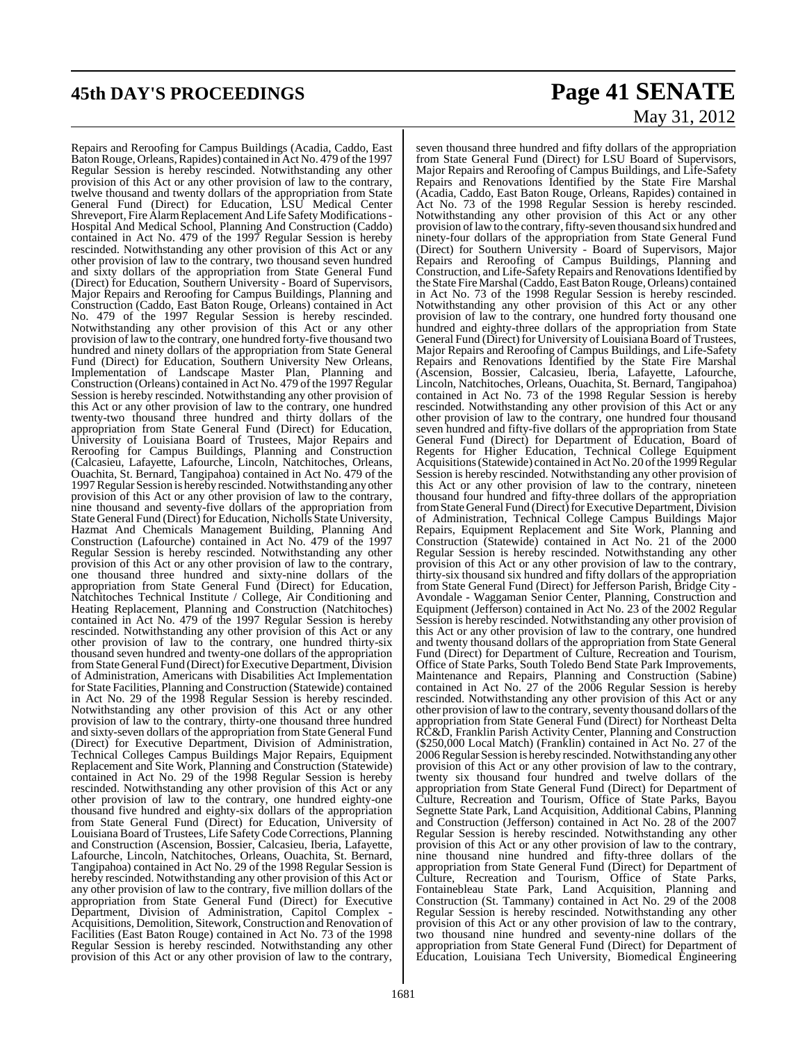# **45th DAY'S PROCEEDINGS Page 41 SENATE**

Repairs and Reroofing for Campus Buildings (Acadia, Caddo, East Baton Rouge, Orleans, Rapides) contained in Act No. 479 of the 1997 Regular Session is hereby rescinded. Notwithstanding any other provision of this Act or any other provision of law to the contrary, twelve thousand and twenty dollars of the appropriation from State General Fund (Direct) for Education, LSU Medical Center Shreveport, Fire Alarm Replacement And Life Safety Modifications -Hospital And Medical School, Planning And Construction (Caddo) contained in Act No. 479 of the 1997 Regular Session is hereby rescinded. Notwithstanding any other provision of this Act or any other provision of law to the contrary, two thousand seven hundred and sixty dollars of the appropriation from State General Fund (Direct) for Education, Southern University - Board of Supervisors, Major Repairs and Reroofing for Campus Buildings, Planning and Construction (Caddo, East Baton Rouge, Orleans) contained in Act No. 479 of the 1997 Regular Session is hereby rescinded. Notwithstanding any other provision of this Act or any other provision of law to the contrary, one hundred forty-five thousand two hundred and ninety dollars of the appropriation from State General Fund (Direct) for Education, Southern University New Orleans, Implementation of Landscape Master Plan, Planning and Construction (Orleans) contained in Act No. 479 of the 1997 Regular Session is hereby rescinded. Notwithstanding any other provision of this Act or any other provision of law to the contrary, one hundred twenty-two thousand three hundred and thirty dollars of the appropriation from State General Fund (Direct) for Education, University of Louisiana Board of Trustees, Major Repairs and Reroofing for Campus Buildings, Planning and Construction (Calcasieu, Lafayette, Lafourche, Lincoln, Natchitoches, Orleans, Ouachita, St. Bernard, Tangipahoa) contained in Act No. 479 of the 1997Regular Session is hereby rescinded. Notwithstanding any other provision of this Act or any other provision of law to the contrary, nine thousand and seventy-five dollars of the appropriation from State General Fund (Direct) for Education, Nicholls State University, Hazmat And Chemicals Management Building, Planning And Construction (Lafourche) contained in Act No. 479 of the 1997 Regular Session is hereby rescinded. Notwithstanding any other provision of this Act or any other provision of law to the contrary, one thousand three hundred and sixty-nine dollars of the appropriation from State General Fund (Direct) for Education, Natchitoches Technical Institute / College, Air Conditioning and Heating Replacement, Planning and Construction (Natchitoches) contained in Act No. 479 of the 1997 Regular Session is hereby rescinded. Notwithstanding any other provision of this Act or any other provision of law to the contrary, one hundred thirty-six thousand seven hundred and twenty-one dollars of the appropriation from State General Fund (Direct) for Executive Department, Division of Administration, Americans with Disabilities Act Implementation for State Facilities, Planning and Construction (Statewide) contained in Act No. 29 of the 1998 Regular Session is hereby rescinded. Notwithstanding any other provision of this Act or any other provision of law to the contrary, thirty-one thousand three hundred and sixty-seven dollars of the appropriation from State General Fund (Direct) for Executive Department, Division of Administration, Technical Colleges Campus Buildings Major Repairs, Equipment Replacement and Site Work, Planning and Construction (Statewide) contained in Act No. 29 of the 1998 Regular Session is hereby rescinded. Notwithstanding any other provision of this Act or any other provision of law to the contrary, one hundred eighty-one thousand five hundred and eighty-six dollars of the appropriation from State General Fund (Direct) for Education, University of Louisiana Board of Trustees, Life SafetyCode Corrections, Planning and Construction (Ascension, Bossier, Calcasieu, Iberia, Lafayette, Lafourche, Lincoln, Natchitoches, Orleans, Ouachita, St. Bernard, Tangipahoa) contained in Act No. 29 of the 1998 Regular Session is hereby rescinded. Notwithstanding any other provision of this Act or any other provision of law to the contrary, five million dollars of the appropriation from State General Fund (Direct) for Executive Department, Division of Administration, Capitol Complex - Acquisitions, Demolition, Sitework, Construction and Renovation of Facilities (East Baton Rouge) contained in Act No. 73 of the 1998 Regular Session is hereby rescinded. Notwithstanding any other provision of this Act or any other provision of law to the contrary,

# May 31, 2012

seven thousand three hundred and fifty dollars of the appropriation from State General Fund (Direct) for LSU Board of Supervisors, Major Repairs and Reroofing of Campus Buildings, and Life-Safety Repairs and Renovations Identified by the State Fire Marshal (Acadia, Caddo, East Baton Rouge, Orleans, Rapides) contained in Act No. 73 of the 1998 Regular Session is hereby rescinded. Notwithstanding any other provision of this Act or any other provision of law to the contrary, fifty-seven thousand six hundred and ninety-four dollars of the appropriation from State General Fund (Direct) for Southern University - Board of Supervisors, Major Repairs and Reroofing of Campus Buildings, Planning and Construction, and Life-Safety Repairs and Renovations Identified by the State Fire Marshal (Caddo, East Baton Rouge, Orleans) contained in Act No. 73 of the 1998 Regular Session is hereby rescinded. Notwithstanding any other provision of this Act or any other provision of law to the contrary, one hundred forty thousand one hundred and eighty-three dollars of the appropriation from State General Fund (Direct) for University of Louisiana Board of Trustees, Major Repairs and Reroofing of Campus Buildings, and Life-Safety Repairs and Renovations Identified by the State Fire Marshal (Ascension, Bossier, Calcasieu, Iberia, Lafayette, Lafourche, Lincoln, Natchitoches, Orleans, Ouachita, St. Bernard, Tangipahoa) contained in Act No. 73 of the 1998 Regular Session is hereby rescinded. Notwithstanding any other provision of this Act or any other provision of law to the contrary, one hundred four thousand seven hundred and fifty-five dollars of the appropriation from State General Fund (Direct) for Department of Education, Board of Regents for Higher Education, Technical College Equipment Acquisitions (Statewide) contained in Act No. 20 of the 1999 Regular Session is hereby rescinded. Notwithstanding any other provision of this Act or any other provision of law to the contrary, nineteen thousand four hundred and fifty-three dollars of the appropriation from State General Fund (Direct) for Executive Department, Division of Administration, Technical College Campus Buildings Major Repairs, Equipment Replacement and Site Work, Planning and Construction (Statewide) contained in Act No. 21 of the 2000 Regular Session is hereby rescinded. Notwithstanding any other provision of this Act or any other provision of law to the contrary, thirty-six thousand six hundred and fifty dollars of the appropriation from State General Fund (Direct) for Jefferson Parish, Bridge City - Avondale - Waggaman Senior Center, Planning, Construction and Equipment (Jefferson) contained in Act No. 23 of the 2002 Regular Session is hereby rescinded. Notwithstanding any other provision of this Act or any other provision of law to the contrary, one hundred and twenty thousand dollars of the appropriation from State General Fund (Direct) for Department of Culture, Recreation and Tourism, Office of State Parks, South Toledo Bend State Park Improvements, Maintenance and Repairs, Planning and Construction (Sabine) contained in Act No. 27 of the 2006 Regular Session is hereby rescinded. Notwithstanding any other provision of this Act or any other provision of law to the contrary, seventy thousand dollars of the appropriation from State General Fund (Direct) for Northeast Delta RC&D, Franklin Parish Activity Center, Planning and Construction (\$250,000 Local Match) (Franklin) contained in Act No. 27 of the 2006 Regular Session is hereby rescinded. Notwithstanding any other provision of this Act or any other provision of law to the contrary, twenty six thousand four hundred and twelve dollars of the appropriation from State General Fund (Direct) for Department of Culture, Recreation and Tourism, Office of State Parks, Bayou Segnette State Park, Land Acquisition, Additional Cabins, Planning and Construction (Jefferson) contained in Act No. 28 of the 2007 Regular Session is hereby rescinded. Notwithstanding any other provision of this Act or any other provision of law to the contrary, nine thousand nine hundred and fifty-three dollars of the appropriation from State General Fund (Direct) for Department of Culture, Recreation and Tourism, Office of State Parks, Fontainebleau State Park, Land Acquisition, Planning and Construction (St. Tammany) contained in Act No. 29 of the 2008 Regular Session is hereby rescinded. Notwithstanding any other provision of this Act or any other provision of law to the contrary, two thousand nine hundred and seventy-nine dollars of the appropriation from State General Fund (Direct) for Department of Education, Louisiana Tech University, Biomedical Engineering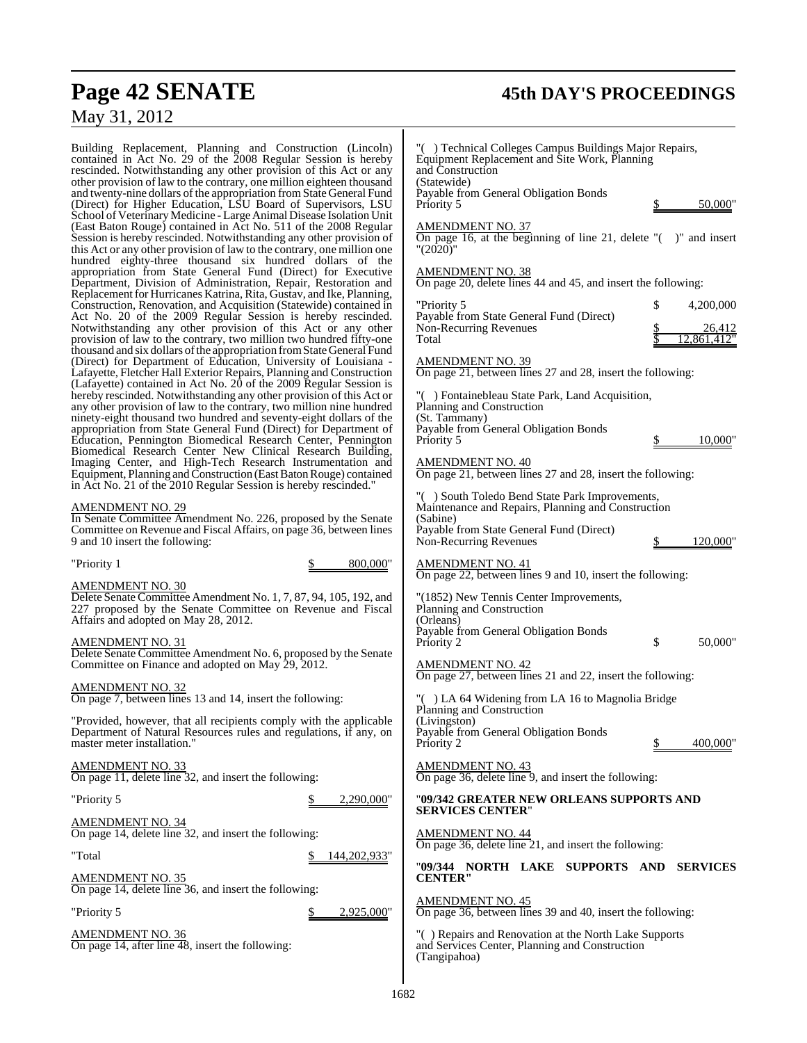## **Page 42 SENATE 45th DAY'S PROCEEDINGS**

## May 31, 2012

Building Replacement, Planning and Construction (Lincoln) contained in Act No. 29 of the 2008 Regular Session is hereby rescinded. Notwithstanding any other provision of this Act or any other provision of law to the contrary, one million eighteen thousand and twenty-nine dollars of the appropriation from State General Fund (Direct) for Higher Education, LSU Board of Supervisors, LSU School of Veterinary Medicine - Large Animal Disease Isolation Unit (East Baton Rouge) contained in Act No. 511 of the 2008 Regular Session is hereby rescinded. Notwithstanding any other provision of this Act or any other provision of law to the contrary, one million one hundred eighty-three thousand six hundred dollars of the appropriation from State General Fund (Direct) for Executive Department, Division of Administration, Repair, Restoration and Replacement for Hurricanes Katrina, Rita, Gustav, and Ike, Planning, Construction, Renovation, and Acquisition (Statewide) contained in Act No. 20 of the 2009 Regular Session is hereby rescinded. Notwithstanding any other provision of this Act or any other provision of law to the contrary, two million two hundred fifty-one thousand and six dollars of the appropriation from State General Fund (Direct) for Department of Education, University of Louisiana - Lafayette, Fletcher Hall Exterior Repairs, Planning and Construction (Lafayette) contained in Act No.  $20$  of the 2009 Regular Session is hereby rescinded. Notwithstanding any other provision of this Act or any other provision of law to the contrary, two million nine hundred ninety-eight thousand two hundred and seventy-eight dollars of the appropriation from State General Fund (Direct) for Department of Education, Pennington Biomedical Research Center, Pennington Biomedical Research Center New Clinical Research Building, Imaging Center, and High-Tech Research Instrumentation and Equipment, Planning and Construction (East Baton Rouge) contained in Act No. 21 of the 2010 Regular Session is hereby rescinded."

#### AMENDMENT NO. 29

In Senate Committee Amendment No. 226, proposed by the Senate Committee on Revenue and Fiscal Affairs, on page 36, between lines 9 and 10 insert the following:

"Priority 1 \$ 800,000"

#### AMENDMENT NO. 30

Delete Senate Committee Amendment No. 1, 7, 87, 94, 105, 192, and 227 proposed by the Senate Committee on Revenue and Fiscal Affairs and adopted on May 28, 2012.

#### AMENDMENT NO. 31

Delete Senate Committee Amendment No. 6, proposed by the Senate Committee on Finance and adopted on May 29, 2012.

#### AMENDMENT NO. 32

On page 7, between lines 13 and 14, insert the following:

"Provided, however, that all recipients comply with the applicable Department of Natural Resources rules and regulations, if any, on master meter installation."

#### AMENDMENT NO. 33

On page 11, delete line 32, and insert the following:

"Priority 5 \$ 2,290,000"

AMENDMENT NO. 34 On page 14, delete line 32, and insert the following:

"Total \$ 144,202,933"

AMENDMENT NO. 35

On page 14, delete line 36, and insert the following:

"Priority 5 \$ 2,925,000"

AMENDMENT NO. 36 On page 14, after line 48, insert the following:

| "() Technical Colleges Campus Buildings Major Repairs,<br>Equipment Replacement and Site Work, Planning<br>and Construction<br>(Statewide) |    |                                                                   |  |
|--------------------------------------------------------------------------------------------------------------------------------------------|----|-------------------------------------------------------------------|--|
| Payable from General Obligation Bonds<br>Priority 5                                                                                        |    | $50,000$ "                                                        |  |
| <b>AMENDMENT NO. 37</b><br>On page 16, at the beginning of line 21, delete $"$ ( $"$ )" and insert<br>"(2020)"                             |    |                                                                   |  |
| <u>AMENDMENT NO. 38</u><br>On page 20, delete lines 44 and 45, and insert the following:                                                   |    |                                                                   |  |
| "Priority 5<br>Payable from State General Fund (Direct)<br>Non-Recurring Revenues<br>Total                                                 | \$ | 4,200,000<br>$\frac{$}{\$}$ 26,412<br>$\frac{26,412}{12,861,412}$ |  |
| <u>AMENDMENT NO. 39</u><br>On page 21, between lines 27 and 28, insert the following:                                                      |    |                                                                   |  |
| "() Fontainebleau State Park, Land Acquisition,<br>Planning and Construction                                                               |    |                                                                   |  |
| (St. Tammany)<br>Payable from General Obligation Bonds<br>Priority 5                                                                       |    | \$ 10,000"                                                        |  |
| <b>AMENDMENT NO. 40</b><br>On page 21, between lines 27 and 28, insert the following:                                                      |    |                                                                   |  |
| "() South Toledo Bend State Park Improvements,<br>Maintenance and Repairs, Planning and Construction<br>(Sabine)                           |    |                                                                   |  |
| Payable from State General Fund (Direct)<br>Non-Recurring Revenues                                                                         |    | $\frac{\$}{120,000}$ "                                            |  |
| <b>AMENDMENT NO. 41</b><br>On page 22, between lines 9 and 10, insert the following:                                                       |    |                                                                   |  |
| "(1852) New Tennis Center Improvements,<br>Planning and Construction                                                                       |    |                                                                   |  |
| (Orleans)<br>Payable from General Obligation Bonds<br>Priority 2                                                                           | \$ | 50,000"                                                           |  |
| <b>AMENDMENT NO. 42</b><br>On page 27, between lines 21 and 22, insert the following:                                                      |    |                                                                   |  |
| "() LA 64 Widening from LA 16 to Magnolia Bridge<br>Planning and Construction                                                              |    |                                                                   |  |
| (Livingston)<br>Payable from General Obligation Bonds<br>Priority 2                                                                        |    | 400.000"                                                          |  |
| $\frac{\text{AMENDMENT NO. 43}}{\text{On page 36, delete line 9}}$ , and insert the following:                                             |    |                                                                   |  |
| "09/342 GREATER NEW ORLEANS SUPPORTS AND<br><b>SERVICES CENTER"</b>                                                                        |    |                                                                   |  |
| <b>AMENDMENT NO. 44</b><br>On page 36, delete line 21, and insert the following:                                                           |    |                                                                   |  |
| "09/344 NORTH LAKE SUPPORTS AND SERVICES<br><b>CENTER"</b>                                                                                 |    |                                                                   |  |
| <b>AMENDMENT NO. 45</b><br>On page 36, between lines 39 and 40, insert the following:                                                      |    |                                                                   |  |
| "() Repairs and Renovation at the North Lake Supports<br>and Services Center, Planning and Construction                                    |    |                                                                   |  |

(Tangipahoa)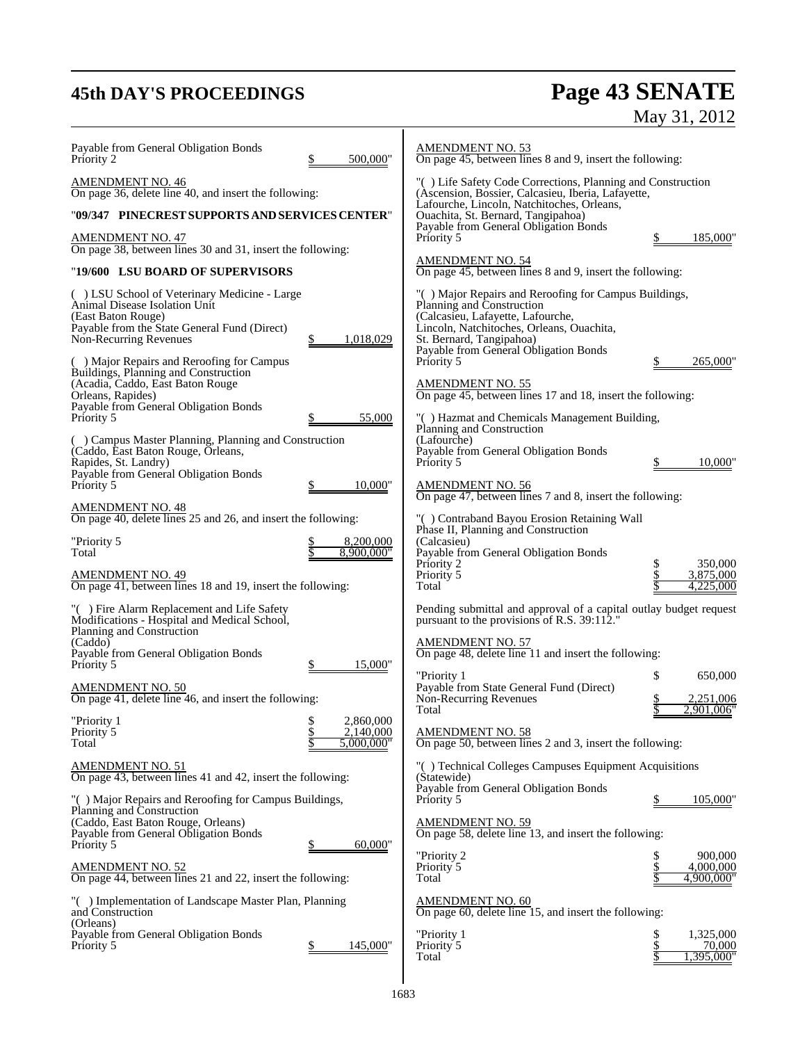# **45th DAY'S PROCEEDINGS Page 43 SENATE** May 31, 2012

| Payable from General Obligation Bonds<br>500,000"<br>Priority 2                                                                                                                                                                                                                  | <b>AMENDMENT NO. 53</b><br>On page 45, between lines 8 and 9, insert the following:                                                                                                                                                                                       |
|----------------------------------------------------------------------------------------------------------------------------------------------------------------------------------------------------------------------------------------------------------------------------------|---------------------------------------------------------------------------------------------------------------------------------------------------------------------------------------------------------------------------------------------------------------------------|
| <b>AMENDMENT NO. 46</b><br>On page 36, delete line 40, and insert the following:<br>"09/347 PINECREST SUPPORTS AND SERVICES CENTER"                                                                                                                                              | "() Life Safety Code Corrections, Planning and Construction<br>(Ascension, Bossier, Calcasieu, Iberia, Lafayette,<br>Lafourche, Lincoln, Natchitoches, Orleans,<br>Ouachita, St. Bernard, Tangipahoa)                                                                     |
| <b>AMENDMENT NO. 47</b><br>On page 38, between lines 30 and 31, insert the following:                                                                                                                                                                                            | Payable from General Obligation Bonds<br>185,000"<br>Priority 5                                                                                                                                                                                                           |
| "19/600 LSU BOARD OF SUPERVISORS                                                                                                                                                                                                                                                 | <b>AMENDMENT NO. 54</b><br>On page 45, between lines 8 and 9, insert the following:                                                                                                                                                                                       |
| () LSU School of Veterinary Medicine - Large<br>Animal Disease Isolation Unit<br>(East Baton Rouge)<br>Payable from the State General Fund (Direct)<br>Non-Recurring Revenues<br>1,018,029<br>( ) Major Repairs and Reroofing for Campus<br>Buildings, Planning and Construction | "() Major Repairs and Reroofing for Campus Buildings,<br>Planning and Construction<br>(Calcasieu, Lafayette, Lafourche,<br>Lincoln, Natchitoches, Orleans, Ouachita,<br>St. Bernard, Tangipahoa)<br>Payable from General Obligation Bonds<br>Priority 5<br>\$<br>265,000' |
| (Acadia, Caddo, East Baton Rouge<br>Orleans, Rapides)                                                                                                                                                                                                                            | <b>AMENDMENT NO. 55</b><br>On page 45, between lines 17 and 18, insert the following:                                                                                                                                                                                     |
| Payable from General Obligation Bonds<br>55,000<br>Priority 5                                                                                                                                                                                                                    | "() Hazmat and Chemicals Management Building,<br>Planning and Construction                                                                                                                                                                                                |
| () Campus Master Planning, Planning and Construction<br>(Caddo, East Baton Rouge, Orleans,<br>Rapides, St. Landry)<br>Payable from General Obligation Bonds                                                                                                                      | (Lafourche)<br>Payable from General Obligation Bonds<br>10,000<br>Priority 5                                                                                                                                                                                              |
| 10,000"<br>Priority 5<br><b>AMENDMENT NO. 48</b>                                                                                                                                                                                                                                 | <b>AMENDMENT NO. 56</b><br>On page 47, between lines 7 and 8, insert the following:                                                                                                                                                                                       |
| On page 40, delete lines 25 and 26, and insert the following:                                                                                                                                                                                                                    | "() Contraband Bayou Erosion Retaining Wall<br>Phase II, Planning and Construction                                                                                                                                                                                        |
| "Priority 5<br>8,200,000<br>8.900.000"<br>Total<br><b>AMENDMENT NO. 49</b><br>On page 41, between lines 18 and 19, insert the following:                                                                                                                                         | (Calcasieu)<br>Payable from General Obligation Bonds<br>350,000<br>Priority 2<br>\$<br>\$<br>3,875,000<br>Priority 5<br>4,225,000<br>Total                                                                                                                                |
| "() Fire Alarm Replacement and Life Safety<br>Modifications - Hospital and Medical School,                                                                                                                                                                                       | Pending submittal and approval of a capital outlay budget request<br>pursuant to the provisions of R.S. 39:112."                                                                                                                                                          |
| Planning and Construction<br>(Caddo)<br>Payable from General Obligation Bonds<br>15,000<br>Priority 5                                                                                                                                                                            | <b>AMENDMENT NO. 57</b><br>On page 48, delete line 11 and insert the following:                                                                                                                                                                                           |
| <b>AMENDMENT NO. 50</b><br>On page 41, delete line 46, and insert the following:                                                                                                                                                                                                 | "Priority 1<br>\$<br>650,000<br>Payable from State General Fund (Direct)<br>Non-Recurring Revenues<br>2,251,006<br>2.901.006'<br>Total                                                                                                                                    |
| \$<br>"Priority 1<br>2.860,000<br>Priority 5<br>2,140,000<br>5,000,000"<br>Total                                                                                                                                                                                                 | <b>AMENDMENT NO. 58</b><br>On page 50, between lines 2 and 3, insert the following:                                                                                                                                                                                       |
| <b>AMENDMENT NO. 51</b><br>On page 43, between lines 41 and 42, insert the following:                                                                                                                                                                                            | "() Technical Colleges Campuses Equipment Acquisitions<br>(Statewide)                                                                                                                                                                                                     |
| "() Major Repairs and Reroofing for Campus Buildings,<br>Planning and Construction                                                                                                                                                                                               | Payable from General Obligation Bonds<br>Priority 5<br>\$<br>105,000"                                                                                                                                                                                                     |
| (Caddo, East Baton Rouge, Orleans)<br>Payable from General Obligation Bonds<br>60,000"<br>Priority 5                                                                                                                                                                             | <b>AMENDMENT NO. 59</b><br>On page 58, delete line 13, and insert the following:                                                                                                                                                                                          |
| <b>AMENDMENT NO. 52</b><br>On page 44, between lines 21 and 22, insert the following:                                                                                                                                                                                            | "Priority 2<br>900,000<br>\$<br>Priority 5<br>4,000,000<br>4,900,000"<br>Total                                                                                                                                                                                            |
| "() Implementation of Landscape Master Plan, Planning<br>and Construction                                                                                                                                                                                                        | <b>AMENDMENT NO. 60</b><br>On page 60, delete line 15, and insert the following:                                                                                                                                                                                          |
| (Orleans)<br>Payable from General Obligation Bonds<br>145,000"<br>Priority 5                                                                                                                                                                                                     | \$<br>"Priority 1<br>1,325,000<br>\$<br>Priority 5<br>70,000<br>Total<br>,395,000'                                                                                                                                                                                        |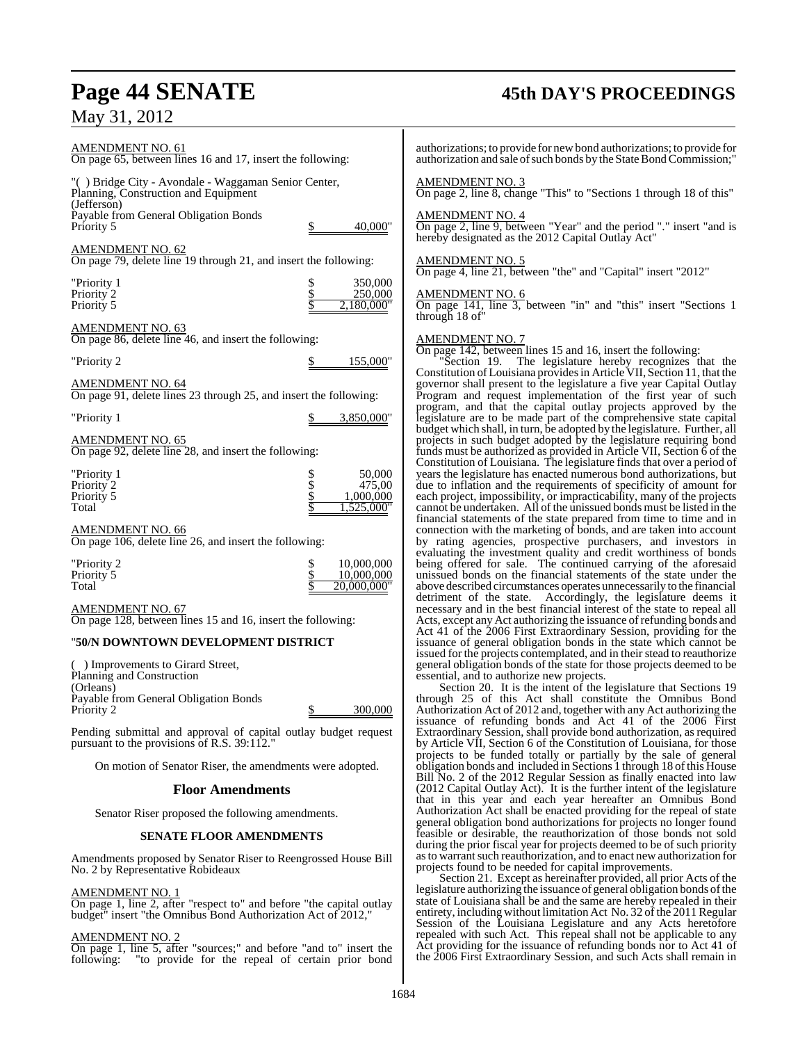| <b>AMENDMENT NO. 61</b><br>On page 65, between lines 16 and 17, insert the following:                                |                                                               | authorizations; to provide for n<br>authorization and sale of such b                                                                                                         |
|----------------------------------------------------------------------------------------------------------------------|---------------------------------------------------------------|------------------------------------------------------------------------------------------------------------------------------------------------------------------------------|
| "() Bridge City - Avondale - Waggaman Senior Center,<br>Planning, Construction and Equipment<br>(Jefferson)          |                                                               | <b>AMENDMENT NO. 3</b><br>On page 2, line 8, change "Th                                                                                                                      |
| Payable from General Obligation Bonds<br>Priority 5                                                                  | 40,000"                                                       | <b>AMENDMENT NO. 4</b><br>On page 2, line 9, between "Y<br>hereby designated as the 2012                                                                                     |
| <b>AMENDMENT NO. 62</b><br>On page 79, delete line 19 through 21, and insert the following:                          |                                                               | <b>AMENDMENT NO. 5</b><br>On page 4, line 21, between "t                                                                                                                     |
| "Priority 1<br>Priority 2<br>Priority 5                                                                              | 350,000<br>250,000<br>2,180,000"                              | <b>AMENDMENT NO. 6</b><br>On page 141, line 3, betwee                                                                                                                        |
| AMENDMENT NO. 63<br>On page 86, delete line 46, and insert the following:                                            |                                                               | through 18 of"<br><b>AMENDMENT NO. 7</b>                                                                                                                                     |
| "Priority 2                                                                                                          | \$<br>155,000"                                                | On page 142, between lines 1:<br>"Section 19.<br>The legi                                                                                                                    |
| <b>AMENDMENT NO. 64</b><br>On page 91, delete lines 23 through 25, and insert the following:                         |                                                               | Constitution of Louisiana prov<br>governor shall present to the<br>Program and request impler                                                                                |
| "Priority 1                                                                                                          | 3,850,000"                                                    | program, and that the capital<br>legislature are to be made pa                                                                                                               |
| <b>AMENDMENT NO. 65</b><br>On page 92, delete line 28, and insert the following:                                     |                                                               | budget which shall, in turn, be<br>projects in such budget adopt<br>funds must be authorized as pr                                                                           |
| "Priority 1<br>Priority 2<br>Priority 5<br>Total                                                                     | \$<br>50,000<br>\$<br>\$<br>475,00<br>1,000,000<br>1,525,000" | Constitution of Louisiana. The<br>years the legislature has enacted<br>due to inflation and the requi<br>each project, impossibility, or<br>cannot be undertaken. All of the |
| <b>AMENDMENT NO. 66</b><br>On page 106, delete line 26, and insert the following:                                    |                                                               | financial statements of the sta<br>connection with the marketing<br>by rating agencies, prospect                                                                             |
| "Priority 2<br>Priority 5<br>Total                                                                                   | \$<br>10,000,000<br>10,000,000<br>20.000.000"                 | evaluating the investment qu<br>being offered for sale. The<br>unissued bonds on the financ<br>above described circumstances                                                 |
| <b>AMENDMENT NO. 67</b><br>On page 128, between lines 15 and 16, insert the following:                               |                                                               | detriment of the state. Ac<br>necessary and in the best final<br>Acts, except any Act authorizin                                                                             |
| "50/N DOWNTOWN DEVELOPMENT DISTRICT                                                                                  |                                                               | Act 41 of the 2006 First Extr<br>issuance of general obligation                                                                                                              |
| $\mathbf{r}$ $\mathbf{r}$ $\mathbf{r}$ $\mathbf{r}$ $\mathbf{r}$ $\mathbf{r}$ $\mathbf{r}$ $\mathbf{r}$ $\mathbf{r}$ |                                                               | issued for the projects contemp<br>1.11<br>$1 \t1 \t1$                                                                                                                       |

( ) Improvements to Girard Street, Planning and Construction (Orleans) Payable from General Obligation Bonds Priority 2 \$ 300,000

Pending submittal and approval of capital outlay budget request pursuant to the provisions of R.S. 39:112."

On motion of Senator Riser, the amendments were adopted.

#### **Floor Amendments**

Senator Riser proposed the following amendments.

#### **SENATE FLOOR AMENDMENTS**

Amendments proposed by Senator Riser to Reengrossed House Bill No. 2 by Representative Robideaux

#### AMENDMENT NO. 1

On page 1, line 2, after "respect to" and before "the capital outlay budget" insert "the Omnibus Bond Authorization Act of 2012,"

#### AMENDMENT NO. 2

On page 1, line 5, after "sources;" and before "and to" insert the following: "to provide for the repeal of certain prior bond

## **Page 44 SENATE 45th DAY'S PROCEEDINGS**

ew bond authorizations; to provide for oonds by the State Bond Commission;"

is" to "Sections 1 through 18 of this"

Zear" and the period "." insert "and is Capital Outlay Act"

the" and "Capital" insert "2012"

n "in" and "this" insert "Sections 1

5 and 16, insert the following:

"Section 19. The legislature hereby recognizes that the Constitution ofLouisiana providesin Article VII, Section 11, that the legislature a five year Capital Outlay nentation of the first year of such al outlay projects approved by the rt of the comprehensive state capital adopted by the legislature. Further, all ted by the legislature requiring bond ovided in Article VII, Section  $\delta$  of the e legislature finds that over a period of ed numerous bond authorizations, but due to inflation and the requirements of specificity of amount for each project, impossibility, or impracticability, many of the projects ne unissued bonds must be listed in the te prepared from time to time and in g of bonds, and are taken into account ctive purchasers, and investors in ality and credit worthiness of bonds continued carrying of the aforesaid ial statements of the state under the operates unnecessarily to the financial cordingly, the legislature deems it ncial interest of the state to repeal all ng the issuance of refunding bonds and raordinary Session, providing for the is bonds in the state which cannot be plated, and in their stead to reauthorize general obligation bonds of the state for those projects deemed to be essential, and to authorize new projects.

Section 20. It is the intent of the legislature that Sections 19 through 25 of this Act shall constitute the Omnibus Bond Authorization Act of 2012 and, together with any Act authorizing the issuance of refunding bonds and Act 41 of the 2006 First Extraordinary Session, shall provide bond authorization, as required by Article VII, Section 6 of the Constitution of Louisiana, for those projects to be funded totally or partially by the sale of general obligation bonds and included in Sections 1 through 18 of this House Bill No. 2 of the 2012 Regular Session as finally enacted into law (2012 Capital Outlay Act). It is the further intent of the legislature that in this year and each year hereafter an Omnibus Bond Authorization Act shall be enacted providing for the repeal of state general obligation bond authorizations for projects no longer found feasible or desirable, the reauthorization of those bonds not sold during the prior fiscal year for projects deemed to be of such priority as to warrant such reauthorization, and to enact new authorization for projects found to be needed for capital improvements.

Section 21. Except as hereinafter provided, all prior Acts of the legislature authorizing the issuance of general obligation bonds of the state of Louisiana shall be and the same are hereby repealed in their entirety, including without limitation Act No. 32 of the 2011 Regular Session of the Louisiana Legislature and any Acts heretofore repealed with such Act. This repeal shall not be applicable to any Act providing for the issuance of refunding bonds nor to Act 41 of the 2006 First Extraordinary Session, and such Acts shall remain in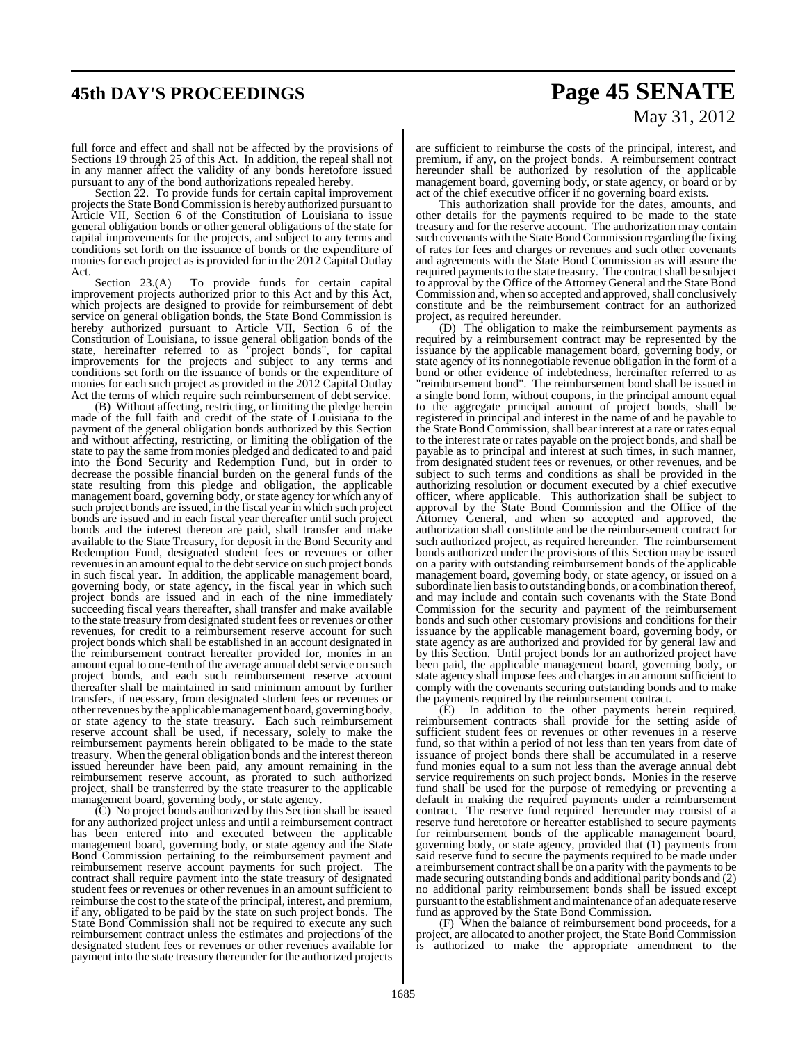# **45th DAY'S PROCEEDINGS Page 45 SENATE** May 31, 2012

full force and effect and shall not be affected by the provisions of Sections 19 through 25 of this Act. In addition, the repeal shall not in any manner affect the validity of any bonds heretofore issued pursuant to any of the bond authorizations repealed hereby.

Section 22. To provide funds for certain capital improvement projects the State Bond Commission is hereby authorized pursuant to Article VII, Section 6 of the Constitution of Louisiana to issue general obligation bonds or other general obligations of the state for capital improvements for the projects, and subject to any terms and conditions set forth on the issuance of bonds or the expenditure of monies for each project as is provided for in the 2012 Capital Outlay Act.

Section 23.(A) To provide funds for certain capital improvement projects authorized prior to this Act and by this Act, which projects are designed to provide for reimbursement of debt service on general obligation bonds, the State Bond Commission is hereby authorized pursuant to Article VII, Section 6 of the Constitution of Louisiana, to issue general obligation bonds of the state, hereinafter referred to as "project bonds", for capital improvements for the projects and subject to any terms and conditions set forth on the issuance of bonds or the expenditure of monies for each such project as provided in the 2012 Capital Outlay Act the terms of which require such reimbursement of debt service.

(B) Without affecting, restricting, or limiting the pledge herein made of the full faith and credit of the state of Louisiana to the payment of the general obligation bonds authorized by this Section and without affecting, restricting, or limiting the obligation of the state to pay the same from monies pledged and dedicated to and paid into the Bond Security and Redemption Fund, but in order to decrease the possible financial burden on the general funds of the state resulting from this pledge and obligation, the applicable management board, governing body, or state agency for which any of such project bonds are issued, in the fiscal year in which such project bonds are issued and in each fiscal year thereafter until such project bonds and the interest thereon are paid, shall transfer and make available to the State Treasury, for deposit in the Bond Security and Redemption Fund, designated student fees or revenues or other revenues in an amount equal to the debt service on such project bonds in such fiscal year. In addition, the applicable management board, governing body, or state agency, in the fiscal year in which such project bonds are issued and in each of the nine immediately succeeding fiscal years thereafter, shall transfer and make available to the state treasury from designated student fees or revenues or other revenues, for credit to a reimbursement reserve account for such project bonds which shall be established in an account designated in the reimbursement contract hereafter provided for, monies in an amount equal to one-tenth of the average annual debt service on such project bonds, and each such reimbursement reserve account thereafter shall be maintained in said minimum amount by further transfers, if necessary, from designated student fees or revenues or other revenues by the applicable management board, governing body, or state agency to the state treasury. Each such reimbursement reserve account shall be used, if necessary, solely to make the reimbursement payments herein obligated to be made to the state treasury. When the general obligation bonds and the interest thereon issued hereunder have been paid, any amount remaining in the reimbursement reserve account, as prorated to such authorized project, shall be transferred by the state treasurer to the applicable management board, governing body, or state agency.

(C) No project bonds authorized by this Section shall be issued for any authorized project unless and until a reimbursement contract has been entered into and executed between the applicable management board, governing body, or state agency and the State Bond Commission pertaining to the reimbursement payment and reimbursement reserve account payments for such project. The contract shall require payment into the state treasury of designated student fees or revenues or other revenues in an amount sufficient to reimburse the cost to the state of the principal, interest, and premium, if any, obligated to be paid by the state on such project bonds. The State Bond Commission shall not be required to execute any such reimbursement contract unless the estimates and projections of the designated student fees or revenues or other revenues available for payment into the state treasury thereunder for the authorized projects

are sufficient to reimburse the costs of the principal, interest, and premium, if any, on the project bonds. A reimbursement contract hereunder shall be authorized by resolution of the applicable management board, governing body, or state agency, or board or by act of the chief executive officer if no governing board exists.

This authorization shall provide for the dates, amounts, and other details for the payments required to be made to the state treasury and for the reserve account. The authorization may contain such covenants with the State Bond Commission regarding the fixing of rates for fees and charges or revenues and such other covenants and agreements with the State Bond Commission as will assure the required payments to the state treasury. The contract shall be subject to approval by the Office of the Attorney General and the State Bond Commission and, when so accepted and approved, shall conclusively constitute and be the reimbursement contract for an authorized project, as required hereunder.

(D) The obligation to make the reimbursement payments as required by a reimbursement contract may be represented by the issuance by the applicable management board, governing body, or state agency of its nonnegotiable revenue obligation in the form of a bond or other evidence of indebtedness, hereinafter referred to as "reimbursement bond". The reimbursement bond shall be issued in a single bond form, without coupons, in the principal amount equal to the aggregate principal amount of project bonds, shall be registered in principal and interest in the name of and be payable to the State Bond Commission, shall bear interest at a rate or rates equal to the interest rate or rates payable on the project bonds, and shall be payable as to principal and interest at such times, in such manner, from designated student fees or revenues, or other revenues, and be subject to such terms and conditions as shall be provided in the authorizing resolution or document executed by a chief executive officer, where applicable. This authorization shall be subject to approval by the State Bond Commission and the Office of the Attorney General, and when so accepted and approved, the authorization shall constitute and be the reimbursement contract for such authorized project, as required hereunder. The reimbursement bonds authorized under the provisions of this Section may be issued on a parity with outstanding reimbursement bonds of the applicable management board, governing body, or state agency, or issued on a subordinate lien basisto outstanding bonds, or a combination thereof, and may include and contain such covenants with the State Bond Commission for the security and payment of the reimbursement bonds and such other customary provisions and conditions for their issuance by the applicable management board, governing body, or state agency as are authorized and provided for by general law and by this Section. Until project bonds for an authorized project have been paid, the applicable management board, governing body, or state agency shall impose fees and charges in an amount sufficient to comply with the covenants securing outstanding bonds and to make the payments required by the reimbursement contract.

(E) In addition to the other payments herein required, reimbursement contracts shall provide for the setting aside of sufficient student fees or revenues or other revenues in a reserve fund, so that within a period of not less than ten years from date of issuance of project bonds there shall be accumulated in a reserve fund monies equal to a sum not less than the average annual debt service requirements on such project bonds. Monies in the reserve fund shall be used for the purpose of remedying or preventing a default in making the required payments under a reimbursement contract. The reserve fund required hereunder may consist of a reserve fund heretofore or hereafter established to secure payments for reimbursement bonds of the applicable management board, governing body, or state agency, provided that (1) payments from said reserve fund to secure the payments required to be made under a reimbursement contract shall be on a parity with the payments to be made securing outstanding bonds and additional parity bonds and (2) no additional parity reimbursement bonds shall be issued except pursuant to the establishment and maintenance of an adequate reserve fund as approved by the State Bond Commission.

(F) When the balance of reimbursement bond proceeds, for a project, are allocated to another project, the State Bond Commission is authorized to make the appropriate amendment to the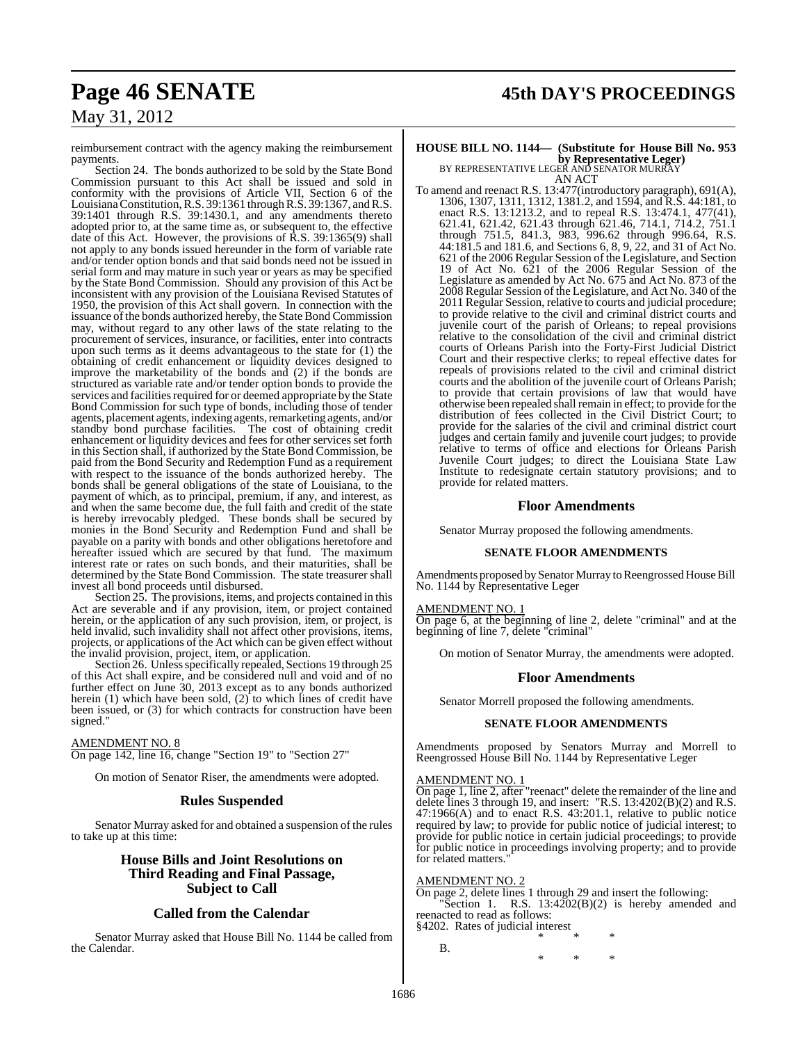reimbursement contract with the agency making the reimbursement payments.

Section 24. The bonds authorized to be sold by the State Bond Commission pursuant to this Act shall be issued and sold in conformity with the provisions of Article VII, Section 6 of the Louisiana Constitution, R.S. 39:1361 through R.S. 39:1367, and R.S. 39:1401 through R.S. 39:1430.1, and any amendments thereto adopted prior to, at the same time as, or subsequent to, the effective date of this Act. However, the provisions of R.S. 39:1365(9) shall not apply to any bonds issued hereunder in the form of variable rate and/or tender option bonds and that said bonds need not be issued in serial form and may mature in such year or years as may be specified by the State Bond Commission. Should any provision of this Act be inconsistent with any provision of the Louisiana Revised Statutes of 1950, the provision of this Act shall govern. In connection with the issuance of the bonds authorized hereby, the State Bond Commission may, without regard to any other laws of the state relating to the procurement of services, insurance, or facilities, enter into contracts upon such terms as it deems advantageous to the state for (1) the obtaining of credit enhancement or liquidity devices designed to improve the marketability of the bonds and (2) if the bonds are structured as variable rate and/or tender option bonds to provide the services and facilities required for or deemed appropriate by the State Bond Commission for such type of bonds, including those of tender agents, placement agents, indexing agents, remarketing agents, and/or standby bond purchase facilities. The cost of obtaining credit enhancement or liquidity devices and fees for other services set forth in this Section shall, if authorized by the State Bond Commission, be paid from the Bond Security and Redemption Fund as a requirement with respect to the issuance of the bonds authorized hereby. The bonds shall be general obligations of the state of Louisiana, to the payment of which, as to principal, premium, if any, and interest, as and when the same become due, the full faith and credit of the state is hereby irrevocably pledged. These bonds shall be secured by monies in the Bond Security and Redemption Fund and shall be payable on a parity with bonds and other obligations heretofore and hereafter issued which are secured by that fund. The maximum interest rate or rates on such bonds, and their maturities, shall be determined by the State Bond Commission. The state treasurer shall invest all bond proceeds until disbursed.

Section 25. The provisions, items, and projects contained in this Act are severable and if any provision, item, or project contained herein, or the application of any such provision, item, or project, is held invalid, such invalidity shall not affect other provisions, items, projects, or applications of the Act which can be given effect without the invalid provision, project, item, or application.

Section 26. Unless specifically repealed, Sections 19 through 25 of this Act shall expire, and be considered null and void and of no further effect on June 30, 2013 except as to any bonds authorized herein (1) which have been sold,  $(2)$  to which lines of credit have been issued, or (3) for which contracts for construction have been signed."

#### AMENDMENT NO. 8

On page 142, line 16, change "Section 19" to "Section 27"

On motion of Senator Riser, the amendments were adopted.

#### **Rules Suspended**

Senator Murray asked for and obtained a suspension of the rules to take up at this time:

#### **House Bills and Joint Resolutions on Third Reading and Final Passage, Subject to Call**

#### **Called from the Calendar**

Senator Murray asked that House Bill No. 1144 be called from the Calendar.

## **Page 46 SENATE 45th DAY'S PROCEEDINGS**

## **HOUSE BILL NO. 1144— (Substitute for House Bill No. 953 by Representative Leger)**<br>BY REPRESENTATIVE LEGER AND SENATOR MURRAY

AN ACT

To amend and reenact R.S. 13:477(introductory paragraph), 691(A), 1306, 1307, 1311, 1312, 1381.2, and 1594, and R.S. 44:181, to enact R.S. 13:1213.2, and to repeal R.S. 13:474.1, 477(41), 621.41, 621.42, 621.43 through 621.46, 714.1, 714.2, 751.1 through 751.5, 841.3, 983, 996.62 through 996.64, R.S. 44:181.5 and 181.6, and Sections 6, 8, 9, 22, and 31 of Act No. 621 of the 2006 Regular Session of the Legislature, and Section 19 of Act No. 621 of the 2006 Regular Session of the Legislature as amended by Act No. 675 and Act No. 873 of the 2008 Regular Session of the Legislature, and Act No. 340 of the 2011 Regular Session, relative to courts and judicial procedure; to provide relative to the civil and criminal district courts and juvenile court of the parish of Orleans; to repeal provisions relative to the consolidation of the civil and criminal district courts of Orleans Parish into the Forty-First Judicial District Court and their respective clerks; to repeal effective dates for repeals of provisions related to the civil and criminal district courts and the abolition of the juvenile court of Orleans Parish; to provide that certain provisions of law that would have otherwise been repealed shall remain in effect; to provide forthe distribution of fees collected in the Civil District Court; to provide for the salaries of the civil and criminal district court judges and certain family and juvenile court judges; to provide relative to terms of office and elections for Orleans Parish Juvenile Court judges; to direct the Louisiana State Law Institute to redesignate certain statutory provisions; and to provide for related matters.

#### **Floor Amendments**

Senator Murray proposed the following amendments.

#### **SENATE FLOOR AMENDMENTS**

Amendments proposed by Senator Murray to Reengrossed House Bill No. 1144 by Representative Leger

#### AMENDMENT NO. 1

On page 6, at the beginning of line 2, delete "criminal" and at the beginning of line 7, delete "criminal"

On motion of Senator Murray, the amendments were adopted.

#### **Floor Amendments**

Senator Morrell proposed the following amendments.

#### **SENATE FLOOR AMENDMENTS**

Amendments proposed by Senators Murray and Morrell to Reengrossed House Bill No. 1144 by Representative Leger

#### AMENDMENT NO. 1

On page 1, line 2, after "reenact" delete the remainder of the line and delete lines 3 through 19, and insert: "R.S. 13:4202(B)(2) and R.S. 47:1966(A) and to enact R.S. 43:201.1, relative to public notice required by law; to provide for public notice of judicial interest; to provide for public notice in certain judicial proceedings; to provide for public notice in proceedings involving property; and to provide for related matters.

#### AMENDMENT NO. 2

B.

On page 2, delete lines 1 through 29 and insert the following: Section 1. R.S.  $13:4202(B)(2)$  is hereby amended and reenacted to read as follows: §4202. Rates of judicial interest

\* \* \* \* \* \*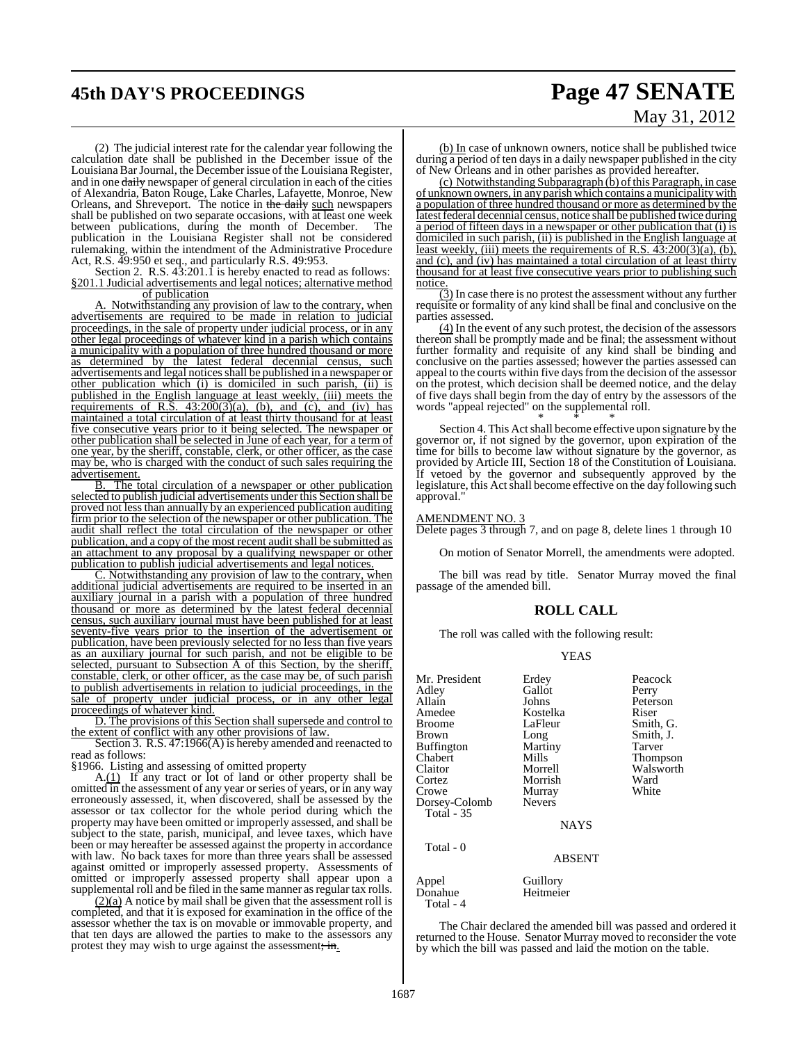## **45th DAY'S PROCEEDINGS Page 47 SENATE**

# May 31, 2012

(2) The judicial interest rate for the calendar year following the calculation date shall be published in the December issue of the Louisiana BarJournal, the December issue of the Louisiana Register, and in one daily newspaper of general circulation in each of the cities of Alexandria, Baton Rouge, Lake Charles, Lafayette, Monroe, New Orleans, and Shreveport. The notice in the daily such newspapers shall be published on two separate occasions, with at least one week between publications, during the month of December. The publication in the Louisiana Register shall not be considered rulemaking, within the intendment of the Administrative Procedure Act, R.S. 49:950 et seq., and particularly R.S. 49:953.

Section 2. R.S. 43:201.1 is hereby enacted to read as follows: §201.1 Judicial advertisements and legal notices; alternative method of publication

A. Notwithstanding any provision of law to the contrary, when advertisements are required to be made in relation to judicial proceedings, in the sale of property under judicial process, or in any other legal proceedings of whatever kind in a parish which contains a municipality with a population of three hundred thousand or more as determined by the latest federal decennial census, such advertisements and legal notices shall be published in a newspaper or other publication which (i) is domiciled in such parish, (ii) is published in the English language at least weekly, (iii) meets the requirements of R.S.  $43:200(3)(a)$ , (b), and (c), and (iv) has maintained a total circulation of at least thirty thousand for at least five consecutive years prior to it being selected. The newspaper or other publication shall be selected in June of each year, for a term of one year, by the sheriff, constable, clerk, or other officer, as the case may be, who is charged with the conduct of such sales requiring the advertisement.

B. The total circulation of a newspaper or other publication selected to publish judicial advertisements under this Section shall be proved not less than annually by an experienced publication auditing firm prior to the selection of the newspaper or other publication. The audit shall reflect the total circulation of the newspaper or other publication, and a copy of the most recent audit shall be submitted as an attachment to any proposal by a qualifying newspaper or other publication to publish judicial advertisements and legal notices.

C. Notwithstanding any provision of law to the contrary, when additional judicial advertisements are required to be inserted in an auxiliary journal in a parish with a population of three hundred thousand or more as determined by the latest federal decennial census, such auxiliary journal must have been published for at least seventy-five years prior to the insertion of the advertisement or publication, have been previously selected for no less than five years as an auxiliary journal for such parish, and not be eligible to be selected, pursuant to Subsection A of this Section, by the sheriff, constable, clerk, or other officer, as the case may be, of such parish to publish advertisements in relation to judicial proceedings, in the sale of property under judicial process, or in any other legal proceedings of whatever kind.

D. The provisions of this Section shall supersede and control to the extent of conflict with any other provisions of law.

Section 3. R.S. 47:1966(A) is hereby amended and reenacted to read as follows:

§1966. Listing and assessing of omitted property

A.(1) If any tract or lot of land or other property shall be omitted in the assessment of any year orseries of years, or in any way erroneously assessed, it, when discovered, shall be assessed by the assessor or tax collector for the whole period during which the property may have been omitted or improperly assessed, and shall be subject to the state, parish, municipal, and levee taxes, which have been or may hereafter be assessed against the property in accordance with law. No back taxes for more than three years shall be assessed against omitted or improperly assessed property. Assessments of omitted or improperly assessed property shall appear upon a supplemental roll and be filed in the same manner as regular tax rolls.

 $(2)(a)$  A notice by mail shall be given that the assessment roll is completed, and that it is exposed for examination in the office of the assessor whether the tax is on movable or immovable property, and that ten days are allowed the parties to make to the assessors any protest they may wish to urge against the assessment; in.

(b) In case of unknown owners, notice shall be published twice during a period of ten days in a daily newspaper published in the city of New Orleans and in other parishes as provided hereafter.

(c) Notwithstanding Subparagraph (b) of this Paragraph, in case of unknown owners, in any parish which contains a municipalitywith a population of three hundred thousand or more as determined by the latest federal decennial census, notice shall be published twice during a period of fifteen days in a newspaper or other publication that (i) is domiciled in such parish, (ii) is published in the English language at least weekly, (iii) meets the requirements of R.S. 43:200(3)(a), (b), and (c), and (iv) has maintained a total circulation of at least thirty thousand for at least five consecutive years prior to publishing such notice.

 $\overline{3}$ ) In case there is no protest the assessment without any further requisite or formality of any kind shall be final and conclusive on the parties assessed.

(4) In the event of any such protest, the decision of the assessors thereon shall be promptly made and be final; the assessment without further formality and requisite of any kind shall be binding and conclusive on the parties assessed; however the parties assessed can appeal to the courts within five days from the decision of the assessor on the protest, which decision shall be deemed notice, and the delay of five days shall begin from the day of entry by the assessors of the words "appeal rejected" on the supplemental roll.

\* \* \* Section 4. This Act shall become effective upon signature by the governor or, if not signed by the governor, upon expiration of the time for bills to become law without signature by the governor, as provided by Article III, Section 18 of the Constitution of Louisiana. If vetoed by the governor and subsequently approved by the legislature, this Act shall become effective on the day following such approval.'

#### AMENDMENT NO. 3

Delete pages 3 through 7, and on page 8, delete lines 1 through 10

On motion of Senator Morrell, the amendments were adopted.

The bill was read by title. Senator Murray moved the final passage of the amended bill.

#### **ROLL CALL**

The roll was called with the following result:

#### YEAS

| Mr. President<br>Adley<br>Allain<br>Amedee<br><b>Broome</b><br>Brown<br><b>Buffington</b><br>Chabert<br>Claitor<br>Cortez<br>Crowe<br>Dorsey-Colomb | Erdey<br>Gallot<br>Johns<br>Kostelka<br>LaFleur<br>Long<br>Martiny<br>Mills<br>Morrell<br>Morrish<br>Murray<br><b>Nevers</b> | Peacock<br>Perry<br>Peterson<br>Riser<br>Smith, G.<br>Smith, J.<br>Tarver<br><b>Thompson</b><br>Walsworth<br>Ward<br>White |
|-----------------------------------------------------------------------------------------------------------------------------------------------------|------------------------------------------------------------------------------------------------------------------------------|----------------------------------------------------------------------------------------------------------------------------|
| <b>Total - 35</b>                                                                                                                                   | <b>NAYS</b>                                                                                                                  |                                                                                                                            |
| Total - 0                                                                                                                                           | <b>ABSENT</b>                                                                                                                |                                                                                                                            |
| Appel                                                                                                                                               | Guillory                                                                                                                     |                                                                                                                            |

Donahue Heitmeier

Total - 4

The Chair declared the amended bill was passed and ordered it returned to the House. Senator Murray moved to reconsider the vote by which the bill was passed and laid the motion on the table.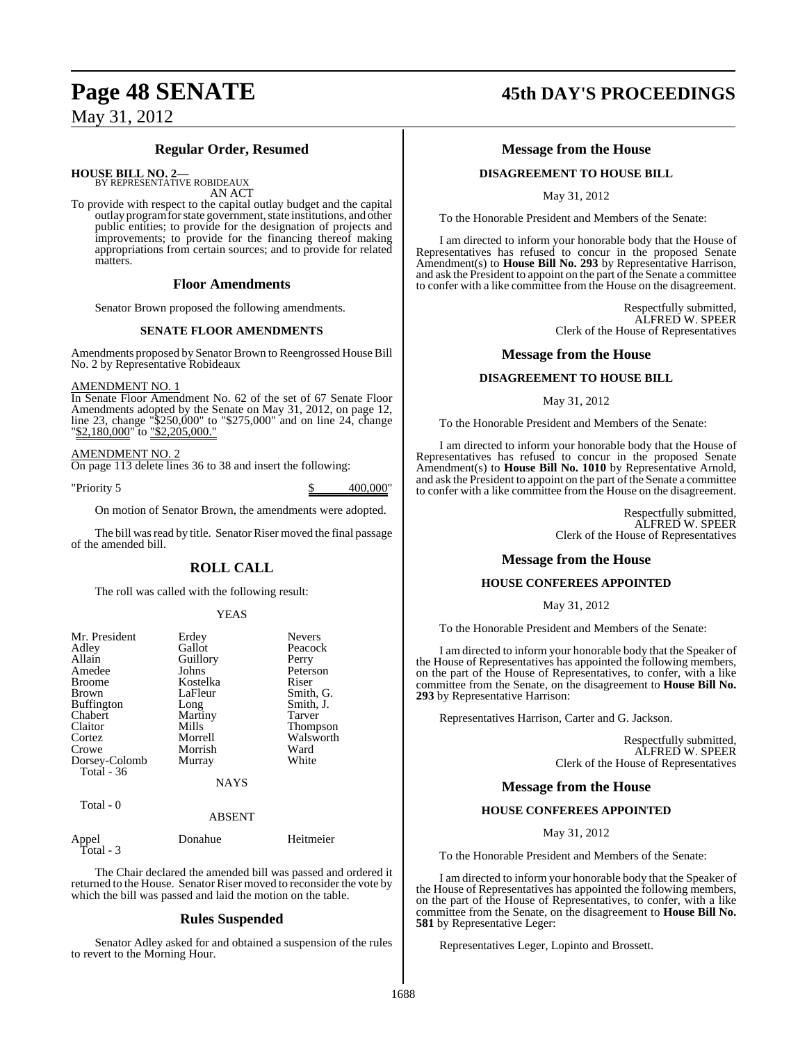### **Regular Order, Resumed**

**HOUSE BILL NO. 2—** BY REPRESENTATIVE ROBIDEAUX

AN ACT

To provide with respect to the capital outlay budget and the capital outlay program for state government, state institutions, and other public entities; to provide for the designation of projects and improvements; to provide for the financing thereof making appropriations from certain sources; and to provide for related matters.

#### **Floor Amendments**

Senator Brown proposed the following amendments.

#### **SENATE FLOOR AMENDMENTS**

Amendments proposed by Senator Brown to Reengrossed House Bill No. 2 by Representative Robideaux

#### AMENDMENT NO. 1

In Senate Floor Amendment No. 62 of the set of 67 Senate Floor Amendments adopted by the Senate on May 31, 2012, on page 12, line 23, change "\$250,000" to "\$275,000" and on line 24, change "\$2,180,000" to "\$2,205,000."

#### AMENDMENT NO. 2

On page 113 delete lines 36 to 38 and insert the following:

"Priority 5 \$ 400,000"

On motion of Senator Brown, the amendments were adopted.

The bill was read by title. Senator Riser moved the final passage of the amended bill.

## **ROLL CALL**

The roll was called with the following result:

#### YEAS

| Mr. President<br>Adley<br>Allain<br>Amedee<br><b>Broome</b><br><b>Brown</b><br><b>Buffington</b><br>Chabert<br>Claitor<br>Cortez<br>Crowe | Erdey<br>Gallot<br>Guillory<br>Johns<br>Kostelka<br>LaFleur<br>Long<br>Martiny<br>Mills<br>Morrell<br>Morrish | <b>Nevers</b><br>Peacock<br>Perry<br>Peterson<br>Riser<br>Smith, G.<br>Smith, J.<br>Tarver<br>Thompson<br>Walsworth<br>Ward |
|-------------------------------------------------------------------------------------------------------------------------------------------|---------------------------------------------------------------------------------------------------------------|-----------------------------------------------------------------------------------------------------------------------------|
| Dorsey-Colomb                                                                                                                             | Murray                                                                                                        | White                                                                                                                       |
| <b>Total - 36</b>                                                                                                                         |                                                                                                               |                                                                                                                             |
|                                                                                                                                           | <b>NAYS</b>                                                                                                   |                                                                                                                             |
| Total - 0                                                                                                                                 | <b>ABSENT</b>                                                                                                 |                                                                                                                             |

| Appel     | Donahue | Heitmeier |
|-----------|---------|-----------|
| Total - 3 |         |           |

The Chair declared the amended bill was passed and ordered it returned to the House. Senator Riser moved to reconsider the vote by which the bill was passed and laid the motion on the table.

#### **Rules Suspended**

Senator Adley asked for and obtained a suspension of the rules to revert to the Morning Hour.

## **Page 48 SENATE 45th DAY'S PROCEEDINGS**

#### **Message from the House**

#### **DISAGREEMENT TO HOUSE BILL**

May 31, 2012

To the Honorable President and Members of the Senate:

I am directed to inform your honorable body that the House of Representatives has refused to concur in the proposed Senate Amendment(s) to **House Bill No. 293** by Representative Harrison, and ask the President to appoint on the part of the Senate a committee to confer with a like committee from the House on the disagreement.

> Respectfully submitted, ALFRED W. SPEER Clerk of the House of Representatives

#### **Message from the House**

#### **DISAGREEMENT TO HOUSE BILL**

May 31, 2012

To the Honorable President and Members of the Senate:

I am directed to inform your honorable body that the House of Representatives has refused to concur in the proposed Senate Amendment(s) to **House Bill No. 1010** by Representative Arnold, and ask the President to appoint on the part of the Senate a committee to confer with a like committee from the House on the disagreement.

> Respectfully submitted, ALFRED W. SPEER Clerk of the House of Representatives

#### **Message from the House**

#### **HOUSE CONFEREES APPOINTED**

May 31, 2012

To the Honorable President and Members of the Senate:

I am directed to inform your honorable body that the Speaker of the House of Representatives has appointed the following members, on the part of the House of Representatives, to confer, with a like committee from the Senate, on the disagreement to **House Bill No. 293** by Representative Harrison:

Representatives Harrison, Carter and G. Jackson.

Respectfully submitted, ALFRED W. SPEER Clerk of the House of Representatives

#### **Message from the House**

#### **HOUSE CONFEREES APPOINTED**

May 31, 2012

To the Honorable President and Members of the Senate:

I am directed to inform your honorable body that the Speaker of the House of Representatives has appointed the following members, on the part of the House of Representatives, to confer, with a like committee from the Senate, on the disagreement to **House Bill No. 581** by Representative Leger:

Representatives Leger, Lopinto and Brossett.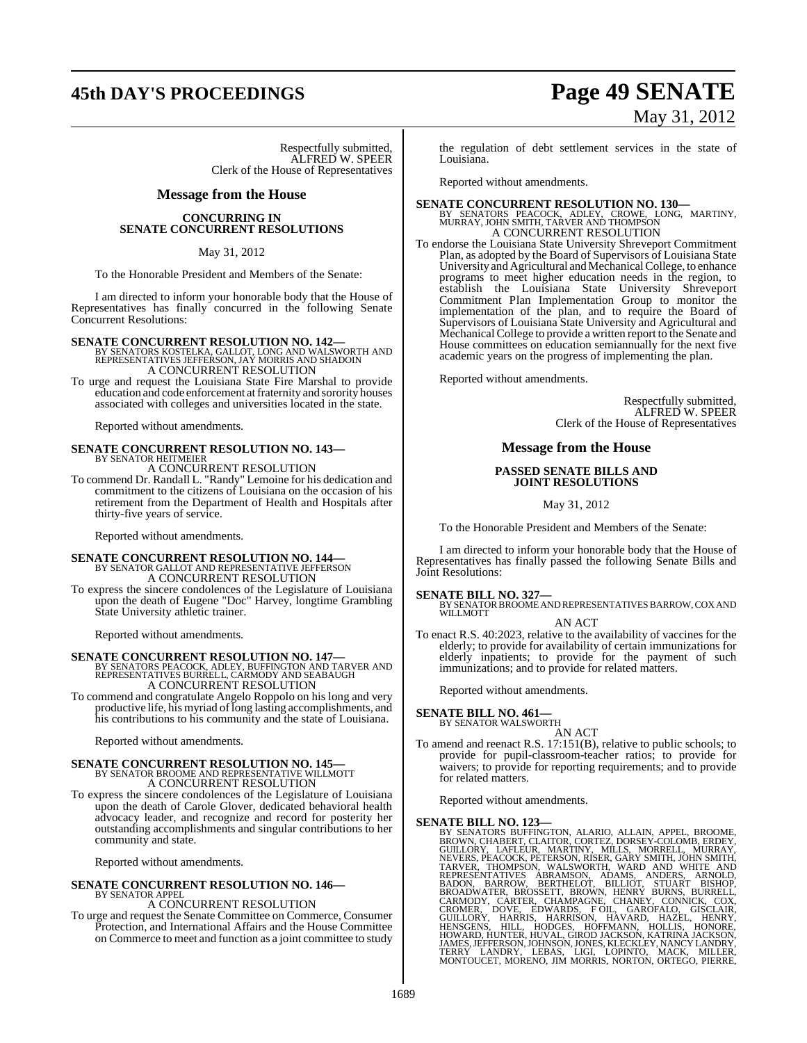# **45th DAY'S PROCEEDINGS Page 49 SENATE**

Respectfully submitted, ALFRED W. SPEER Clerk of the House of Representatives

#### **Message from the House**

**CONCURRING IN SENATE CONCURRENT RESOLUTIONS**

#### May 31, 2012

To the Honorable President and Members of the Senate:

I am directed to inform your honorable body that the House of Representatives has finally concurred in the following Senate Concurrent Resolutions:

**SENATE CONCURRENT RESOLUTION NO. 142—**<br>BY SENATORS KOSTELKA, GALLOT, LONG AND WALSWORTH AND<br>REPRESENTATIVES JEFFERSON, JAY MORRIS AND SHADOIN<br>A CONCURRENT RESOLUTION

To urge and request the Louisiana State Fire Marshal to provide education and code enforcement atfraternity and sorority houses associated with colleges and universities located in the state.

Reported without amendments.

#### **SENATE CONCURRENT RESOLUTION NO. 143—** BY SENATOR HEITMEIER

A CONCURRENT RESOLUTION To commend Dr. Randall L. "Randy" Lemoine for his dedication and commitment to the citizens of Louisiana on the occasion of his retirement from the Department of Health and Hospitals after thirty-five years of service.

Reported without amendments.

## **SENATE CONCURRENT RESOLUTION NO. 144—** BY SENATOR GALLOT AND REPRESENTATIVE JEFFERSON

A CONCURRENT RESOLUTION

To express the sincere condolences of the Legislature of Louisiana upon the death of Eugene "Doc" Harvey, longtime Grambling State University athletic trainer.

Reported without amendments.

#### **SENATE CONCURRENT RESOLUTION NO. 147—**

BY SENATORS PEACOCK, ADLEY, BUFFINGTON AND TARVER AND REPRESENTATIVES BURRELL, CARMODY AND SEABAUGH A CONCURRENT RESOLUTION

To commend and congratulate Angelo Roppolo on his long and very productive life, his myriad of long lasting accomplishments, and his contributions to his community and the state of Louisiana.

Reported without amendments.

# **SENATE CONCURRENT RESOLUTION NO. 145—**<br>BY SENATOR BROOME AND REPRESENTATIVE WILLMOTT A CONCURRENT RESOLUTION

To express the sincere condolences of the Legislature of Louisiana upon the death of Carole Glover, dedicated behavioral health advocacy leader, and recognize and record for posterity her outstanding accomplishments and singular contributions to her community and state.

Reported without amendments.

#### **SENATE CONCURRENT RESOLUTION NO. 146—** BY SENATOR APPEL

A CONCURRENT RESOLUTION

To urge and request the Senate Committee on Commerce, Consumer Protection, and International Affairs and the House Committee on Commerce to meet and function as a joint committee to study

#### the regulation of debt settlement services in the state of Louisiana.

Reported without amendments.

## **SENATE CONCURRENT RESOLUTION NO. 130—**<br>BY SENATORS PEACOCK, ADLEY, CROWE, LONG, MARTINY,<br>MURRAY, JOHN SMITH, TARVER AND THOMPSON A CONCURRENT RESOLUTION

To endorse the Louisiana State University Shreveport Commitment Plan, as adopted by the Board of Supervisors of Louisiana State University and Agricultural and Mechanical College, to enhance programs to meet higher education needs in the region, to establish the Louisiana State University Shreveport Commitment Plan Implementation Group to monitor the implementation of the plan, and to require the Board of Supervisors of Louisiana State University and Agricultural and Mechanical College to provide a written report to the Senate and House committees on education semiannually for the next five academic years on the progress of implementing the plan.

Reported without amendments.

Respectfully submitted, ALFRED W. SPEER Clerk of the House of Representatives

#### **Message from the House**

#### **PASSED SENATE BILLS AND JOINT RESOLUTIONS**

May 31, 2012

To the Honorable President and Members of the Senate:

I am directed to inform your honorable body that the House of Representatives has finally passed the following Senate Bills and Joint Resolutions:

#### **SENATE BILL NO. 327—**

BY SENATOR BROOME AND REPRESENTATIVES BARROW, COX AND WILLMOTT

- AN ACT
- To enact R.S. 40:2023, relative to the availability of vaccines for the elderly; to provide for availability of certain immunizations for elderly inpatients; to provide for the payment of such immunizations; and to provide for related matters.

Reported without amendments.

## **SENATE BILL NO. 461—** BY SENATOR WALSWORTH

AN ACT

To amend and reenact R.S. 17:151(B), relative to public schools; to provide for pupil-classroom-teacher ratios; to provide for waivers; to provide for reporting requirements; and to provide for related matters.

Reported without amendments.

SENATE BILL NO. 123-<br>BY SENATORS BUFFINGTON, ALARIO, ALLAIN, APPEL, BROOME, BROWN, CHABERT, CLAITOR, CORTEZ, DORSEY-COLOMB, ERDEY,<br>GUILLORY, LAFLEUR, MARTINY, MILLS, MORRELL, MURRAY,<br>NEVERS, PEACOCK, PETERSON, RISER, GARY

# May 31, 2012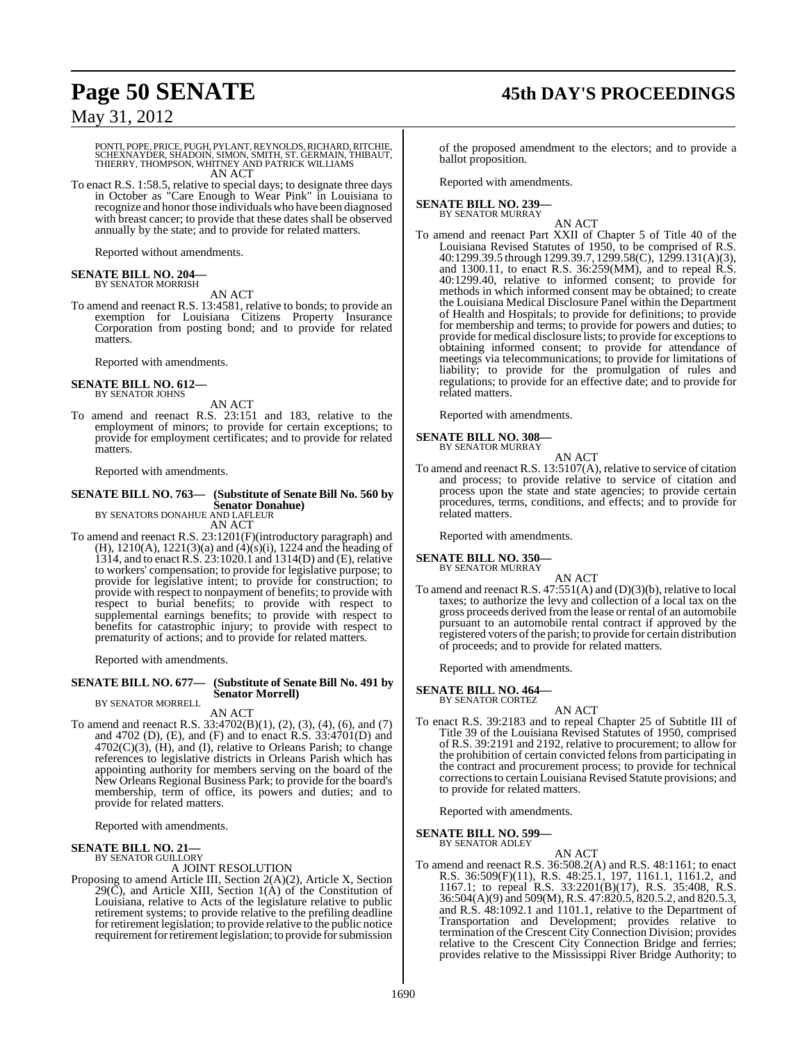# **Page 50 SENATE 45th DAY'S PROCEEDINGS**

May 31, 2012

PONTI, POPE, PRICE, PUGH, PYLANT, REYNOLDS, RICHARD, RITCHIE,<br>SCHEXNAYDER, SHADOIN, SIMON, SMITH, ST. GERMAIN, THIBAUT,<br>THIERRY, THOMPSON, WHITNEY AND PATRICK WILLIAMS AN ACT

To enact R.S. 1:58.5, relative to special days; to designate three days in October as "Care Enough to Wear Pink" in Louisiana to recognize and honor those individuals who have been diagnosed with breast cancer; to provide that these dates shall be observed annually by the state; and to provide for related matters.

Reported without amendments.

#### **SENATE BILL NO. 204—** BY SENATOR MORRISH

AN ACT

To amend and reenact R.S. 13:4581, relative to bonds; to provide an exemption for Louisiana Citizens Property Insurance Corporation from posting bond; and to provide for related matters.

Reported with amendments.

#### **SENATE BILL NO. 612—** BY SENATOR JOHNS

AN ACT

To amend and reenact R.S. 23:151 and 183, relative to the employment of minors; to provide for certain exceptions; to provide for employment certificates; and to provide for related matters.

Reported with amendments.

#### **SENATE BILL NO. 763— (Substitute of Senate Bill No. 560 by Senator Donahue)** BY SENATORS DONAHUE AND LAFLEUR

AN ACT

To amend and reenact R.S. 23:1201(F)(introductory paragraph) and (H), 1210(A), 1221(3)(a) and (4)(s)(i), 1224 and the heading of 1314, and to enact R.S. 23:1020.1 and 1314(D) and (E), relative to workers' compensation; to provide for legislative purpose; to provide for legislative intent; to provide for construction; to provide with respect to nonpayment of benefits; to provide with respect to burial benefits; to provide with respect to supplemental earnings benefits; to provide with respect to benefits for catastrophic injury; to provide with respect to prematurity of actions; and to provide for related matters.

Reported with amendments.

#### **SENATE BILL NO. 677— (Substitute of Senate Bill No. 491 by Senator Morrell)** BY SENATOR MORRELL

AN ACT

To amend and reenact R.S. 33:4702(B)(1), (2), (3), (4), (6), and (7) and 4702 (D), (E), and (F) and to enact R.S. 33:4701(D) and  $4702(C)(3)$ , (H), and (I), relative to Orleans Parish; to change references to legislative districts in Orleans Parish which has appointing authority for members serving on the board of the New Orleans Regional Business Park; to provide for the board's membership, term of office, its powers and duties; and to provide for related matters.

Reported with amendments.

#### **SENATE BILL NO. 21—** BY SENATOR GUILLORY

#### A JOINT RESOLUTION

Proposing to amend Article III, Section 2(A)(2), Article X, Section 29 $(\breve{C})$ , and Article XIII, Section 1( $\breve{A}$ ) of the Constitution of Louisiana, relative to Acts of the legislature relative to public retirement systems; to provide relative to the prefiling deadline for retirement legislation; to provide relative to the public notice requirement for retirement legislation; to provide for submission

of the proposed amendment to the electors; and to provide a ballot proposition.

Reported with amendments.

#### **SENATE BILL NO. 239—** BY SENATOR MURRAY

AN ACT

To amend and reenact Part XXII of Chapter 5 of Title 40 of the Louisiana Revised Statutes of 1950, to be comprised of R.S. 40:1299.39.5 through 1299.39.7, 1299.58(C), 1299.131(A)(3), and 1300.11, to enact R.S. 36:259(MM), and to repeal R.S. 40:1299.40, relative to informed consent; to provide for methods in which informed consent may be obtained; to create the Louisiana Medical Disclosure Panel within the Department of Health and Hospitals; to provide for definitions; to provide for membership and terms; to provide for powers and duties; to provide for medical disclosure lists; to provide for exceptionsto obtaining informed consent; to provide for attendance of meetings via telecommunications; to provide for limitations of liability; to provide for the promulgation of rules and regulations; to provide for an effective date; and to provide for related matters.

Reported with amendments.

**SENATE BILL NO. 308—**

BY SENATOR MURRAY AN ACT

To amend and reenact R.S. 13:5107(A), relative to service of citation and process; to provide relative to service of citation and process upon the state and state agencies; to provide certain procedures, terms, conditions, and effects; and to provide for related matters.

Reported with amendments.

#### **SENATE BILL NO. 350—**

BY SENATOR MURRAY

AN ACT To amend and reenact R.S. 47:551(A) and (D)(3)(b), relative to local taxes; to authorize the levy and collection of a local tax on the gross proceeds derived from the lease or rental of an automobile pursuant to an automobile rental contract if approved by the registered voters of the parish; to provide for certain distribution of proceeds; and to provide for related matters.

Reported with amendments.

#### **SENATE BILL NO. 464—**

BY SENATOR CORTEZ AN ACT

To enact R.S. 39:2183 and to repeal Chapter 25 of Subtitle III of Title 39 of the Louisiana Revised Statutes of 1950, comprised of R.S. 39:2191 and 2192, relative to procurement; to allow for the prohibition of certain convicted felons from participating in the contract and procurement process; to provide for technical corrections to certain Louisiana Revised Statute provisions; and to provide for related matters.

Reported with amendments.

**SENATE BILL NO. 599—**

BY SENATOR ADLEY AN ACT

To amend and reenact R.S. 36:508.2(A) and R.S. 48:1161; to enact R.S. 36:509(F)(11), R.S. 48:25.1, 197, 1161.1, 1161.2, and 1167.1; to repeal R.S. 33:2201(B)(17), R.S. 35:408, R.S. 36:504(A)(9) and 509(M), R.S. 47:820.5, 820.5.2, and 820.5.3, and R.S. 48:1092.1 and 1101.1, relative to the Department of Transportation and Development; provides relative to termination of the Crescent City Connection Division; provides relative to the Crescent City Connection Bridge and ferries; provides relative to the Mississippi River Bridge Authority; to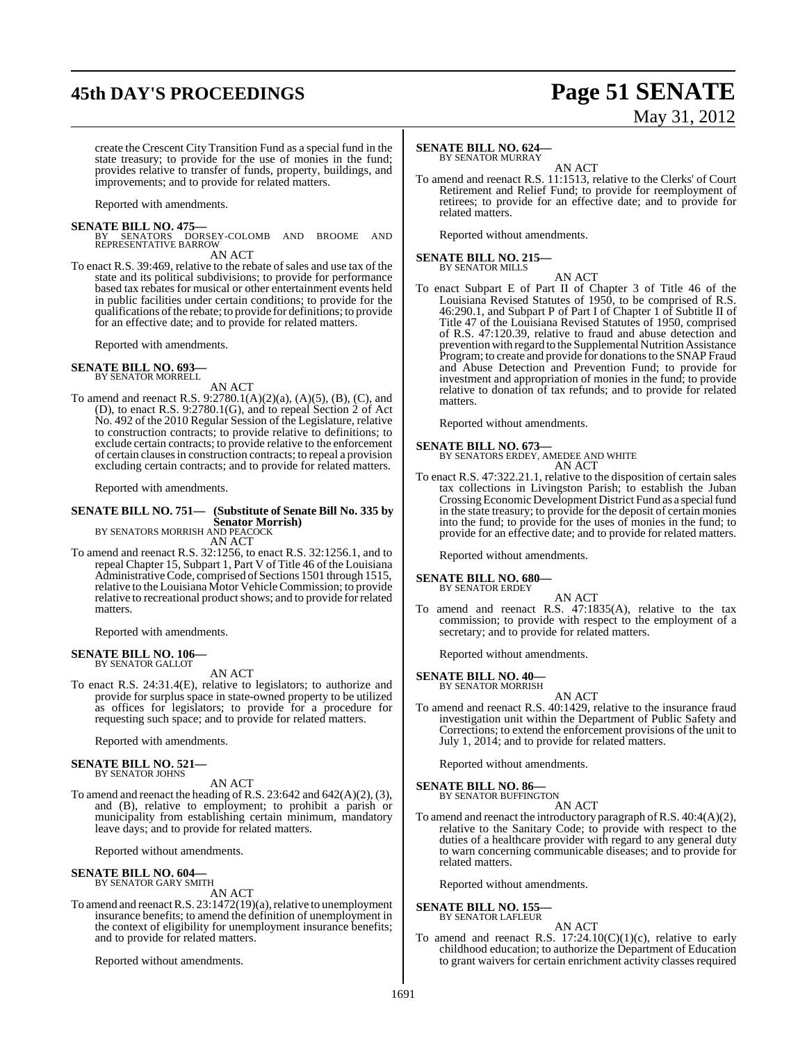## **45th DAY'S PROCEEDINGS Page 51 SENATE**

# May 31, 2012

create the Crescent City Transition Fund as a special fund in the state treasury; to provide for the use of monies in the fund; provides relative to transfer of funds, property, buildings, and improvements; and to provide for related matters.

Reported with amendments.

**SENATE BILL NO. 475—**<br>
BY SENATORS DORSEY-COLOMB AND BROOME AND<br>
REPRESENTATIVE BARROW

#### AN ACT

To enact R.S. 39:469, relative to the rebate of sales and use tax of the state and its political subdivisions; to provide for performance based tax rebates for musical or other entertainment events held in public facilities under certain conditions; to provide for the qualifications of the rebate; to provide for definitions; to provide for an effective date; and to provide for related matters.

Reported with amendments.

#### **SENATE BILL NO. 693—** BY SENATOR MORRELL

AN ACT

To amend and reenact R.S. 9:2780.1(A)(2)(a), (A)(5), (B), (C), and (D), to enact R.S. 9:2780.1(G), and to repeal Section 2 of Act No. 492 of the 2010 Regular Session of the Legislature, relative to construction contracts; to provide relative to definitions; to exclude certain contracts; to provide relative to the enforcement of certain clausesin construction contracts; to repeal a provision excluding certain contracts; and to provide for related matters.

Reported with amendments.

#### **SENATE BILL NO. 751— (Substitute of Senate Bill No. 335 by Senator Morrish)** BY SENATORS MORRISH AND PEACOCK

AN ACT

To amend and reenact R.S. 32:1256, to enact R.S. 32:1256.1, and to repeal Chapter 15, Subpart 1, Part V of Title 46 of the Louisiana Administrative Code, comprised of Sections 1501 through 1515, relative to the Louisiana Motor VehicleCommission; to provide relative to recreational product shows; and to provide for related matters.

Reported with amendments.

## **SENATE BILL NO. 106—** BY SENATOR GALLOT

AN ACT

To enact R.S. 24:31.4(E), relative to legislators; to authorize and provide for surplus space in state-owned property to be utilized as offices for legislators; to provide for a procedure for requesting such space; and to provide for related matters.

Reported with amendments.

#### **SENATE BILL NO. 521—** BY SENATOR JOHNS

AN ACT

To amend and reenact the heading of R.S. 23:642 and 642(A)(2), (3), and (B), relative to employment; to prohibit a parish or municipality from establishing certain minimum, mandatory leave days; and to provide for related matters.

Reported without amendments.

#### **SENATE BILL NO. 604—** BY SENATOR GARY SMITH

AN ACT

To amend and reenactR.S. 23:1472(19)(a),relative to unemployment insurance benefits; to amend the definition of unemployment in the context of eligibility for unemployment insurance benefits; and to provide for related matters.

Reported without amendments.

#### **SENATE BILL NO. 624—**

BY SENATOR MURRAY AN ACT

To amend and reenact R.S. 11:1513, relative to the Clerks' of Court Retirement and Relief Fund; to provide for reemployment of retirees; to provide for an effective date; and to provide for related matters.

Reported without amendments.

## **SENATE BILL NO. 215—** BY SENATOR MILLS

AN ACT

To enact Subpart E of Part II of Chapter 3 of Title 46 of the Louisiana Revised Statutes of 1950, to be comprised of R.S. 46:290.1, and Subpart P of Part I of Chapter 1 of Subtitle II of Title 47 of the Louisiana Revised Statutes of 1950, comprised of R.S. 47:120.39, relative to fraud and abuse detection and prevention with regard to the Supplemental Nutrition Assistance Program; to create and provide for donations to the SNAP Fraud and Abuse Detection and Prevention Fund; to provide for investment and appropriation of monies in the fund; to provide relative to donation of tax refunds; and to provide for related matters.

Reported without amendments.

**SENATE BILL NO. 673—** BY SENATORS ERDEY, AMEDEE AND WHITE AN ACT

To enact R.S. 47:322.21.1, relative to the disposition of certain sales tax collections in Livingston Parish; to establish the Juban Crossing Economic Development District Fund as a special fund in the state treasury; to provide for the deposit of certain monies into the fund; to provide for the uses of monies in the fund; to provide for an effective date; and to provide for related matters.

Reported without amendments.

## **SENATE BILL NO. 680—** BY SENATOR ERDEY

AN ACT To amend and reenact R.S. 47:1835(A), relative to the tax commission; to provide with respect to the employment of a secretary; and to provide for related matters.

Reported without amendments.

#### **SENATE BILL NO. 40—** BY SENATOR MORRISH

AN ACT

To amend and reenact R.S. 40:1429, relative to the insurance fraud investigation unit within the Department of Public Safety and Corrections; to extend the enforcement provisions of the unit to July 1, 2014; and to provide for related matters.

Reported without amendments.

**SENATE BILL NO. 86—**

BY SENATOR BUFFINGTON

AN ACT

To amend and reenact the introductory paragraph ofR.S. 40:4(A)(2), relative to the Sanitary Code; to provide with respect to the duties of a healthcare provider with regard to any general duty to warn concerning communicable diseases; and to provide for related matters.

Reported without amendments.

#### **SENATE BILL NO. 155—** BY SENATOR LAFLEUR

AN ACT

To amend and reenact R.S.  $17:24.10(C)(1)(c)$ , relative to early childhood education; to authorize the Department of Education to grant waivers for certain enrichment activity classes required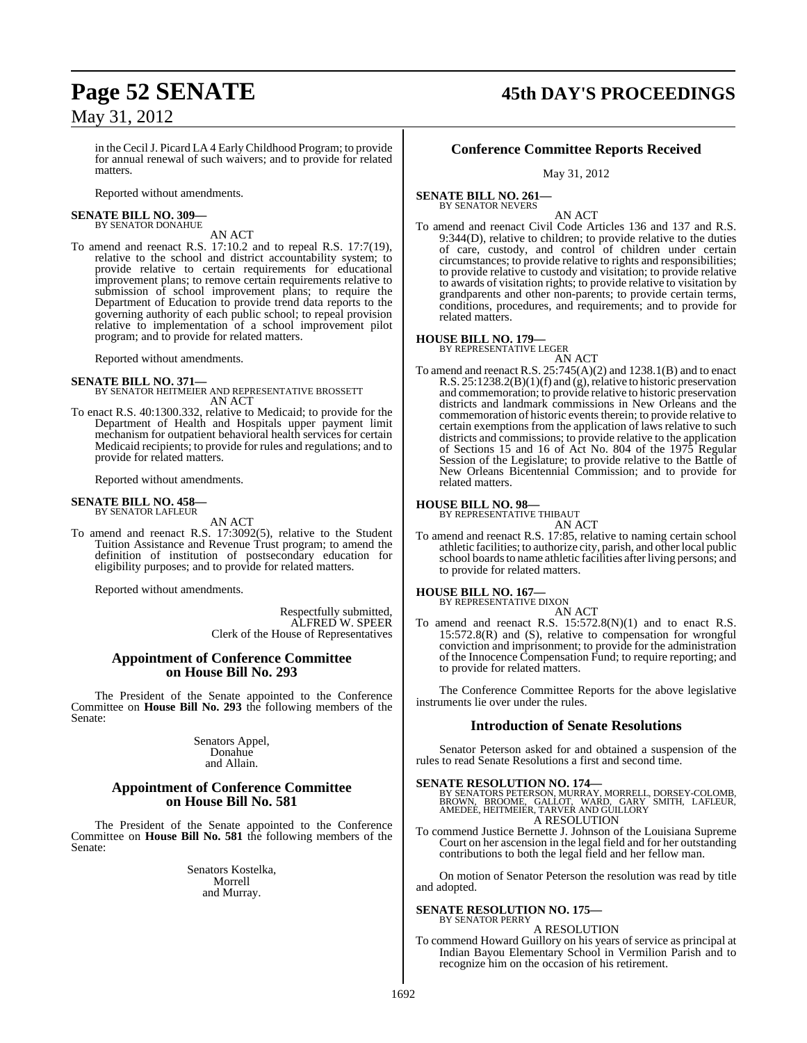#### in the CecilJ. Picard LA 4 EarlyChildhood Program; to provide for annual renewal of such waivers; and to provide for related matters.

Reported without amendments.

#### **SENATE BILL NO. 309—** BY SENATOR DONAHUE

AN ACT

To amend and reenact R.S. 17:10.2 and to repeal R.S. 17:7(19), relative to the school and district accountability system; to provide relative to certain requirements for educational improvement plans; to remove certain requirements relative to submission of school improvement plans; to require the Department of Education to provide trend data reports to the governing authority of each public school; to repeal provision relative to implementation of a school improvement pilot program; and to provide for related matters.

Reported without amendments.

#### **SENATE BILL NO. 371—**

BY SENATOR HEITMEIER AND REPRESENTATIVE BROSSETT AN ACT

To enact R.S. 40:1300.332, relative to Medicaid; to provide for the Department of Health and Hospitals upper payment limit mechanism for outpatient behavioral health services for certain Medicaid recipients; to provide for rules and regulations; and to provide for related matters.

Reported without amendments.

## **SENATE BILL NO. 458—** BY SENATOR LAFLEUR

AN ACT

To amend and reenact R.S. 17:3092(5), relative to the Student Tuition Assistance and Revenue Trust program; to amend the definition of institution of postsecondary education for eligibility purposes; and to provide for related matters.

Reported without amendments.

Respectfully submitted, ALFRED W. SPEER Clerk of the House of Representatives

#### **Appointment of Conference Committee on House Bill No. 293**

The President of the Senate appointed to the Conference Committee on **House Bill No. 293** the following members of the Senate:

> Senators Appel, Donahue and Allain.

#### **Appointment of Conference Committee on House Bill No. 581**

The President of the Senate appointed to the Conference Committee on **House Bill No. 581** the following members of the Senate:

> Senators Kostelka, Morrell and Murray.

## **Conference Committee Reports Received**

May 31, 2012

**SENATE BILL NO. 261—** BY SENATOR NEVERS

AN ACT

To amend and reenact Civil Code Articles 136 and 137 and R.S. 9:344(D), relative to children; to provide relative to the duties of care, custody, and control of children under certain circumstances; to provide relative to rights and responsibilities; to provide relative to custody and visitation; to provide relative to awards of visitation rights; to provide relative to visitation by grandparents and other non-parents; to provide certain terms, conditions, procedures, and requirements; and to provide for related matters.

#### **HOUSE BILL NO. 179—** BY REPRESENTATIVE LEGER

AN ACT To amend and reenact R.S. 25:745(A)(2) and 1238.1(B) and to enact R.S.  $25:1238.2(B)(1)(f)$  and (g), relative to historic preservation and commemoration; to provide relative to historic preservation districts and landmark commissions in New Orleans and the commemoration of historic events therein; to provide relative to certain exemptions from the application of laws relative to such districts and commissions; to provide relative to the application of Sections 15 and 16 of Act No. 804 of the 1975 Regular Session of the Legislature; to provide relative to the Battle of New Orleans Bicentennial Commission; and to provide for related matters.

#### **HOUSE BILL NO. 98—** BY REPRESENTATIVE THIBAUT

AN ACT

To amend and reenact R.S. 17:85, relative to naming certain school athletic facilities; to authorize city, parish, and otherlocal public school boards to name athletic facilities after living persons; and to provide for related matters.

**HOUSE BILL NO. 167—** BY REPRESENTATIVE DIXON

AN ACT To amend and reenact R.S. 15:572.8(N)(1) and to enact R.S. 15:572.8(R) and (S), relative to compensation for wrongful conviction and imprisonment; to provide for the administration of the Innocence Compensation Fund; to require reporting; and to provide for related matters.

The Conference Committee Reports for the above legislative instruments lie over under the rules.

#### **Introduction of Senate Resolutions**

Senator Peterson asked for and obtained a suspension of the rules to read Senate Resolutions a first and second time.

**SENATE RESOLUTION NO. 174—**<br>BY SENATORS PETERSON, MURRAY, MORRELL, DORSEY-COLOMB,<br>BROWN, BROOME, GALLOT, WARD, GARY SMITH, LAFLEUR,<br>AMEDEE, HEITMEIER, TARVER AND GUILLORY A RESOLUTION

To commend Justice Bernette J. Johnson of the Louisiana Supreme Court on her ascension in the legal field and for her outstanding contributions to both the legal field and her fellow man.

On motion of Senator Peterson the resolution was read by title and adopted.

#### **SENATE RESOLUTION NO. 175—**

BY SENATOR PERRY A RESOLUTION

To commend Howard Guillory on his years of service as principal at Indian Bayou Elementary School in Vermilion Parish and to recognize him on the occasion of his retirement.

**Page 52 SENATE 45th DAY'S PROCEEDINGS**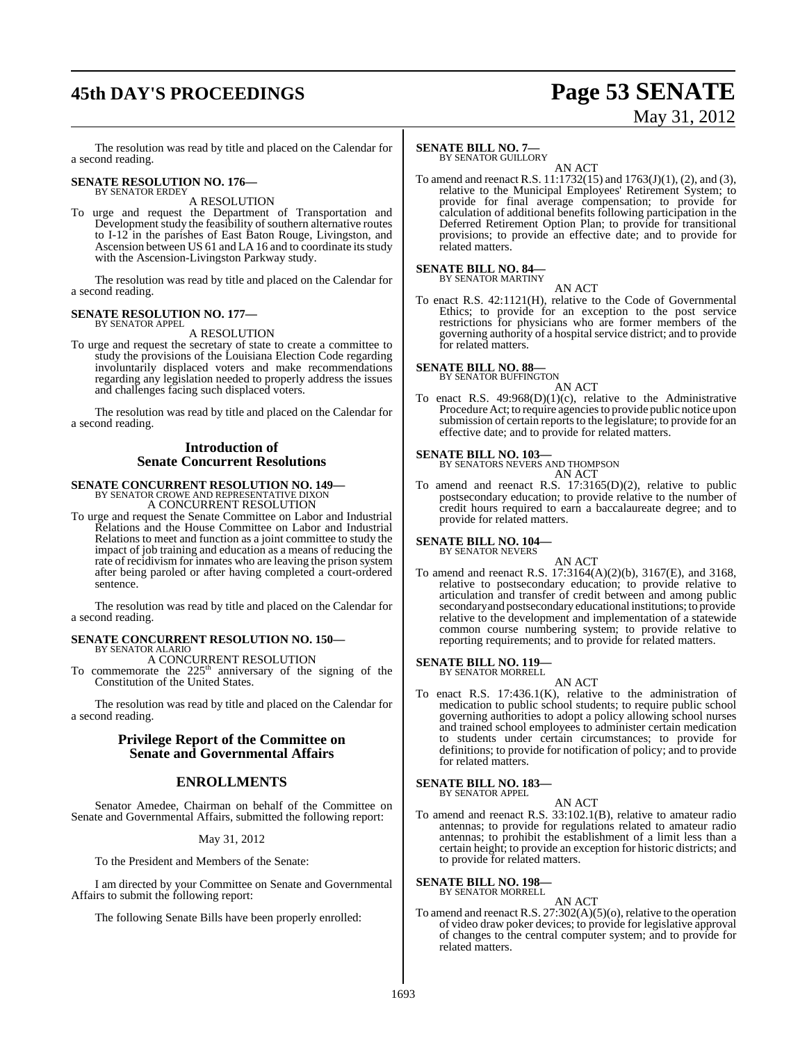## **45th DAY'S PROCEEDINGS Page 53 SENATE**

# May 31, 2012

The resolution was read by title and placed on the Calendar for a second reading.

## **SENATE RESOLUTION NO. 176—** BY SENATOR ERDEY

A RESOLUTION

To urge and request the Department of Transportation and Development study the feasibility of southern alternative routes to I-12 in the parishes of East Baton Rouge, Livingston, and Ascension between US  $61$  and LA 16 and to coordinate its study with the Ascension-Livingston Parkway study.

The resolution was read by title and placed on the Calendar for a second reading.

#### **SENATE RESOLUTION NO. 177—** BY SENATOR APPEL

A RESOLUTION

To urge and request the secretary of state to create a committee to study the provisions of the Louisiana Election Code regarding involuntarily displaced voters and make recommendations regarding any legislation needed to properly address the issues and challenges facing such displaced voters.

The resolution was read by title and placed on the Calendar for a second reading.

#### **Introduction of Senate Concurrent Resolutions**

# **SENATE CONCURRENT RESOLUTION NO. 149—**<br>BY SENATOR CROWE AND REPRESENTATIVE DIXON<br>A CONCURRENT RESOLUTION

To urge and request the Senate Committee on Labor and Industrial Relations and the House Committee on Labor and Industrial Relations to meet and function as a joint committee to study the impact of job training and education as a means of reducing the rate of recidivism for inmates who are leaving the prison system after being paroled or after having completed a court-ordered sentence.

The resolution was read by title and placed on the Calendar for a second reading.

#### **SENATE CONCURRENT RESOLUTION NO. 150—** BY SENATOR ALARIO

A CONCURRENT RESOLUTION

To commemorate the  $225<sup>th</sup>$  anniversary of the signing of the Constitution of the United States.

The resolution was read by title and placed on the Calendar for a second reading.

#### **Privilege Report of the Committee on Senate and Governmental Affairs**

## **ENROLLMENTS**

Senator Amedee, Chairman on behalf of the Committee on Senate and Governmental Affairs, submitted the following report:

#### May 31, 2012

To the President and Members of the Senate:

I am directed by your Committee on Senate and Governmental Affairs to submit the following report:

The following Senate Bills have been properly enrolled:

### **SENATE BILL NO. 7—**

BY SENATOR GUILLORY

AN ACT To amend and reenact R.S. 11:1732(15) and 1763(J)(1), (2), and (3), relative to the Municipal Employees' Retirement System; to provide for final average compensation; to provide for calculation of additional benefits following participation in the Deferred Retirement Option Plan; to provide for transitional provisions; to provide an effective date; and to provide for related matters.

## **SENATE BILL NO. 84—** BY SENATOR MARTINY

AN ACT To enact R.S. 42:1121(H), relative to the Code of Governmental Ethics; to provide for an exception to the post service restrictions for physicians who are former members of the governing authority of a hospitalservice district; and to provide for related matters.

**SENATE BILL NO. 88—** BY SENATOR BUFFINGTON

AN ACT

To enact R.S.  $49:968(D)(1)(c)$ , relative to the Administrative Procedure Act; to require agencies to provide public notice upon submission of certain reports to the legislature; to provide for an effective date; and to provide for related matters.

#### **SENATE BILL NO. 103—**

BY SENATORS NEVERS AND THOMPSON AN ACT

To amend and reenact R.S. 17:3165(D)(2), relative to public postsecondary education; to provide relative to the number of credit hours required to earn a baccalaureate degree; and to provide for related matters.

## **SENATE BILL NO. 104—**

BY SENATOR NEVERS

AN ACT To amend and reenact R.S. 17:3164(A)(2)(b), 3167(E), and 3168, relative to postsecondary education; to provide relative to articulation and transfer of credit between and among public secondary and postsecondary educational institutions; to provide relative to the development and implementation of a statewide common course numbering system; to provide relative to reporting requirements; and to provide for related matters.

#### **SENATE BILL NO. 119—** BY SENATOR MORRELL

AN ACT To enact R.S. 17:436.1(K), relative to the administration of medication to public school students; to require public school governing authorities to adopt a policy allowing school nurses and trained school employees to administer certain medication to students under certain circumstances; to provide for definitions; to provide for notification of policy; and to provide for related matters.

#### **SENATE BILL NO. 183—** BY SENATOR APPEL

AN ACT

To amend and reenact R.S. 33:102.1(B), relative to amateur radio antennas; to provide for regulations related to amateur radio antennas; to prohibit the establishment of a limit less than a certain height; to provide an exception for historic districts; and to provide for related matters.

#### **SENATE BILL NO. 198—**

BY SENATOR MORRELL AN ACT

To amend and reenact R.S.  $27:302(A)(5)(o)$ , relative to the operation of video draw poker devices; to provide for legislative approval of changes to the central computer system; and to provide for related matters.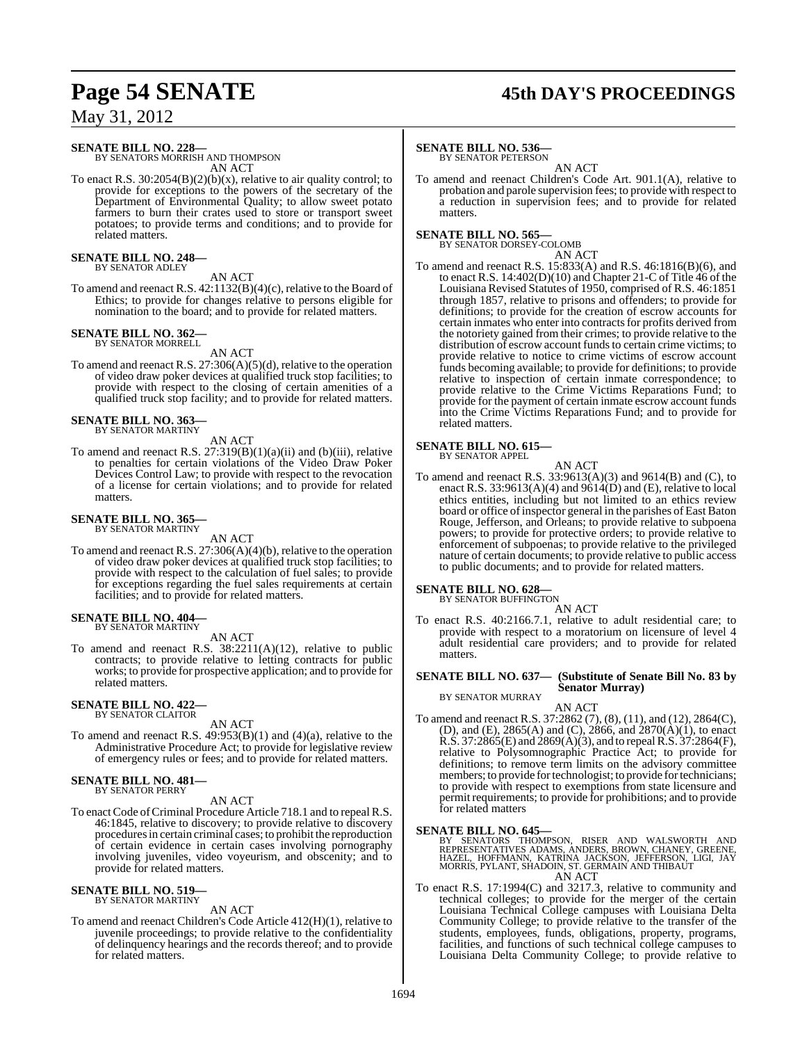## **Page 54 SENATE 45th DAY'S PROCEEDINGS**

May 31, 2012

## **SENATE BILL NO. 228—** BY SENATORS MORRISH AND THOMPSON

AN ACT

To enact R.S. 30:2054(B)(2)(b)(x), relative to air quality control; to provide for exceptions to the powers of the secretary of the Department of Environmental Quality; to allow sweet potato farmers to burn their crates used to store or transport sweet potatoes; to provide terms and conditions; and to provide for related matters.

**SENATE BILL NO. 248—** BY SENATOR ADLEY

AN ACT

To amend and reenact R.S. 42:1132(B)(4)(c), relative to the Board of Ethics; to provide for changes relative to persons eligible for nomination to the board; and to provide for related matters.

#### **SENATE BILL NO. 362** BY SENATOR MORRELL

AN ACT

To amend and reenact R.S. 27:306(A)(5)(d), relative to the operation of video draw poker devices at qualified truck stop facilities; to provide with respect to the closing of certain amenities of a qualified truck stop facility; and to provide for related matters.

## **SENATE BILL NO. 363—** BY SENATOR MARTINY

AN ACT

To amend and reenact R.S.  $27:319(B)(1)(a)(ii)$  and (b)(iii), relative to penalties for certain violations of the Video Draw Poker Devices Control Law; to provide with respect to the revocation of a license for certain violations; and to provide for related matters.

## **SENATE BILL NO. 365—** BY SENATOR MARTINY

AN ACT

To amend and reenact R.S. 27:306(A)(4)(b), relative to the operation of video draw poker devices at qualified truck stop facilities; to provide with respect to the calculation of fuel sales; to provide for exceptions regarding the fuel sales requirements at certain facilities; and to provide for related matters.

#### **SENATE BILL NO. 404—** BY SENATOR MARTINY

AN ACT

To amend and reenact R.S. 38:2211(A)(12), relative to public contracts; to provide relative to letting contracts for public works; to provide for prospective application; and to provide for related matters.

#### **SENATE BILL NO. 422—** BY SENATOR CLAITOR

AN ACT

To amend and reenact R.S. 49:953(B)(1) and (4)(a), relative to the Administrative Procedure Act; to provide for legislative review of emergency rules or fees; and to provide for related matters.

#### **SENATE BILL NO. 481—** BY SENATOR PERRY

AN ACT

To enactCode ofCriminal Procedure Article 718.1 and to repeal R.S. 46:1845, relative to discovery; to provide relative to discovery procedures in certain criminal cases; to prohibit the reproduction of certain evidence in certain cases involving pornography involving juveniles, video voyeurism, and obscenity; and to provide for related matters.

## **SENATE BILL NO. 519—** BY SENATOR MARTINY

AN ACT

To amend and reenact Children's Code Article 412(H)(1), relative to juvenile proceedings; to provide relative to the confidentiality of delinquency hearings and the records thereof; and to provide for related matters.

#### **SENATE BILL NO. 536—**

BY SENATOR PETERSON

AN ACT To amend and reenact Children's Code Art. 901.1(A), relative to probation and parole supervision fees; to provide with respect to a reduction in supervision fees; and to provide for related matters.

#### **SENATE BILL NO. 565—**

BY SENATOR DORSEY-COLOMB

AN ACT To amend and reenact R.S. 15:833(A) and R.S. 46:1816(B)(6), and to enact R.S. 14:402(D)(10) and Chapter 21-C of Title 46 of the Louisiana Revised Statutes of 1950, comprised of R.S. 46:1851 through 1857, relative to prisons and offenders; to provide for definitions; to provide for the creation of escrow accounts for certain inmates who enter into contracts for profits derived from the notoriety gained from their crimes; to provide relative to the distribution of escrow account funds to certain crime victims; to provide relative to notice to crime victims of escrow account funds becoming available; to provide for definitions; to provide relative to inspection of certain inmate correspondence; to provide relative to the Crime Victims Reparations Fund; to provide for the payment of certain inmate escrow account funds into the Crime Victims Reparations Fund; and to provide for related matters.

## **SENATE BILL NO. 615—** BY SENATOR APPEL

AN ACT

To amend and reenact R.S. 33:9613(A)(3) and 9614(B) and (C), to enact R.S. 33:9613(A)(4) and 9614(D) and (E), relative to local ethics entities, including but not limited to an ethics review board or office of inspector general in the parishes of East Baton Rouge, Jefferson, and Orleans; to provide relative to subpoena powers; to provide for protective orders; to provide relative to enforcement of subpoenas; to provide relative to the privileged nature of certain documents; to provide relative to public access to public documents; and to provide for related matters.

## **SENATE BILL NO. 628—**<br>BY SENATOR BUFFINGTON

AN ACT

To enact R.S. 40:2166.7.1, relative to adult residential care; to provide with respect to a moratorium on licensure of level 4 adult residential care providers; and to provide for related matters.

#### **SENATE BILL NO. 637— (Substitute of Senate Bill No. 83 by Senator Murray)**

BY SENATOR MURRAY

AN ACT To amend and reenact R.S. 37:2862 (7), (8), (11), and (12), 2864(C), (D), and (E), 2865(A) and (C), 2866, and 2870(A)(1), to enact  $R.S. 37:2865(E)$  and  $2869(A)(3)$ , and to repeal  $R.S. 37:2864(F)$ , relative to Polysomnographic Practice Act; to provide for definitions; to remove term limits on the advisory committee members; to provide for technologist; to provide for technicians; to provide with respect to exemptions from state licensure and permit requirements; to provide for prohibitions; and to provide for related matters

#### **SENATE BILL NO. 645—**

BY SENATORS THOMPSON, RISER AND WALSWORTH AND<br>REPRESENTATIVES ADAMS, ANDERS, BROWN, CHANEY, GREENE,<br>HAZEL, HOFFMANN, KATRINA JACKSON, JEFFERSON, LIGI, JAY<br>MORRIS, PYLANT, SHADOIN, ST. GERMAIN AND THIBAUT AN ACT

To enact R.S. 17:1994(C) and 3217.3, relative to community and technical colleges; to provide for the merger of the certain Louisiana Technical College campuses with Louisiana Delta Community College; to provide relative to the transfer of the students, employees, funds, obligations, property, programs, facilities, and functions of such technical college campuses to Louisiana Delta Community College; to provide relative to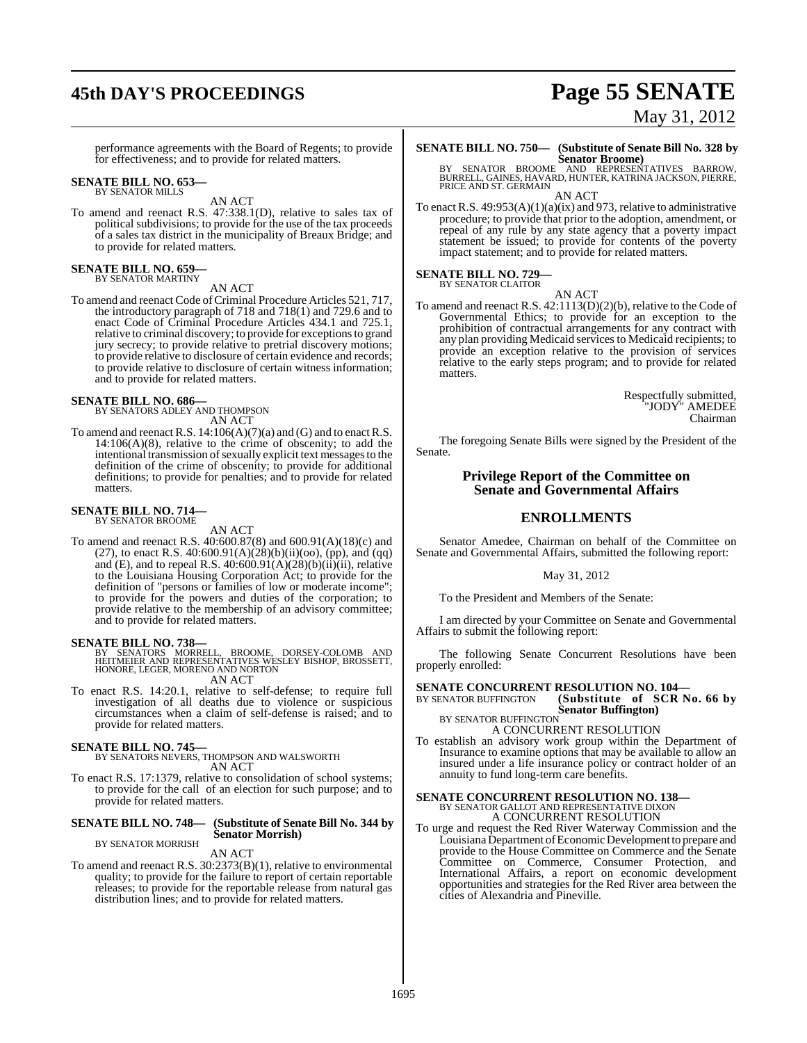# **45th DAY'S PROCEEDINGS Page 55 SENATE**

performance agreements with the Board of Regents; to provide for effectiveness; and to provide for related matters.

## **SENATE BILL NO. 653—** BY SENATOR MILLS

AN ACT

To amend and reenact R.S. 47:338.1(D), relative to sales tax of political subdivisions; to provide for the use of the tax proceeds of a sales tax district in the municipality of Breaux Bridge; and to provide for related matters.

## **SENATE BILL NO. 659—** BY SENATOR MARTINY

AN ACT

To amend and reenact Code of Criminal Procedure Articles 521, 717, the introductory paragraph of 718 and 718(1) and 729.6 and to enact Code of Criminal Procedure Articles 434.1 and 725.1, relative to criminal discovery; to provide for exceptionsto grand jury secrecy; to provide relative to pretrial discovery motions; to provide relative to disclosure of certain evidence and records; to provide relative to disclosure of certain witness information; and to provide for related matters.

## **SENATE BILL NO. 686—** BY SENATORS ADLEY AND THOMPSON

AN ACT

To amend and reenact R.S.  $14:106(A)(7)(a)$  and (G) and to enact R.S.  $14:106(A)(8)$ , relative to the crime of obscenity; to add the intentional transmission of sexually explicit text messages to the definition of the crime of obscenity; to provide for additional definitions; to provide for penalties; and to provide for related matters.

#### **SENATE BILL NO. 714—** BY SENATOR BROOME

AN ACT

To amend and reenact R.S. 40:600.87(8) and 600.91(A)(18)(c) and (27), to enact R.S.  $40:600.91(A)(28)(b)(ii)(oo)$ , (pp), and (qq) and (E), and to repeal R.S.  $40.600.91(A)(28)(b)(ii)(ii)$ , relative to the Louisiana Housing Corporation Act; to provide for the definition of "persons or families of low or moderate income"; to provide for the powers and duties of the corporation; to provide relative to the membership of an advisory committee; and to provide for related matters.

#### **SENATE BILL NO. 738—**

BY SENATORS MORRELL, BROOME, DORSEY-COLOMB AND<br>HEITMEIER AND REPRESENTATIVES WESLEY BISHOP, BROSSETT,<br>HONORE, LEGER, MORENO AND NORTON AN ACT

To enact R.S. 14:20.1, relative to self-defense; to require full investigation of all deaths due to violence or suspicious circumstances when a claim of self-defense is raised; and to provide for related matters.

#### **SENATE BILL NO. 745—**

BY SENATORS NEVERS, THOMPSON AND WALSWORTH AN ACT

To enact R.S. 17:1379, relative to consolidation of school systems; to provide for the call of an election for such purpose; and to provide for related matters.

#### **SENATE BILL NO. 748— (Substitute of Senate Bill No. 344 by Senator Morrish)** BY SENATOR MORRISH

#### AN ACT

To amend and reenact R.S. 30:2373(B)(1), relative to environmental quality; to provide for the failure to report of certain reportable releases; to provide for the reportable release from natural gas distribution lines; and to provide for related matters.

## **SENATE BILL NO. 750— (Substitute of Senate Bill No. 328 by**

**Senator Broome)** BY SENATOR BROOME AND REPRESENTATIVES BARROW, BURRELL, GAINES, HAVARD, HUNTER, KATRINA JACKSON, PIERRE, PRICE AND ST. GERMAIN AN ACT

To enact R.S.  $49:953(A)(1)(a)(ix)$  and 973, relative to administrative procedure; to provide that prior to the adoption, amendment, or repeal of any rule by any state agency that a poverty impact statement be issued; to provide for contents of the poverty impact statement; and to provide for related matters.

#### **SENATE BILL NO. 729—** BY SENATOR CLAITOR

AN ACT To amend and reenact R.S. 42:1113(D)(2)(b), relative to the Code of Governmental Ethics; to provide for an exception to the prohibition of contractual arrangements for any contract with any plan providing Medicaid services to Medicaid recipients; to provide an exception relative to the provision of services relative to the early steps program; and to provide for related matters.

> Respectfully submitted, "JODY" AMEDEE Chairman

The foregoing Senate Bills were signed by the President of the Senate.

#### **Privilege Report of the Committee on Senate and Governmental Affairs**

#### **ENROLLMENTS**

Senator Amedee, Chairman on behalf of the Committee on Senate and Governmental Affairs, submitted the following report:

#### May 31, 2012

To the President and Members of the Senate:

I am directed by your Committee on Senate and Governmental Affairs to submit the following report:

The following Senate Concurrent Resolutions have been properly enrolled:

**SENATE CONCURRENT RESOLUTION NO. 104–BY SENATOR BUFFINGTON (Substitute of SCR No. 66 by** BY SENATOR BUFFINGTON **(Substitute of SCR No. 66 by**

**Senator Buffington)** BY SENATOR BUFFINGTON A CONCURRENT RESOLUTION

To establish an advisory work group within the Department of Insurance to examine options that may be available to allow an insured under a life insurance policy or contract holder of an annuity to fund long-term care benefits.

# **SENATE CONCURRENT RESOLUTION NO. 138—**<br>BY SENATOR GALLOT AND REPRESENTATIVE DIXON<br>A CONCURRENT RESOLUTION

To urge and request the Red River Waterway Commission and the Louisiana Department of Economic Development to prepare and provide to the House Committee on Commerce and the Senate Committee on Commerce, Consumer Protection, and International Affairs, a report on economic development opportunities and strategies for the Red River area between the cities of Alexandria and Pineville.

# May 31, 2012